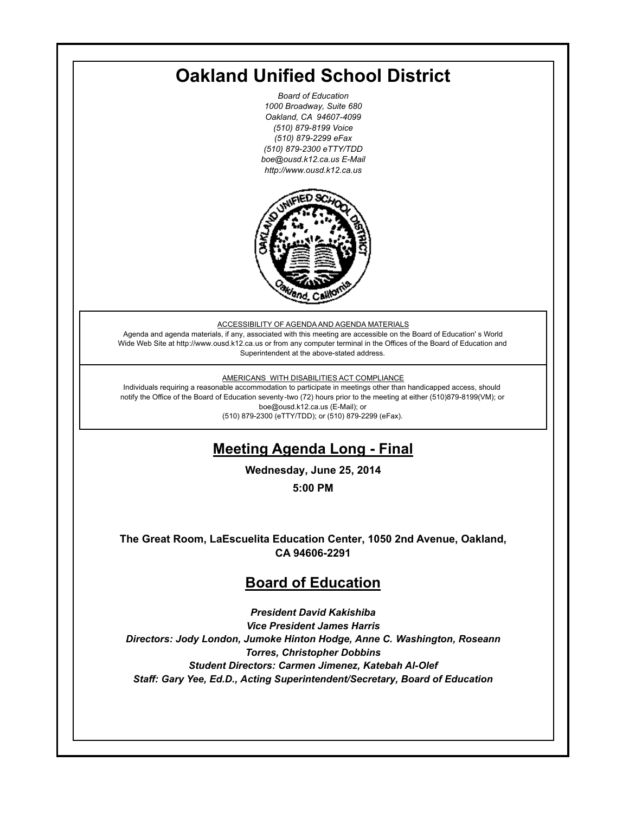# **Oakland Unified School District**

*Board of Education 1000 Broadway, Suite 680 Oakland, CA 94607-4099 (510) 879-8199 Voice (510) 879-2299 eFax (510) 879-2300 eTTY/TDD boe@ousd.k12.ca.us E-Mail http://www.ousd.k12.ca.us*



ACCESSIBILITY OF AGENDA AND AGENDA MATERIALS

Agenda and agenda materials, if any, associated with this meeting are accessible on the Board of Education' s World Wide Web Site at http://www.ousd.k12.ca.us or from any computer terminal in the Offices of the Board of Education and Superintendent at the above-stated address.

#### AMERICANS WITH DISABILITIES ACT COMPLIANCE

Individuals requiring a reasonable accommodation to participate in meetings other than handicapped access, should notify the Office of the Board of Education seventy-two (72) hours prior to the meeting at either (510)879-8199(VM); or boe@ousd.k12.ca.us (E-Mail); or

(510) 879-2300 (eTTY/TDD); or (510) 879-2299 (eFax).

## **Meeting Agenda Long - Final**

**Wednesday, June 25, 2014**

**5:00 PM**

**The Great Room, LaEscuelita Education Center, 1050 2nd Avenue, Oakland, CA 94606-2291**

## **Board of Education**

*President David Kakishiba Vice President James Harris Directors: Jody London, Jumoke Hinton Hodge, Anne C. Washington, Roseann Torres, Christopher Dobbins Student Directors: Carmen Jimenez, Katebah Al-Olef Staff: Gary Yee, Ed.D., Acting Superintendent/Secretary, Board of Education*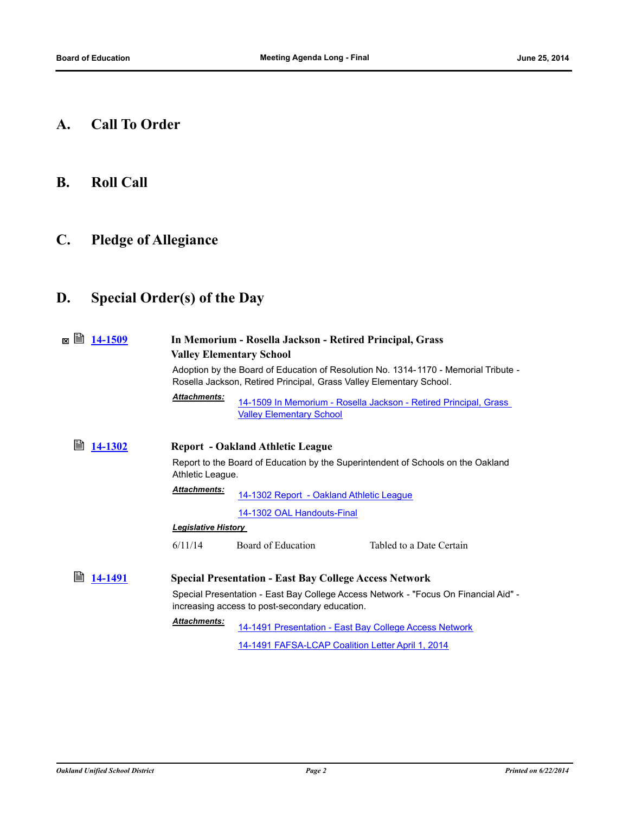**A. Call To Order**

## **B. Roll Call**

# **C. Pledge of Allegiance**

# **D. Special Order(s) of the Day**

| ë<br>M  | 14-1509 | <b>Valley Elementary School</b> | In Memorium - Rosella Jackson - Retired Principal, Grass            |                                                                                     |
|---------|---------|---------------------------------|---------------------------------------------------------------------|-------------------------------------------------------------------------------------|
|         |         |                                 | Rosella Jackson, Retired Principal, Grass Valley Elementary School. | Adoption by the Board of Education of Resolution No. 1314-1170 - Memorial Tribute - |
|         |         | <b>Attachments:</b>             | <b>Valley Elementary School</b>                                     | 14-1509 In Memorium - Rosella Jackson - Retired Principal, Grass                    |
| 昌       | 14-1302 |                                 | <b>Report - Oakland Athletic League</b>                             |                                                                                     |
|         |         | Athletic League.                |                                                                     | Report to the Board of Education by the Superintendent of Schools on the Oakland    |
|         |         | <b>Attachments:</b>             | 14-1302 Report - Oakland Athletic League                            |                                                                                     |
|         |         |                                 | 14-1302 OAL Handouts-Final                                          |                                                                                     |
|         |         | <b>Legislative History</b>      |                                                                     |                                                                                     |
|         |         | 6/11/14                         | Board of Education                                                  | Tabled to a Date Certain                                                            |
| 14-1491 |         |                                 | <b>Special Presentation - East Bay College Access Network</b>       |                                                                                     |
|         |         |                                 | increasing access to post-secondary education.                      | Special Presentation - East Bay College Access Network - "Focus On Financial Aid" - |
|         |         | <b>Attachments:</b>             | 14-1491 Presentation - East Bay College Access Network              |                                                                                     |
|         |         |                                 | 14-1491 FAFSA-LCAP Coalition Letter April 1, 2014                   |                                                                                     |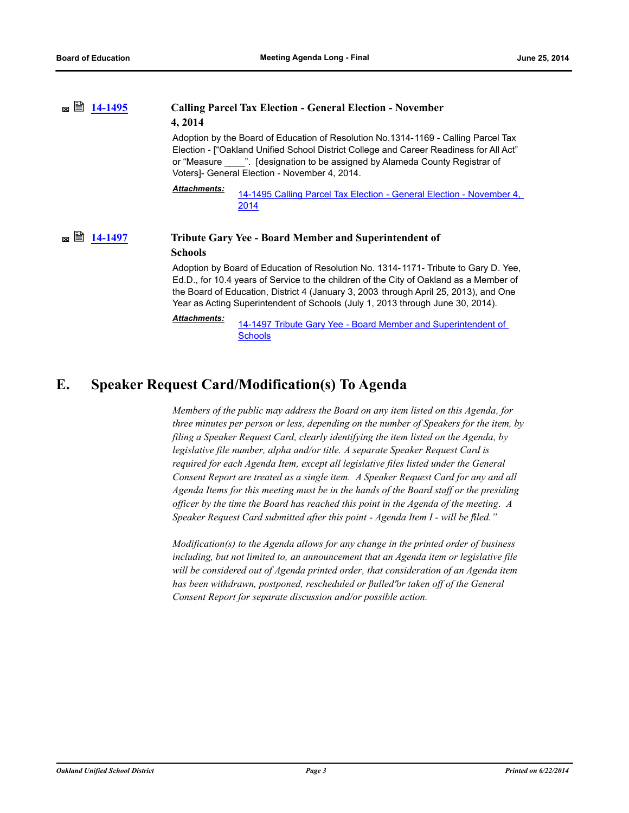| 14-1495      | <b>Calling Parcel Tax Election - General Election - November</b><br>4, 2014                                                                                                                                                                                                                                                                             |
|--------------|---------------------------------------------------------------------------------------------------------------------------------------------------------------------------------------------------------------------------------------------------------------------------------------------------------------------------------------------------------|
|              | Adoption by the Board of Education of Resolution No.1314-1169 - Calling Parcel Tax<br>Election - ["Oakland Unified School District College and Career Readiness for All Act"<br>or "Measure ". [designation to be assigned by Alameda County Registrar of<br>Voters]- General Election - November 4, 2014.                                              |
|              | <b>Attachments:</b><br>14-1495 Calling Parcel Tax Election - General Election - November 4,<br><u>2014</u>                                                                                                                                                                                                                                              |
| 14-1497<br>冈 | <b>Tribute Gary Yee - Board Member and Superintendent of</b><br><b>Schools</b>                                                                                                                                                                                                                                                                          |
|              | Adoption by Board of Education of Resolution No. 1314-1171- Tribute to Gary D. Yee,<br>Ed.D., for 10.4 years of Service to the children of the City of Oakland as a Member of<br>the Board of Education, District 4 (January 3, 2003 through April 25, 2013), and One<br>Year as Acting Superintendent of Schools (July 1, 2013 through June 30, 2014). |
|              | Attachments:<br>14-1497 Tribute Gary Yee - Board Member and Superintendent of<br><b>Schools</b>                                                                                                                                                                                                                                                         |

## **E. Speaker Request Card/Modification(s) To Agenda**

*Members of the public may address the Board on any item listed on this Agenda, for three minutes per person or less, depending on the number of Speakers for the item, by filing a Speaker Request Card, clearly identifying the item listed on the Agenda, by legislative file number, alpha and/or title. A separate Speaker Request Card is required for each Agenda Item, except all legislative files listed under the General Consent Report are treated as a single item. A Speaker Request Card for any and all Agenda Items for this meeting must be in the hands of the Board staff or the presiding officer by the time the Board has reached this point in the Agenda of the meeting. A Speaker Request Card submitted after this point - Agenda Item I - will be filed." "*

*Modification(s) to the Agenda allows for any change in the printed order of business including, but not limited to, an announcement that an Agenda item or legislative file will be considered out of Agenda printed order, that consideration of an Agenda item*  has been withdrawn, postponed, rescheduled or pulled" or taken off of the General *Consent Report for separate discussion and/or possible action.*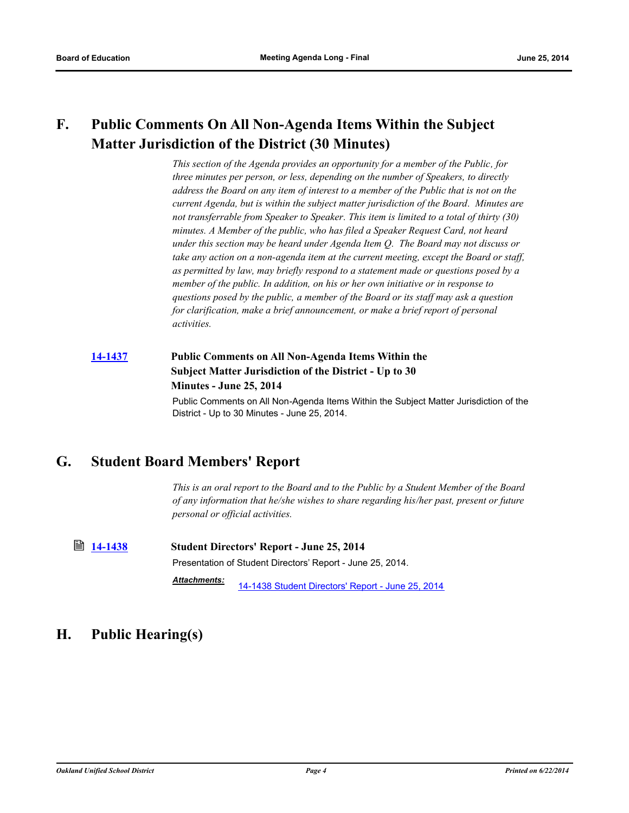## **F. Public Comments On All Non-Agenda Items Within the Subject Matter Jurisdiction of the District (30 Minutes)**

*This section of the Agenda provides an opportunity for a member of the Public, for three minutes per person, or less, depending on the number of Speakers, to directly address the Board on any item of interest to a member of the Public that is not on the current Agenda, but is within the subject matter jurisdiction of the Board. Minutes are not transferrable from Speaker to Speaker. This item is limited to a total of thirty (30) minutes. A Member of the public, who has filed a Speaker Request Card, not heard under this section may be heard under Agenda Item Q. The Board may not discuss or take any action on a non-agenda item at the current meeting, except the Board or staff, as permitted by law, may briefly respond to a statement made or questions posed by a member of the public. In addition, on his or her own initiative or in response to questions posed by the public, a member of the Board or its staff may ask a question for clarification, make a brief announcement, or make a brief report of personal activities.*

## **[14-1437](http://ousd.legistar.com/gateway.aspx?m=l&id=/matter.aspx?key=33113) Public Comments on All Non-Agenda Items Within the Subject Matter Jurisdiction of the District - Up to 30 Minutes - June 25, 2014**

Public Comments on All Non-Agenda Items Within the Subject Matter Jurisdiction of the District - Up to 30 Minutes - June 25, 2014.

## **G. Student Board Members' Report**

*This is an oral report to the Board and to the Public by a Student Member of the Board of any information that he/she wishes to share regarding his/her past, present or future personal or official activities.*

**[14-1438](http://ousd.legistar.com/gateway.aspx?m=l&id=/matter.aspx?key=33114) Student Directors' Report - June 25, 2014** Presentation of Student Directors' Report - June 25, 2014. [14-1438 Student Directors' Report - June 25, 2014](http://ousd.legistar.com/gateway.aspx?M=F&ID=76442.pdf) *Attachments:*

## **H. Public Hearing(s)**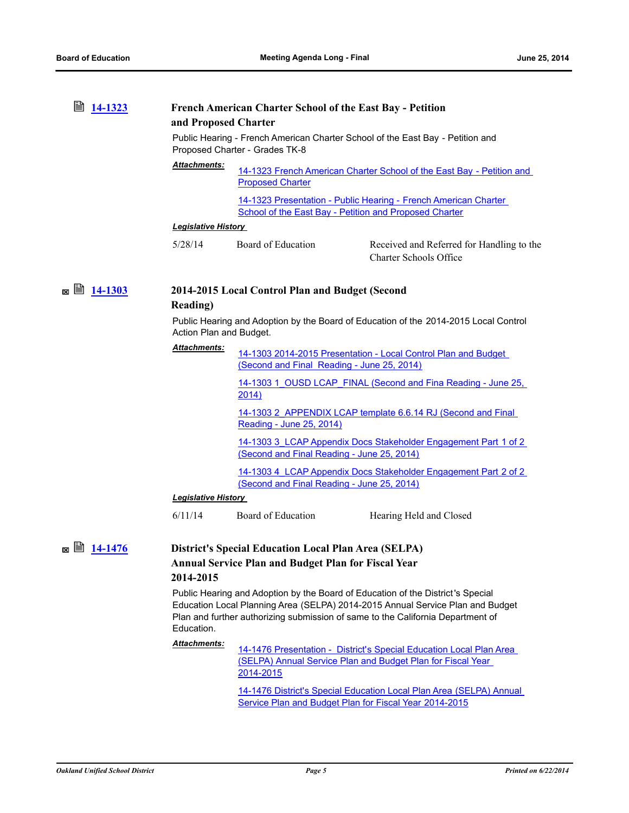| 閶<br>14-1323 |                            | <b>French American Charter School of the East Bay - Petition</b>                                                                         |                                                                                                                                                                                                                                                      |  |  |
|--------------|----------------------------|------------------------------------------------------------------------------------------------------------------------------------------|------------------------------------------------------------------------------------------------------------------------------------------------------------------------------------------------------------------------------------------------------|--|--|
|              |                            | and Proposed Charter<br>Public Hearing - French American Charter School of the East Bay - Petition and<br>Proposed Charter - Grades TK-8 |                                                                                                                                                                                                                                                      |  |  |
|              | Attachments:               | <b>Proposed Charter</b>                                                                                                                  | 14-1323 French American Charter School of the East Bay - Petition and                                                                                                                                                                                |  |  |
|              |                            |                                                                                                                                          | 14-1323 Presentation - Public Hearing - French American Charter<br>School of the East Bay - Petition and Proposed Charter                                                                                                                            |  |  |
|              |                            | <b>Legislative History</b>                                                                                                               |                                                                                                                                                                                                                                                      |  |  |
|              | 5/28/14                    | Board of Education                                                                                                                       | Received and Referred for Handling to the<br><b>Charter Schools Office</b>                                                                                                                                                                           |  |  |
|              | <b>Reading</b> )           | 2014-2015 Local Control Plan and Budget (Second                                                                                          |                                                                                                                                                                                                                                                      |  |  |
|              |                            | Public Hearing and Adoption by the Board of Education of the 2014-2015 Local Control<br>Action Plan and Budget.                          |                                                                                                                                                                                                                                                      |  |  |
|              | Attachments:               | (Second and Final Reading - June 25, 2014)                                                                                               | 14-1303 2014-2015 Presentation - Local Control Plan and Budget                                                                                                                                                                                       |  |  |
|              |                            | <u>2014)</u>                                                                                                                             | 14-1303 1 OUSD LCAP FINAL (Second and Fina Reading - June 25,                                                                                                                                                                                        |  |  |
|              |                            | Reading - June 25, 2014)                                                                                                                 | 14-1303 2 APPENDIX LCAP template 6.6.14 RJ (Second and Final                                                                                                                                                                                         |  |  |
|              |                            | (Second and Final Reading - June 25, 2014)                                                                                               | 14-1303 3 LCAP Appendix Docs Stakeholder Engagement Part 1 of 2                                                                                                                                                                                      |  |  |
|              |                            | (Second and Final Reading - June 25, 2014)                                                                                               | 14-1303 4 LCAP Appendix Docs Stakeholder Engagement Part 2 of 2                                                                                                                                                                                      |  |  |
|              | <b>Legislative History</b> |                                                                                                                                          |                                                                                                                                                                                                                                                      |  |  |
|              | 6/11/14                    | Board of Education                                                                                                                       | Hearing Held and Closed                                                                                                                                                                                                                              |  |  |
|              |                            | <b>District's Special Education Local Plan Area (SELPA)</b>                                                                              |                                                                                                                                                                                                                                                      |  |  |
|              | 2014-2015                  | <b>Annual Service Plan and Budget Plan for Fiscal Year</b>                                                                               |                                                                                                                                                                                                                                                      |  |  |
|              | Education.                 |                                                                                                                                          | Public Hearing and Adoption by the Board of Education of the District's Special<br>Education Local Planning Area (SELPA) 2014-2015 Annual Service Plan and Budget<br>Plan and further authorizing submission of same to the California Department of |  |  |
|              | <b>Attachments:</b>        | 2014-2015                                                                                                                                | 14-1476 Presentation - District's Special Education Local Plan Area<br>(SELPA) Annual Service Plan and Budget Plan for Fiscal Year                                                                                                                   |  |  |
|              |                            |                                                                                                                                          | 14-1476 District's Special Education Local Plan Area (SELPA) Annual<br>Service Plan and Budget Plan for Fiscal Year 2014-2015                                                                                                                        |  |  |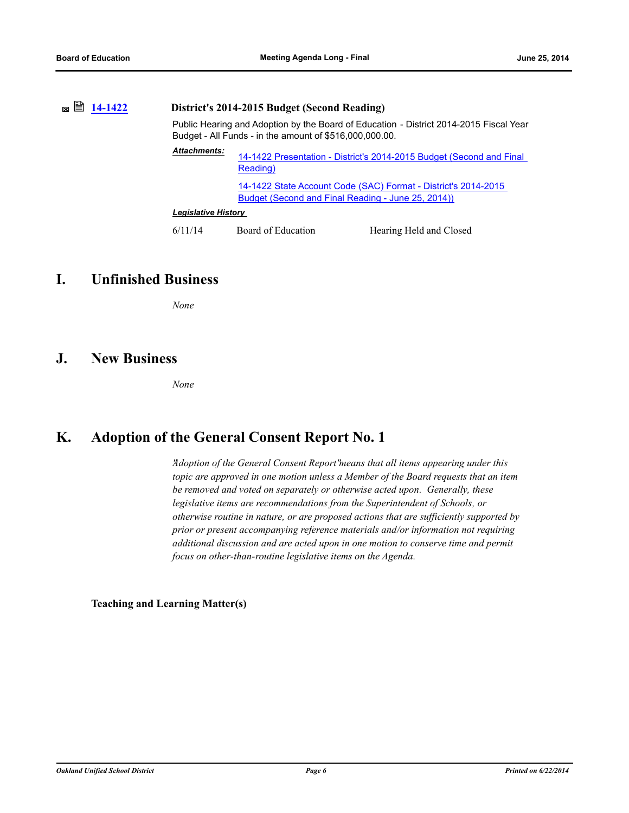**<b>■ [14-1422](http://ousd.legistar.com/gateway.aspx?m=l&id=/matter.aspx?key=33102) District's 2014-2015 Budget (Second Reading)** Public Hearing and Adoption by the Board of Education - District 2014-2015 Fiscal Year Budget - All Funds - in the amount of \$516,000,000.00. [14-1422 Presentation - District's 2014-2015 Budget \(Second and Final](http://ousd.legistar.com/gateway.aspx?M=F&ID=76756.pptx)  Reading) [14-1422 State Account Code \(SAC\) Format - District's 2014-2015](http://ousd.legistar.com/gateway.aspx?M=F&ID=76757.pdf)  Budget (Second and Final Reading - June 25, 2014)) *Attachments: Legislative History*  6/11/14 Board of Education Hearing Held and Closed

## **I. Unfinished Business**

*None*

## **J. New Business**

*None*

## **K. Adoption of the General Consent Report No. 1**

*Adoption of the General Consent Report " " means that all items appearing under this topic are approved in one motion unless a Member of the Board requests that an item be removed and voted on separately or otherwise acted upon. Generally, these legislative items are recommendations from the Superintendent of Schools, or otherwise routine in nature, or are proposed actions that are sufficiently supported by prior or present accompanying reference materials and/or information not requiring additional discussion and are acted upon in one motion to conserve time and permit focus on other-than-routine legislative items on the Agenda.*

### **Teaching and Learning Matter(s)**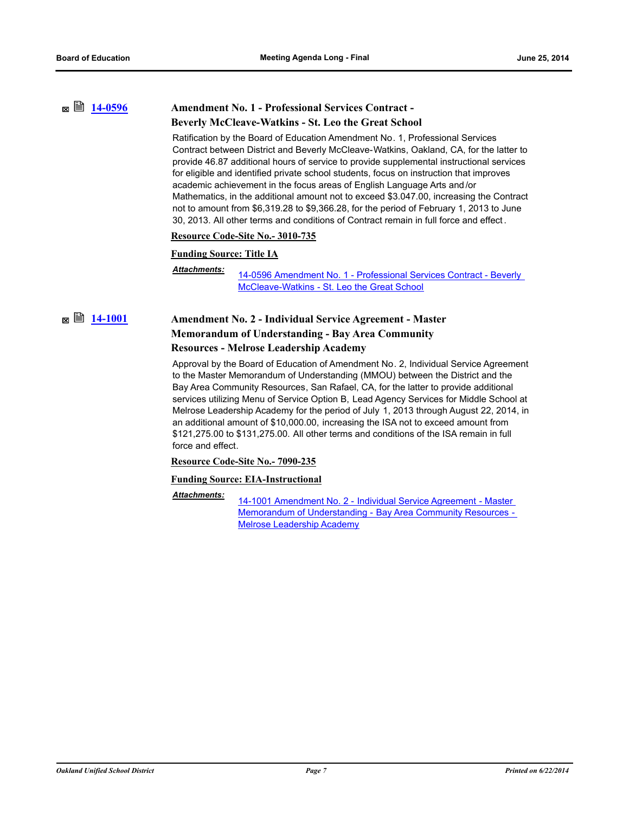## **■ ■ [14-0596](http://ousd.legistar.com/gateway.aspx?m=l&id=/matter.aspx?key=32301) Amendment No. 1 - Professional Services Contract -Beverly McCleave-Watkins - St. Leo the Great School**

Ratification by the Board of Education Amendment No. 1, Professional Services Contract between District and Beverly McCleave-Watkins, Oakland, CA, for the latter to provide 46.87 additional hours of service to provide supplemental instructional services for eligible and identified private school students, focus on instruction that improves academic achievement in the focus areas of English Language Arts and /or Mathematics, in the additional amount not to exceed \$3.047.00, increasing the Contract not to amount from \$6,319.28 to \$9,366.28, for the period of February 1, 2013 to June 30, 2013. All other terms and conditions of Contract remain in full force and effect .

#### **Resource Code-Site No.- 3010-735**

### **Funding Source: Title IA**

#### *Attachments:*

[14-0596 Amendment No. 1 - Professional Services Contract - Beverly](http://ousd.legistar.com/gateway.aspx?M=F&ID=76595.pdf)  McCleave-Watkins - St. Leo the Great School

## **[14-1001](http://ousd.legistar.com/gateway.aspx?m=l&id=/matter.aspx?key=32701) Amendment No. 2 - Individual Service Agreement - Master Memorandum of Understanding - Bay Area Community Resources - Melrose Leadership Academy**

Approval by the Board of Education of Amendment No. 2, Individual Service Agreement to the Master Memorandum of Understanding (MMOU) between the District and the Bay Area Community Resources, San Rafael, CA, for the latter to provide additional services utilizing Menu of Service Option B, Lead Agency Services for Middle School at Melrose Leadership Academy for the period of July 1, 2013 through August 22, 2014, in an additional amount of \$10,000.00, increasing the ISA not to exceed amount from \$121,275.00 to \$131,275.00. All other terms and conditions of the ISA remain in full force and effect.

**Resource Code-Site No.- 7090-235**

#### **Funding Source: EIA-Instructional**

14-1001 Amendment No. 2 - Individual Service Agreement - Master [Memorandum of Understanding - Bay Area Community Resources -](http://ousd.legistar.com/gateway.aspx?M=F&ID=76734.pdf)  Melrose Leadership Academy *Attachments:*

*Oakland Unified School District Page 7 Printed on 6/22/2014*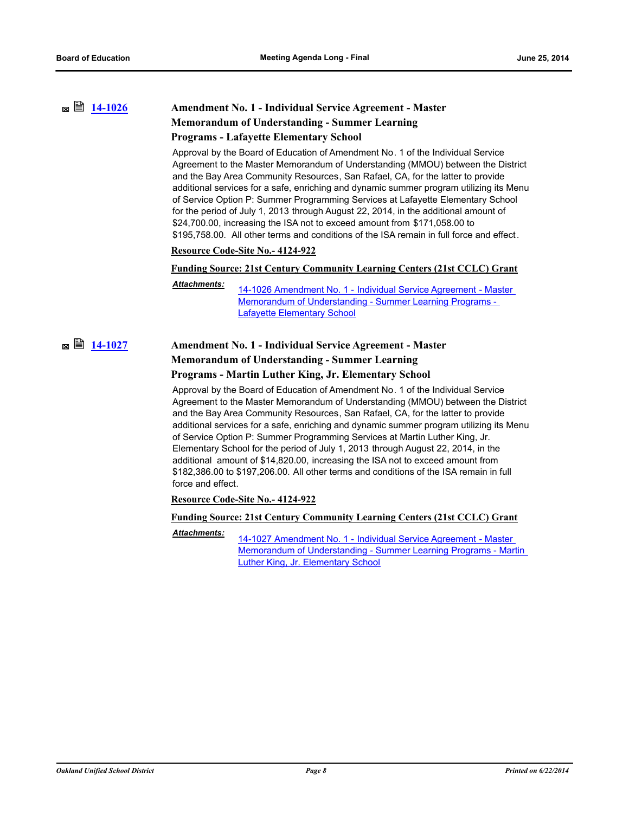## **[14-1026](http://ousd.legistar.com/gateway.aspx?m=l&id=/matter.aspx?key=32726) Amendment No. 1 - Individual Service Agreement - Master Memorandum of Understanding - Summer Learning Programs - Lafayette Elementary School**

Approval by the Board of Education of Amendment No. 1 of the Individual Service Agreement to the Master Memorandum of Understanding (MMOU) between the District and the Bay Area Community Resources, San Rafael, CA, for the latter to provide additional services for a safe, enriching and dynamic summer program utilizing its Menu of Service Option P: Summer Programming Services at Lafayette Elementary School for the period of July 1, 2013 through August 22, 2014, in the additional amount of \$24,700.00, increasing the ISA not to exceed amount from \$171,058.00 to \$195,758.00. All other terms and conditions of the ISA remain in full force and effect.

#### **Resource Code-Site No.- 4124-922**

#### **Funding Source: 21st Century Community Learning Centers (21st CCLC) Grant**

[14-1026 Amendment No. 1 - Individual Service Agreement - Master](http://ousd.legistar.com/gateway.aspx?M=F&ID=76597.pdf)  Memorandum of Understanding - Summer Learning Programs - Lafayette Elementary School *Attachments:*

## **■ ■ [14-1027](http://ousd.legistar.com/gateway.aspx?m=l&id=/matter.aspx?key=32727) Amendment No. 1 - Individual Service Agreement - Master Memorandum of Understanding - Summer Learning Programs - Martin Luther King, Jr. Elementary School**

Approval by the Board of Education of Amendment No. 1 of the Individual Service Agreement to the Master Memorandum of Understanding (MMOU) between the District and the Bay Area Community Resources, San Rafael, CA, for the latter to provide additional services for a safe, enriching and dynamic summer program utilizing its Menu of Service Option P: Summer Programming Services at Martin Luther King, Jr. Elementary School for the period of July 1, 2013 through August 22, 2014, in the additional amount of \$14,820.00, increasing the ISA not to exceed amount from \$182,386.00 to \$197,206.00. All other terms and conditions of the ISA remain in full force and effect.

**Resource Code-Site No.- 4124-922**

#### **Funding Source: 21st Century Community Learning Centers (21st CCLC) Grant**

14-1027 Amendment No. 1 - Individual Service Agreement - Master [Memorandum of Understanding - Summer Learning Programs - Martin](http://ousd.legistar.com/gateway.aspx?M=F&ID=76480.pdf)  Luther King, Jr. Elementary School *Attachments:*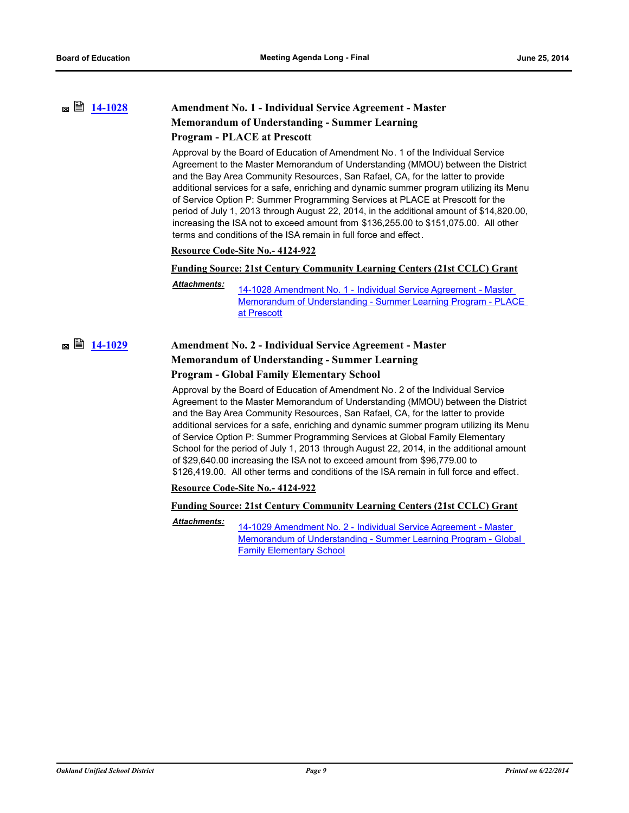## **[14-1028](http://ousd.legistar.com/gateway.aspx?m=l&id=/matter.aspx?key=32728) Amendment No. 1 - Individual Service Agreement - Master Memorandum of Understanding - Summer Learning Program - PLACE at Prescott**

Approval by the Board of Education of Amendment No. 1 of the Individual Service Agreement to the Master Memorandum of Understanding (MMOU) between the District and the Bay Area Community Resources, San Rafael, CA, for the latter to provide additional services for a safe, enriching and dynamic summer program utilizing its Menu of Service Option P: Summer Programming Services at PLACE at Prescott for the period of July 1, 2013 through August 22, 2014, in the additional amount of \$14,820.00, increasing the ISA not to exceed amount from \$136,255.00 to \$151,075.00. All other terms and conditions of the ISA remain in full force and effect.

### **Resource Code-Site No.- 4124-922**

### **Funding Source: 21st Century Community Learning Centers (21st CCLC) Grant**

14-1028 Amendment No. 1 - Individual Service Agreement - Master [Memorandum of Understanding - Summer Learning Program - PLACE](http://ousd.legistar.com/gateway.aspx?M=F&ID=76598.pdf)  at Prescott *Attachments:*

## **■ ■ [14-1029](http://ousd.legistar.com/gateway.aspx?m=l&id=/matter.aspx?key=32729) Amendment No. 2 - Individual Service Agreement - Master Memorandum of Understanding - Summer Learning Program - Global Family Elementary School**

Approval by the Board of Education of Amendment No. 2 of the Individual Service Agreement to the Master Memorandum of Understanding (MMOU) between the District and the Bay Area Community Resources, San Rafael, CA, for the latter to provide additional services for a safe, enriching and dynamic summer program utilizing its Menu of Service Option P: Summer Programming Services at Global Family Elementary School for the period of July 1, 2013 through August 22, 2014, in the additional amount of \$29,640.00 increasing the ISA not to exceed amount from \$96,779.00 to \$126,419.00. All other terms and conditions of the ISA remain in full force and effect.

### **Resource Code-Site No.- 4124-922**

#### **Funding Source: 21st Century Community Learning Centers (21st CCLC) Grant**

14-1029 Amendment No. 2 - Individual Service Agreement - Master [Memorandum of Understanding - Summer Learning Program - Global](http://ousd.legistar.com/gateway.aspx?M=F&ID=76599.pdf)  Family Elementary School *Attachments:*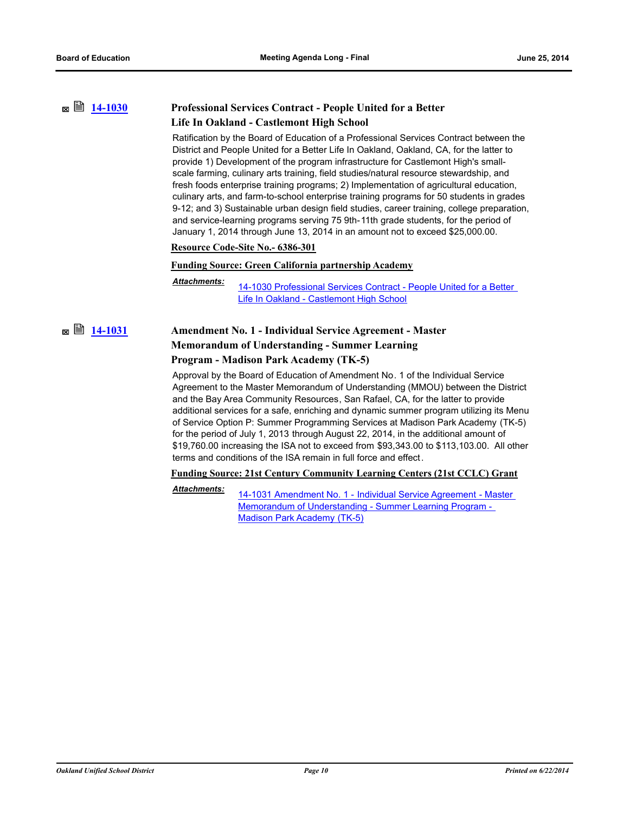## **<b>■ [14-1030](http://ousd.legistar.com/gateway.aspx?m=l&id=/matter.aspx?key=32730) Professional Services Contract - People United for a Better Life In Oakland - Castlemont High School**

Ratification by the Board of Education of a Professional Services Contract between the District and People United for a Better Life In Oakland, Oakland, CA, for the latter to provide 1) Development of the program infrastructure for Castlemont High's smallscale farming, culinary arts training, field studies/natural resource stewardship, and fresh foods enterprise training programs; 2) Implementation of agricultural education, culinary arts, and farm-to-school enterprise training programs for 50 students in grades 9-12; and 3) Sustainable urban design field studies, career training, college preparation, and service-learning programs serving 75 9th-11th grade students, for the period of January 1, 2014 through June 13, 2014 in an amount not to exceed \$25,000.00.

#### **Resource Code-Site No.- 6386-301**

#### **Funding Source: Green California partnership Academy**

*Attachments:*

[14-1030 Professional Services Contract - People United for a Better](http://ousd.legistar.com/gateway.aspx?M=F&ID=76490.pdf)  Life In Oakland - Castlemont High School

### **[14-1031](http://ousd.legistar.com/gateway.aspx?m=l&id=/matter.aspx?key=32731) Amendment No. 1 - Individual Service Agreement - Master Memorandum of Understanding - Summer Learning**

### **Program - Madison Park Academy (TK-5)**

Approval by the Board of Education of Amendment No. 1 of the Individual Service Agreement to the Master Memorandum of Understanding (MMOU) between the District and the Bay Area Community Resources, San Rafael, CA, for the latter to provide additional services for a safe, enriching and dynamic summer program utilizing its Menu of Service Option P: Summer Programming Services at Madison Park Academy (TK-5) for the period of July 1, 2013 through August 22, 2014, in the additional amount of \$19,760.00 increasing the ISA not to exceed from \$93,343.00 to \$113,103.00. All other terms and conditions of the ISA remain in full force and effect.

#### **Funding Source: 21st Century Community Learning Centers (21st CCLC) Grant**

[14-1031 Amendment No. 1 - Individual Service Agreement - Master](http://ousd.legistar.com/gateway.aspx?M=F&ID=76600.pdf)  Memorandum of Understanding - Summer Learning Program - Madison Park Academy (TK-5) *Attachments:*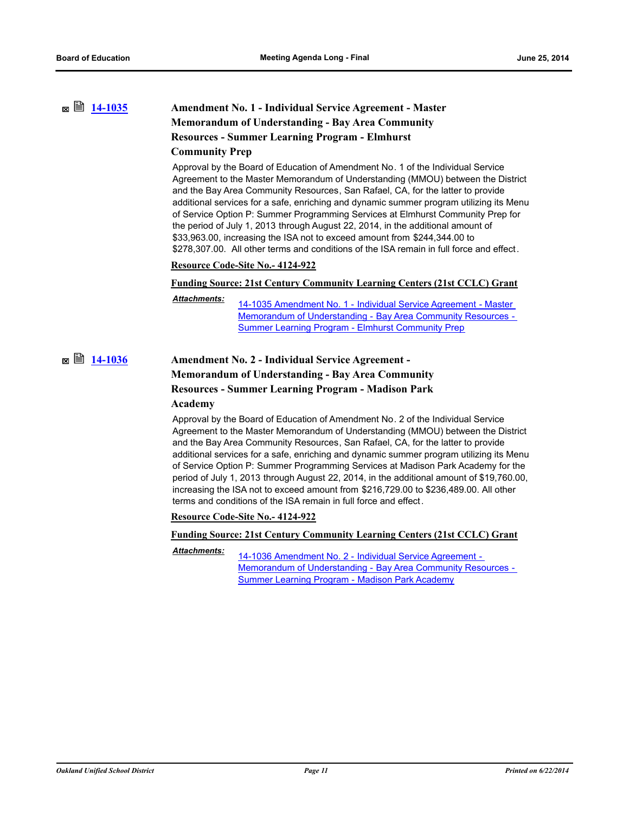## **[14-1035](http://ousd.legistar.com/gateway.aspx?m=l&id=/matter.aspx?key=32735) Amendment No. 1 - Individual Service Agreement - Master Memorandum of Understanding - Bay Area Community Resources - Summer Learning Program - Elmhurst**

#### **Community Prep**

Approval by the Board of Education of Amendment No. 1 of the Individual Service Agreement to the Master Memorandum of Understanding (MMOU) between the District and the Bay Area Community Resources, San Rafael, CA, for the latter to provide additional services for a safe, enriching and dynamic summer program utilizing its Menu of Service Option P: Summer Programming Services at Elmhurst Community Prep for the period of July 1, 2013 through August 22, 2014, in the additional amount of \$33,963.00, increasing the ISA not to exceed amount from \$244,344.00 to \$278,307.00. All other terms and conditions of the ISA remain in full force and effect.

#### **Resource Code-Site No.- 4124-922**

#### **Funding Source: 21st Century Community Learning Centers (21st CCLC) Grant**

*Attachments:*

14-1035 Amendment No. 1 - Individual Service Agreement - Master [Memorandum of Understanding - Bay Area Community Resources -](http://ousd.legistar.com/gateway.aspx?M=F&ID=76601.pdf)  Summer Learning Program - Elmhurst Community Prep

## **<b>■ [14-1036](http://ousd.legistar.com/gateway.aspx?m=l&id=/matter.aspx?key=32736) Amendment No. 2 - Individual Service Agreement -Memorandum of Understanding - Bay Area Community Resources - Summer Learning Program - Madison Park Academy**

Approval by the Board of Education of Amendment No. 2 of the Individual Service Agreement to the Master Memorandum of Understanding (MMOU) between the District and the Bay Area Community Resources, San Rafael, CA, for the latter to provide additional services for a safe, enriching and dynamic summer program utilizing its Menu of Service Option P: Summer Programming Services at Madison Park Academy for the period of July 1, 2013 through August 22, 2014, in the additional amount of \$19,760.00, increasing the ISA not to exceed amount from \$216,729.00 to \$236,489.00. All other terms and conditions of the ISA remain in full force and effect.

#### **Resource Code-Site No.- 4124-922**

#### **Funding Source: 21st Century Community Learning Centers (21st CCLC) Grant**

*Attachments:*

14-1036 Amendment No. 2 - Individual Service Agreement - [Memorandum of Understanding - Bay Area Community Resources -](http://ousd.legistar.com/gateway.aspx?M=F&ID=76476.pdf)  Summer Learning Program - Madison Park Academy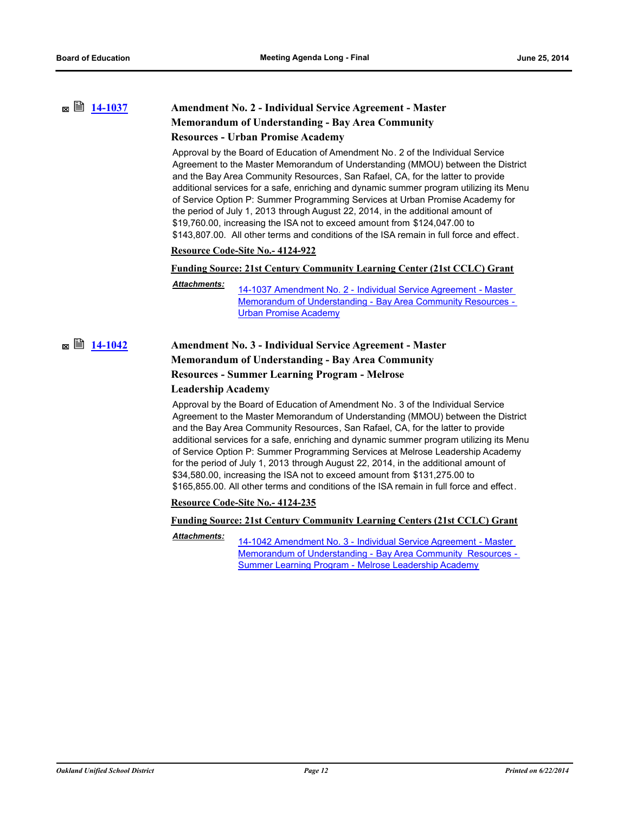## **[14-1037](http://ousd.legistar.com/gateway.aspx?m=l&id=/matter.aspx?key=32737) Amendment No. 2 - Individual Service Agreement - Master Memorandum of Understanding - Bay Area Community Resources - Urban Promise Academy**

Approval by the Board of Education of Amendment No. 2 of the Individual Service Agreement to the Master Memorandum of Understanding (MMOU) between the District and the Bay Area Community Resources, San Rafael, CA, for the latter to provide additional services for a safe, enriching and dynamic summer program utilizing its Menu of Service Option P: Summer Programming Services at Urban Promise Academy for the period of July 1, 2013 through August 22, 2014, in the additional amount of \$19,760.00, increasing the ISA not to exceed amount from \$124,047.00 to \$143,807,00. All other terms and conditions of the ISA remain in full force and effect.

#### **Resource Code-Site No.- 4124-922**

### **Funding Source: 21st Century Community Learning Center (21st CCLC) Grant**

14-1037 Amendment No. 2 - Individual Service Agreement - Master [Memorandum of Understanding - Bay Area Community Resources -](http://ousd.legistar.com/gateway.aspx?M=F&ID=76735.pdf)  Urban Promise Academy *Attachments:*

## **■ ■ [14-1042](http://ousd.legistar.com/gateway.aspx?m=l&id=/matter.aspx?key=32742) Amendment No. 3 - Individual Service Agreement - Master Memorandum of Understanding - Bay Area Community Resources - Summer Learning Program - Melrose**

#### **Leadership Academy**

Approval by the Board of Education of Amendment No. 3 of the Individual Service Agreement to the Master Memorandum of Understanding (MMOU) between the District and the Bay Area Community Resources, San Rafael, CA, for the latter to provide additional services for a safe, enriching and dynamic summer program utilizing its Menu of Service Option P: Summer Programming Services at Melrose Leadership Academy for the period of July 1, 2013 through August 22, 2014, in the additional amount of \$34,580.00, increasing the ISA not to exceed amount from \$131,275.00 to \$165,855.00. All other terms and conditions of the ISA remain in full force and effect.

#### **Resource Code-Site No.- 4124-235**

#### **Funding Source: 21st Century Community Learning Centers (21st CCLC) Grant**

*Attachments:*

14-1042 Amendment No. 3 - Individual Service Agreement - Master [Memorandum of Understanding - Bay Area Community Resources -](http://ousd.legistar.com/gateway.aspx?M=F&ID=76736.pdf)  Summer Learning Program - Melrose Leadership Academy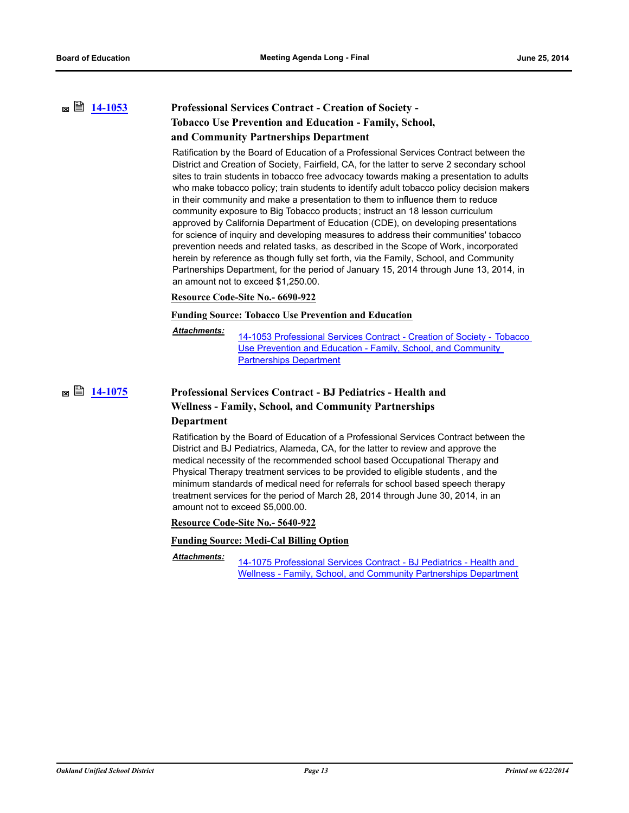## **[14-1053](http://ousd.legistar.com/gateway.aspx?m=l&id=/matter.aspx?key=32753) Professional Services Contract - Creation of Society - Tobacco Use Prevention and Education - Family, School, and Community Partnerships Department**

Ratification by the Board of Education of a Professional Services Contract between the District and Creation of Society, Fairfield, CA, for the latter to serve 2 secondary school sites to train students in tobacco free advocacy towards making a presentation to adults who make tobacco policy; train students to identify adult tobacco policy decision makers in their community and make a presentation to them to influence them to reduce community exposure to Big Tobacco products; instruct an 18 lesson curriculum approved by California Department of Education (CDE), on developing presentations for science of inquiry and developing measures to address their communities' tobacco prevention needs and related tasks, as described in the Scope of Work, incorporated herein by reference as though fully set forth, via the Family, School, and Community Partnerships Department, for the period of January 15, 2014 through June 13, 2014, in an amount not to exceed \$1,250.00.

### **Resource Code-Site No.- 6690-922**

#### **Funding Source: Tobacco Use Prevention and Education**

[14-1053 Professional Services Contract - Creation of Society - Tobacco](http://ousd.legistar.com/gateway.aspx?M=F&ID=76495.pdf)  Use Prevention and Education - Family, School, and Community Partnerships Department *Attachments:*

## **[14-1075](http://ousd.legistar.com/gateway.aspx?m=l&id=/matter.aspx?key=32775) Professional Services Contract - BJ Pediatrics - Health and Wellness - Family, School, and Community Partnerships Department**

Ratification by the Board of Education of a Professional Services Contract between the District and BJ Pediatrics, Alameda, CA, for the latter to review and approve the medical necessity of the recommended school based Occupational Therapy and Physical Therapy treatment services to be provided to eligible students , and the minimum standards of medical need for referrals for school based speech therapy treatment services for the period of March 28, 2014 through June 30, 2014, in an amount not to exceed \$5,000.00.

### **Resource Code-Site No.- 5640-922**

### **Funding Source: Medi-Cal Billing Option**

*Attachments:*

14-1075 Professional Services Contract - BJ Pediatrics - Health and [Wellness - Family, School, and Community Partnerships Department](http://ousd.legistar.com/gateway.aspx?M=F&ID=76505.pdf)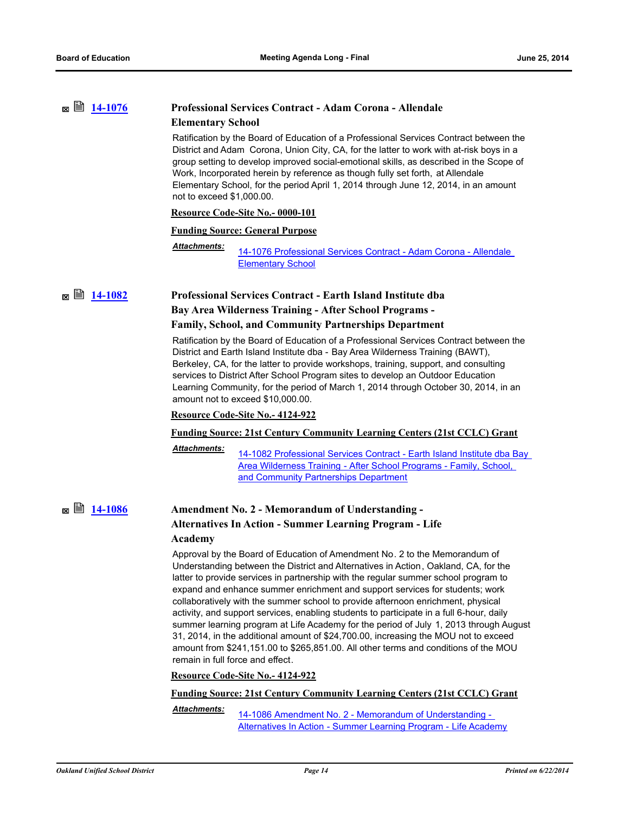| $\boxtimes$ 3 14-1076 | <b>Professional Services Contract - Adam Corona - Allendale</b>          |
|-----------------------|--------------------------------------------------------------------------|
|                       | <b>Elementary School</b>                                                 |
|                       | Ratification by the Board of Education of a Professional Services Contri |

pard of Education of a Professional Services Contract between the District and Adam Corona, Union City, CA, for the latter to work with at-risk boys in a group setting to develop improved social-emotional skills, as described in the Scope of Work, Incorporated herein by reference as though fully set forth, at Allendale Elementary School, for the period April 1, 2014 through June 12, 2014, in an amount not to exceed \$1,000.00.

#### **Resource Code-Site No.- 0000-101**

#### **Funding Source: General Purpose**

[14-1076 Professional Services Contract - Adam Corona - Allendale](http://ousd.legistar.com/gateway.aspx?M=F&ID=76506.pdf)  **Elementary School** *Attachments:*

**[14-1082](http://ousd.legistar.com/gateway.aspx?m=l&id=/matter.aspx?key=32782) Professional Services Contract - Earth Island Institute dba Bay Area Wilderness Training - After School Programs - Family, School, and Community Partnerships Department**

> Ratification by the Board of Education of a Professional Services Contract between the District and Earth Island Institute dba - Bay Area Wilderness Training (BAWT), Berkeley, CA, for the latter to provide workshops, training, support, and consulting services to District After School Program sites to develop an Outdoor Education Learning Community, for the period of March 1, 2014 through October 30, 2014, in an amount not to exceed \$10,000.00.

### **Resource Code-Site No.- 4124-922**

#### **Funding Source: 21st Century Community Learning Centers (21st CCLC) Grant**

*Attachments:*

[14-1082 Professional Services Contract - Earth Island Institute dba Bay](http://ousd.legistar.com/gateway.aspx?M=F&ID=76510.pdf)  Area Wilderness Training - After School Programs - Family, School, and Community Partnerships Department

## **2 [14-1086](http://ousd.legistar.com/gateway.aspx?m=l&id=/matter.aspx?key=32786) Amendment No. 2 - Memorandum of Understanding -**

## **Alternatives In Action - Summer Learning Program - Life Academy**

Approval by the Board of Education of Amendment No. 2 to the Memorandum of Understanding between the District and Alternatives in Action, Oakland, CA, for the latter to provide services in partnership with the regular summer school program to expand and enhance summer enrichment and support services for students; work collaboratively with the summer school to provide afternoon enrichment, physical activity, and support services, enabling students to participate in a full 6-hour, daily summer learning program at Life Academy for the period of July 1, 2013 through August 31, 2014, in the additional amount of \$24,700.00, increasing the MOU not to exceed amount from \$241,151.00 to \$265,851.00. All other terms and conditions of the MOU remain in full force and effect.

#### **Resource Code-Site No.- 4124-922**

**Funding Source: 21st Century Community Learning Centers (21st CCLC) Grant**

14-1086 Amendment No. 2 - Memorandum of Understanding - [Alternatives In Action - Summer Learning Program - Life Academy](http://ousd.legistar.com/gateway.aspx?M=F&ID=76464.pdf) *Attachments:*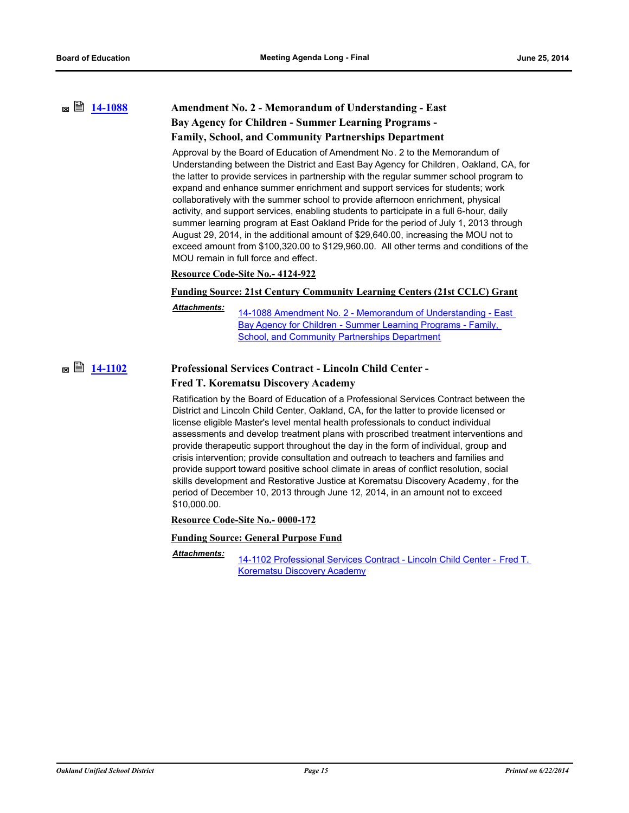## **[14-1088](http://ousd.legistar.com/gateway.aspx?m=l&id=/matter.aspx?key=32788) Amendment No. 2 - Memorandum of Understanding - East Bay Agency for Children - Summer Learning Programs - Family, School, and Community Partnerships Department**

Approval by the Board of Education of Amendment No. 2 to the Memorandum of Understanding between the District and East Bay Agency for Children, Oakland, CA, for the latter to provide services in partnership with the regular summer school program to expand and enhance summer enrichment and support services for students; work collaboratively with the summer school to provide afternoon enrichment, physical activity, and support services, enabling students to participate in a full 6-hour, daily summer learning program at East Oakland Pride for the period of July 1, 2013 through August 29, 2014, in the additional amount of \$29,640.00, increasing the MOU not to exceed amount from \$100,320.00 to \$129,960.00. All other terms and conditions of the MOU remain in full force and effect.

#### **Resource Code-Site No.- 4124-922**

#### **Funding Source: 21st Century Community Learning Centers (21st CCLC) Grant**

*Attachments:*

[14-1088 Amendment No. 2 - Memorandum of Understanding - East](http://ousd.legistar.com/gateway.aspx?M=F&ID=76654.pdf)  Bay Agency for Children - Summer Learning Programs - Family, School, and Community Partnerships Department

## **■ ■ [14-1102](http://ousd.legistar.com/gateway.aspx?m=l&id=/matter.aspx?key=32802) Professional Services Contract - Lincoln Child Center -Fred T. Korematsu Discovery Academy**

Ratification by the Board of Education of a Professional Services Contract between the District and Lincoln Child Center, Oakland, CA, for the latter to provide licensed or license eligible Master's level mental health professionals to conduct individual assessments and develop treatment plans with proscribed treatment interventions and provide therapeutic support throughout the day in the form of individual, group and crisis intervention; provide consultation and outreach to teachers and families and provide support toward positive school climate in areas of conflict resolution, social skills development and Restorative Justice at Korematsu Discovery Academy , for the period of December 10, 2013 through June 12, 2014, in an amount not to exceed \$10,000.00.

**Resource Code-Site No.- 0000-172**

#### **Funding Source: General Purpose Fund**

#### *Attachments:*

[14-1102 Professional Services Contract - Lincoln Child Center - Fred T.](http://ousd.legistar.com/gateway.aspx?M=F&ID=76518.pdf)  Korematsu Discovery Academy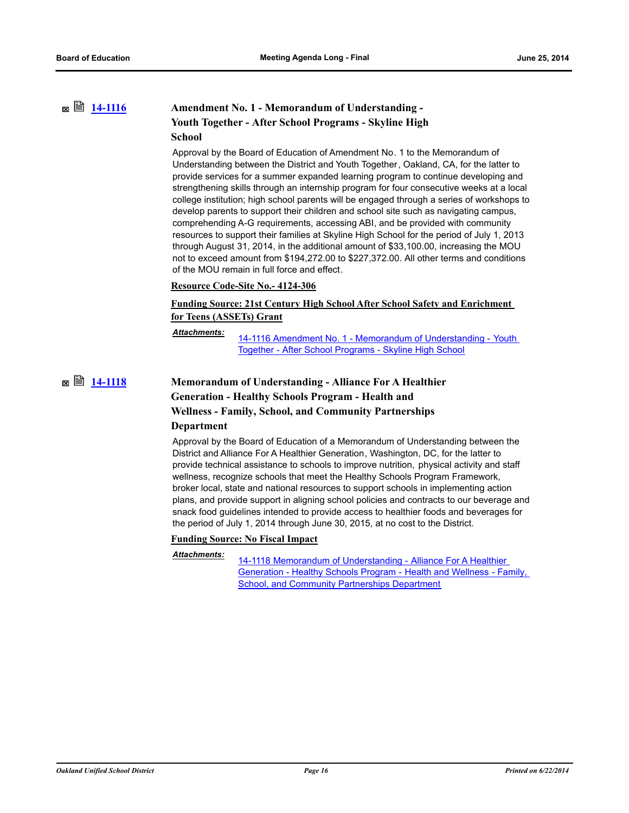## **■ ■ [14-1116](http://ousd.legistar.com/gateway.aspx?m=l&id=/matter.aspx?key=32816) Amendment No. 1 - Memorandum of Understanding -Youth Together - After School Programs - Skyline High School**

Approval by the Board of Education of Amendment No. 1 to the Memorandum of Understanding between the District and Youth Together, Oakland, CA, for the latter to provide services for a summer expanded learning program to continue developing and strengthening skills through an internship program for four consecutive weeks at a local college institution; high school parents will be engaged through a series of workshops to develop parents to support their children and school site such as navigating campus, comprehending A-G requirements, accessing ABI, and be provided with community resources to support their families at Skyline High School for the period of July 1, 2013 through August 31, 2014, in the additional amount of \$33,100.00, increasing the MOU not to exceed amount from \$194,272.00 to \$227,372.00. All other terms and conditions of the MOU remain in full force and effect.

### **Resource Code-Site No.- 4124-306**

### **Funding Source: 21st Century High School After School Safety and Enrichment for Teens (ASSETs) Grant**

[14-1116 Amendment No. 1 - Memorandum of Understanding - Youth](http://ousd.legistar.com/gateway.aspx?M=F&ID=76663.pdf)  Together - After School Programs - Skyline High School *Attachments:*

## **[14-1118](http://ousd.legistar.com/gateway.aspx?m=l&id=/matter.aspx?key=32818) Memorandum of Understanding - Alliance For A Healthier Generation - Healthy Schools Program - Health and Wellness - Family, School, and Community Partnerships**

#### **Department**

Approval by the Board of Education of a Memorandum of Understanding between the District and Alliance For A Healthier Generation, Washington, DC, for the latter to provide technical assistance to schools to improve nutrition, physical activity and staff wellness, recognize schools that meet the Healthy Schools Program Framework, broker local, state and national resources to support schools in implementing action plans, and provide support in aligning school policies and contracts to our beverage and snack food guidelines intended to provide access to healthier foods and beverages for the period of July 1, 2014 through June 30, 2015, at no cost to the District.

#### **Funding Source: No Fiscal Impact**

#### *Attachments:*

14-1118 Memorandum of Understanding - Alliance For A Healthier [Generation - Healthy Schools Program - Health and Wellness - Family,](http://ousd.legistar.com/gateway.aspx?M=F&ID=76666.pdf)  School, and Community Partnerships Department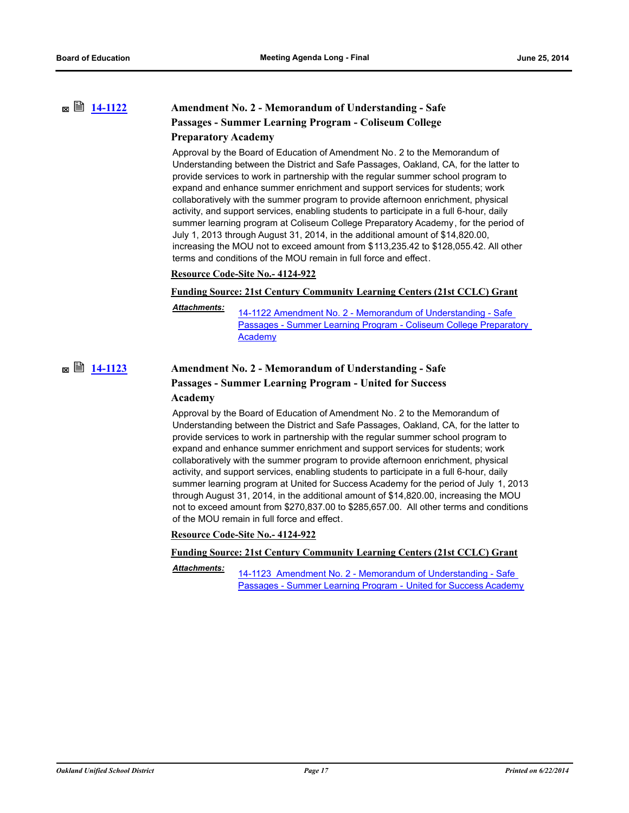## **[14-1122](http://ousd.legistar.com/gateway.aspx?m=l&id=/matter.aspx?key=32822) Amendment No. 2 - Memorandum of Understanding - Safe Passages - Summer Learning Program - Coliseum College Preparatory Academy**

Approval by the Board of Education of Amendment No. 2 to the Memorandum of Understanding between the District and Safe Passages, Oakland, CA, for the latter to provide services to work in partnership with the regular summer school program to expand and enhance summer enrichment and support services for students; work collaboratively with the summer program to provide afternoon enrichment, physical activity, and support services, enabling students to participate in a full 6-hour, daily summer learning program at Coliseum College Preparatory Academy, for the period of July 1, 2013 through August 31, 2014, in the additional amount of \$14,820.00, increasing the MOU not to exceed amount from \$113,235.42 to \$128,055.42. All other terms and conditions of the MOU remain in full force and effect.

#### **Resource Code-Site No.- 4124-922**

#### **Funding Source: 21st Century Community Learning Centers (21st CCLC) Grant**

*Attachments:*

14-1122 Amendment No. 2 - Memorandum of Understanding - Safe [Passages - Summer Learning Program - Coliseum College Preparatory](http://ousd.legistar.com/gateway.aspx?M=F&ID=76474.pdf)  Academy

## **[14-1123](http://ousd.legistar.com/gateway.aspx?m=l&id=/matter.aspx?key=32823) Amendment No. 2 - Memorandum of Understanding - Safe Passages - Summer Learning Program - United for Success Academy**

Approval by the Board of Education of Amendment No. 2 to the Memorandum of Understanding between the District and Safe Passages, Oakland, CA, for the latter to provide services to work in partnership with the regular summer school program to expand and enhance summer enrichment and support services for students; work collaboratively with the summer program to provide afternoon enrichment, physical activity, and support services, enabling students to participate in a full 6-hour, daily summer learning program at United for Success Academy for the period of July 1, 2013 through August 31, 2014, in the additional amount of \$14,820.00, increasing the MOU not to exceed amount from \$270,837.00 to \$285,657.00. All other terms and conditions of the MOU remain in full force and effect.

**Resource Code-Site No.- 4124-922**

**Funding Source: 21st Century Community Learning Centers (21st CCLC) Grant**

*Attachments:*

14-1123 Amendment No. 2 - Memorandum of Understanding - Safe [Passages - Summer Learning Program - United for Success Academy](http://ousd.legistar.com/gateway.aspx?M=F&ID=76670.pdf)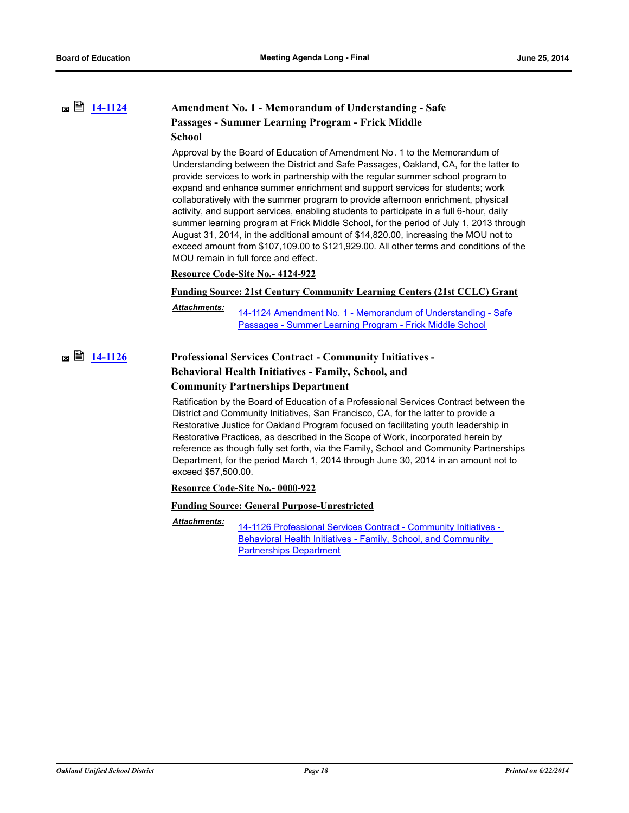## **[14-1124](http://ousd.legistar.com/gateway.aspx?m=l&id=/matter.aspx?key=32824) Amendment No. 1 - Memorandum of Understanding - Safe Passages - Summer Learning Program - Frick Middle School**

Approval by the Board of Education of Amendment No. 1 to the Memorandum of Understanding between the District and Safe Passages, Oakland, CA, for the latter to provide services to work in partnership with the regular summer school program to expand and enhance summer enrichment and support services for students; work collaboratively with the summer program to provide afternoon enrichment, physical activity, and support services, enabling students to participate in a full 6-hour, daily summer learning program at Frick Middle School, for the period of July 1, 2013 through August 31, 2014, in the additional amount of \$14,820.00, increasing the MOU not to exceed amount from \$107,109.00 to \$121,929.00. All other terms and conditions of the MOU remain in full force and effect.

#### **Resource Code-Site No.- 4124-922**

#### **Funding Source: 21st Century Community Learning Centers (21st CCLC) Grant**

*Attachments:*

[14-1124 Amendment No. 1 - Memorandum of Understanding - Safe](http://ousd.legistar.com/gateway.aspx?M=F&ID=76461.pdf)  Passages - Summer Learning Program - Frick Middle School

## **[14-1126](http://ousd.legistar.com/gateway.aspx?m=l&id=/matter.aspx?key=32826) Professional Services Contract - Community Initiatives - Behavioral Health Initiatives - Family, School, and Community Partnerships Department**

Ratification by the Board of Education of a Professional Services Contract between the District and Community Initiatives, San Francisco, CA, for the latter to provide a Restorative Justice for Oakland Program focused on facilitating youth leadership in Restorative Practices, as described in the Scope of Work, incorporated herein by reference as though fully set forth, via the Family, School and Community Partnerships Department, for the period March 1, 2014 through June 30, 2014 in an amount not to exceed \$57,500.00.

**Resource Code-Site No.- 0000-922**

### **Funding Source: General Purpose-Unrestricted**

[14-1126 Professional Services Contract - Community Initiatives -](http://ousd.legistar.com/gateway.aspx?M=F&ID=76521.pdf)  Behavioral Health Initiatives - Family, School, and Community Partnerships Department *Attachments:*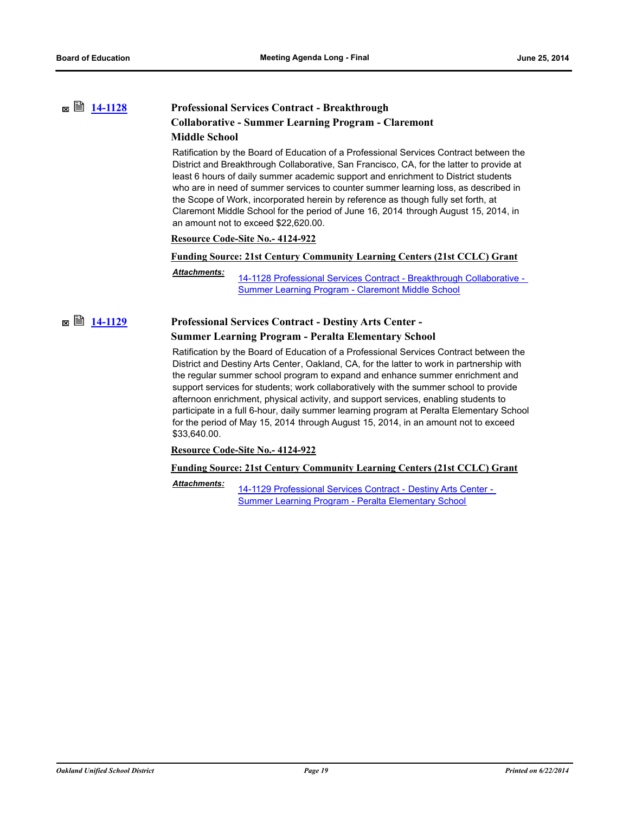## **[14-1128](http://ousd.legistar.com/gateway.aspx?m=l&id=/matter.aspx?key=32828) Professional Services Contract - Breakthrough Collaborative - Summer Learning Program - Claremont Middle School**

Ratification by the Board of Education of a Professional Services Contract between the District and Breakthrough Collaborative, San Francisco, CA, for the latter to provide at least 6 hours of daily summer academic support and enrichment to District students who are in need of summer services to counter summer learning loss, as described in the Scope of Work, incorporated herein by reference as though fully set forth, at Claremont Middle School for the period of June 16, 2014 through August 15, 2014, in an amount not to exceed \$22,620.00.

#### **Resource Code-Site No.- 4124-922**

#### **Funding Source: 21st Century Community Learning Centers (21st CCLC) Grant**

*Attachments:*

[14-1128 Professional Services Contract - Breakthrough Collaborative -](http://ousd.legistar.com/gateway.aspx?M=F&ID=76462.pdf)  Summer Learning Program - Claremont Middle School

## **■ ■ [14-1129](http://ousd.legistar.com/gateway.aspx?m=l&id=/matter.aspx?key=32829) Professional Services Contract - Destiny Arts Center -**

#### **Summer Learning Program - Peralta Elementary School**

Ratification by the Board of Education of a Professional Services Contract between the District and Destiny Arts Center, Oakland, CA, for the latter to work in partnership with the regular summer school program to expand and enhance summer enrichment and support services for students; work collaboratively with the summer school to provide afternoon enrichment, physical activity, and support services, enabling students to participate in a full 6-hour, daily summer learning program at Peralta Elementary School for the period of May 15, 2014 through August 15, 2014, in an amount not to exceed \$33,640.00.

#### **Resource Code-Site No.- 4124-922**

#### **Funding Source: 21st Century Community Learning Centers (21st CCLC) Grant**

*Attachments:*

[14-1129 Professional Services Contract - Destiny Arts Center -](http://ousd.legistar.com/gateway.aspx?M=F&ID=76672.pdf)  Summer Learning Program - Peralta Elementary School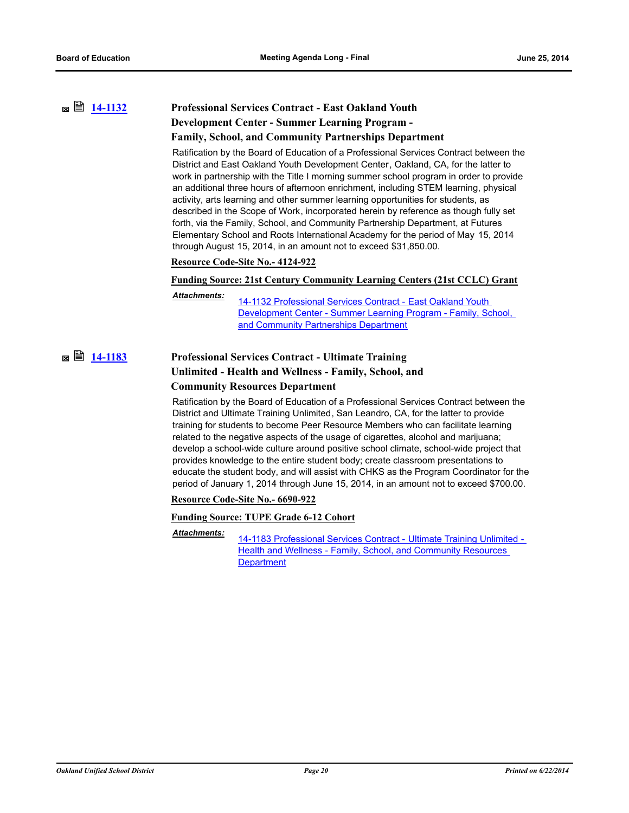## **[14-1132](http://ousd.legistar.com/gateway.aspx?m=l&id=/matter.aspx?key=32832) Professional Services Contract - East Oakland Youth Development Center - Summer Learning Program - Family, School, and Community Partnerships Department**

Ratification by the Board of Education of a Professional Services Contract between the District and East Oakland Youth Development Center, Oakland, CA, for the latter to work in partnership with the Title I morning summer school program in order to provide an additional three hours of afternoon enrichment, including STEM learning, physical activity, arts learning and other summer learning opportunities for students, as described in the Scope of Work, incorporated herein by reference as though fully set forth, via the Family, School, and Community Partnership Department, at Futures Elementary School and Roots International Academy for the period of May 15, 2014 through August 15, 2014, in an amount not to exceed \$31,850.00.

**Resource Code-Site No.- 4124-922**

#### **Funding Source: 21st Century Community Learning Centers (21st CCLC) Grant**

*Attachments:*

14-1132 Professional Services Contract - East Oakland Youth [Development Center - Summer Learning Program - Family, School,](http://ousd.legistar.com/gateway.aspx?M=F&ID=76478.pdf)  and Community Partnerships Department

## **[14-1183](http://ousd.legistar.com/gateway.aspx?m=l&id=/matter.aspx?key=32873) Professional Services Contract - Ultimate Training Unlimited - Health and Wellness - Family, School, and Community Resources Department**

Ratification by the Board of Education of a Professional Services Contract between the District and Ultimate Training Unlimited, San Leandro, CA, for the latter to provide training for students to become Peer Resource Members who can facilitate learning related to the negative aspects of the usage of cigarettes, alcohol and marijuana; develop a school-wide culture around positive school climate, school-wide project that provides knowledge to the entire student body; create classroom presentations to educate the student body, and will assist with CHKS as the Program Coordinator for the period of January 1, 2014 through June 15, 2014, in an amount not to exceed \$700.00.

**Resource Code-Site No.- 6690-922**

#### **Funding Source: TUPE Grade 6-12 Cohort**

[14-1183 Professional Services Contract - Ultimate Training Unlimited -](http://ousd.legistar.com/gateway.aspx?M=F&ID=76529.pdf)  Health and Wellness - Family, School, and Community Resources **Department** *Attachments:*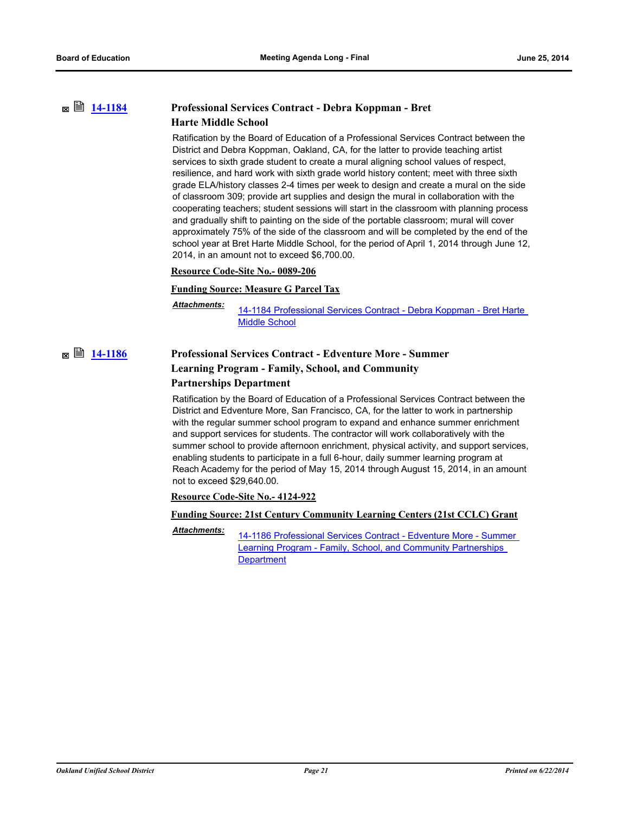## **[14-1184](http://ousd.legistar.com/gateway.aspx?m=l&id=/matter.aspx?key=32874) Professional Services Contract - Debra Koppman - Bret Harte Middle School**

Ratification by the Board of Education of a Professional Services Contract between the District and Debra Koppman, Oakland, CA, for the latter to provide teaching artist services to sixth grade student to create a mural aligning school values of respect, resilience, and hard work with sixth grade world history content; meet with three sixth grade ELA/history classes 2-4 times per week to design and create a mural on the side of classroom 309; provide art supplies and design the mural in collaboration with the cooperating teachers; student sessions will start in the classroom with planning process and gradually shift to painting on the side of the portable classroom; mural will cover approximately 75% of the side of the classroom and will be completed by the end of the school year at Bret Harte Middle School, for the period of April 1, 2014 through June 12, 2014, in an amount not to exceed \$6,700.00.

#### **Resource Code-Site No.- 0089-206**

#### **Funding Source: Measure G Parcel Tax**

*Attachments:*

[14-1184 Professional Services Contract - Debra Koppman - Bret Harte](http://ousd.legistar.com/gateway.aspx?M=F&ID=76530.pdf)  Middle School

## **[14-1186](http://ousd.legistar.com/gateway.aspx?m=l&id=/matter.aspx?key=32876) Professional Services Contract - Edventure More - Summer Learning Program - Family, School, and Community Partnerships Department**

Ratification by the Board of Education of a Professional Services Contract between the District and Edventure More, San Francisco, CA, for the latter to work in partnership with the regular summer school program to expand and enhance summer enrichment and support services for students. The contractor will work collaboratively with the summer school to provide afternoon enrichment, physical activity, and support services, enabling students to participate in a full 6-hour, daily summer learning program at Reach Academy for the period of May 15, 2014 through August 15, 2014, in an amount not to exceed \$29,640.00.

#### **Resource Code-Site No.- 4124-922**

#### **Funding Source: 21st Century Community Learning Centers (21st CCLC) Grant**

[14-1186 Professional Services Contract - Edventure More - Summer](http://ousd.legistar.com/gateway.aspx?M=F&ID=76674.pdf)  Learning Program - Family, School, and Community Partnerships **Department** *Attachments:*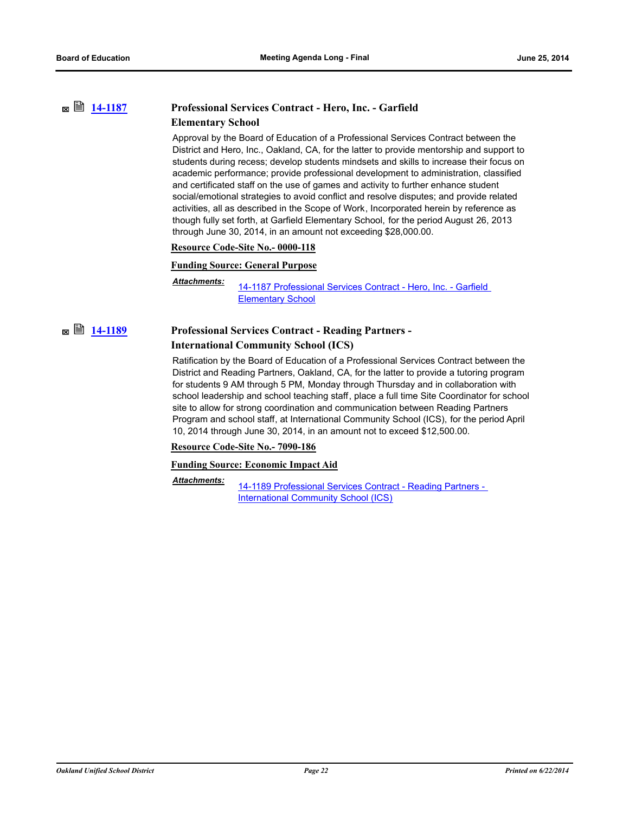## **[14-1187](http://ousd.legistar.com/gateway.aspx?m=l&id=/matter.aspx?key=32877) Professional Services Contract - Hero, Inc. - Garfield Elementary School**

Approval by the Board of Education of a Professional Services Contract between the District and Hero, Inc., Oakland, CA, for the latter to provide mentorship and support to students during recess; develop students mindsets and skills to increase their focus on academic performance; provide professional development to administration, classified and certificated staff on the use of games and activity to further enhance student social/emotional strategies to avoid conflict and resolve disputes; and provide related activities, all as described in the Scope of Work, Incorporated herein by reference as though fully set forth, at Garfield Elementary School, for the period August 26, 2013 through June 30, 2014, in an amount not exceeding \$28,000.00.

#### **Resource Code-Site No.- 0000-118**

#### **Funding Source: General Purpose**

*Attachments:*

[14-1187 Professional Services Contract - Hero, Inc. - Garfield](http://ousd.legistar.com/gateway.aspx?M=F&ID=76532.pdf)  Elementary School

## **■ ■ [14-1189](http://ousd.legistar.com/gateway.aspx?m=l&id=/matter.aspx?key=32879) Professional Services Contract - Reading Partners -**

### **International Community School (ICS)**

Ratification by the Board of Education of a Professional Services Contract between the District and Reading Partners, Oakland, CA, for the latter to provide a tutoring program for students 9 AM through 5 PM, Monday through Thursday and in collaboration with school leadership and school teaching staff, place a full time Site Coordinator for school site to allow for strong coordination and communication between Reading Partners Program and school staff, at International Community School (ICS), for the period April 10, 2014 through June 30, 2014, in an amount not to exceed \$12,500.00.

#### **Resource Code-Site No.- 7090-186**

### **Funding Source: Economic Impact Aid**

*Attachments:*

[14-1189 Professional Services Contract - Reading Partners -](http://ousd.legistar.com/gateway.aspx?M=F&ID=76534.pdf)  International Community School (ICS)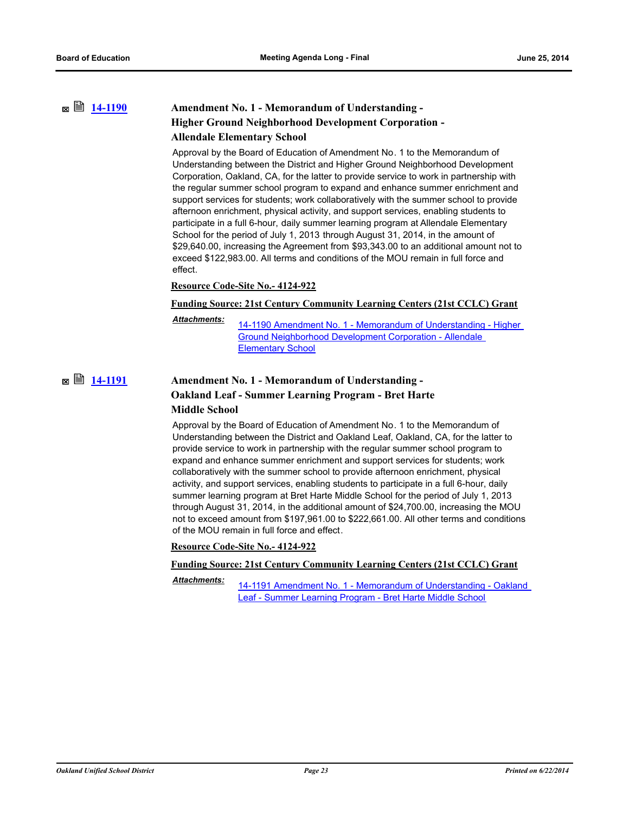## **2 [14-1190](http://ousd.legistar.com/gateway.aspx?m=l&id=/matter.aspx?key=32880) Amendment No. 1 - Memorandum of Understanding -Higher Ground Neighborhood Development Corporation - Allendale Elementary School**

Approval by the Board of Education of Amendment No. 1 to the Memorandum of Understanding between the District and Higher Ground Neighborhood Development Corporation, Oakland, CA, for the latter to provide service to work in partnership with the regular summer school program to expand and enhance summer enrichment and support services for students; work collaboratively with the summer school to provide afternoon enrichment, physical activity, and support services, enabling students to participate in a full 6-hour, daily summer learning program at Allendale Elementary School for the period of July 1, 2013 through August 31, 2014, in the amount of \$29,640.00, increasing the Agreement from \$93,343.00 to an additional amount not to exceed \$122,983.00. All terms and conditions of the MOU remain in full force and effect.

### **Resource Code-Site No.- 4124-922**

**Funding Source: 21st Century Community Learning Centers (21st CCLC) Grant**

*Attachments:*

[14-1190 Amendment No. 1 - Memorandum of Understanding - Higher](http://ousd.legistar.com/gateway.aspx?M=F&ID=76477.pdf)  Ground Neighborhood Development Corporation - Allendale Elementary School

## **■ ■ [14-1191](http://ousd.legistar.com/gateway.aspx?m=l&id=/matter.aspx?key=32881) Amendment No. 1 - Memorandum of Understanding -Oakland Leaf - Summer Learning Program - Bret Harte Middle School**

Approval by the Board of Education of Amendment No. 1 to the Memorandum of Understanding between the District and Oakland Leaf, Oakland, CA, for the latter to provide service to work in partnership with the regular summer school program to expand and enhance summer enrichment and support services for students; work collaboratively with the summer school to provide afternoon enrichment, physical activity, and support services, enabling students to participate in a full 6-hour, daily summer learning program at Bret Harte Middle School for the period of July 1, 2013 through August 31, 2014, in the additional amount of \$24,700.00, increasing the MOU not to exceed amount from \$197,961.00 to \$222,661.00. All other terms and conditions of the MOU remain in full force and effect.

#### **Resource Code-Site No.- 4124-922**

#### **Funding Source: 21st Century Community Learning Centers (21st CCLC) Grant**

*Attachments:*

[14-1191 Amendment No. 1 - Memorandum of Understanding - Oakland](http://ousd.legistar.com/gateway.aspx?M=F&ID=76676.pdf)  Leaf - Summer Learning Program - Bret Harte Middle School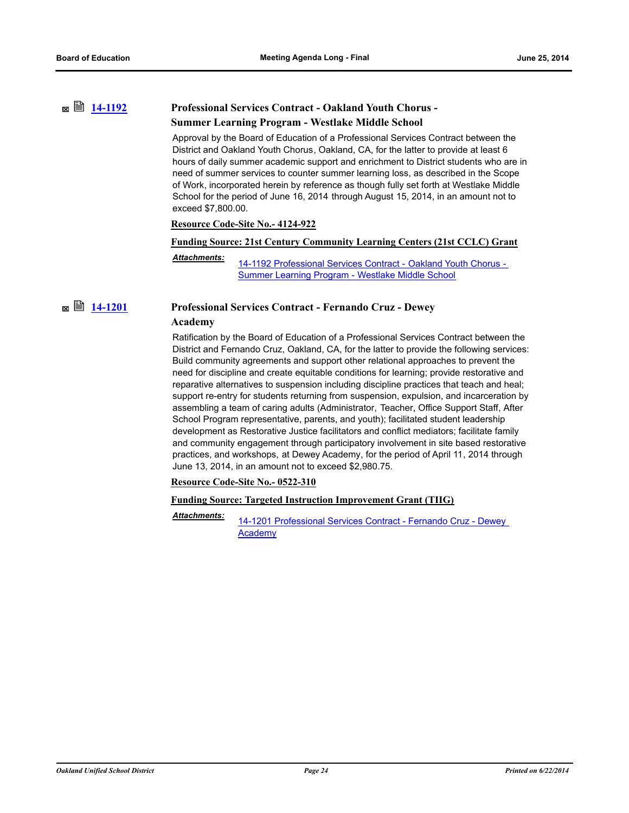## **[14-1192](http://ousd.legistar.com/gateway.aspx?m=l&id=/matter.aspx?key=32882) Professional Services Contract - Oakland Youth Chorus - Summer Learning Program - Westlake Middle School**

Approval by the Board of Education of a Professional Services Contract between the District and Oakland Youth Chorus, Oakland, CA, for the latter to provide at least 6 hours of daily summer academic support and enrichment to District students who are in need of summer services to counter summer learning loss, as described in the Scope of Work, incorporated herein by reference as though fully set forth at Westlake Middle School for the period of June 16, 2014 through August 15, 2014, in an amount not to exceed \$7,800.00.

#### **Resource Code-Site No.- 4124-922**

### **Funding Source: 21st Century Community Learning Centers (21st CCLC) Grant**

[14-1192 Professional Services Contract - Oakland Youth Chorus -](http://ousd.legistar.com/gateway.aspx?M=F&ID=76463.pdf)  Summer Learning Program - Westlake Middle School *Attachments:*

## **■ ■ [14-1201](http://ousd.legistar.com/gateway.aspx?m=l&id=/matter.aspx?key=32889) Professional Services Contract - Fernando Cruz - Dewey Academy**

Ratification by the Board of Education of a Professional Services Contract between the District and Fernando Cruz, Oakland, CA, for the latter to provide the following services: Build community agreements and support other relational approaches to prevent the need for discipline and create equitable conditions for learning; provide restorative and reparative alternatives to suspension including discipline practices that teach and heal; support re-entry for students returning from suspension, expulsion, and incarceration by assembling a team of caring adults (Administrator, Teacher, Office Support Staff, After School Program representative, parents, and youth); facilitated student leadership development as Restorative Justice facilitators and conflict mediators; facilitate family and community engagement through participatory involvement in site based restorative practices, and workshops, at Dewey Academy, for the period of April 11, 2014 through June 13, 2014, in an amount not to exceed \$2,980.75.

**Resource Code-Site No.- 0522-310**

#### **Funding Source: Targeted Instruction Improvement Grant (TIIG)**

[14-1201 Professional Services Contract - Fernando Cruz - Dewey](http://ousd.legistar.com/gateway.aspx?M=F&ID=76537.pdf)  Academy *Attachments:*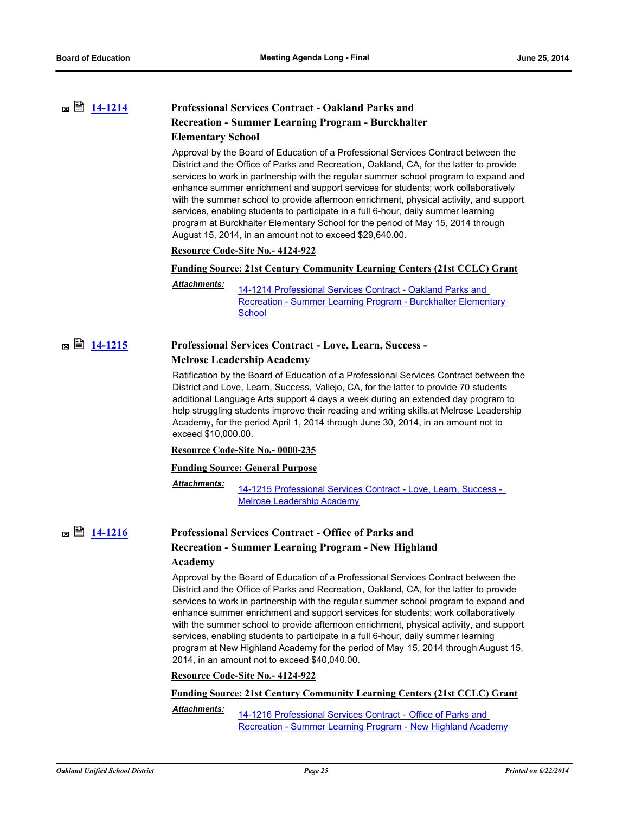## **[14-1214](http://ousd.legistar.com/gateway.aspx?m=l&id=/matter.aspx?key=32902) Professional Services Contract - Oakland Parks and Recreation - Summer Learning Program - Burckhalter Elementary School**

Approval by the Board of Education of a Professional Services Contract between the District and the Office of Parks and Recreation, Oakland, CA, for the latter to provide services to work in partnership with the regular summer school program to expand and enhance summer enrichment and support services for students; work collaboratively with the summer school to provide afternoon enrichment, physical activity, and support services, enabling students to participate in a full 6-hour, daily summer learning program at Burckhalter Elementary School for the period of May 15, 2014 through August 15, 2014, in an amount not to exceed \$29,640.00.

#### **Resource Code-Site No.- 4124-922**

#### **Funding Source: 21st Century Community Learning Centers (21st CCLC) Grant**

14-1214 Professional Services Contract - Oakland Parks and [Recreation - Summer Learning Program - Burckhalter Elementary](http://ousd.legistar.com/gateway.aspx?M=F&ID=76679.pdf)  **School** *Attachments:*

## **<b>■ [14-1215](http://ousd.legistar.com/gateway.aspx?m=l&id=/matter.aspx?key=32903) Professional Services Contract - Love, Learn, Success -Melrose Leadership Academy**

Ratification by the Board of Education of a Professional Services Contract between the District and Love, Learn, Success, Vallejo, CA, for the latter to provide 70 students additional Language Arts support 4 days a week during an extended day program to help struggling students improve their reading and writing skills.at Melrose Leadership Academy, for the period April 1, 2014 through June 30, 2014, in an amount not to exceed \$10,000.00.

#### **Resource Code-Site No.- 0000-235**

#### **Funding Source: General Purpose**

#### *Attachments:*

[14-1215 Professional Services Contract - Love, Learn, Success -](http://ousd.legistar.com/gateway.aspx?M=F&ID=76541.pdf)  Melrose Leadership Academy

## **[14-1216](http://ousd.legistar.com/gateway.aspx?m=l&id=/matter.aspx?key=32904) Professional Services Contract - Office of Parks and Recreation - Summer Learning Program - New Highland Academy**

Approval by the Board of Education of a Professional Services Contract between the District and the Office of Parks and Recreation, Oakland, CA, for the latter to provide services to work in partnership with the regular summer school program to expand and enhance summer enrichment and support services for students; work collaboratively with the summer school to provide afternoon enrichment, physical activity, and support services, enabling students to participate in a full 6-hour, daily summer learning program at New Highland Academy for the period of May 15, 2014 through August 15, 2014, in an amount not to exceed \$40,040.00.

#### **Resource Code-Site No.- 4124-922**

#### **Funding Source: 21st Century Community Learning Centers (21st CCLC) Grant**

14-1216 Professional Services Contract - Office of Parks and [Recreation - Summer Learning Program - New Highland Academy](http://ousd.legistar.com/gateway.aspx?M=F&ID=76690.pdf) *Attachments:*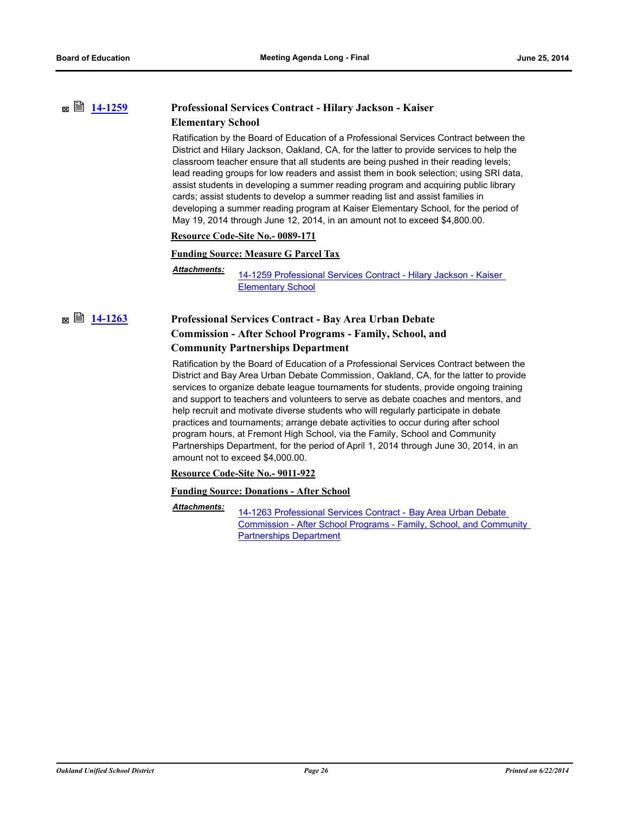## **[14-1259](http://ousd.legistar.com/gateway.aspx?m=l&id=/matter.aspx?key=32947) Professional Services Contract - Hilary Jackson - Kaiser Elementary School**

Ratification by the Board of Education of a Professional Services Contract between the District and Hilary Jackson, Oakland, CA, for the latter to provide services to help the classroom teacher ensure that all students are being pushed in their reading levels; lead reading groups for low readers and assist them in book selection; using SRI data, assist students in developing a summer reading program and acquiring public library cards; assist students to develop a summer reading list and assist families in developing a summer reading program at Kaiser Elementary School, for the period of May 19, 2014 through June 12, 2014, in an amount not to exceed \$4,800.00.

#### **Resource Code-Site No.- 0089-171**

### **Funding Source: Measure G Parcel Tax**

*Attachments:*

[14-1259 Professional Services Contract - Hilary Jackson - Kaiser](http://ousd.legistar.com/gateway.aspx?M=F&ID=76579.pdf)  **Elementary School** 

## **[14-1263](http://ousd.legistar.com/gateway.aspx?m=l&id=/matter.aspx?key=32951) Professional Services Contract - Bay Area Urban Debate Commission - After School Programs - Family, School, and Community Partnerships Department**

Ratification by the Board of Education of a Professional Services Contract between the District and Bay Area Urban Debate Commission, Oakland, CA, for the latter to provide services to organize debate league tournaments for students, provide ongoing training and support to teachers and volunteers to serve as debate coaches and mentors, and help recruit and motivate diverse students who will regularly participate in debate practices and tournaments; arrange debate activities to occur during after school program hours, at Fremont High School, via the Family, School and Community Partnerships Department, for the period of April 1, 2014 through June 30, 2014, in an amount not to exceed \$4,000.00.

**Resource Code-Site No.- 9011-922**

#### **Funding Source: Donations - After School**

14-1263 Professional Services Contract - Bay Area Urban Debate [Commission - After School Programs - Family, School, and Community](http://ousd.legistar.com/gateway.aspx?M=F&ID=76583.pdf)  Partnerships Department *Attachments:*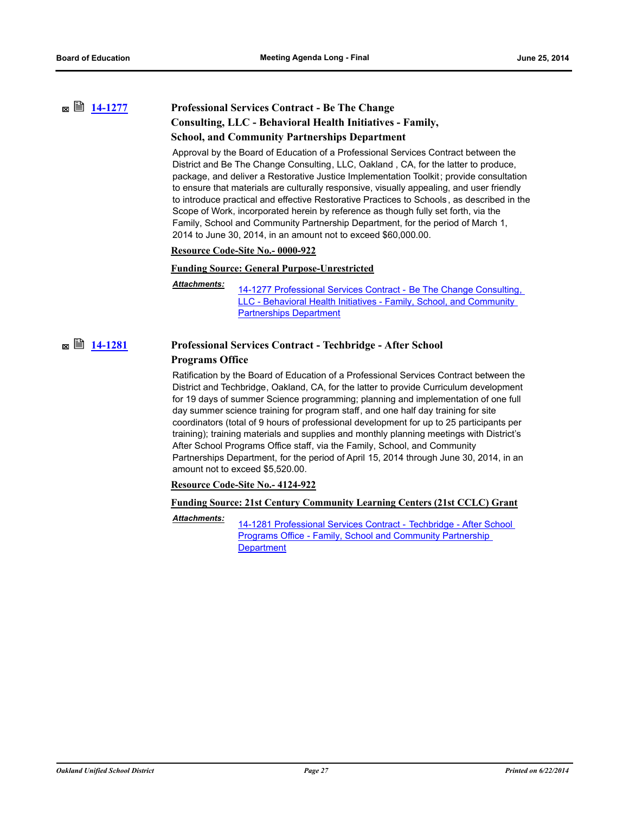## **[14-1277](http://ousd.legistar.com/gateway.aspx?m=l&id=/matter.aspx?key=32965) Professional Services Contract - Be The Change Consulting, LLC - Behavioral Health Initiatives - Family,**

# **School, and Community Partnerships Department**

Approval by the Board of Education of a Professional Services Contract between the District and Be The Change Consulting, LLC, Oakland , CA, for the latter to produce, package, and deliver a Restorative Justice Implementation Toolkit; provide consultation to ensure that materials are culturally responsive, visually appealing, and user friendly to introduce practical and effective Restorative Practices to Schools , as described in the Scope of Work, incorporated herein by reference as though fully set forth, via the Family, School and Community Partnership Department, for the period of March 1, 2014 to June 30, 2014, in an amount not to exceed \$60,000.00.

#### **Resource Code-Site No.- 0000-922**

#### **Funding Source: General Purpose-Unrestricted**

#### *Attachments:*

[14-1277 Professional Services Contract - Be The Change Consulting,](http://ousd.legistar.com/gateway.aspx?M=F&ID=76586.pdf)  LLC - Behavioral Health Initiatives - Family, School, and Community Partnerships Department

## **<b>■ [14-1281](http://ousd.legistar.com/gateway.aspx?m=l&id=/matter.aspx?key=32967) Professional Services Contract - Techbridge - After School Programs Office**

Ratification by the Board of Education of a Professional Services Contract between the District and Techbridge, Oakland, CA, for the latter to provide Curriculum development for 19 days of summer Science programming; planning and implementation of one full day summer science training for program staff, and one half day training for site coordinators (total of 9 hours of professional development for up to 25 participants per training); training materials and supplies and monthly planning meetings with District's After School Programs Office staff, via the Family, School, and Community Partnerships Department, for the period of April 15, 2014 through June 30, 2014, in an amount not to exceed \$5,520.00.

#### **Resource Code-Site No.- 4124-922**

#### **Funding Source: 21st Century Community Learning Centers (21st CCLC) Grant**

[14-1281 Professional Services Contract - Techbridge - After School](http://ousd.legistar.com/gateway.aspx?M=F&ID=76587.pdf)  Programs Office - Family, School and Community Partnership **Department** *Attachments:*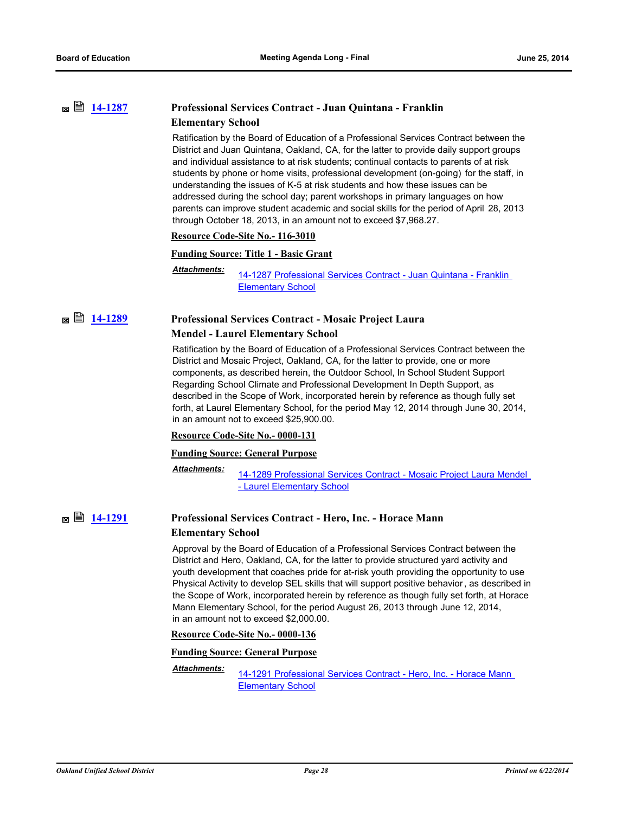## **[14-1287](http://ousd.legistar.com/gateway.aspx?m=l&id=/matter.aspx?key=32973) Professional Services Contract - Juan Quintana - Franklin Elementary School**

Ratification by the Board of Education of a Professional Services Contract between the District and Juan Quintana, Oakland, CA, for the latter to provide daily support groups and individual assistance to at risk students; continual contacts to parents of at risk students by phone or home visits, professional development (on-going) for the staff, in understanding the issues of K-5 at risk students and how these issues can be addressed during the school day; parent workshops in primary languages on how parents can improve student academic and social skills for the period of April 28, 2013 through October 18, 2013, in an amount not to exceed \$7,968.27.

#### **Resource Code-Site No.- 116-3010**

### **Funding Source: Title 1 - Basic Grant**

*Attachments:*

[14-1287 Professional Services Contract - Juan Quintana - Franklin](http://ousd.legistar.com/gateway.aspx?M=F&ID=76590.pdf)  Elementary School

## **[14-1289](http://ousd.legistar.com/gateway.aspx?m=l&id=/matter.aspx?key=32975) Professional Services Contract - Mosaic Project Laura Mendel - Laurel Elementary School**

Ratification by the Board of Education of a Professional Services Contract between the District and Mosaic Project, Oakland, CA, for the latter to provide, one or more components, as described herein, the Outdoor School, In School Student Support Regarding School Climate and Professional Development In Depth Support, as described in the Scope of Work, incorporated herein by reference as though fully set forth, at Laurel Elementary School, for the period May 12, 2014 through June 30, 2014, in an amount not to exceed \$25,900.00.

#### **Resource Code-Site No.- 0000-131**

#### **Funding Source: General Purpose**

*Attachments:*

[14-1289 Professional Services Contract - Mosaic Project Laura Mendel](http://ousd.legistar.com/gateway.aspx?M=F&ID=76592.pdf)  - Laurel Elementary School

## **<b>■ ■ [14-1291](http://ousd.legistar.com/gateway.aspx?m=l&id=/matter.aspx?key=32977) Professional Services Contract - Hero, Inc. - Horace Mann Elementary School**

Approval by the Board of Education of a Professional Services Contract between the District and Hero, Oakland, CA, for the latter to provide structured yard activity and youth development that coaches pride for at-risk youth providing the opportunity to use Physical Activity to develop SEL skills that will support positive behavior, as described in the Scope of Work, incorporated herein by reference as though fully set forth, at Horace Mann Elementary School, for the period August 26, 2013 through June 12, 2014, in an amount not to exceed \$2,000.00.

#### **Resource Code-Site No.- 0000-136**

**Funding Source: General Purpose**

[14-1291 Professional Services Contract - Hero, Inc. - Horace Mann](http://ousd.legistar.com/gateway.aspx?M=F&ID=76593.pdf)  Elementary School *Attachments:*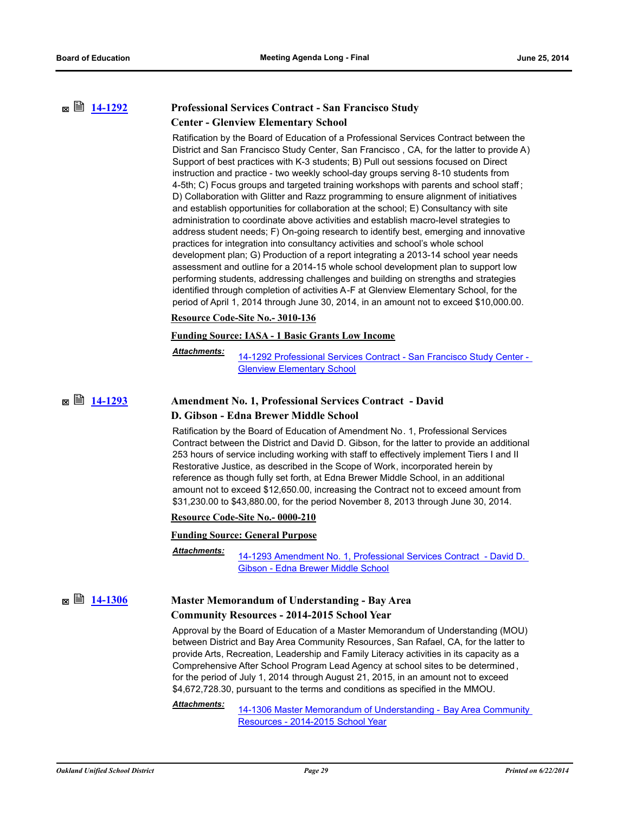## **[14-1292](http://ousd.legistar.com/gateway.aspx?m=l&id=/matter.aspx?key=32978) Professional Services Contract - San Francisco Study Center - Glenview Elementary School**

Ratification by the Board of Education of a Professional Services Contract between the District and San Francisco Study Center, San Francisco , CA, for the latter to provide A) Support of best practices with K-3 students; B) Pull out sessions focused on Direct instruction and practice - two weekly school-day groups serving 8-10 students from 4-5th; C) Focus groups and targeted training workshops with parents and school staff ; D) Collaboration with Glitter and Razz programming to ensure alignment of initiatives and establish opportunities for collaboration at the school; E) Consultancy with site administration to coordinate above activities and establish macro-level strategies to address student needs; F) On-going research to identify best, emerging and innovative practices for integration into consultancy activities and school's whole school development plan; G) Production of a report integrating a 2013-14 school year needs assessment and outline for a 2014-15 whole school development plan to support low performing students, addressing challenges and building on strengths and strategies identified through completion of activities A-F at Glenview Elementary School, for the period of April 1, 2014 through June 30, 2014, in an amount not to exceed \$10,000.00.

**Resource Code-Site No.- 3010-136**

#### **Funding Source: IASA - 1 Basic Grants Low Income**

*Attachments:*

[14-1292 Professional Services Contract - San Francisco Study Center -](http://ousd.legistar.com/gateway.aspx?M=F&ID=76594.pdf)  Glenview Elementary School

## **[14-1293](http://ousd.legistar.com/gateway.aspx?m=l&id=/matter.aspx?key=32979) Amendment No. 1, Professional Services Contract - David D. Gibson - Edna Brewer Middle School**

Ratification by the Board of Education of Amendment No. 1, Professional Services Contract between the District and David D. Gibson, for the latter to provide an additional 253 hours of service including working with staff to effectively implement Tiers I and II Restorative Justice, as described in the Scope of Work, incorporated herein by reference as though fully set forth, at Edna Brewer Middle School, in an additional amount not to exceed \$12,650.00, increasing the Contract not to exceed amount from \$31,230.00 to \$43,880.00, for the period November 8, 2013 through June 30, 2014.

#### **Resource Code-Site No.- 0000-210**

**Funding Source: General Purpose**

*Attachments:*

[14-1293 Amendment No. 1, Professional Services Contract - David D.](http://ousd.legistar.com/gateway.aspx?M=F&ID=76696.pdf)  Gibson - Edna Brewer Middle School

### **[14-1306](http://ousd.legistar.com/gateway.aspx?m=l&id=/matter.aspx?key=32986) Master Memorandum of Understanding - Bay Area Community Resources - 2014-2015 School Year**

Approval by the Board of Education of a Master Memorandum of Understanding (MOU) between District and Bay Area Community Resources, San Rafael, CA, for the latter to provide Arts, Recreation, Leadership and Family Literacy activities in its capacity as a Comprehensive After School Program Lead Agency at school sites to be determined , for the period of July 1, 2014 through August 21, 2015, in an amount not to exceed \$4,672,728.30, pursuant to the terms and conditions as specified in the MMOU.

*Attachments:*

[14-1306 Master Memorandum of Understanding - Bay Area Community](http://ousd.legistar.com/gateway.aspx?M=F&ID=76697.pdf)  Resources - 2014-2015 School Year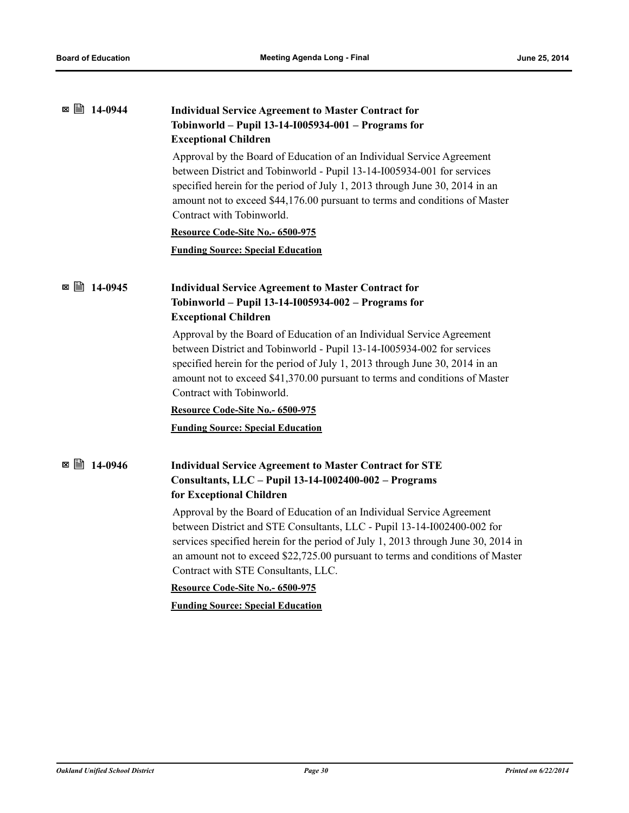| ■ 14-0944<br>×        | <b>Individual Service Agreement to Master Contract for</b><br>Tobinworld - Pupil 13-14-1005934-001 - Programs for<br><b>Exceptional Children</b>                                                                                                                                                                                                               |
|-----------------------|----------------------------------------------------------------------------------------------------------------------------------------------------------------------------------------------------------------------------------------------------------------------------------------------------------------------------------------------------------------|
|                       | Approval by the Board of Education of an Individual Service Agreement<br>between District and Tobinworld - Pupil 13-14-I005934-001 for services<br>specified herein for the period of July 1, 2013 through June 30, 2014 in an<br>amount not to exceed \$44,176.00 pursuant to terms and conditions of Master<br>Contract with Tobinworld.                     |
|                       | Resource Code-Site No.- 6500-975                                                                                                                                                                                                                                                                                                                               |
|                       | <b>Funding Source: Special Education</b>                                                                                                                                                                                                                                                                                                                       |
| ■ 14-0945<br>×        | <b>Individual Service Agreement to Master Contract for</b><br>Tobinworld - Pupil 13-14-1005934-002 - Programs for<br><b>Exceptional Children</b>                                                                                                                                                                                                               |
|                       | Approval by the Board of Education of an Individual Service Agreement<br>between District and Tobinworld - Pupil 13-14-I005934-002 for services<br>specified herein for the period of July 1, 2013 through June 30, 2014 in an<br>amount not to exceed \$41,370.00 pursuant to terms and conditions of Master<br>Contract with Tobinworld.                     |
|                       | Resource Code-Site No.- 6500-975                                                                                                                                                                                                                                                                                                                               |
|                       | <b>Funding Source: Special Education</b>                                                                                                                                                                                                                                                                                                                       |
| $\boxtimes$ ■ 14-0946 | <b>Individual Service Agreement to Master Contract for STE</b><br>Consultants, LLC - Pupil 13-14-1002400-002 - Programs<br>for Exceptional Children                                                                                                                                                                                                            |
|                       | Approval by the Board of Education of an Individual Service Agreement<br>between District and STE Consultants, LLC - Pupil 13-14-I002400-002 for<br>services specified herein for the period of July 1, 2013 through June 30, 2014 in<br>an amount not to exceed \$22,725.00 pursuant to terms and conditions of Master<br>Contract with STE Consultants, LLC. |
|                       | Resource Code-Site No.- 6500-975                                                                                                                                                                                                                                                                                                                               |
|                       | <b>Funding Source: Special Education</b>                                                                                                                                                                                                                                                                                                                       |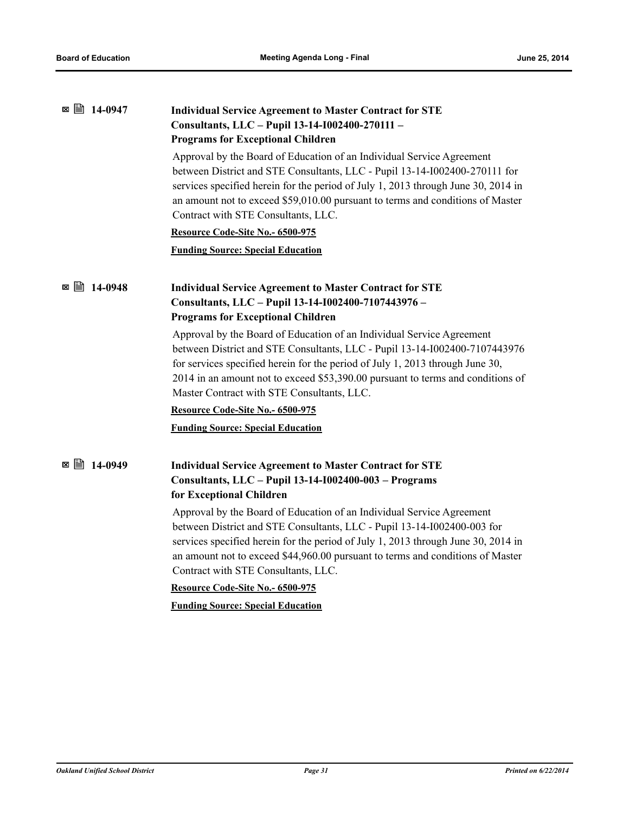|             | <b>Individual Service Agreement to Master Contract for STE</b><br>Consultants, LLC - Pupil 13-14-I002400-270111 -                                                                                                                                                                                                                                                     |
|-------------|-----------------------------------------------------------------------------------------------------------------------------------------------------------------------------------------------------------------------------------------------------------------------------------------------------------------------------------------------------------------------|
|             | <b>Programs for Exceptional Children</b>                                                                                                                                                                                                                                                                                                                              |
|             | Approval by the Board of Education of an Individual Service Agreement<br>between District and STE Consultants, LLC - Pupil 13-14-I002400-270111 for<br>services specified herein for the period of July 1, 2013 through June 30, 2014 in<br>an amount not to exceed \$59,010.00 pursuant to terms and conditions of Master<br>Contract with STE Consultants, LLC.     |
|             | Resource Code-Site No.- 6500-975                                                                                                                                                                                                                                                                                                                                      |
|             | <b>Funding Source: Special Education</b>                                                                                                                                                                                                                                                                                                                              |
| ⊠ ■ 14-0948 | <b>Individual Service Agreement to Master Contract for STE</b><br>Consultants, LLC - Pupil 13-14-I002400-7107443976 -<br><b>Programs for Exceptional Children</b>                                                                                                                                                                                                     |
|             | Approval by the Board of Education of an Individual Service Agreement<br>between District and STE Consultants, LLC - Pupil 13-14-I002400-7107443976<br>for services specified herein for the period of July 1, 2013 through June 30,<br>2014 in an amount not to exceed \$53,390.00 pursuant to terms and conditions of<br>Master Contract with STE Consultants, LLC. |
|             | Resource Code-Site No.- 6500-975                                                                                                                                                                                                                                                                                                                                      |
|             | <b>Funding Source: Special Education</b>                                                                                                                                                                                                                                                                                                                              |
| ⊠ ■ 14-0949 | <b>Individual Service Agreement to Master Contract for STE</b><br>Consultants, LLC - Pupil 13-14-1002400-003 - Programs<br>for Exceptional Children                                                                                                                                                                                                                   |
|             | Approval by the Board of Education of an Individual Service Agreement<br>between District and STE Consultants, LLC - Pupil 13-14-I002400-003 for<br>services specified herein for the period of July 1, 2013 through June 30, 2014 in<br>an amount not to exceed \$44,960.00 pursuant to terms and conditions of Master<br>Contract with STE Consultants, LLC.        |
|             | Resource Code-Site No.- 6500-975                                                                                                                                                                                                                                                                                                                                      |
|             | <b>Funding Source: Special Education</b>                                                                                                                                                                                                                                                                                                                              |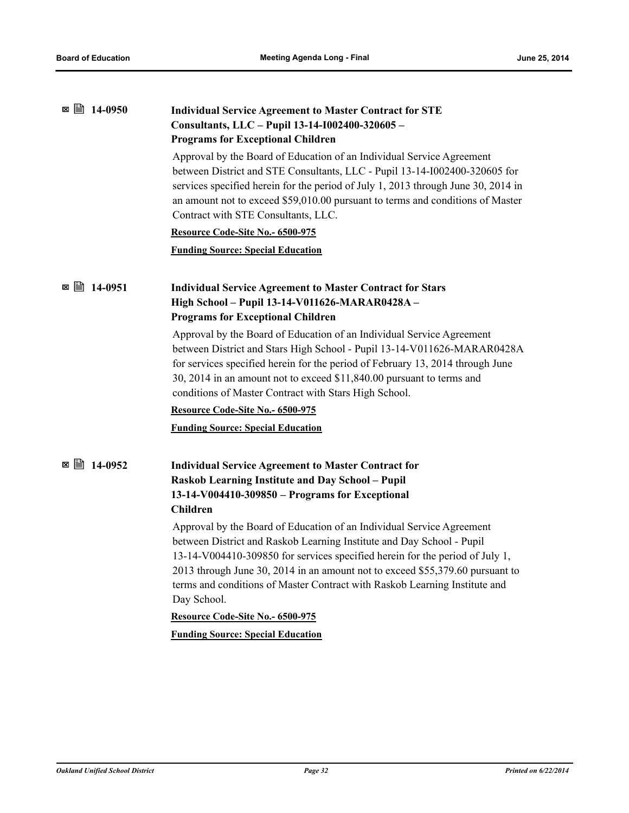| <b>Individual Service Agreement to Master Contract for STE</b><br>Consultants, LLC - Pupil 13-14-I002400-320605 -<br><b>Programs for Exceptional Children</b>                                                                                                                                                                                                                                                |
|--------------------------------------------------------------------------------------------------------------------------------------------------------------------------------------------------------------------------------------------------------------------------------------------------------------------------------------------------------------------------------------------------------------|
| Approval by the Board of Education of an Individual Service Agreement<br>between District and STE Consultants, LLC - Pupil 13-14-I002400-320605 for<br>services specified herein for the period of July 1, 2013 through June 30, 2014 in<br>an amount not to exceed \$59,010.00 pursuant to terms and conditions of Master<br>Contract with STE Consultants, LLC.                                            |
| Resource Code-Site No.- 6500-975                                                                                                                                                                                                                                                                                                                                                                             |
| <b>Funding Source: Special Education</b>                                                                                                                                                                                                                                                                                                                                                                     |
| <b>Individual Service Agreement to Master Contract for Stars</b><br>High School - Pupil 13-14-V011626-MARAR0428A -<br><b>Programs for Exceptional Children</b>                                                                                                                                                                                                                                               |
| Approval by the Board of Education of an Individual Service Agreement<br>between District and Stars High School - Pupil 13-14-V011626-MARAR0428A<br>for services specified herein for the period of February 13, 2014 through June<br>30, 2014 in an amount not to exceed \$11,840.00 pursuant to terms and<br>conditions of Master Contract with Stars High School.                                         |
| Resource Code-Site No.- 6500-975                                                                                                                                                                                                                                                                                                                                                                             |
| <b>Funding Source: Special Education</b>                                                                                                                                                                                                                                                                                                                                                                     |
| <b>Individual Service Agreement to Master Contract for</b><br>Raskob Learning Institute and Day School - Pupil<br>13-14-V004410-309850 - Programs for Exceptional<br><b>Children</b>                                                                                                                                                                                                                         |
| Approval by the Board of Education of an Individual Service Agreement<br>between District and Raskob Learning Institute and Day School - Pupil<br>13-14-V004410-309850 for services specified herein for the period of July 1,<br>2013 through June 30, 2014 in an amount not to exceed \$55,379.60 pursuant to<br>terms and conditions of Master Contract with Raskob Learning Institute and<br>Day School. |
| Resource Code-Site No.- 6500-975                                                                                                                                                                                                                                                                                                                                                                             |
| <b>Funding Source: Special Education</b>                                                                                                                                                                                                                                                                                                                                                                     |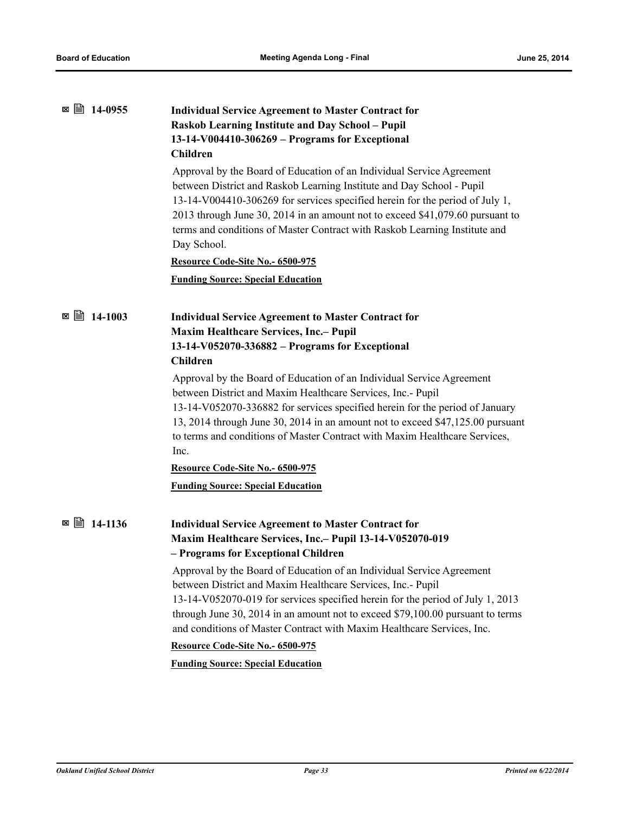| ■ 14-0955<br>$\boldsymbol{\mathsf{x}}$ | <b>Individual Service Agreement to Master Contract for</b><br>Raskob Learning Institute and Day School - Pupil                                                                                                                                                                                                                                                                                                                                                                                                                                                                          |
|----------------------------------------|-----------------------------------------------------------------------------------------------------------------------------------------------------------------------------------------------------------------------------------------------------------------------------------------------------------------------------------------------------------------------------------------------------------------------------------------------------------------------------------------------------------------------------------------------------------------------------------------|
|                                        | 13-14-V004410-306269 - Programs for Exceptional                                                                                                                                                                                                                                                                                                                                                                                                                                                                                                                                         |
|                                        | <b>Children</b>                                                                                                                                                                                                                                                                                                                                                                                                                                                                                                                                                                         |
|                                        | Approval by the Board of Education of an Individual Service Agreement<br>between District and Raskob Learning Institute and Day School - Pupil<br>13-14-V004410-306269 for services specified herein for the period of July 1,<br>2013 through June 30, 2014 in an amount not to exceed \$41,079.60 pursuant to<br>terms and conditions of Master Contract with Raskob Learning Institute and<br>Day School.                                                                                                                                                                            |
|                                        | Resource Code-Site No.- 6500-975                                                                                                                                                                                                                                                                                                                                                                                                                                                                                                                                                        |
|                                        | <b>Funding Source: Special Education</b>                                                                                                                                                                                                                                                                                                                                                                                                                                                                                                                                                |
| $\boxtimes$ ■ 14-1003                  | <b>Individual Service Agreement to Master Contract for</b><br><b>Maxim Healthcare Services, Inc.- Pupil</b><br>13-14-V052070-336882 - Programs for Exceptional<br><b>Children</b><br>Approval by the Board of Education of an Individual Service Agreement<br>between District and Maxim Healthcare Services, Inc.- Pupil<br>13-14-V052070-336882 for services specified herein for the period of January                                                                                                                                                                               |
|                                        | 13, 2014 through June 30, 2014 in an amount not to exceed \$47,125.00 pursuant<br>to terms and conditions of Master Contract with Maxim Healthcare Services,<br>Inc.                                                                                                                                                                                                                                                                                                                                                                                                                    |
|                                        | Resource Code-Site No.- 6500-975                                                                                                                                                                                                                                                                                                                                                                                                                                                                                                                                                        |
|                                        | <b>Funding Source: Special Education</b>                                                                                                                                                                                                                                                                                                                                                                                                                                                                                                                                                |
| ■ 14-1136<br>×                         | <b>Individual Service Agreement to Master Contract for</b><br>Maxim Healthcare Services, Inc.- Pupil 13-14-V052070-019<br>- Programs for Exceptional Children<br>Approval by the Board of Education of an Individual Service Agreement<br>between District and Maxim Healthcare Services, Inc.- Pupil<br>13-14-V052070-019 for services specified herein for the period of July 1, 2013<br>through June 30, 2014 in an amount not to exceed \$79,100.00 pursuant to terms<br>and conditions of Master Contract with Maxim Healthcare Services, Inc.<br>Resource Code-Site No.- 6500-975 |
|                                        | <b>Funding Source: Special Education</b>                                                                                                                                                                                                                                                                                                                                                                                                                                                                                                                                                |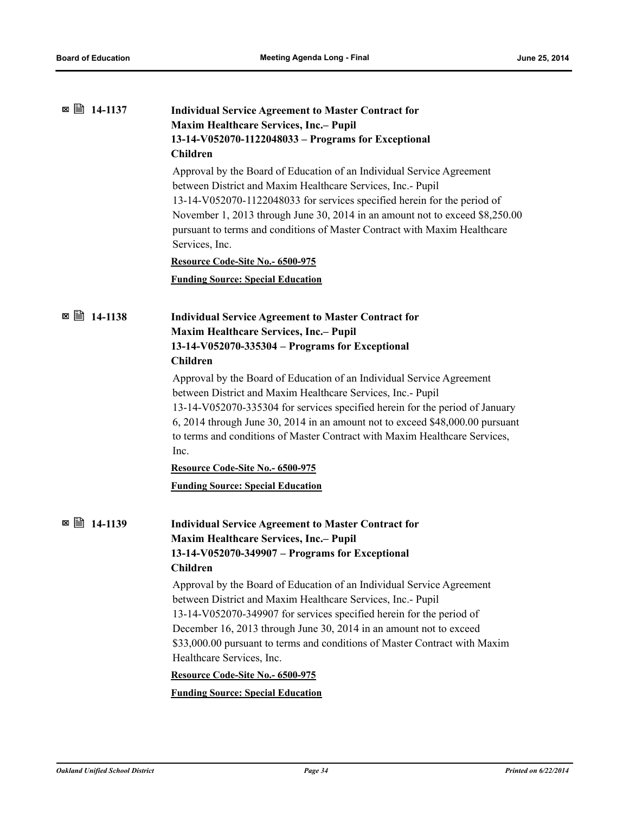|             | <b>Individual Service Agreement to Master Contract for</b>                    |
|-------------|-------------------------------------------------------------------------------|
|             | <b>Maxim Healthcare Services, Inc.- Pupil</b>                                 |
|             | 13-14-V052070-1122048033 - Programs for Exceptional                           |
|             | <b>Children</b>                                                               |
|             | Approval by the Board of Education of an Individual Service Agreement         |
|             | between District and Maxim Healthcare Services, Inc.- Pupil                   |
|             | 13-14-V052070-1122048033 for services specified herein for the period of      |
|             | November 1, 2013 through June 30, 2014 in an amount not to exceed \$8,250.00  |
|             | pursuant to terms and conditions of Master Contract with Maxim Healthcare     |
|             | Services, Inc.                                                                |
|             | Resource Code-Site No.- 6500-975                                              |
|             | <b>Funding Source: Special Education</b>                                      |
|             |                                                                               |
| ⊠ ■ 14-1138 | <b>Individual Service Agreement to Master Contract for</b>                    |
|             | <b>Maxim Healthcare Services, Inc.- Pupil</b>                                 |
|             | 13-14-V052070-335304 - Programs for Exceptional                               |
|             | <b>Children</b>                                                               |
|             | Approval by the Board of Education of an Individual Service Agreement         |
|             | between District and Maxim Healthcare Services, Inc.- Pupil                   |
|             | 13-14-V052070-335304 for services specified herein for the period of January  |
|             | 6, 2014 through June 30, 2014 in an amount not to exceed \$48,000.00 pursuant |
|             | to terms and conditions of Master Contract with Maxim Healthcare Services,    |
|             | Inc.                                                                          |
|             | Resource Code-Site No.- 6500-975                                              |
|             | <b>Funding Source: Special Education</b>                                      |
|             |                                                                               |
|             | <b>Individual Service Agreement to Master Contract for</b>                    |
|             | <b>Maxim Healthcare Services, Inc.- Pupil</b>                                 |
|             | 13-14-V052070-349907 - Programs for Exceptional                               |
|             | <b>Children</b>                                                               |
|             | Approval by the Board of Education of an Individual Service Agreement         |
|             | between District and Maxim Healthcare Services, Inc.- Pupil                   |
|             | 13-14-V052070-349907 for services specified herein for the period of          |
|             | December 16, 2013 through June 30, 2014 in an amount not to exceed            |
|             | \$33,000.00 pursuant to terms and conditions of Master Contract with Maxim    |
|             | Healthcare Services, Inc.                                                     |
|             | Resource Code-Site No.- 6500-975                                              |
|             | <b>Funding Source: Special Education</b>                                      |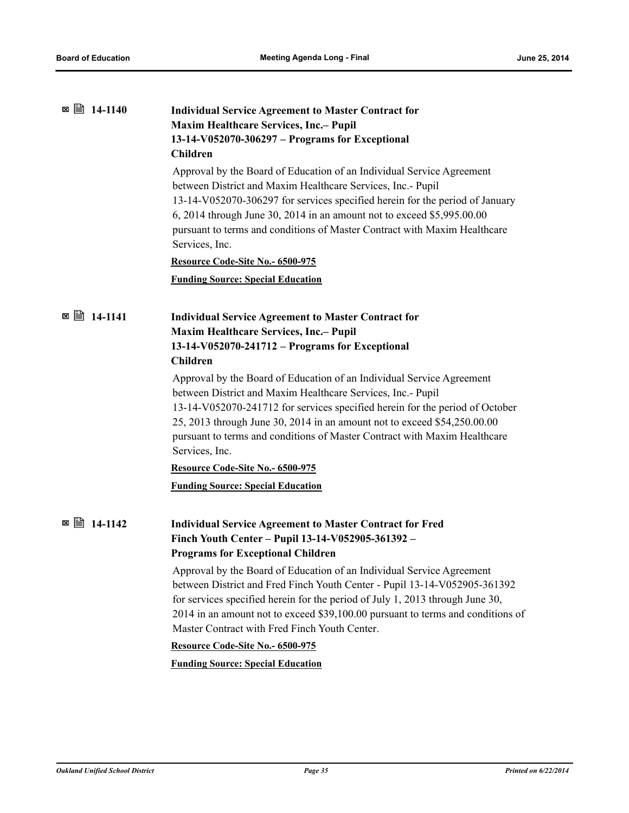| ⊠ ■ 14-1140    | <b>Individual Service Agreement to Master Contract for</b><br><b>Maxim Healthcare Services, Inc.- Pupil</b><br>13-14-V052070-306297 - Programs for Exceptional<br><b>Children</b><br>Approval by the Board of Education of an Individual Service Agreement<br>between District and Maxim Healthcare Services, Inc.- Pupil<br>13-14-V052070-306297 for services specified herein for the period of January<br>6, 2014 through June 30, 2014 in an amount not to exceed \$5,995.00.00<br>pursuant to terms and conditions of Master Contract with Maxim Healthcare<br>Services, Inc.<br>Resource Code-Site No.- 6500-975<br><b>Funding Source: Special Education</b> |
|----------------|--------------------------------------------------------------------------------------------------------------------------------------------------------------------------------------------------------------------------------------------------------------------------------------------------------------------------------------------------------------------------------------------------------------------------------------------------------------------------------------------------------------------------------------------------------------------------------------------------------------------------------------------------------------------|
|                |                                                                                                                                                                                                                                                                                                                                                                                                                                                                                                                                                                                                                                                                    |
| ■ 14-1141<br>× | <b>Individual Service Agreement to Master Contract for</b><br>Maxim Healthcare Services, Inc.- Pupil<br>13-14-V052070-241712 - Programs for Exceptional<br><b>Children</b><br>Approval by the Board of Education of an Individual Service Agreement<br>between District and Maxim Healthcare Services, Inc.- Pupil<br>13-14-V052070-241712 for services specified herein for the period of October<br>25, 2013 through June 30, 2014 in an amount not to exceed \$54,250.00.00<br>pursuant to terms and conditions of Master Contract with Maxim Healthcare<br>Services, Inc.                                                                                      |
|                | Resource Code-Site No.- 6500-975                                                                                                                                                                                                                                                                                                                                                                                                                                                                                                                                                                                                                                   |
|                | <b>Funding Source: Special Education</b>                                                                                                                                                                                                                                                                                                                                                                                                                                                                                                                                                                                                                           |
| ⊠ ■ 14-1142    | <b>Individual Service Agreement to Master Contract for Fred</b><br>Finch Youth Center - Pupil 13-14-V052905-361392 -<br><b>Programs for Exceptional Children</b><br>Approval by the Board of Education of an Individual Service Agreement<br>between District and Fred Finch Youth Center - Pupil 13-14-V052905-361392<br>for services specified herein for the period of July 1, 2013 through June 30,<br>2014 in an amount not to exceed \$39,100.00 pursuant to terms and conditions of<br>Master Contract with Fred Finch Youth Center.<br>Resource Code-Site No.- 6500-975                                                                                    |
|                | <b>Funding Source: Special Education</b>                                                                                                                                                                                                                                                                                                                                                                                                                                                                                                                                                                                                                           |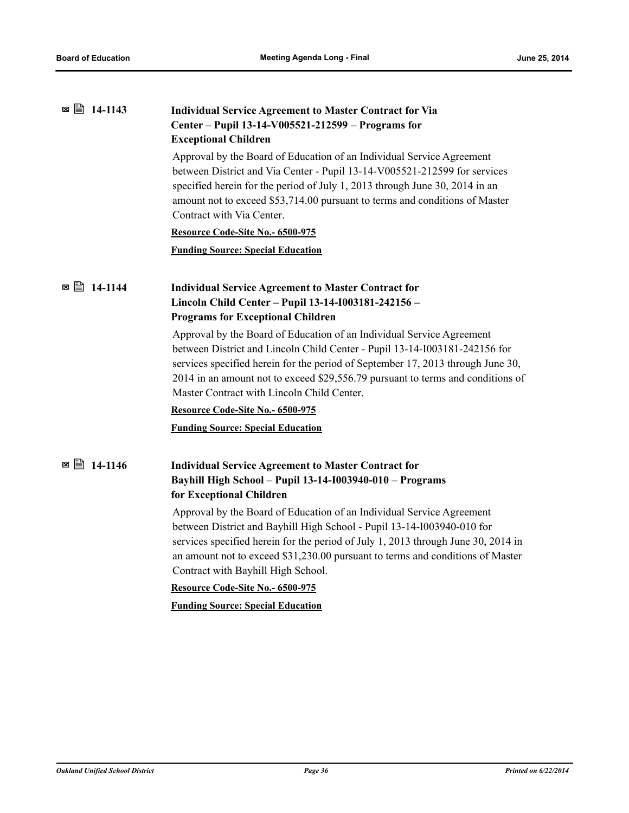| ■ ■ 14-1143 | <b>Individual Service Agreement to Master Contract for Via</b><br>Center - Pupil 13-14-V005521-212599 - Programs for<br><b>Exceptional Children</b>                                                                                                                                                                                                                     |
|-------------|-------------------------------------------------------------------------------------------------------------------------------------------------------------------------------------------------------------------------------------------------------------------------------------------------------------------------------------------------------------------------|
|             | Approval by the Board of Education of an Individual Service Agreement<br>between District and Via Center - Pupil 13-14-V005521-212599 for services<br>specified herein for the period of July 1, 2013 through June 30, 2014 in an<br>amount not to exceed \$53,714.00 pursuant to terms and conditions of Master<br>Contract with Via Center.                           |
|             | Resource Code-Site No.- 6500-975                                                                                                                                                                                                                                                                                                                                        |
|             | <b>Funding Source: Special Education</b>                                                                                                                                                                                                                                                                                                                                |
| ⊠ ■ 14-1144 | <b>Individual Service Agreement to Master Contract for</b><br>Lincoln Child Center - Pupil 13-14-I003181-242156 -<br><b>Programs for Exceptional Children</b>                                                                                                                                                                                                           |
|             | Approval by the Board of Education of an Individual Service Agreement<br>between District and Lincoln Child Center - Pupil 13-14-I003181-242156 for<br>services specified herein for the period of September 17, 2013 through June 30,<br>2014 in an amount not to exceed \$29,556.79 pursuant to terms and conditions of<br>Master Contract with Lincoln Child Center. |
|             | Resource Code-Site No.- 6500-975                                                                                                                                                                                                                                                                                                                                        |
|             | <b>Funding Source: Special Education</b>                                                                                                                                                                                                                                                                                                                                |
| ■ ■ 14-1146 | <b>Individual Service Agreement to Master Contract for</b><br>Bayhill High School - Pupil 13-14-1003940-010 - Programs<br>for Exceptional Children                                                                                                                                                                                                                      |
|             | Approval by the Board of Education of an Individual Service Agreement<br>between District and Bayhill High School - Pupil 13-14-I003940-010 for<br>services specified herein for the period of July 1, 2013 through June 30, 2014 in<br>an amount not to exceed \$31,230.00 pursuant to terms and conditions of Master<br>Contract with Bayhill High School.            |
|             | Resource Code-Site No.- 6500-975                                                                                                                                                                                                                                                                                                                                        |
|             | <b>Funding Source: Special Education</b>                                                                                                                                                                                                                                                                                                                                |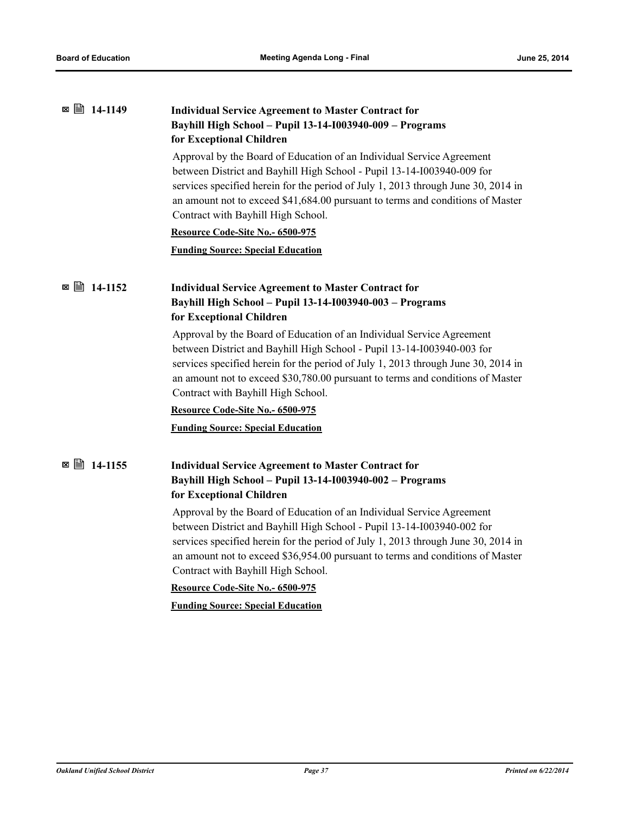|                | <b>Individual Service Agreement to Master Contract for</b><br>Bayhill High School - Pupil 13-14-1003940-009 - Programs<br>for Exceptional Children                                                                                                                                                                                                           |
|----------------|--------------------------------------------------------------------------------------------------------------------------------------------------------------------------------------------------------------------------------------------------------------------------------------------------------------------------------------------------------------|
|                | Approval by the Board of Education of an Individual Service Agreement<br>between District and Bayhill High School - Pupil 13-14-I003940-009 for<br>services specified herein for the period of July 1, 2013 through June 30, 2014 in<br>an amount not to exceed \$41,684.00 pursuant to terms and conditions of Master<br>Contract with Bayhill High School. |
|                | Resource Code-Site No.- 6500-975                                                                                                                                                                                                                                                                                                                             |
|                | <b>Funding Source: Special Education</b>                                                                                                                                                                                                                                                                                                                     |
| ⊠ ■ 14-1152    | <b>Individual Service Agreement to Master Contract for</b><br>Bayhill High School - Pupil 13-14-1003940-003 - Programs<br>for Exceptional Children                                                                                                                                                                                                           |
|                | Approval by the Board of Education of an Individual Service Agreement<br>between District and Bayhill High School - Pupil 13-14-I003940-003 for<br>services specified herein for the period of July 1, 2013 through June 30, 2014 in<br>an amount not to exceed \$30,780.00 pursuant to terms and conditions of Master<br>Contract with Bayhill High School. |
|                | Resource Code-Site No.- 6500-975                                                                                                                                                                                                                                                                                                                             |
|                | <b>Funding Source: Special Education</b>                                                                                                                                                                                                                                                                                                                     |
|                |                                                                                                                                                                                                                                                                                                                                                              |
| ■ 14-1155<br>⊠ | <b>Individual Service Agreement to Master Contract for</b>                                                                                                                                                                                                                                                                                                   |
|                | Bayhill High School - Pupil 13-14-1003940-002 - Programs<br>for Exceptional Children                                                                                                                                                                                                                                                                         |
|                | Approval by the Board of Education of an Individual Service Agreement<br>between District and Bayhill High School - Pupil 13-14-I003940-002 for<br>services specified herein for the period of July 1, 2013 through June 30, 2014 in<br>an amount not to exceed \$36,954.00 pursuant to terms and conditions of Master<br>Contract with Bayhill High School. |
|                | Resource Code-Site No.- 6500-975                                                                                                                                                                                                                                                                                                                             |
|                | <b>Funding Source: Special Education</b>                                                                                                                                                                                                                                                                                                                     |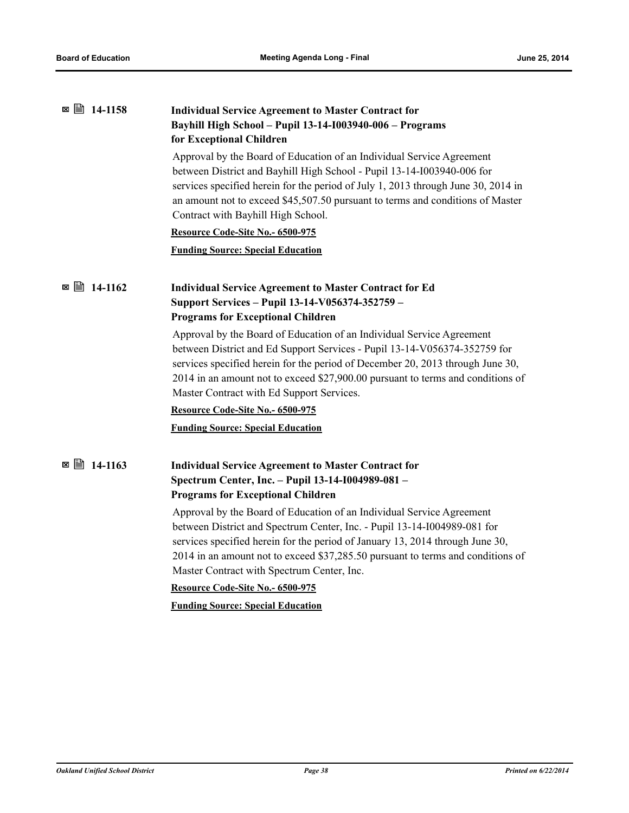| ⊠ ■ 14-1158    | <b>Individual Service Agreement to Master Contract for</b><br>Bayhill High School - Pupil 13-14-1003940-006 - Programs<br>for Exceptional Children                                                                                                                                                                                                                   |
|----------------|----------------------------------------------------------------------------------------------------------------------------------------------------------------------------------------------------------------------------------------------------------------------------------------------------------------------------------------------------------------------|
|                | Approval by the Board of Education of an Individual Service Agreement<br>between District and Bayhill High School - Pupil 13-14-I003940-006 for<br>services specified herein for the period of July 1, 2013 through June 30, 2014 in<br>an amount not to exceed \$45,507.50 pursuant to terms and conditions of Master<br>Contract with Bayhill High School.         |
|                | Resource Code-Site No.- 6500-975                                                                                                                                                                                                                                                                                                                                     |
|                | <b>Funding Source: Special Education</b>                                                                                                                                                                                                                                                                                                                             |
| ■ 14-1162<br>× | <b>Individual Service Agreement to Master Contract for Ed</b><br>Support Services - Pupil 13-14-V056374-352759 -<br><b>Programs for Exceptional Children</b>                                                                                                                                                                                                         |
|                | Approval by the Board of Education of an Individual Service Agreement<br>between District and Ed Support Services - Pupil 13-14-V056374-352759 for<br>services specified herein for the period of December 20, 2013 through June 30,<br>2014 in an amount not to exceed \$27,900.00 pursuant to terms and conditions of<br>Master Contract with Ed Support Services. |
|                | Resource Code-Site No.- 6500-975                                                                                                                                                                                                                                                                                                                                     |
|                | <b>Funding Source: Special Education</b>                                                                                                                                                                                                                                                                                                                             |
| ■ 14-1163<br>× | <b>Individual Service Agreement to Master Contract for</b><br>Spectrum Center, Inc. - Pupil 13-14-I004989-081 -<br><b>Programs for Exceptional Children</b>                                                                                                                                                                                                          |
|                | Approval by the Board of Education of an Individual Service Agreement<br>between District and Spectrum Center, Inc. - Pupil 13-14-I004989-081 for<br>services specified herein for the period of January 13, 2014 through June 30,<br>2014 in an amount not to exceed \$37,285.50 pursuant to terms and conditions of<br>Master Contract with Spectrum Center, Inc.  |
|                | Resource Code-Site No.- 6500-975                                                                                                                                                                                                                                                                                                                                     |
|                | <b>Funding Source: Special Education</b>                                                                                                                                                                                                                                                                                                                             |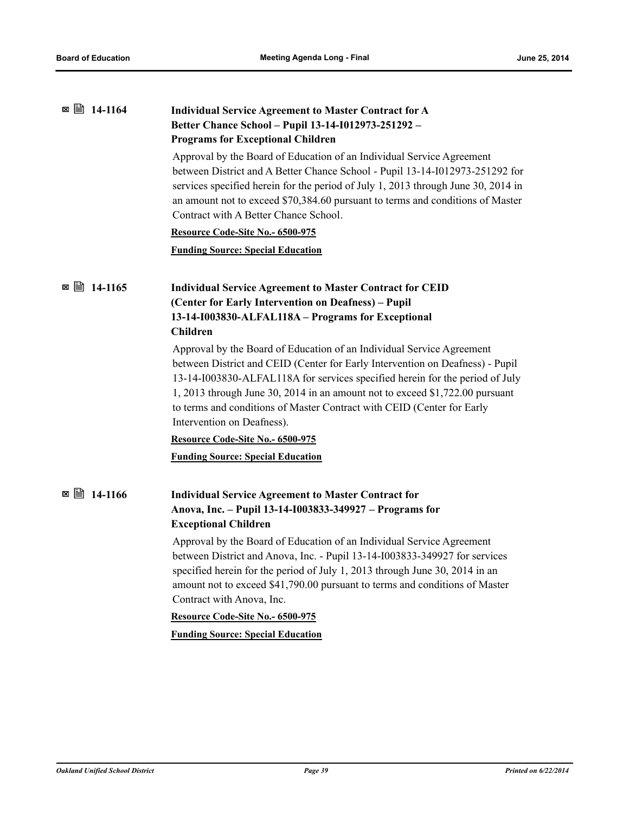| ■ ■ 14-1164 | <b>Individual Service Agreement to Master Contract for A</b><br>Better Chance School - Pupil 13-14-1012973-251292 -<br><b>Programs for Exceptional Children</b>                                                                                                                                                                                                                                                                |
|-------------|--------------------------------------------------------------------------------------------------------------------------------------------------------------------------------------------------------------------------------------------------------------------------------------------------------------------------------------------------------------------------------------------------------------------------------|
|             | Approval by the Board of Education of an Individual Service Agreement<br>between District and A Better Chance School - Pupil 13-14-I012973-251292 for<br>services specified herein for the period of July 1, 2013 through June 30, 2014 in<br>an amount not to exceed \$70,384.60 pursuant to terms and conditions of Master<br>Contract with A Better Chance School.                                                          |
|             | Resource Code-Site No.- 6500-975                                                                                                                                                                                                                                                                                                                                                                                               |
|             | <b>Funding Source: Special Education</b>                                                                                                                                                                                                                                                                                                                                                                                       |
| ⊠ ■ 14-1165 | <b>Individual Service Agreement to Master Contract for CEID</b><br>(Center for Early Intervention on Deafness) - Pupil<br>13-14-I003830-ALFAL118A - Programs for Exceptional<br><b>Children</b>                                                                                                                                                                                                                                |
|             | Approval by the Board of Education of an Individual Service Agreement<br>between District and CEID (Center for Early Intervention on Deafness) - Pupil<br>13-14-I003830-ALFAL118A for services specified herein for the period of July<br>1, 2013 through June 30, 2014 in an amount not to exceed \$1,722.00 pursuant<br>to terms and conditions of Master Contract with CEID (Center for Early<br>Intervention on Deafness). |
|             | Resource Code-Site No.- 6500-975                                                                                                                                                                                                                                                                                                                                                                                               |
|             | <b>Funding Source: Special Education</b>                                                                                                                                                                                                                                                                                                                                                                                       |
|             | <b>Individual Service Agreement to Master Contract for</b><br>Anova, Inc. - Pupil 13-14-I003833-349927 - Programs for<br><b>Exceptional Children</b>                                                                                                                                                                                                                                                                           |
|             | Approval by the Board of Education of an Individual Service Agreement<br>between District and Anova, Inc. - Pupil 13-14-I003833-349927 for services<br>specified herein for the period of July 1, 2013 through June 30, 2014 in an<br>amount not to exceed \$41,790.00 pursuant to terms and conditions of Master<br>Contract with Anova, Inc.                                                                                 |
|             | Resource Code-Site No.- 6500-975                                                                                                                                                                                                                                                                                                                                                                                               |
|             | <b>Funding Source: Special Education</b>                                                                                                                                                                                                                                                                                                                                                                                       |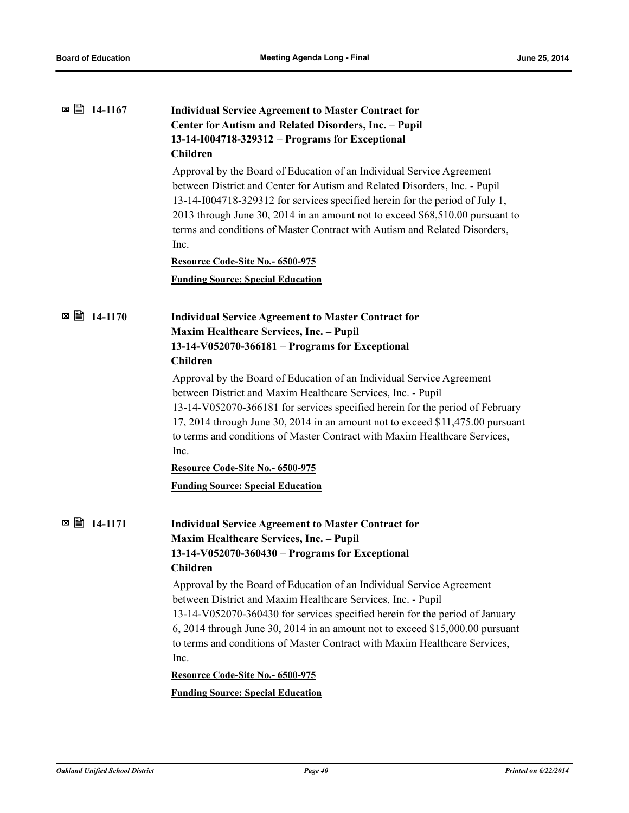| ■ 14-1167<br>$\boldsymbol{\mathsf{x}}$ | <b>Individual Service Agreement to Master Contract for</b><br>Center for Autism and Related Disorders, Inc. - Pupil                                                                                                                                                                                                                                                                                                              |
|----------------------------------------|----------------------------------------------------------------------------------------------------------------------------------------------------------------------------------------------------------------------------------------------------------------------------------------------------------------------------------------------------------------------------------------------------------------------------------|
|                                        | 13-14-1004718-329312 - Programs for Exceptional                                                                                                                                                                                                                                                                                                                                                                                  |
|                                        | <b>Children</b>                                                                                                                                                                                                                                                                                                                                                                                                                  |
|                                        | Approval by the Board of Education of an Individual Service Agreement<br>between District and Center for Autism and Related Disorders, Inc. - Pupil<br>13-14-I004718-329312 for services specified herein for the period of July 1,<br>2013 through June 30, 2014 in an amount not to exceed \$68,510.00 pursuant to<br>terms and conditions of Master Contract with Autism and Related Disorders,<br>Inc.                       |
|                                        | Resource Code-Site No.- 6500-975                                                                                                                                                                                                                                                                                                                                                                                                 |
|                                        | <b>Funding Source: Special Education</b>                                                                                                                                                                                                                                                                                                                                                                                         |
| $\boxtimes$ ■ 14-1170                  | <b>Individual Service Agreement to Master Contract for</b><br>Maxim Healthcare Services, Inc. - Pupil                                                                                                                                                                                                                                                                                                                            |
|                                        | 13-14-V052070-366181 - Programs for Exceptional                                                                                                                                                                                                                                                                                                                                                                                  |
|                                        | <b>Children</b>                                                                                                                                                                                                                                                                                                                                                                                                                  |
|                                        | Approval by the Board of Education of an Individual Service Agreement<br>between District and Maxim Healthcare Services, Inc. - Pupil<br>13-14-V052070-366181 for services specified herein for the period of February<br>17, 2014 through June 30, 2014 in an amount not to exceed \$11,475.00 pursuant<br>to terms and conditions of Master Contract with Maxim Healthcare Services,<br>Inc.                                   |
|                                        | Resource Code-Site No.- 6500-975                                                                                                                                                                                                                                                                                                                                                                                                 |
|                                        | <b>Funding Source: Special Education</b>                                                                                                                                                                                                                                                                                                                                                                                         |
| ■ 14-1171<br>×                         | <b>Individual Service Agreement to Master Contract for</b><br>Maxim Healthcare Services, Inc. - Pupil<br>13-14-V052070-360430 - Programs for Exceptional<br><b>Children</b>                                                                                                                                                                                                                                                      |
|                                        | Approval by the Board of Education of an Individual Service Agreement<br>between District and Maxim Healthcare Services, Inc. - Pupil<br>13-14-V052070-360430 for services specified herein for the period of January<br>6, 2014 through June 30, 2014 in an amount not to exceed \$15,000.00 pursuant<br>to terms and conditions of Master Contract with Maxim Healthcare Services,<br>Inc.<br>Resource Code-Site No.- 6500-975 |
|                                        | <b>Funding Source: Special Education</b>                                                                                                                                                                                                                                                                                                                                                                                         |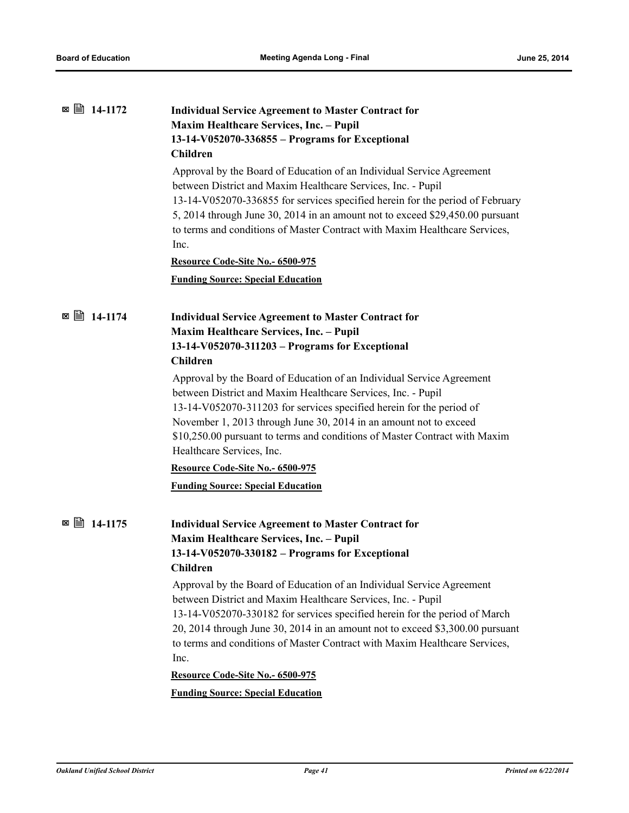|             | <b>Individual Service Agreement to Master Contract for</b>                    |
|-------------|-------------------------------------------------------------------------------|
|             | Maxim Healthcare Services, Inc. - Pupil                                       |
|             | 13-14-V052070-336855 - Programs for Exceptional                               |
|             | <b>Children</b>                                                               |
|             | Approval by the Board of Education of an Individual Service Agreement         |
|             | between District and Maxim Healthcare Services, Inc. - Pupil                  |
|             | 13-14-V052070-336855 for services specified herein for the period of February |
|             | 5, 2014 through June 30, 2014 in an amount not to exceed \$29,450.00 pursuant |
|             | to terms and conditions of Master Contract with Maxim Healthcare Services,    |
|             | Inc.                                                                          |
|             | Resource Code-Site No.- 6500-975                                              |
|             | <b>Funding Source: Special Education</b>                                      |
|             |                                                                               |
| ⊠ ■ 14-1174 | <b>Individual Service Agreement to Master Contract for</b>                    |
|             | <b>Maxim Healthcare Services, Inc. - Pupil</b>                                |
|             | 13-14-V052070-311203 - Programs for Exceptional                               |
|             | <b>Children</b>                                                               |
|             | Approval by the Board of Education of an Individual Service Agreement         |
|             | between District and Maxim Healthcare Services, Inc. - Pupil                  |
|             | 13-14-V052070-311203 for services specified herein for the period of          |
|             | November 1, 2013 through June 30, 2014 in an amount not to exceed             |
|             | \$10,250.00 pursuant to terms and conditions of Master Contract with Maxim    |
|             | Healthcare Services, Inc.                                                     |
|             | Resource Code-Site No.- 6500-975                                              |
|             | <b>Funding Source: Special Education</b>                                      |
|             |                                                                               |
|             | <b>Individual Service Agreement to Master Contract for</b>                    |
|             | <b>Maxim Healthcare Services, Inc. - Pupil</b>                                |
|             | 13-14-V052070-330182 - Programs for Exceptional                               |
|             | <b>Children</b>                                                               |
|             | Approval by the Board of Education of an Individual Service Agreement         |
|             | between District and Maxim Healthcare Services, Inc. - Pupil                  |
|             | 13-14-V052070-330182 for services specified herein for the period of March    |
|             | 20, 2014 through June 30, 2014 in an amount not to exceed \$3,300.00 pursuant |
|             | to terms and conditions of Master Contract with Maxim Healthcare Services,    |
|             | Inc.                                                                          |
|             | Resource Code-Site No.- 6500-975                                              |
|             | <b>Funding Source: Special Education</b>                                      |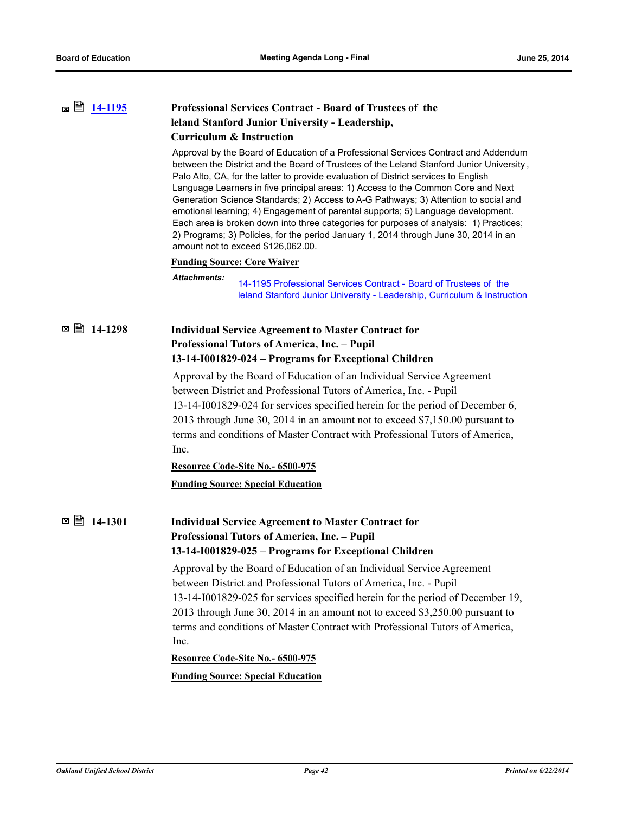**■ ■ [14-1195](http://ousd.legistar.com/gateway.aspx?m=l&id=/matter.aspx?key=32885) Professional Services Contract - Board of Trustees of the** 

|  | leland Stanford Junior University - Leadership,                                                                                                                                                                                                                                                                                                                                                                                                                                                                                                                                                                                                                                                                                                               |
|--|---------------------------------------------------------------------------------------------------------------------------------------------------------------------------------------------------------------------------------------------------------------------------------------------------------------------------------------------------------------------------------------------------------------------------------------------------------------------------------------------------------------------------------------------------------------------------------------------------------------------------------------------------------------------------------------------------------------------------------------------------------------|
|  | <b>Curriculum &amp; Instruction</b>                                                                                                                                                                                                                                                                                                                                                                                                                                                                                                                                                                                                                                                                                                                           |
|  | Approval by the Board of Education of a Professional Services Contract and Addendum<br>between the District and the Board of Trustees of the Leland Stanford Junior University,<br>Palo Alto, CA, for the latter to provide evaluation of District services to English<br>Language Learners in five principal areas: 1) Access to the Common Core and Next<br>Generation Science Standards; 2) Access to A-G Pathways; 3) Attention to social and<br>emotional learning; 4) Engagement of parental supports; 5) Language development.<br>Each area is broken down into three categories for purposes of analysis: 1) Practices;<br>2) Programs; 3) Policies, for the period January 1, 2014 through June 30, 2014 in an<br>amount not to exceed \$126,062.00. |
|  | <b>Funding Source: Core Waiver</b>                                                                                                                                                                                                                                                                                                                                                                                                                                                                                                                                                                                                                                                                                                                            |
|  | Attachments:<br>14-1195 Professional Services Contract - Board of Trustees of the<br>leland Stanford Junior University - Leadership, Curriculum & Instruction                                                                                                                                                                                                                                                                                                                                                                                                                                                                                                                                                                                                 |
|  | <b>Individual Service Agreement to Master Contract for</b>                                                                                                                                                                                                                                                                                                                                                                                                                                                                                                                                                                                                                                                                                                    |
|  | Professional Tutors of America, Inc. - Pupil                                                                                                                                                                                                                                                                                                                                                                                                                                                                                                                                                                                                                                                                                                                  |
|  | 13-14-I001829-024 – Programs for Exceptional Children                                                                                                                                                                                                                                                                                                                                                                                                                                                                                                                                                                                                                                                                                                         |
|  | Approval by the Board of Education of an Individual Service Agreement                                                                                                                                                                                                                                                                                                                                                                                                                                                                                                                                                                                                                                                                                         |
|  | between District and Professional Tutors of America, Inc. - Pupil                                                                                                                                                                                                                                                                                                                                                                                                                                                                                                                                                                                                                                                                                             |
|  | 13-14-I001829-024 for services specified herein for the period of December 6,                                                                                                                                                                                                                                                                                                                                                                                                                                                                                                                                                                                                                                                                                 |
|  | 2013 through June 30, 2014 in an amount not to exceed \$7,150.00 pursuant to                                                                                                                                                                                                                                                                                                                                                                                                                                                                                                                                                                                                                                                                                  |
|  | terms and conditions of Master Contract with Professional Tutors of America,                                                                                                                                                                                                                                                                                                                                                                                                                                                                                                                                                                                                                                                                                  |
|  | Inc.<br>Resource Code-Site No.- 6500-975                                                                                                                                                                                                                                                                                                                                                                                                                                                                                                                                                                                                                                                                                                                      |
|  |                                                                                                                                                                                                                                                                                                                                                                                                                                                                                                                                                                                                                                                                                                                                                               |
|  | <b>Funding Source: Special Education</b>                                                                                                                                                                                                                                                                                                                                                                                                                                                                                                                                                                                                                                                                                                                      |
|  | <b>Individual Service Agreement to Master Contract for</b>                                                                                                                                                                                                                                                                                                                                                                                                                                                                                                                                                                                                                                                                                                    |
|  | Professional Tutors of America, Inc. - Pupil                                                                                                                                                                                                                                                                                                                                                                                                                                                                                                                                                                                                                                                                                                                  |
|  | 13-14-I001829-025 – Programs for Exceptional Children                                                                                                                                                                                                                                                                                                                                                                                                                                                                                                                                                                                                                                                                                                         |
|  | Approval by the Board of Education of an Individual Service Agreement                                                                                                                                                                                                                                                                                                                                                                                                                                                                                                                                                                                                                                                                                         |
|  | between District and Professional Tutors of America, Inc. - Pupil                                                                                                                                                                                                                                                                                                                                                                                                                                                                                                                                                                                                                                                                                             |
|  | 13-14-I001829-025 for services specified herein for the period of December 19,                                                                                                                                                                                                                                                                                                                                                                                                                                                                                                                                                                                                                                                                                |
|  | 2013 through June 30, 2014 in an amount not to exceed \$3,250.00 pursuant to                                                                                                                                                                                                                                                                                                                                                                                                                                                                                                                                                                                                                                                                                  |
|  | terms and conditions of Master Contract with Professional Tutors of America,                                                                                                                                                                                                                                                                                                                                                                                                                                                                                                                                                                                                                                                                                  |
|  | Inc.                                                                                                                                                                                                                                                                                                                                                                                                                                                                                                                                                                                                                                                                                                                                                          |
|  | Resource Code-Site No.- 6500-975                                                                                                                                                                                                                                                                                                                                                                                                                                                                                                                                                                                                                                                                                                                              |

**Funding Source: Special Education**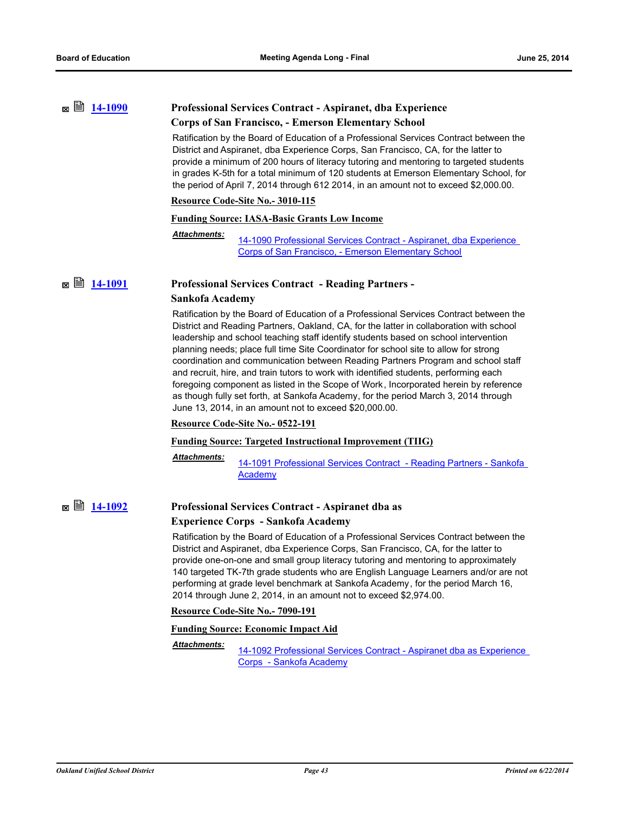| ⊠ ■ 14-1090 | Professional Services Contract - Aspiranet, dba Experience |
|-------------|------------------------------------------------------------|
|             | <b>Corps of San Francisco, - Emerson Elementary School</b> |

Ratification by the Board of Education of a Professional Services Contract between the District and Aspiranet, dba Experience Corps, San Francisco, CA, for the latter to provide a minimum of 200 hours of literacy tutoring and mentoring to targeted students in grades K-5th for a total minimum of 120 students at Emerson Elementary School, for the period of April 7, 2014 through 612 2014, in an amount not to exceed \$2,000.00.

#### **Resource Code-Site No.- 3010-115**

#### **Funding Source: IASA-Basic Grants Low Income**

[14-1090 Professional Services Contract - Aspiranet, dba Experience](http://ousd.legistar.com/gateway.aspx?M=F&ID=76512.pdf)  Corps of San Francisco, - Emerson Elementary School *Attachments:*

## **[14-1091](http://ousd.legistar.com/gateway.aspx?m=l&id=/matter.aspx?key=32791) Professional Services Contract - Reading Partners - Sankofa Academy**

Ratification by the Board of Education of a Professional Services Contract between the District and Reading Partners, Oakland, CA, for the latter in collaboration with school leadership and school teaching staff identify students based on school intervention planning needs; place full time Site Coordinator for school site to allow for strong coordination and communication between Reading Partners Program and school staff and recruit, hire, and train tutors to work with identified students, performing each foregoing component as listed in the Scope of Work, Incorporated herein by reference as though fully set forth, at Sankofa Academy, for the period March 3, 2014 through June 13, 2014, in an amount not to exceed \$20,000.00.

### **Resource Code-Site No.- 0522-191**

#### **Funding Source: Targeted Instructional Improvement (TIIG)**

[14-1091 Professional Services Contract - Reading Partners - Sankofa](http://ousd.legistar.com/gateway.aspx?M=F&ID=76513.pdf)  Academy *Attachments:*

# **[14-1092](http://ousd.legistar.com/gateway.aspx?m=l&id=/matter.aspx?key=32792) Professional Services Contract - Aspiranet dba as**

## **Experience Corps - Sankofa Academy**

Ratification by the Board of Education of a Professional Services Contract between the District and Aspiranet, dba Experience Corps, San Francisco, CA, for the latter to provide one-on-one and small group literacy tutoring and mentoring to approximately 140 targeted TK-7th grade students who are English Language Learners and/or are not performing at grade level benchmark at Sankofa Academy, for the period March 16, 2014 through June 2, 2014, in an amount not to exceed \$2,974.00.

#### **Resource Code-Site No.- 7090-191**

### **Funding Source: Economic Impact Aid**

[14-1092 Professional Services Contract - Aspiranet dba as Experience](http://ousd.legistar.com/gateway.aspx?M=F&ID=76514.pdf)  *Attachments:*

Corps - Sankofa Academy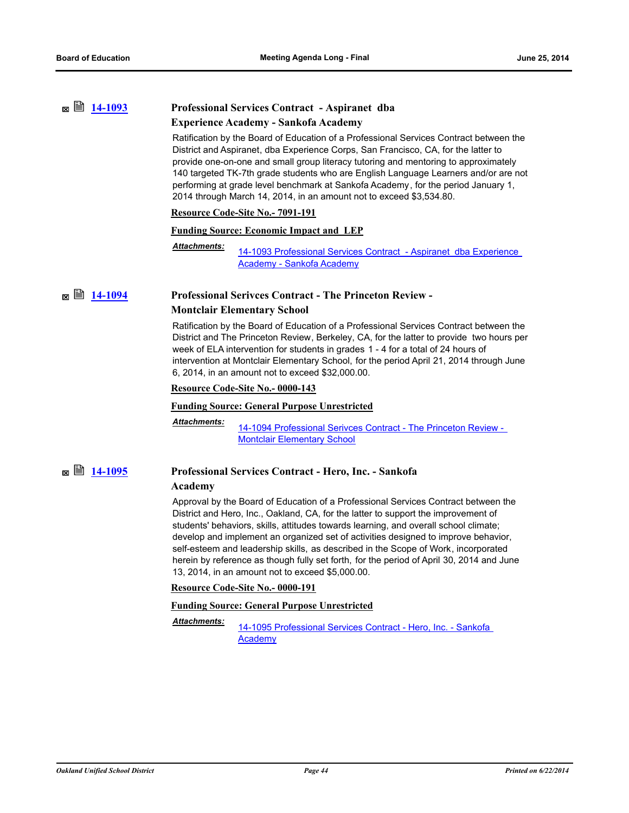## **[14-1093](http://ousd.legistar.com/gateway.aspx?m=l&id=/matter.aspx?key=32793) Professional Services Contract - Aspiranet dba Experience Academy - Sankofa Academy**

Ratification by the Board of Education of a Professional Services Contract between the District and Aspiranet, dba Experience Corps, San Francisco, CA, for the latter to provide one-on-one and small group literacy tutoring and mentoring to approximately 140 targeted TK-7th grade students who are English Language Learners and/or are not performing at grade level benchmark at Sankofa Academy, for the period January 1, 2014 through March 14, 2014, in an amount not to exceed \$3,534.80.

#### **Resource Code-Site No.- 7091-191**

#### **Funding Source: Economic Impact and LEP**

[14-1093 Professional Services Contract - Aspiranet dba Experience](http://ousd.legistar.com/gateway.aspx?M=F&ID=76515.pdf)  Academy - Sankofa Academy *Attachments:*

## **[14-1094](http://ousd.legistar.com/gateway.aspx?m=l&id=/matter.aspx?key=32794) Professional Serivces Contract - The Princeton Review - Montclair Elementary School**

Ratification by the Board of Education of a Professional Services Contract between the District and The Princeton Review, Berkeley, CA, for the latter to provide two hours per week of ELA intervention for students in grades 1 - 4 for a total of 24 hours of intervention at Montclair Elementary School, for the period April 21, 2014 through June 6, 2014, in an amount not to exceed \$32,000.00.

**Resource Code-Site No.- 0000-143**

#### **Funding Source: General Purpose Unrestricted**

*Attachments:*

[14-1094 Professional Serivces Contract - The Princeton Review -](http://ousd.legistar.com/gateway.aspx?M=F&ID=76516.pdf)  Montclair Elementary School

## **[14-1095](http://ousd.legistar.com/gateway.aspx?m=l&id=/matter.aspx?key=32795) Professional Services Contract - Hero, Inc. - Sankofa**

### **Academy**

Approval by the Board of Education of a Professional Services Contract between the District and Hero, Inc., Oakland, CA, for the latter to support the improvement of students' behaviors, skills, attitudes towards learning, and overall school climate; develop and implement an organized set of activities designed to improve behavior, self-esteem and leadership skills, as described in the Scope of Work, incorporated herein by reference as though fully set forth, for the period of April 30, 2014 and June 13, 2014, in an amount not to exceed \$5,000.00.

**Resource Code-Site No.- 0000-191**

#### **Funding Source: General Purpose Unrestricted**

*Attachments:*

[14-1095 Professional Services Contract - Hero, Inc. - Sankofa](http://ousd.legistar.com/gateway.aspx?M=F&ID=76517.pdf)  Academy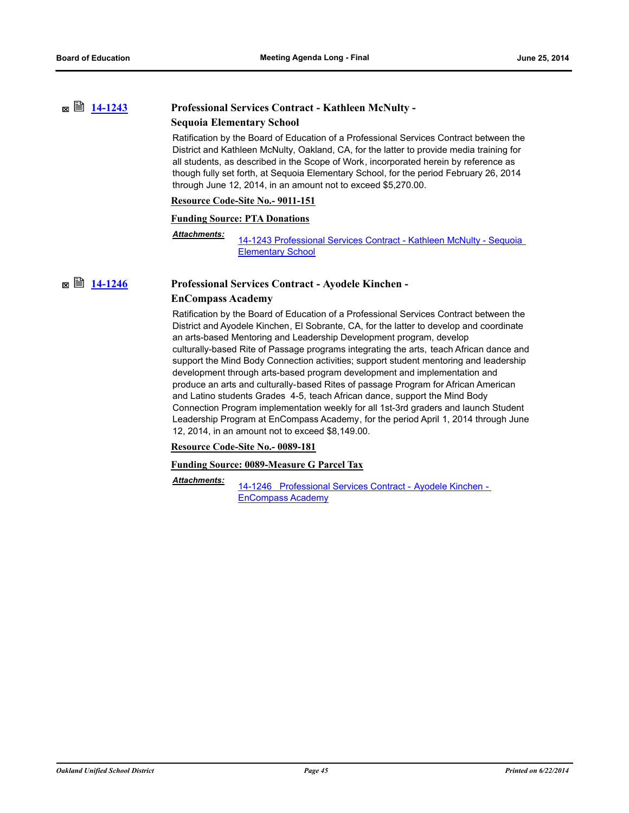## **■ ■ [14-1243](http://ousd.legistar.com/gateway.aspx?m=l&id=/matter.aspx?key=32931) Professional Services Contract - Kathleen McNulty -Sequoia Elementary School**

Ratification by the Board of Education of a Professional Services Contract between the District and Kathleen McNulty, Oakland, CA, for the latter to provide media training for all students, as described in the Scope of Work, incorporated herein by reference as though fully set forth, at Sequoia Elementary School, for the period February 26, 2014 through June 12, 2014, in an amount not to exceed \$5,270.00.

#### **Resource Code-Site No.- 9011-151**

#### **Funding Source: PTA Donations**

[14-1243 Professional Services Contract - Kathleen McNulty - Sequoia](http://ousd.legistar.com/gateway.aspx?M=F&ID=76560.pdf)  Elementary School *Attachments:*

## **<u>■ ■ [14-1246](http://ousd.legistar.com/gateway.aspx?m=l&id=/matter.aspx?key=32934)</u> Professional Services Contract - Ayodele Kinchen -EnCompass Academy**

Ratification by the Board of Education of a Professional Services Contract between the District and Ayodele Kinchen, El Sobrante, CA, for the latter to develop and coordinate an arts-based Mentoring and Leadership Development program, develop culturally-based Rite of Passage programs integrating the arts, teach African dance and support the Mind Body Connection activities; support student mentoring and leadership development through arts-based program development and implementation and produce an arts and culturally-based Rites of passage Program for African American and Latino students Grades 4-5, teach African dance, support the Mind Body Connection Program implementation weekly for all 1st-3rd graders and launch Student Leadership Program at EnCompass Academy, for the period April 1, 2014 through June 12, 2014, in an amount not to exceed \$8,149.00.

#### **Resource Code-Site No.- 0089-181**

#### **Funding Source: 0089-Measure G Parcel Tax**

*Attachments:*

[14-1246 Professional Services Contract - Ayodele Kinchen -](http://ousd.legistar.com/gateway.aspx?M=F&ID=76564.pdf)  EnCompass Academy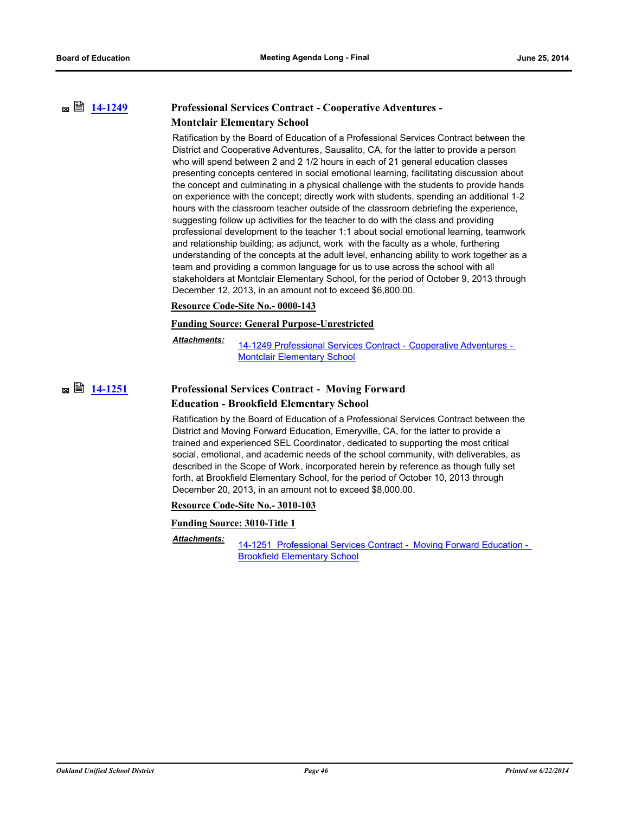## **<b>■** [14-1249](http://ousd.legistar.com/gateway.aspx?m=l&id=/matter.aspx?key=32937) **Professional Services Contract - Cooperative Adventures -Montclair Elementary School**

Ratification by the Board of Education of a Professional Services Contract between the District and Cooperative Adventures, Sausalito, CA, for the latter to provide a person who will spend between 2 and 2 1/2 hours in each of 21 general education classes presenting concepts centered in social emotional learning, facilitating discussion about the concept and culminating in a physical challenge with the students to provide hands on experience with the concept; directly work with students, spending an additional 1-2 hours with the classroom teacher outside of the classroom debriefing the experience, suggesting follow up activities for the teacher to do with the class and providing professional development to the teacher 1:1 about social emotional learning, teamwork and relationship building; as adjunct, work with the faculty as a whole, furthering understanding of the concepts at the adult level, enhancing ability to work together as a team and providing a common language for us to use across the school with all stakeholders at Montclair Elementary School, for the period of October 9, 2013 through December 12, 2013, in an amount not to exceed \$6,800.00.

#### **Resource Code-Site No.- 0000-143**

#### **Funding Source: General Purpose-Unrestricted**

*Attachments:*

[14-1249 Professional Services Contract - Cooperative Adventures -](http://ousd.legistar.com/gateway.aspx?M=F&ID=76567.pdf)  Montclair Elementary School

## **■ ■ [14-1251](http://ousd.legistar.com/gateway.aspx?m=l&id=/matter.aspx?key=32939) Professional Services Contract - Moving Forward Education - Brookfield Elementary School**

Ratification by the Board of Education of a Professional Services Contract between the District and Moving Forward Education, Emeryville, CA, for the latter to provide a trained and experienced SEL Coordinator, dedicated to supporting the most critical social, emotional, and academic needs of the school community, with deliverables, as described in the Scope of Work, incorporated herein by reference as though fully set forth, at Brookfield Elementary School, for the period of October 10, 2013 through December 20, 2013, in an amount not to exceed \$8,000.00.

#### **Resource Code-Site No.- 3010-103**

### **Funding Source: 3010-Title 1**

*Attachments:*

[14-1251 Professional Services Contract - Moving Forward Education -](http://ousd.legistar.com/gateway.aspx?M=F&ID=76571.pdf)  Brookfield Elementary School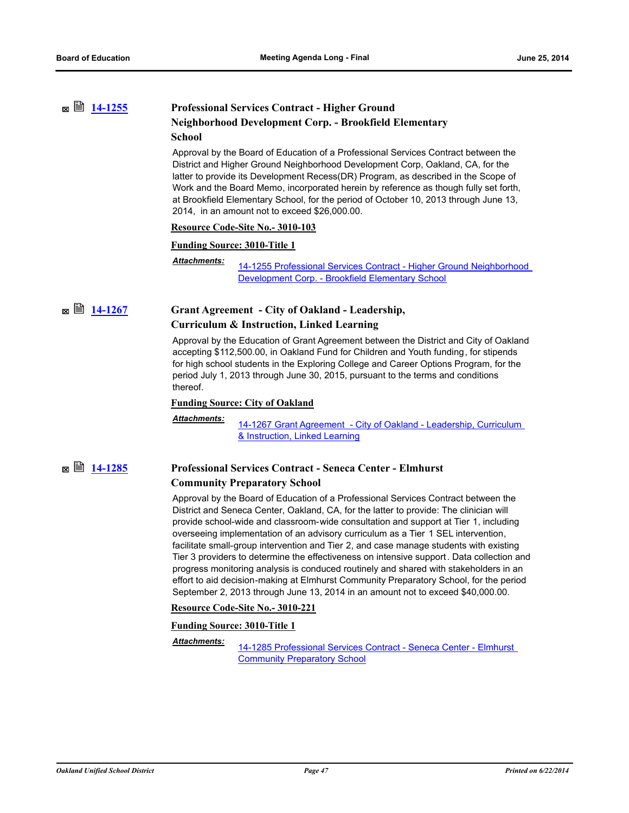## **[14-1255](http://ousd.legistar.com/gateway.aspx?m=l&id=/matter.aspx?key=32943) Professional Services Contract - Higher Ground Neighborhood Development Corp. - Brookfield Elementary School**

Approval by the Board of Education of a Professional Services Contract between the District and Higher Ground Neighborhood Development Corp, Oakland, CA, for the latter to provide its Development Recess(DR) Program, as described in the Scope of Work and the Board Memo, incorporated herein by reference as though fully set forth, at Brookfield Elementary School, for the period of October 10, 2013 through June 13, 2014, in an amount not to exceed \$26,000.00.

#### **Resource Code-Site No.- 3010-103**

#### **Funding Source: 3010-Title 1**

[14-1255 Professional Services Contract - Higher Ground Neighborhood](http://ousd.legistar.com/gateway.aspx?M=F&ID=76576.pdf)  Development Corp. - Brookfield Elementary School *Attachments:*

## **■ ■ [14-1267](http://ousd.legistar.com/gateway.aspx?m=l&id=/matter.aspx?key=32955) Grant Agreement - City of Oakland - Leadership, Curriculum & Instruction, Linked Learning**

Approval by the Education of Grant Agreement between the District and City of Oakland accepting \$112,500.00, in Oakland Fund for Children and Youth funding, for stipends for high school students in the Exploring College and Career Options Program, for the period July 1, 2013 through June 30, 2015, pursuant to the terms and conditions thereof.

#### **Funding Source: City of Oakland**

```
Attachments:
```
[14-1267 Grant Agreement - City of Oakland - Leadership, Curriculum](http://ousd.legistar.com/gateway.aspx?M=F&ID=76747.pdf)  & Instruction, Linked Learning

## **■ ■ [14-1285](http://ousd.legistar.com/gateway.aspx?m=l&id=/matter.aspx?key=32971) Professional Services Contract - Seneca Center - Elmhurst Community Preparatory School**

Approval by the Board of Education of a Professional Services Contract between the District and Seneca Center, Oakland, CA, for the latter to provide: The clinician will provide school-wide and classroom-wide consultation and support at Tier 1, including overseeing implementation of an advisory curriculum as a Tier 1 SEL intervention, facilitate small-group intervention and Tier 2, and case manage students with existing Tier 3 providers to determine the effectiveness on intensive support. Data collection and progress monitoring analysis is conduced routinely and shared with stakeholders in an effort to aid decision-making at Elmhurst Community Preparatory School, for the period September 2, 2013 through June 13, 2014 in an amount not to exceed \$40,000.00.

### **Resource Code-Site No.- 3010-221**

#### **Funding Source: 3010-Title 1**

[14-1285 Professional Services Contract - Seneca Center - Elmhurst](http://ousd.legistar.com/gateway.aspx?M=F&ID=76589.pdf)  Community Preparatory School *Attachments:*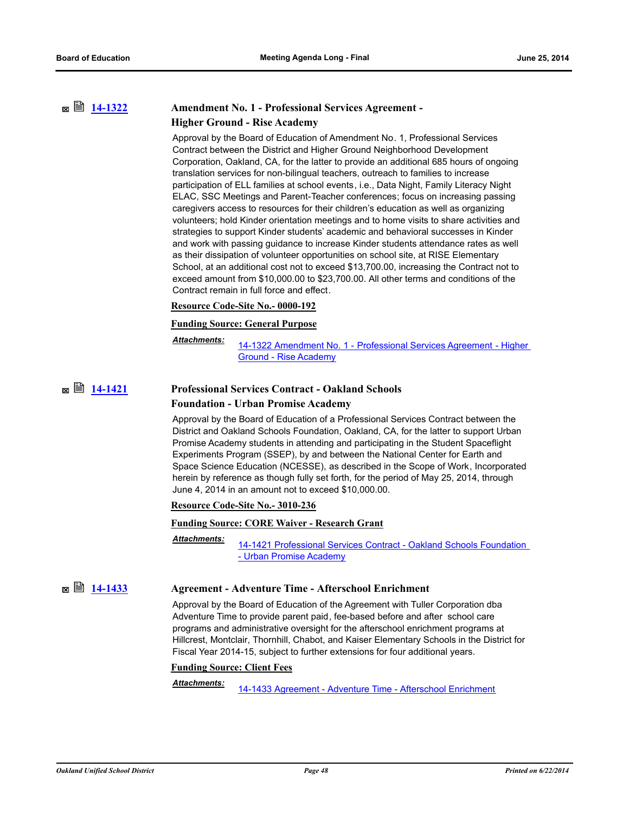## **[14-1322](http://ousd.legistar.com/gateway.aspx?m=l&id=/matter.aspx?key=33002) Amendment No. 1 - Professional Services Agreement - Higher Ground - Rise Academy**

Approval by the Board of Education of Amendment No. 1, Professional Services Contract between the District and Higher Ground Neighborhood Development Corporation, Oakland, CA, for the latter to provide an additional 685 hours of ongoing translation services for non-bilingual teachers, outreach to families to increase participation of ELL families at school events, i.e., Data Night, Family Literacy Night ELAC, SSC Meetings and Parent-Teacher conferences; focus on increasing passing caregivers access to resources for their children's education as well as organizing volunteers; hold Kinder orientation meetings and to home visits to share activities and strategies to support Kinder students' academic and behavioral successes in Kinder and work with passing guidance to increase Kinder students attendance rates as well as their dissipation of volunteer opportunities on school site, at RISE Elementary School, at an additional cost not to exceed \$13,700.00, increasing the Contract not to exceed amount from \$10,000.00 to \$23,700.00. All other terms and conditions of the Contract remain in full force and effect.

#### **Resource Code-Site No.- 0000-192**

#### **Funding Source: General Purpose**

*Attachments:*

[14-1322 Amendment No. 1 - Professional Services Agreement - Higher](http://ousd.legistar.com/gateway.aspx?M=F&ID=76744.pdf)  Ground - Rise Academy

## **[14-1421](http://ousd.legistar.com/gateway.aspx?m=l&id=/matter.aspx?key=33101) Professional Services Contract - Oakland Schools Foundation - Urban Promise Academy**

Approval by the Board of Education of a Professional Services Contract between the District and Oakland Schools Foundation, Oakland, CA, for the latter to support Urban Promise Academy students in attending and participating in the Student Spaceflight Experiments Program (SSEP), by and between the National Center for Earth and Space Science Education (NCESSE), as described in the Scope of Work, Incorporated herein by reference as though fully set forth, for the period of May 25, 2014, through June 4, 2014 in an amount not to exceed \$10,000.00.

### **Resource Code-Site No.- 3010-236**

#### **Funding Source: CORE Waiver - Research Grant**

*Attachments:*

[14-1421 Professional Services Contract - Oakland Schools Foundation](http://ousd.legistar.com/gateway.aspx?M=F&ID=76714.pdf)  - Urban Promise Academy

**■ ■ [14-1433](http://ousd.legistar.com/gateway.aspx?m=l&id=/matter.aspx?key=33109) Agreement - Adventure Time - Afterschool Enrichment** 

Approval by the Board of Education of the Agreement with Tuller Corporation dba Adventure Time to provide parent paid, fee-based before and after school care programs and administrative oversight for the afterschool enrichment programs at Hillcrest, Montclair, Thornhill, Chabot, and Kaiser Elementary Schools in the District for Fiscal Year 2014-15, subject to further extensions for four additional years.

#### **Funding Source: Client Fees**

[14-1433 Agreement - Adventure Time - Afterschool Enrichment](http://ousd.legistar.com/gateway.aspx?M=F&ID=76772.pdf) *Attachments:*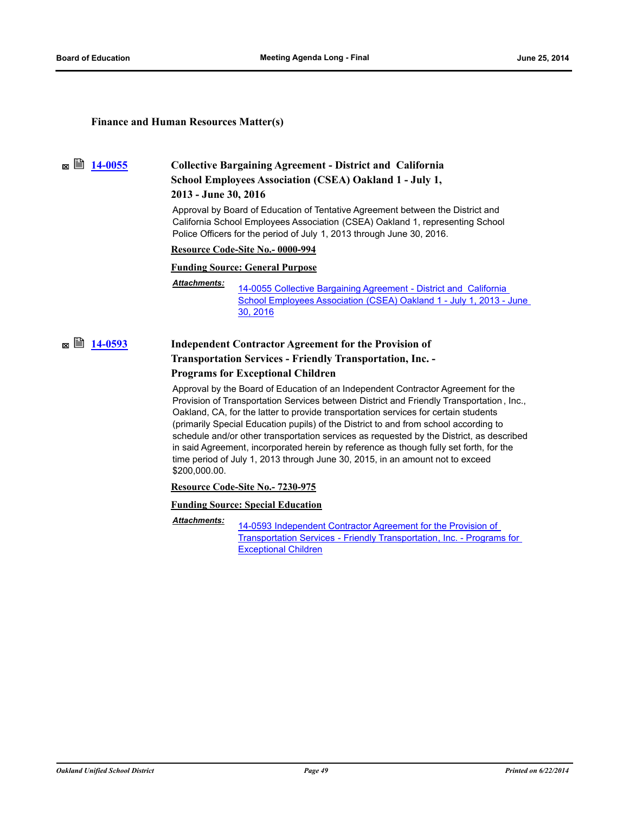#### **Finance and Human Resources Matter(s)**

## **[14-0055](http://ousd.legistar.com/gateway.aspx?m=l&id=/matter.aspx?key=31767) Collective Bargaining Agreement - District and California School Employees Association (CSEA) Oakland 1 - July 1, 2013 - June 30, 2016**

Approval by Board of Education of Tentative Agreement between the District and California School Employees Association (CSEA) Oakland 1, representing School Police Officers for the period of July 1, 2013 through June 30, 2016.

#### **Resource Code-Site No.- 0000-994**

#### **Funding Source: General Purpose**

14-0055 Collective Bargaining Agreement - District and California [School Employees Association \(CSEA\) Oakland 1 - July 1, 2013 - June](http://ousd.legistar.com/gateway.aspx?M=F&ID=76752.pdf)  30, 2016 *Attachments:*

## **■ ■ [14-0593](http://ousd.legistar.com/gateway.aspx?m=l&id=/matter.aspx?key=32298)** Independent Contractor Agreement for the Provision of **Transportation Services - Friendly Transportation, Inc. - Programs for Exceptional Children**

Approval by the Board of Education of an Independent Contractor Agreement for the Provision of Transportation Services between District and Friendly Transportation , Inc., Oakland, CA, for the latter to provide transportation services for certain students (primarily Special Education pupils) of the District to and from school according to schedule and/or other transportation services as requested by the District, as described in said Agreement, incorporated herein by reference as though fully set forth, for the time period of July 1, 2013 through June 30, 2015, in an amount not to exceed \$200,000.00.

**Resource Code-Site No.- 7230-975**

#### **Funding Source: Special Education**

14-0593 Independent Contractor Agreement for the Provision of [Transportation Services - Friendly Transportation, Inc. - Programs for](http://ousd.legistar.com/gateway.aspx?M=F&ID=76698.pdf)  Exceptional Children *Attachments:*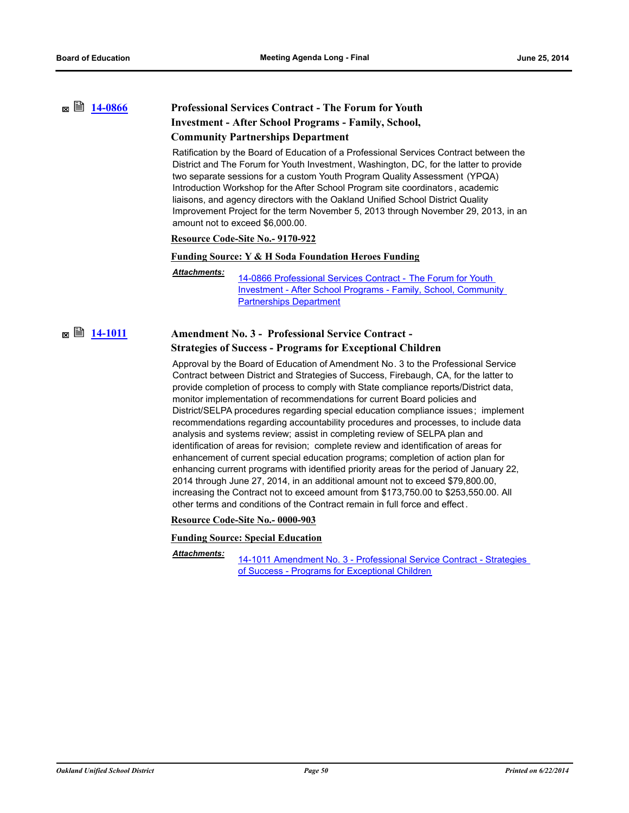## **[14-0866](http://ousd.legistar.com/gateway.aspx?m=l&id=/matter.aspx?key=32568) Professional Services Contract - The Forum for Youth Investment - After School Programs - Family, School, Community Partnerships Department**

Ratification by the Board of Education of a Professional Services Contract between the District and The Forum for Youth Investment, Washington, DC, for the latter to provide two separate sessions for a custom Youth Program Quality Assessment (YPQA) Introduction Workshop for the After School Program site coordinators , academic liaisons, and agency directors with the Oakland Unified School District Quality Improvement Project for the term November 5, 2013 through November 29, 2013, in an amount not to exceed \$6,000.00.

#### **Resource Code-Site No.- 9170-922**

#### **Funding Source: Y & H Soda Foundation Heroes Funding**

*Attachments:*

14-0866 Professional Services Contract - The Forum for Youth [Investment - After School Programs - Family, School, Community](http://ousd.legistar.com/gateway.aspx?M=F&ID=76720.pdf)  Partnerships Department

**<b>■ [14-1011](http://ousd.legistar.com/gateway.aspx?m=l&id=/matter.aspx?key=32711) Amendment No. 3 - Professional Service Contract -Strategies of Success - Programs for Exceptional Children**

> Approval by the Board of Education of Amendment No. 3 to the Professional Service Contract between District and Strategies of Success, Firebaugh, CA, for the latter to provide completion of process to comply with State compliance reports/District data, monitor implementation of recommendations for current Board policies and District/SELPA procedures regarding special education compliance issues; implement recommendations regarding accountability procedures and processes, to include data analysis and systems review; assist in completing review of SELPA plan and identification of areas for revision; complete review and identification of areas for enhancement of current special education programs; completion of action plan for enhancing current programs with identified priority areas for the period of January 22, 2014 through June 27, 2014, in an additional amount not to exceed \$79,800.00, increasing the Contract not to exceed amount from \$173,750.00 to \$253,550.00. All other terms and conditions of the Contract remain in full force and effect .

**Resource Code-Site No.- 0000-903**

#### **Funding Source: Special Education**

#### *Attachments:*

[14-1011 Amendment No. 3 - Professional Service Contract - Strategies](http://ousd.legistar.com/gateway.aspx?M=F&ID=76699.pdf)  of Success - Programs for Exceptional Children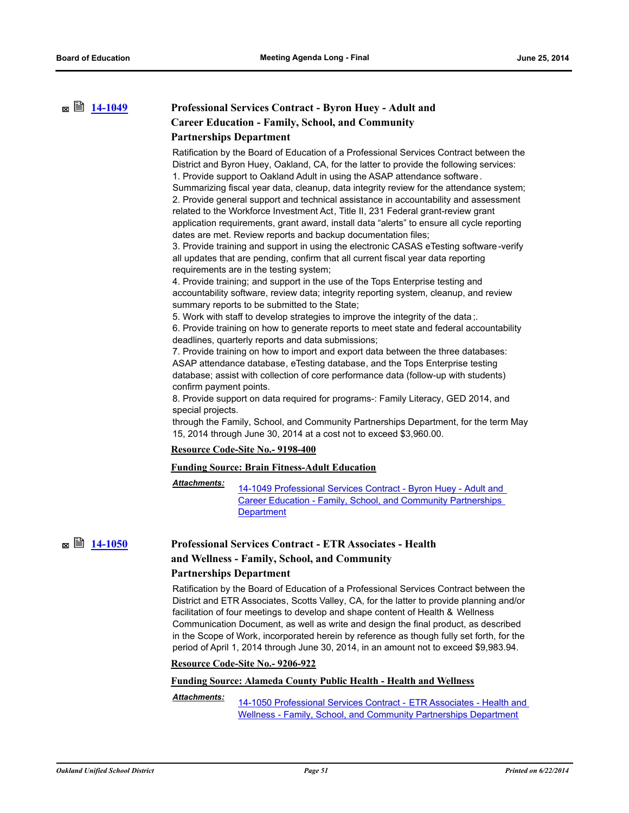## **[14-1049](http://ousd.legistar.com/gateway.aspx?m=l&id=/matter.aspx?key=32749) Professional Services Contract - Byron Huey - Adult and Career Education - Family, School, and Community Partnerships Department**

Ratification by the Board of Education of a Professional Services Contract between the District and Byron Huey, Oakland, CA, for the latter to provide the following services: 1. Provide support to Oakland Adult in using the ASAP attendance software.

Summarizing fiscal year data, cleanup, data integrity review for the attendance system; 2. Provide general support and technical assistance in accountability and assessment related to the Workforce Investment Act, Title II, 231 Federal grant-review grant application requirements, grant award, install data "alerts" to ensure all cycle reporting dates are met. Review reports and backup documentation files;

3. Provide training and support in using the electronic CASAS eTesting software-verify all updates that are pending, confirm that all current fiscal year data reporting requirements are in the testing system;

4. Provide training; and support in the use of the Tops Enterprise testing and accountability software, review data; integrity reporting system, cleanup, and review summary reports to be submitted to the State;

5. Work with staff to develop strategies to improve the integrity of the data ;.

6. Provide training on how to generate reports to meet state and federal accountability deadlines, quarterly reports and data submissions;

7. Provide training on how to import and export data between the three databases: ASAP attendance database, eTesting database, and the Tops Enterprise testing database; assist with collection of core performance data (follow-up with students) confirm payment points.

8. Provide support on data required for programs-: Family Literacy, GED 2014, and special projects.

through the Family, School, and Community Partnerships Department, for the term May 15, 2014 through June 30, 2014 at a cost not to exceed \$3,960.00.

#### **Resource Code-Site No.- 9198-400**

#### **Funding Source: Brain Fitness-Adult Education**

#### *Attachments:*

[14-1049 Professional Services Contract - Byron Huey - Adult and](http://ousd.legistar.com/gateway.aspx?M=F&ID=76491.pdf)  Career Education - Family, School, and Community Partnerships **Department** 

## **[14-1050](http://ousd.legistar.com/gateway.aspx?m=l&id=/matter.aspx?key=32750) Professional Services Contract - ETR Associates - Health and Wellness - Family, School, and Community Partnerships Department**

Ratification by the Board of Education of a Professional Services Contract between the District and ETR Associates, Scotts Valley, CA, for the latter to provide planning and/or facilitation of four meetings to develop and shape content of Health & Wellness Communication Document, as well as write and design the final product, as described in the Scope of Work, incorporated herein by reference as though fully set forth, for the period of April 1, 2014 through June 30, 2014, in an amount not to exceed \$9,983.94.

**Resource Code-Site No.- 9206-922**

## **Funding Source: Alameda County Public Health - Health and Wellness**

[14-1050 Professional Services Contract - ETR Associates - Health and](http://ousd.legistar.com/gateway.aspx?M=F&ID=76492.pdf)  Wellness - Family, School, and Community Partnerships Department *Attachments:*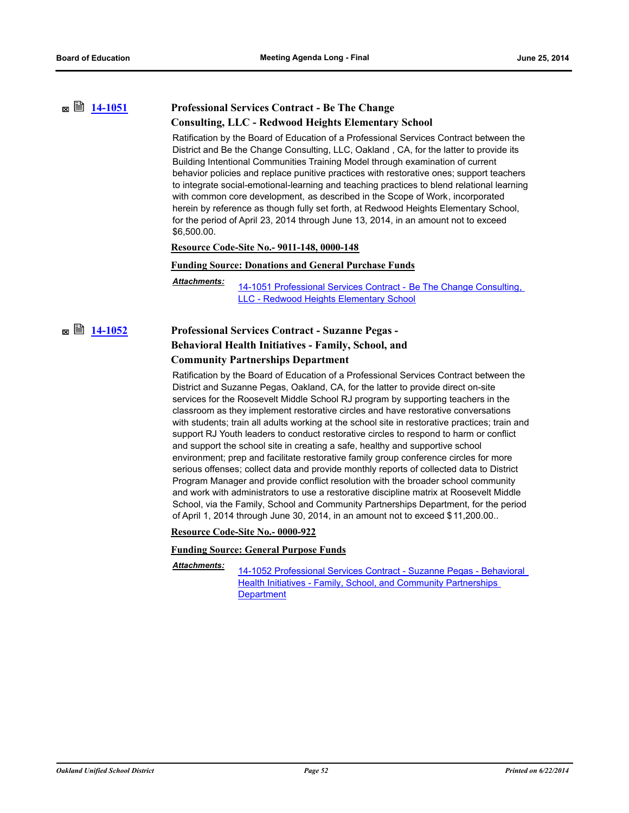## **[14-1051](http://ousd.legistar.com/gateway.aspx?m=l&id=/matter.aspx?key=32751) Professional Services Contract - Be The Change Consulting, LLC - Redwood Heights Elementary School**

Ratification by the Board of Education of a Professional Services Contract between the District and Be the Change Consulting, LLC, Oakland , CA, for the latter to provide its Building Intentional Communities Training Model through examination of current behavior policies and replace punitive practices with restorative ones; support teachers to integrate social-emotional-learning and teaching practices to blend relational learning with common core development, as described in the Scope of Work, incorporated herein by reference as though fully set forth, at Redwood Heights Elementary School, for the period of April 23, 2014 through June 13, 2014, in an amount not to exceed \$6,500.00.

#### **Resource Code-Site No.- 9011-148, 0000-148**

#### **Funding Source: Donations and General Purchase Funds**

*Attachments:*

[14-1051 Professional Services Contract - Be The Change Consulting,](http://ousd.legistar.com/gateway.aspx?M=F&ID=76493.pdf)  LLC - Redwood Heights Elementary School

**[14-1052](http://ousd.legistar.com/gateway.aspx?m=l&id=/matter.aspx?key=32752) Professional Services Contract - Suzanne Pegas -** 

# **Behavioral Health Initiatives - Family, School, and Community Partnerships Department**

Ratification by the Board of Education of a Professional Services Contract between the District and Suzanne Pegas, Oakland, CA, for the latter to provide direct on-site services for the Roosevelt Middle School RJ program by supporting teachers in the classroom as they implement restorative circles and have restorative conversations with students; train all adults working at the school site in restorative practices; train and support RJ Youth leaders to conduct restorative circles to respond to harm or conflict and support the school site in creating a safe, healthy and supportive school environment; prep and facilitate restorative family group conference circles for more serious offenses; collect data and provide monthly reports of collected data to District Program Manager and provide conflict resolution with the broader school community and work with administrators to use a restorative discipline matrix at Roosevelt Middle School, via the Family, School and Community Partnerships Department, for the period of April 1, 2014 through June 30, 2014, in an amount not to exceed \$11,200.00..

#### **Resource Code-Site No.- 0000-922**

#### **Funding Source: General Purpose Funds**

*Attachments:*

[14-1052 Professional Services Contract - Suzanne Pegas - Behavioral](http://ousd.legistar.com/gateway.aspx?M=F&ID=76494.pdf)  Health Initiatives - Family, School, and Community Partnerships **Department**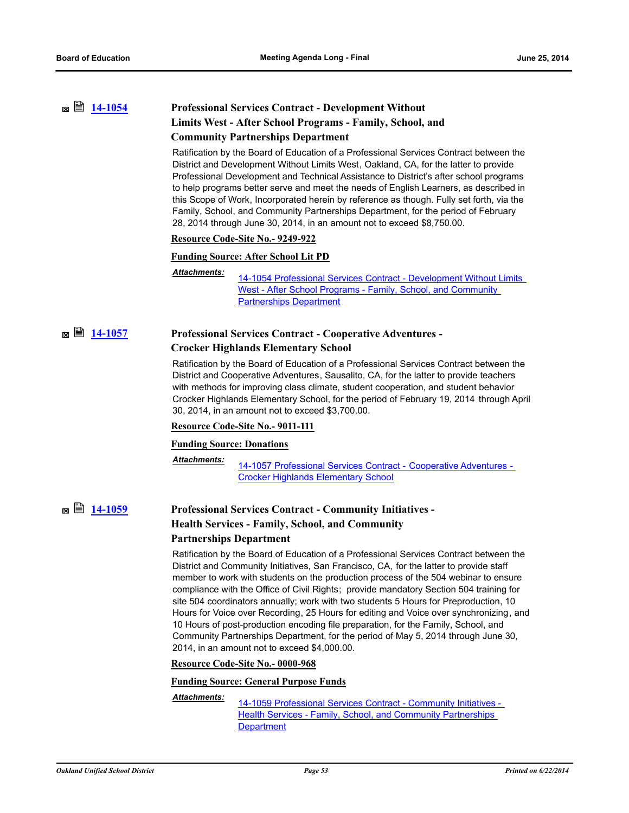## **[14-1054](http://ousd.legistar.com/gateway.aspx?m=l&id=/matter.aspx?key=32754) Professional Services Contract - Development Without Limits West - After School Programs - Family, School, and Community Partnerships Department**

Ratification by the Board of Education of a Professional Services Contract between the District and Development Without Limits West, Oakland, CA, for the latter to provide Professional Development and Technical Assistance to District's after school programs to help programs better serve and meet the needs of English Learners, as described in this Scope of Work, Incorporated herein by reference as though. Fully set forth, via the Family, School, and Community Partnerships Department, for the period of February 28, 2014 through June 30, 2014, in an amount not to exceed \$8,750.00.

#### **Resource Code-Site No.- 9249-922**

#### **Funding Source: After School Lit PD**

*Attachments:*

[14-1054 Professional Services Contract - Development Without Limits](http://ousd.legistar.com/gateway.aspx?M=F&ID=76496.pdf)  West - After School Programs - Family, School, and Community Partnerships Department

## **■ ■ [14-1057](http://ousd.legistar.com/gateway.aspx?m=l&id=/matter.aspx?key=32757) Professional Services Contract - Cooperative Adventures -Crocker Highlands Elementary School**

Ratification by the Board of Education of a Professional Services Contract between the District and Cooperative Adventures, Sausalito, CA, for the latter to provide teachers with methods for improving class climate, student cooperation, and student behavior Crocker Highlands Elementary School, for the period of February 19, 2014 through April 30, 2014, in an amount not to exceed \$3,700.00.

#### **Resource Code-Site No.- 9011-111**

#### **Funding Source: Donations**

*Attachments:*

[14-1057 Professional Services Contract - Cooperative Adventures -](http://ousd.legistar.com/gateway.aspx?M=F&ID=76498.pdf)  Crocker Highlands Elementary School

# **[14-1059](http://ousd.legistar.com/gateway.aspx?m=l&id=/matter.aspx?key=32759) Professional Services Contract - Community Initiatives - Health Services - Family, School, and Community**

#### **Partnerships Department**

Ratification by the Board of Education of a Professional Services Contract between the District and Community Initiatives, San Francisco, CA, for the latter to provide staff member to work with students on the production process of the 504 webinar to ensure compliance with the Office of Civil Rights; provide mandatory Section 504 training for site 504 coordinators annually; work with two students 5 Hours for Preproduction, 10 Hours for Voice over Recording, 25 Hours for editing and Voice over synchronizing, and 10 Hours of post-production encoding file preparation, for the Family, School, and Community Partnerships Department, for the period of May 5, 2014 through June 30, 2014, in an amount not to exceed \$4,000.00.

**Resource Code-Site No.- 0000-968**

#### **Funding Source: General Purpose Funds**

### *Attachments:*

[14-1059 Professional Services Contract - Community Initiatives -](http://ousd.legistar.com/gateway.aspx?M=F&ID=76499.pdf)  Health Services - Family, School, and Community Partnerships **Department**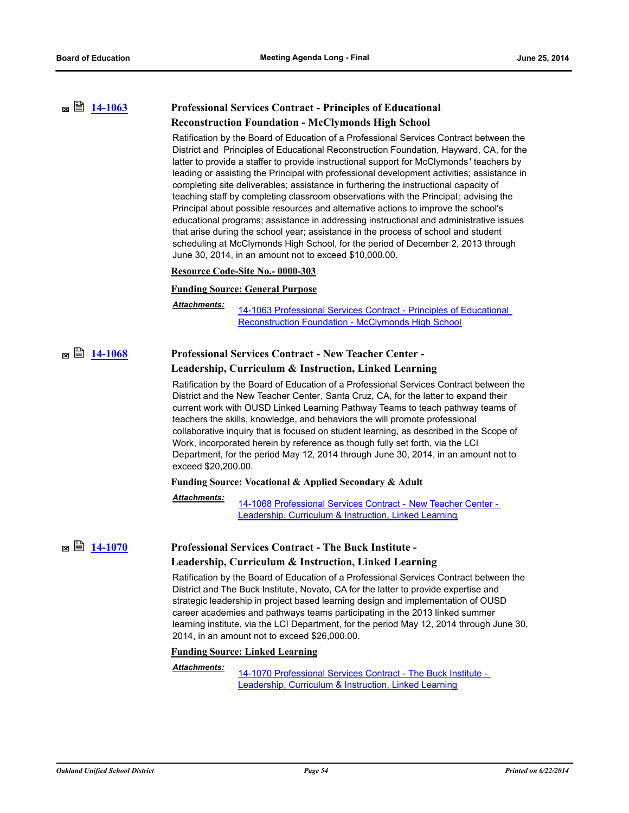## **[14-1063](http://ousd.legistar.com/gateway.aspx?m=l&id=/matter.aspx?key=32763) Professional Services Contract - Principles of Educational Reconstruction Foundation - McClymonds High School**

Ratification by the Board of Education of a Professional Services Contract between the District and Principles of Educational Reconstruction Foundation, Hayward, CA, for the latter to provide a staffer to provide instructional support for McClymonds ' teachers by leading or assisting the Principal with professional development activities; assistance in completing site deliverables; assistance in furthering the instructional capacity of teaching staff by completing classroom observations with the Principal ; advising the Principal about possible resources and alternative actions to improve the school's educational programs; assistance in addressing instructional and administrative issues that arise during the school year; assistance in the process of school and student scheduling at McClymonds High School, for the period of December 2, 2013 through June 30, 2014, in an amount not to exceed \$10,000.00.

#### **Resource Code-Site No.- 0000-303**

#### **Funding Source: General Purpose**

*Attachments:*

[14-1063 Professional Services Contract - Principles of Educational](http://ousd.legistar.com/gateway.aspx?M=F&ID=76500.pdf)  Reconstruction Foundation - McClymonds High School

| $\boxtimes$ $\cong$ 14-1068 | <b>Professional Services Contract - New Teacher Center -</b> |
|-----------------------------|--------------------------------------------------------------|
|                             | Loadership Curriculum & Instruction Linked Loarning          |

#### **Leadership, Curriculum & Instruction, Linked Learning**

Ratification by the Board of Education of a Professional Services Contract between the District and the New Teacher Center, Santa Cruz, CA, for the latter to expand their current work with OUSD Linked Learning Pathway Teams to teach pathway teams of teachers the skills, knowledge, and behaviors the will promote professional collaborative inquiry that is focused on student learning, as described in the Scope of Work, incorporated herein by reference as though fully set forth, via the LCI Department, for the period May 12, 2014 through June 30, 2014, in an amount not to exceed \$20,200.00.

#### **Funding Source: Vocational & Applied Secondary & Adult**

[14-1068 Professional Services Contract - New Teacher Center -](http://ousd.legistar.com/gateway.aspx?M=F&ID=76700.pdf)  Leadership, Curriculum & Instruction, Linked Learning *Attachments:*

EN.

## **[14-1070](http://ousd.legistar.com/gateway.aspx?m=l&id=/matter.aspx?key=32770) Professional Services Contract - The Buck Institute - Leadership, Curriculum & Instruction, Linked Learning**

Ratification by the Board of Education of a Professional Services Contract between the District and The Buck Institute, Novato, CA for the latter to provide expertise and strategic leadership in project based learning design and implementation of OUSD career academies and pathways teams participating in the 2013 linked summer learning institute, via the LCI Department, for the period May 12, 2014 through June 30, 2014, in an amount not to exceed \$26,000.00.

#### **Funding Source: Linked Learning**

[14-1070 Professional Services Contract - The Buck Institute -](http://ousd.legistar.com/gateway.aspx?M=F&ID=76701.pdf)  Leadership, Curriculum & Instruction, Linked Learning *Attachments:*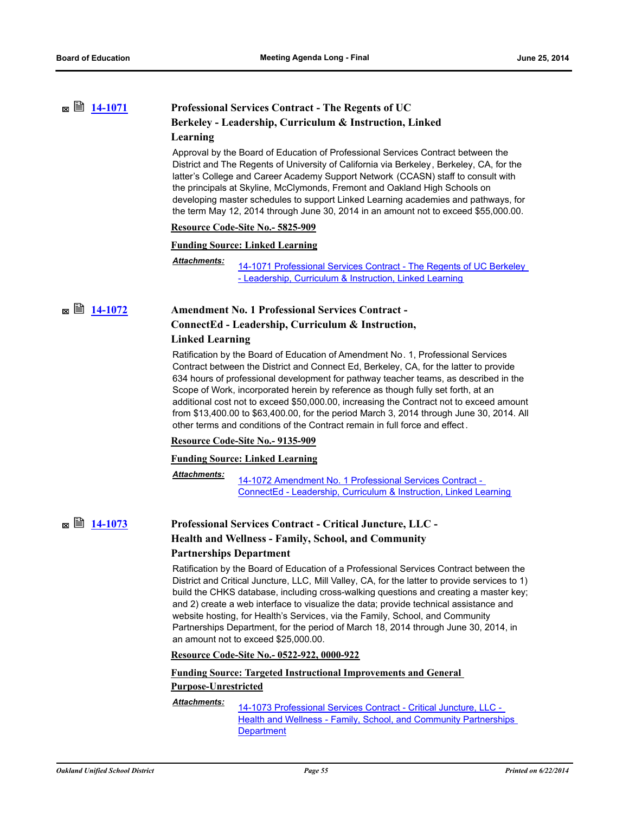## **[14-1071](http://ousd.legistar.com/gateway.aspx?m=l&id=/matter.aspx?key=32771) Professional Services Contract - The Regents of UC Berkeley - Leadership, Curriculum & Instruction, Linked Learning**

Approval by the Board of Education of Professional Services Contract between the District and The Regents of University of California via Berkeley, Berkeley, CA, for the latter's College and Career Academy Support Network (CCASN) staff to consult with the principals at Skyline, McClymonds, Fremont and Oakland High Schools on developing master schedules to support Linked Learning academies and pathways, for the term May 12, 2014 through June 30, 2014 in an amount not to exceed \$55,000.00.

### **Resource Code-Site No.- 5825-909**

**Funding Source: Linked Learning**

[14-1071 Professional Services Contract - The Regents of UC Berkeley](http://ousd.legistar.com/gateway.aspx?M=F&ID=76727.pdf)  - Leadership, Curriculum & Instruction, Linked Learning *Attachments:*

# **[14-1072](http://ousd.legistar.com/gateway.aspx?m=l&id=/matter.aspx?key=32772) Amendment No. 1 Professional Services Contract - ConnectEd - Leadership, Curriculum & Instruction,**

### **Linked Learning**

Ratification by the Board of Education of Amendment No. 1, Professional Services Contract between the District and Connect Ed, Berkeley, CA, for the latter to provide 634 hours of professional development for pathway teacher teams, as described in the Scope of Work, incorporated herein by reference as though fully set forth, at an additional cost not to exceed \$50,000.00, increasing the Contract not to exceed amount from \$13,400.00 to \$63,400.00, for the period March 3, 2014 through June 30, 2014. All other terms and conditions of the Contract remain in full force and effect .

#### **Resource Code-Site No.- 9135-909**

#### **Funding Source: Linked Learning**

*Attachments:*

14-1072 Amendment No. 1 Professional Services Contract - [ConnectEd - Leadership, Curriculum & Instruction, Linked Learning](http://ousd.legistar.com/gateway.aspx?M=F&ID=76731.pdf)

## **[14-1073](http://ousd.legistar.com/gateway.aspx?m=l&id=/matter.aspx?key=32773) Professional Services Contract - Critical Juncture, LLC - Health and Wellness - Family, School, and Community Partnerships Department**

Ratification by the Board of Education of a Professional Services Contract between the District and Critical Juncture, LLC, Mill Valley, CA, for the latter to provide services to 1) build the CHKS database, including cross-walking questions and creating a master key; and 2) create a web interface to visualize the data; provide technical assistance and website hosting, for Health's Services, via the Family, School, and Community Partnerships Department, for the period of March 18, 2014 through June 30, 2014, in an amount not to exceed \$25,000.00.

**Resource Code-Site No.- 0522-922, 0000-922**

**Funding Source: Targeted Instructional Improvements and General** 

## **Purpose-Unrestricted**

### *Attachments:*

14-1073 Professional Services Contract - Critical Juncture, LLC - **Health and Wellness - Family, School, and Community Partnerships Department**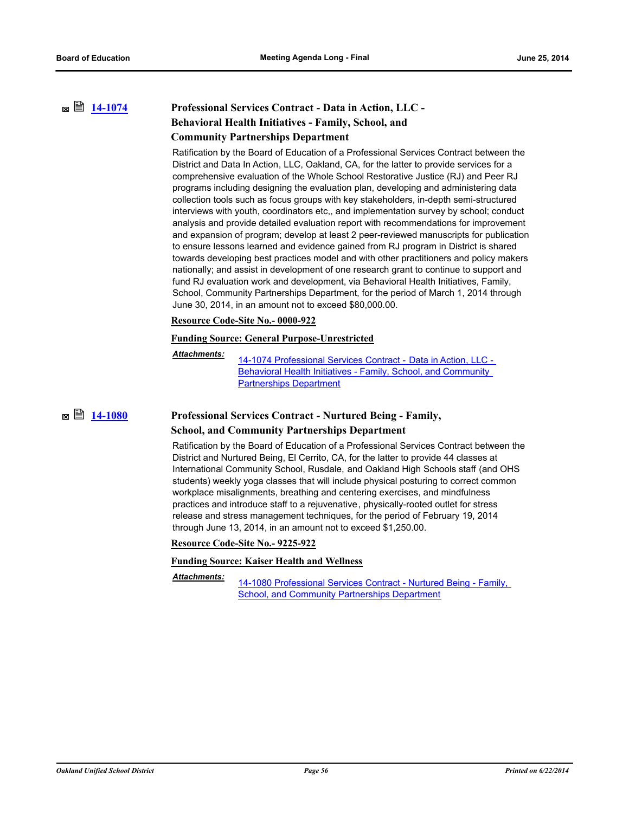## **[14-1074](http://ousd.legistar.com/gateway.aspx?m=l&id=/matter.aspx?key=32774) Professional Services Contract - Data in Action, LLC - Behavioral Health Initiatives - Family, School, and Community Partnerships Department**

Ratification by the Board of Education of a Professional Services Contract between the District and Data In Action, LLC, Oakland, CA, for the latter to provide services for a comprehensive evaluation of the Whole School Restorative Justice (RJ) and Peer RJ programs including designing the evaluation plan, developing and administering data collection tools such as focus groups with key stakeholders, in-depth semi-structured interviews with youth, coordinators etc,, and implementation survey by school; conduct analysis and provide detailed evaluation report with recommendations for improvement and expansion of program; develop at least 2 peer-reviewed manuscripts for publication to ensure lessons learned and evidence gained from RJ program in District is shared towards developing best practices model and with other practitioners and policy makers nationally; and assist in development of one research grant to continue to support and fund RJ evaluation work and development, via Behavioral Health Initiatives, Family, School, Community Partnerships Department, for the period of March 1, 2014 through June 30, 2014, in an amount not to exceed \$80,000.00.

### **Resource Code-Site No.- 0000-922**

#### **Funding Source: General Purpose-Unrestricted**

[14-1074 Professional Services Contract - Data in Action, LLC -](http://ousd.legistar.com/gateway.aspx?M=F&ID=76503.pdf)  Behavioral Health Initiatives - Family, School, and Community Partnerships Department *Attachments:*

## **<b>■ [14-1080](http://ousd.legistar.com/gateway.aspx?m=l&id=/matter.aspx?key=32780) Professional Services Contract - Nurtured Being - Family, School, and Community Partnerships Department**

Ratification by the Board of Education of a Professional Services Contract between the District and Nurtured Being, El Cerrito, CA, for the latter to provide 44 classes at International Community School, Rusdale, and Oakland High Schools staff (and OHS students) weekly yoga classes that will include physical posturing to correct common workplace misalignments, breathing and centering exercises, and mindfulness practices and introduce staff to a rejuvenative, physically-rooted outlet for stress release and stress management techniques, for the period of February 19, 2014 through June 13, 2014, in an amount not to exceed \$1,250.00.

#### **Resource Code-Site No.- 9225-922**

#### **Funding Source: Kaiser Health and Wellness**

*Attachments:*

[14-1080 Professional Services Contract - Nurtured Being - Family,](http://ousd.legistar.com/gateway.aspx?M=F&ID=76507.pdf)  School, and Community Partnerships Department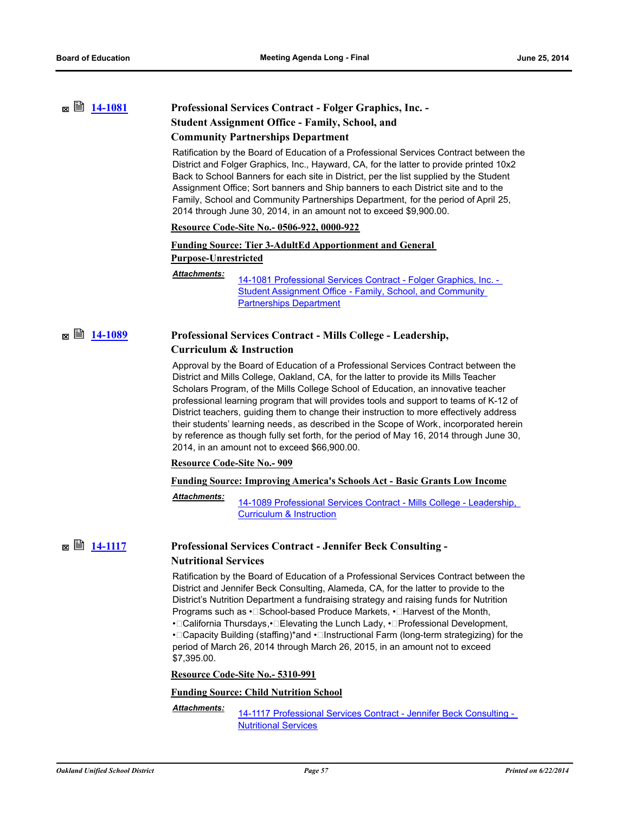## **<b>■ [14-1081](http://ousd.legistar.com/gateway.aspx?m=l&id=/matter.aspx?key=32781) Professional Services Contract - Folger Graphics, Inc. -Student Assignment Office - Family, School, and Community Partnerships Department**

Ratification by the Board of Education of a Professional Services Contract between the District and Folger Graphics, Inc., Hayward, CA, for the latter to provide printed 10x2 Back to School Banners for each site in District, per the list supplied by the Student Assignment Office; Sort banners and Ship banners to each District site and to the Family, School and Community Partnerships Department, for the period of April 25, 2014 through June 30, 2014, in an amount not to exceed \$9,900.00.

### **Resource Code-Site No.- 0506-922, 0000-922**

## **Funding Source: Tier 3-AdultEd Apportionment and General Purpose-Unrestricted**

#### *Attachments:*

[14-1081 Professional Services Contract - Folger Graphics, Inc. -](http://ousd.legistar.com/gateway.aspx?M=F&ID=76508.pdf)  Student Assignment Office - Family, School, and Community Partnerships Department

## **■ ■ [14-1089](http://ousd.legistar.com/gateway.aspx?m=l&id=/matter.aspx?key=32789) Professional Services Contract - Mills College - Leadership, Curriculum & Instruction**

#### Approval by the Board of Education of a Professional Services Contract between the District and Mills College, Oakland, CA, for the latter to provide its Mills Teacher Scholars Program, of the Mills College School of Education, an innovative teacher professional learning program that will provides tools and support to teams of K-12 of District teachers, guiding them to change their instruction to more effectively address their students' learning needs, as described in the Scope of Work, incorporated herein by reference as though fully set forth, for the period of May 16, 2014 through June 30, 2014, in an amount not to exceed \$66,900.00.

#### **Resource Code-Site No.- 909**

#### **Funding Source: Improving America's Schools Act - Basic Grants Low Income**

[14-1089 Professional Services Contract - Mills College - Leadership,](http://ousd.legistar.com/gateway.aspx?M=F&ID=76511.pdf)  Curriculum & Instruction *Attachments:*

# **■ ■ [14-1117](http://ousd.legistar.com/gateway.aspx?m=l&id=/matter.aspx?key=32817) Professional Services Contract - Jennifer Beck Consulting -**

#### **Nutritional Services**

Ratification by the Board of Education of a Professional Services Contract between the District and Jennifer Beck Consulting, Alameda, CA, for the latter to provide to the District's Nutrition Department a fundraising strategy and raising funds for Nutrition Programs such as  $\cdot \Box$ School-based Produce Markets,  $\cdot \Box$ Harvest of the Month,

• $\Box$ California Thursdays,• $\Box$ Elevating the Lunch Lady, • $\Box$ Professional Development, •Capacity Building (staffing)\*and •Instructional Farm (long-term strategizing) for the period of March 26, 2014 through March 26, 2015, in an amount not to exceed \$7,395.00.

#### **Resource Code-Site No.- 5310-991**

### **Funding Source: Child Nutrition School**

[14-1117 Professional Services Contract - Jennifer Beck Consulting -](http://ousd.legistar.com/gateway.aspx?M=F&ID=76519.pdf)  Nutritional Services *Attachments:*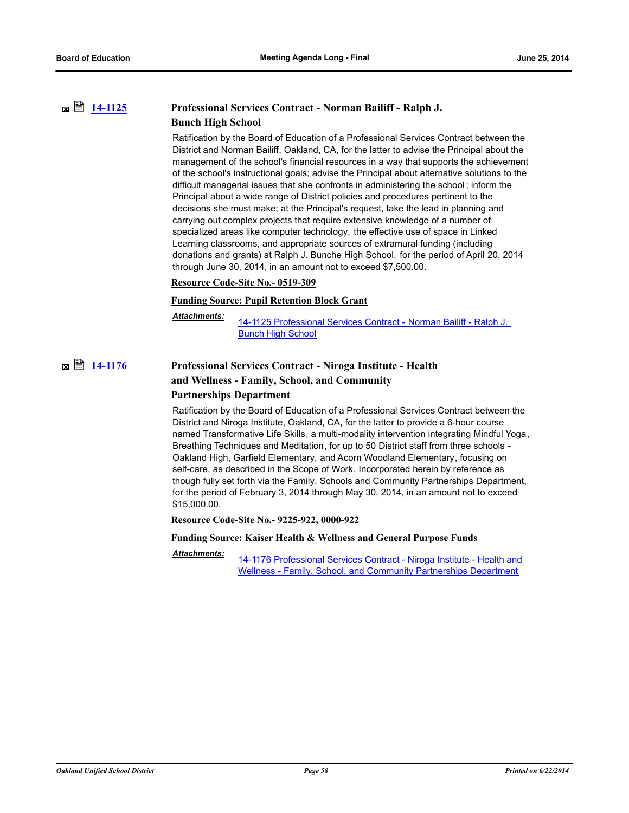## **<b>■ [14-1125](http://ousd.legistar.com/gateway.aspx?m=l&id=/matter.aspx?key=32825) Professional Services Contract - Norman Bailiff - Ralph J. Bunch High School**

Ratification by the Board of Education of a Professional Services Contract between the District and Norman Bailiff, Oakland, CA, for the latter to advise the Principal about the management of the school's financial resources in a way that supports the achievement of the school's instructional goals; advise the Principal about alternative solutions to the difficult managerial issues that she confronts in administering the school ; inform the Principal about a wide range of District policies and procedures pertinent to the decisions she must make; at the Principal's request, take the lead in planning and carrying out complex projects that require extensive knowledge of a number of specialized areas like computer technology, the effective use of space in Linked Learning classrooms, and appropriate sources of extramural funding (including donations and grants) at Ralph J. Bunche High School, for the period of April 20, 2014 through June 30, 2014, in an amount not to exceed \$7,500.00.

### **Resource Code-Site No.- 0519-309**

#### **Funding Source: Pupil Retention Block Grant**

[14-1125 Professional Services Contract - Norman Bailiff - Ralph J.](http://ousd.legistar.com/gateway.aspx?M=F&ID=76520.pdf)  Bunch High School *Attachments:*

## **■ ■ [14-1176](http://ousd.legistar.com/gateway.aspx?m=l&id=/matter.aspx?key=32866) Professional Services Contract - Niroga Institute - Health and Wellness - Family, School, and Community Partnerships Department**

Ratification by the Board of Education of a Professional Services Contract between the District and Niroga Institute, Oakland, CA, for the latter to provide a 6-hour course named Transformative Life Skills, a multi-modality intervention integrating Mindful Yoga, Breathing Techniques and Meditation, for up to 50 District staff from three schools - Oakland High, Garfield Elementary, and Acorn Woodland Elementary, focusing on self-care, as described in the Scope of Work, Incorporated herein by reference as though fully set forth via the Family, Schools and Community Partnerships Department, for the period of February 3, 2014 through May 30, 2014, in an amount not to exceed \$15,000.00.

**Resource Code-Site No.- 9225-922, 0000-922**

#### **Funding Source: Kaiser Health & Wellness and General Purpose Funds**

#### *Attachments:*

[14-1176 Professional Services Contract - Niroga Institute - Health and](http://ousd.legistar.com/gateway.aspx?M=F&ID=76522.pdf)  Wellness - Family, School, and Community Partnerships Department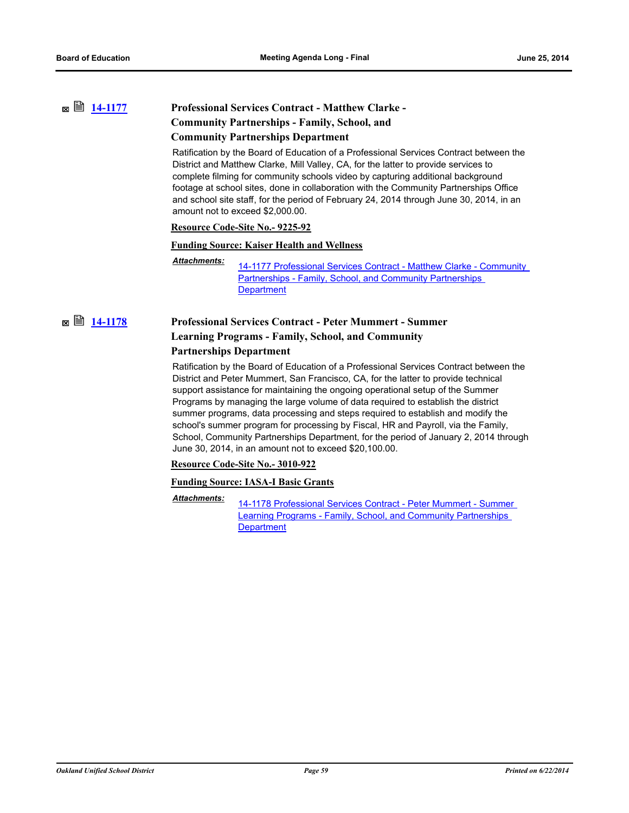## **[14-1177](http://ousd.legistar.com/gateway.aspx?m=l&id=/matter.aspx?key=32867) Professional Services Contract - Matthew Clarke - Community Partnerships - Family, School, and Community Partnerships Department**

Ratification by the Board of Education of a Professional Services Contract between the District and Matthew Clarke, Mill Valley, CA, for the latter to provide services to complete filming for community schools video by capturing additional background footage at school sites, done in collaboration with the Community Partnerships Office and school site staff, for the period of February 24, 2014 through June 30, 2014, in an amount not to exceed \$2,000.00.

#### **Resource Code-Site No.- 9225-92**

#### **Funding Source: Kaiser Health and Wellness**

[14-1177 Professional Services Contract - Matthew Clarke - Community](http://ousd.legistar.com/gateway.aspx?M=F&ID=76523.pdf)  Partnerships - Family, School, and Community Partnerships **Department** *Attachments:*

## **[14-1178](http://ousd.legistar.com/gateway.aspx?m=l&id=/matter.aspx?key=32868) Professional Services Contract - Peter Mummert - Summer Learning Programs - Family, School, and Community Partnerships Department**

Ratification by the Board of Education of a Professional Services Contract between the District and Peter Mummert, San Francisco, CA, for the latter to provide technical support assistance for maintaining the ongoing operational setup of the Summer Programs by managing the large volume of data required to establish the district summer programs, data processing and steps required to establish and modify the school's summer program for processing by Fiscal, HR and Payroll, via the Family, School, Community Partnerships Department, for the period of January 2, 2014 through June 30, 2014, in an amount not to exceed \$20,100.00.

**Resource Code-Site No.- 3010-922**

#### **Funding Source: IASA-I Basic Grants**

[14-1178 Professional Services Contract - Peter Mummert - Summer](http://ousd.legistar.com/gateway.aspx?M=F&ID=76524.pdf)  Learning Programs - Family, School, and Community Partnerships **Department** *Attachments:*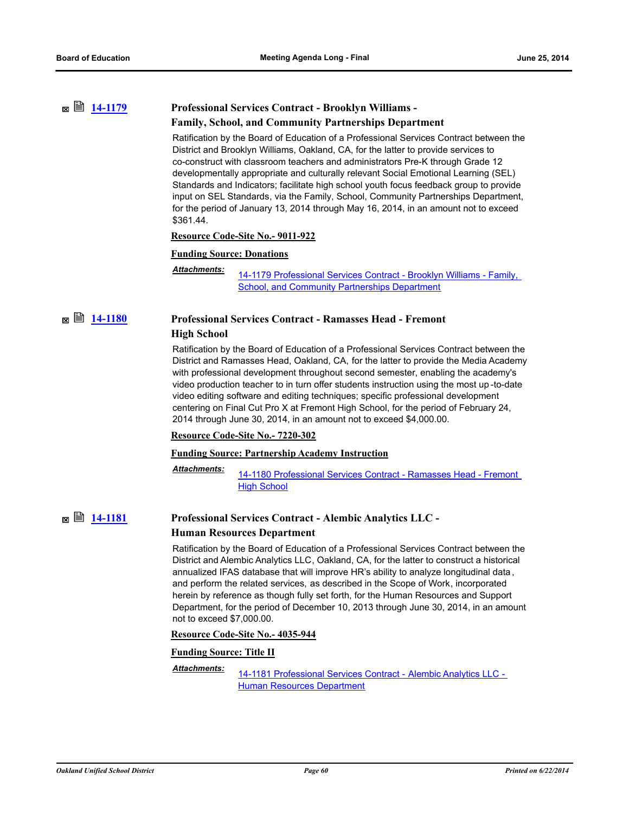## **[14-1179](http://ousd.legistar.com/gateway.aspx?m=l&id=/matter.aspx?key=32869) Professional Services Contract - Brooklyn Williams - Family, School, and Community Partnerships Department**

Ratification by the Board of Education of a Professional Services Contract between the District and Brooklyn Williams, Oakland, CA, for the latter to provide services to co-construct with classroom teachers and administrators Pre-K through Grade 12 developmentally appropriate and culturally relevant Social Emotional Learning (SEL) Standards and Indicators; facilitate high school youth focus feedback group to provide input on SEL Standards, via the Family, School, Community Partnerships Department, for the period of January 13, 2014 through May 16, 2014, in an amount not to exceed \$361.44.

#### **Resource Code-Site No.- 9011-922**

#### **Funding Source: Donations**

#### *Attachments:*

[14-1179 Professional Services Contract - Brooklyn Williams - Family,](http://ousd.legistar.com/gateway.aspx?M=F&ID=76525.pdf)  School, and Community Partnerships Department

## **[14-1180](http://ousd.legistar.com/gateway.aspx?m=l&id=/matter.aspx?key=32870) Professional Services Contract - Ramasses Head - Fremont High School**

Ratification by the Board of Education of a Professional Services Contract between the District and Ramasses Head, Oakland, CA, for the latter to provide the Media Academy with professional development throughout second semester, enabling the academy's video production teacher to in turn offer students instruction using the most up -to-date video editing software and editing techniques; specific professional development centering on Final Cut Pro X at Fremont High School, for the period of February 24, 2014 through June 30, 2014, in an amount not to exceed \$4,000.00.

#### **Resource Code-Site No.- 7220-302**

#### **Funding Source: Partnership Academy Instruction**

*Attachments:*

[14-1180 Professional Services Contract - Ramasses Head - Fremont](http://ousd.legistar.com/gateway.aspx?M=F&ID=76526.pdf)  High School

## **■ ■ [14-1181](http://ousd.legistar.com/gateway.aspx?m=l&id=/matter.aspx?key=32871) Professional Services Contract - Alembic Analytics LLC -Human Resources Department**

Ratification by the Board of Education of a Professional Services Contract between the District and Alembic Analytics LLC, Oakland, CA, for the latter to construct a historical annualized IFAS database that will improve HR's ability to analyze longitudinal data , and perform the related services, as described in the Scope of Work, incorporated herein by reference as though fully set forth, for the Human Resources and Support Department, for the period of December 10, 2013 through June 30, 2014, in an amount not to exceed \$7,000.00.

**Resource Code-Site No.- 4035-944**

#### **Funding Source: Title II**

[14-1181 Professional Services Contract - Alembic Analytics LLC -](http://ousd.legistar.com/gateway.aspx?M=F&ID=76527.pdf)  Human Resources Department *Attachments:*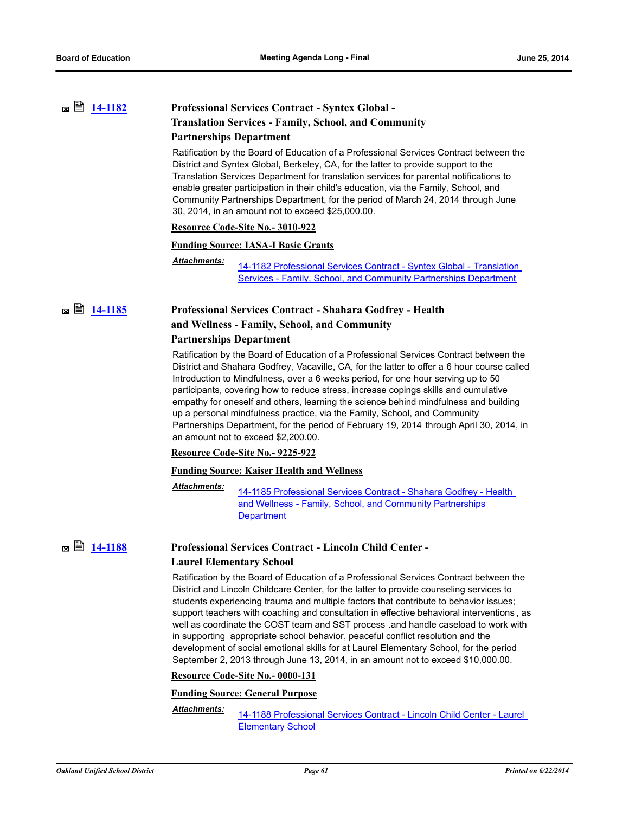## **<b>■ [14-1182](http://ousd.legistar.com/gateway.aspx?m=l&id=/matter.aspx?key=32872) Professional Services Contract - Syntex Global -Translation Services - Family, School, and Community Partnerships Department**

Ratification by the Board of Education of a Professional Services Contract between the District and Syntex Global, Berkeley, CA, for the latter to provide support to the Translation Services Department for translation services for parental notifications to enable greater participation in their child's education, via the Family, School, and Community Partnerships Department, for the period of March 24, 2014 through June 30, 2014, in an amount not to exceed \$25,000.00.

#### **Resource Code-Site No.- 3010-922**

#### **Funding Source: IASA-I Basic Grants**

[14-1182 Professional Services Contract - Syntex Global - Translation](http://ousd.legistar.com/gateway.aspx?M=F&ID=76528.pdf)  Services - Family, School, and Community Partnerships Department *Attachments:*

# **<b>■ ■ [14-1185](http://ousd.legistar.com/gateway.aspx?m=l&id=/matter.aspx?key=32875) Professional Services Contract - Shahara Godfrey - Health and Wellness - Family, School, and Community**

### **Partnerships Department**

Ratification by the Board of Education of a Professional Services Contract between the District and Shahara Godfrey, Vacaville, CA, for the latter to offer a 6 hour course called Introduction to Mindfulness, over a 6 weeks period, for one hour serving up to 50 participants, covering how to reduce stress, increase copings skills and cumulative empathy for oneself and others, learning the science behind mindfulness and building up a personal mindfulness practice, via the Family, School, and Community Partnerships Department, for the period of February 19, 2014 through April 30, 2014, in an amount not to exceed \$2,200.00.

#### **Resource Code-Site No.- 9225-922**

#### **Funding Source: Kaiser Health and Wellness**

[14-1185 Professional Services Contract - Shahara Godfrey - Health](http://ousd.legistar.com/gateway.aspx?M=F&ID=76531.pdf)  and Wellness - Family, School, and Community Partnerships **Department** *Attachments:*

## **■ ■ [14-1188](http://ousd.legistar.com/gateway.aspx?m=l&id=/matter.aspx?key=32878) Professional Services Contract - Lincoln Child Center -Laurel Elementary School**

Ratification by the Board of Education of a Professional Services Contract between the District and Lincoln Childcare Center, for the latter to provide counseling services to students experiencing trauma and multiple factors that contribute to behavior issues; support teachers with coaching and consultation in effective behavioral interventions , as well as coordinate the COST team and SST process .and handle caseload to work with in supporting appropriate school behavior, peaceful conflict resolution and the development of social emotional skills for at Laurel Elementary School, for the period September 2, 2013 through June 13, 2014, in an amount not to exceed \$10,000.00.

#### **Resource Code-Site No.- 0000-131**

### **Funding Source: General Purpose**

[14-1188 Professional Services Contract - Lincoln Child Center - Laurel](http://ousd.legistar.com/gateway.aspx?M=F&ID=76533.pdf)  Elementary School *Attachments:*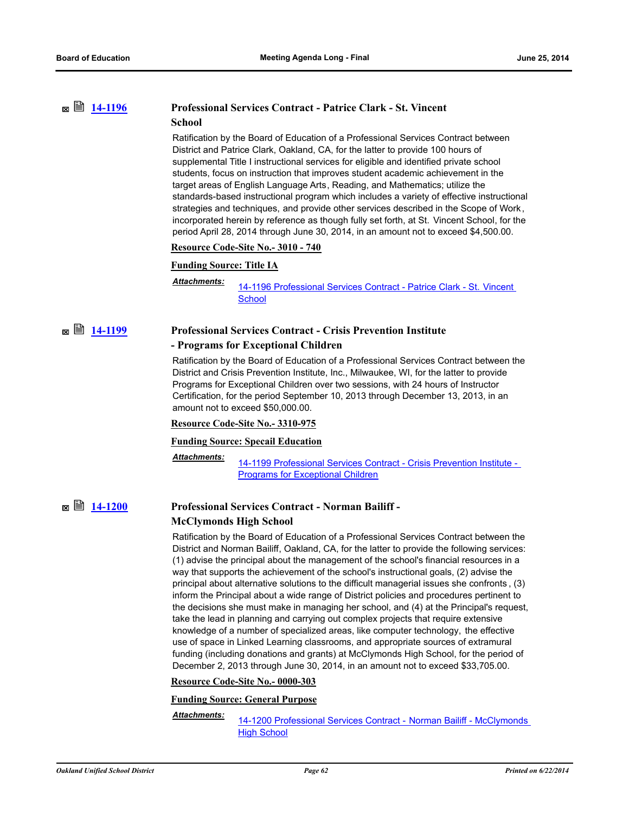## **[14-1196](http://ousd.legistar.com/gateway.aspx?m=l&id=/matter.aspx?key=32886) Professional Services Contract - Patrice Clark - St. Vincent School**

Ratification by the Board of Education of a Professional Services Contract between District and Patrice Clark, Oakland, CA, for the latter to provide 100 hours of supplemental Title I instructional services for eligible and identified private school students, focus on instruction that improves student academic achievement in the target areas of English Language Arts, Reading, and Mathematics; utilize the standards-based instructional program which includes a variety of effective instructional strategies and techniques, and provide other services described in the Scope of Work, incorporated herein by reference as though fully set forth, at St. Vincent School, for the period April 28, 2014 through June 30, 2014, in an amount not to exceed \$4,500.00.

#### **Resource Code-Site No.- 3010 - 740**

#### **Funding Source: Title IA**

#### *Attachments:*

[14-1196 Professional Services Contract - Patrice Clark - St. Vincent](http://ousd.legistar.com/gateway.aspx?M=F&ID=76730.pdf)  **School** 

## **[14-1199](http://ousd.legistar.com/gateway.aspx?m=l&id=/matter.aspx?key=32887) Professional Services Contract - Crisis Prevention Institute**

#### **- Programs for Exceptional Children**

Ratification by the Board of Education of a Professional Services Contract between the District and Crisis Prevention Institute, Inc., Milwaukee, WI, for the latter to provide Programs for Exceptional Children over two sessions, with 24 hours of Instructor Certification, for the period September 10, 2013 through December 13, 2013, in an amount not to exceed \$50,000.00.

### **Resource Code-Site No.- 3310-975**

## **Funding Source: Specail Education**

*Attachments:*

[14-1199 Professional Services Contract - Crisis Prevention Institute -](http://ousd.legistar.com/gateway.aspx?M=F&ID=76535.pdf)  Programs for Exceptional Children

# **■ ■ [14-1200](http://ousd.legistar.com/gateway.aspx?m=l&id=/matter.aspx?key=32888) Professional Services Contract - Norman Bailiff -**

#### **McClymonds High School**

Ratification by the Board of Education of a Professional Services Contract between the District and Norman Bailiff, Oakland, CA, for the latter to provide the following services: (1) advise the principal about the management of the school's financial resources in a way that supports the achievement of the school's instructional goals, (2) advise the principal about alternative solutions to the difficult managerial issues she confronts , (3) inform the Principal about a wide range of District policies and procedures pertinent to the decisions she must make in managing her school, and (4) at the Principal's request, take the lead in planning and carrying out complex projects that require extensive knowledge of a number of specialized areas, like computer technology, the effective use of space in Linked Learning classrooms, and appropriate sources of extramural funding (including donations and grants) at McClymonds High School, for the period of December 2, 2013 through June 30, 2014, in an amount not to exceed \$33,705.00.

#### **Resource Code-Site No.- 0000-303**

#### **Funding Source: General Purpose**

*Attachments:*

[14-1200 Professional Services Contract - Norman Bailiff - McClymonds](http://ousd.legistar.com/gateway.aspx?M=F&ID=76536.pdf)  High School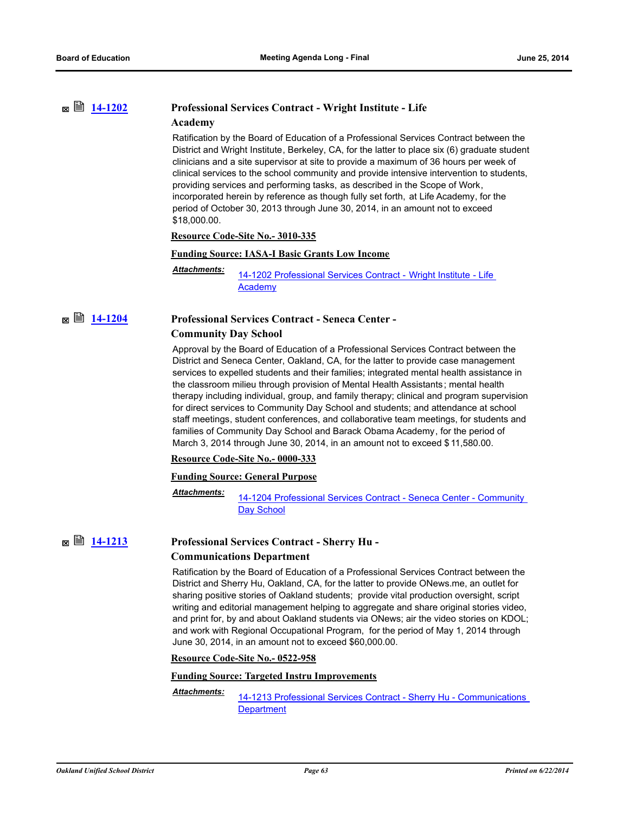## **[14-1202](http://ousd.legistar.com/gateway.aspx?m=l&id=/matter.aspx?key=32890) Professional Services Contract - Wright Institute - Life Academy**

Ratification by the Board of Education of a Professional Services Contract between the District and Wright Institute, Berkeley, CA, for the latter to place six (6) graduate student clinicians and a site supervisor at site to provide a maximum of 36 hours per week of clinical services to the school community and provide intensive intervention to students, providing services and performing tasks, as described in the Scope of Work, incorporated herein by reference as though fully set forth, at Life Academy, for the period of October 30, 2013 through June 30, 2014, in an amount not to exceed \$18,000.00.

### **Resource Code-Site No.- 3010-335**

#### **Funding Source: IASA-I Basic Grants Low Income**

[14-1202 Professional Services Contract - Wright Institute - Life](http://ousd.legistar.com/gateway.aspx?M=F&ID=76538.pdf)  Academy *Attachments:*

## **■ ■ [14-1204](http://ousd.legistar.com/gateway.aspx?m=l&id=/matter.aspx?key=32892) Professional Services Contract - Seneca Center -Community Day School**

Approval by the Board of Education of a Professional Services Contract between the District and Seneca Center, Oakland, CA, for the latter to provide case management services to expelled students and their families; integrated mental health assistance in the classroom milieu through provision of Mental Health Assistants ; mental health therapy including individual, group, and family therapy; clinical and program supervision for direct services to Community Day School and students; and attendance at school staff meetings, student conferences, and collaborative team meetings, for students and families of Community Day School and Barack Obama Academy, for the period of March 3, 2014 through June 30, 2014, in an amount not to exceed \$11,580.00.

#### **Resource Code-Site No.- 0000-333**

#### **Funding Source: General Purpose**

[14-1204 Professional Services Contract - Seneca Center - Community](http://ousd.legistar.com/gateway.aspx?M=F&ID=76539.pdf)  Day School *Attachments:*

## **■ ■ [14-1213](http://ousd.legistar.com/gateway.aspx?m=l&id=/matter.aspx?key=32901) Professional Services Contract - Sherry Hu -Communications Department**

Ratification by the Board of Education of a Professional Services Contract between the District and Sherry Hu, Oakland, CA, for the latter to provide ONews.me, an outlet for sharing positive stories of Oakland students; provide vital production oversight, script writing and editorial management helping to aggregate and share original stories video, and print for, by and about Oakland students via ONews; air the video stories on KDOL; and work with Regional Occupational Program, for the period of May 1, 2014 through June 30, 2014, in an amount not to exceed \$60,000.00.

#### **Resource Code-Site No.- 0522-958**

#### **Funding Source: Targeted Instru Improvements**

[14-1213 Professional Services Contract - Sherry Hu - Communications](http://ousd.legistar.com/gateway.aspx?M=F&ID=76540.pdf)  **Department** *Attachments:*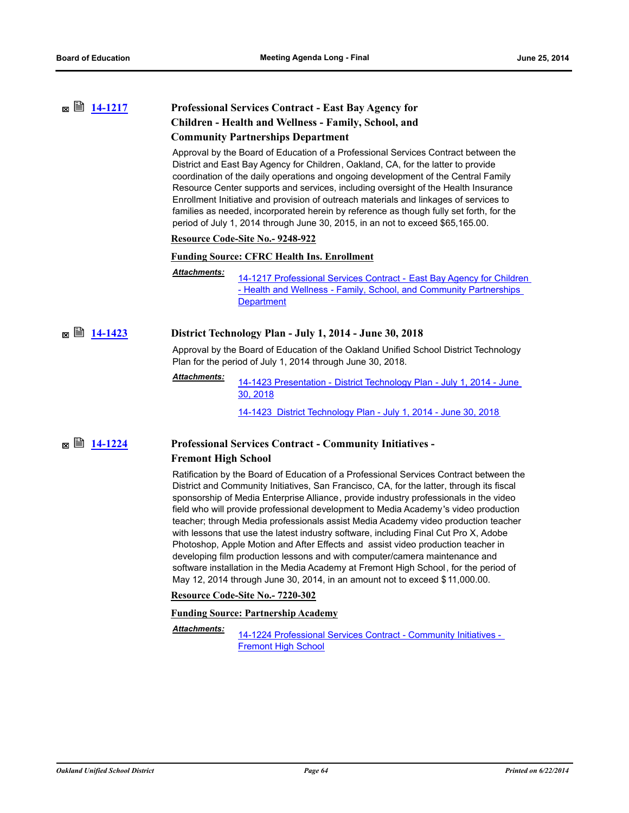## **[14-1217](http://ousd.legistar.com/gateway.aspx?m=l&id=/matter.aspx?key=32905) Professional Services Contract - East Bay Agency for Children - Health and Wellness - Family, School, and Community Partnerships Department**

Approval by the Board of Education of a Professional Services Contract between the District and East Bay Agency for Children, Oakland, CA, for the latter to provide coordination of the daily operations and ongoing development of the Central Family Resource Center supports and services, including oversight of the Health Insurance Enrollment Initiative and provision of outreach materials and linkages of services to families as needed, incorporated herein by reference as though fully set forth, for the period of July 1, 2014 through June 30, 2015, in an not to exceed \$65,165.00.

#### **Resource Code-Site No.- 9248-922**

#### **Funding Source: CFRC Health Ins. Enrollment**

*Attachments:*

[14-1217 Professional Services Contract - East Bay Agency for Children](http://ousd.legistar.com/gateway.aspx?M=F&ID=76569.pdf)  - Health and Wellness - Family, School, and Community Partnerships **Department** 

## **<b>■ [14-1423](http://ousd.legistar.com/gateway.aspx?m=l&id=/matter.aspx?key=33103) District Technology Plan - July 1, 2014 - June 30, 2018**

Approval by the Board of Education of the Oakland Unified School District Technology Plan for the period of July 1, 2014 through June 30, 2018.

#### [14-1423 Presentation - District Technology Plan - July 1, 2014 - June](http://ousd.legistar.com/gateway.aspx?M=F&ID=76332.pptx)  30, 2018 *Attachments:*

[14-1423 District Technology Plan - July 1, 2014 - June 30, 2018](http://ousd.legistar.com/gateway.aspx?M=F&ID=76333.pdf)

## **[14-1224](http://ousd.legistar.com/gateway.aspx?m=l&id=/matter.aspx?key=32912) Professional Services Contract - Community Initiatives - Fremont High School**

Ratification by the Board of Education of a Professional Services Contract between the District and Community Initiatives, San Francisco, CA, for the latter, through its fiscal sponsorship of Media Enterprise Alliance, provide industry professionals in the video field who will provide professional development to Media Academy's video production teacher; through Media professionals assist Media Academy video production teacher with lessons that use the latest industry software, including Final Cut Pro X, Adobe Photoshop, Apple Motion and After Effects and assist video production teacher in developing film production lessons and with computer/camera maintenance and software installation in the Media Academy at Fremont High School, for the period of May 12, 2014 through June 30, 2014, in an amount not to exceed \$11,000.00.

**Resource Code-Site No.- 7220-302**

#### **Funding Source: Partnership Academy**

[14-1224 Professional Services Contract - Community Initiatives -](http://ousd.legistar.com/gateway.aspx?M=F&ID=76542.pdf)  Fremont High School *Attachments:*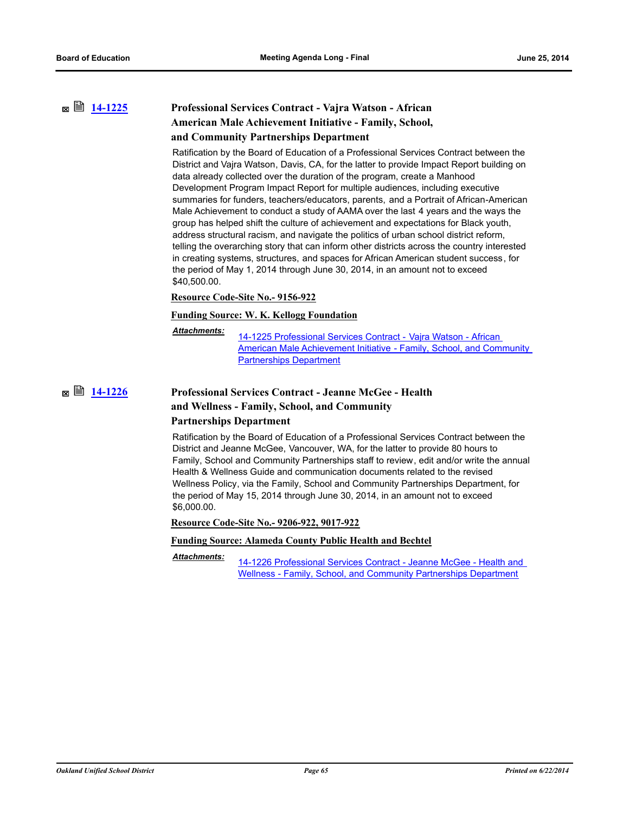## **[14-1225](http://ousd.legistar.com/gateway.aspx?m=l&id=/matter.aspx?key=32913) Professional Services Contract - Vajra Watson - African American Male Achievement Initiative - Family, School,**

#### **and Community Partnerships Department**

Ratification by the Board of Education of a Professional Services Contract between the District and Vajra Watson, Davis, CA, for the latter to provide Impact Report building on data already collected over the duration of the program, create a Manhood Development Program Impact Report for multiple audiences, including executive summaries for funders, teachers/educators, parents, and a Portrait of African-American Male Achievement to conduct a study of AAMA over the last 4 years and the ways the group has helped shift the culture of achievement and expectations for Black youth, address structural racism, and navigate the politics of urban school district reform, telling the overarching story that can inform other districts across the country interested in creating systems, structures, and spaces for African American student success, for the period of May 1, 2014 through June 30, 2014, in an amount not to exceed \$40,500.00.

#### **Resource Code-Site No.- 9156-922**

### **Funding Source: W. K. Kellogg Foundation**

14-1225 Professional Services Contract - Vajra Watson - African [American Male Achievement Initiative - Family, School, and Community](http://ousd.legistar.com/gateway.aspx?M=F&ID=76543.pdf)  Partnerships Department *Attachments:*

# **[14-1226](http://ousd.legistar.com/gateway.aspx?m=l&id=/matter.aspx?key=32914) Professional Services Contract - Jeanne McGee - Health and Wellness - Family, School, and Community**

### **Partnerships Department**

Ratification by the Board of Education of a Professional Services Contract between the District and Jeanne McGee, Vancouver, WA, for the latter to provide 80 hours to Family, School and Community Partnerships staff to review, edit and/or write the annual Health & Wellness Guide and communication documents related to the revised Wellness Policy, via the Family, School and Community Partnerships Department, for the period of May 15, 2014 through June 30, 2014, in an amount not to exceed \$6,000.00.

**Resource Code-Site No.- 9206-922, 9017-922**

#### **Funding Source: Alameda County Public Health and Bechtel**

[14-1226 Professional Services Contract - Jeanne McGee - Health and](http://ousd.legistar.com/gateway.aspx?M=F&ID=76544.pdf)  Wellness - Family, School, and Community Partnerships Department *Attachments:*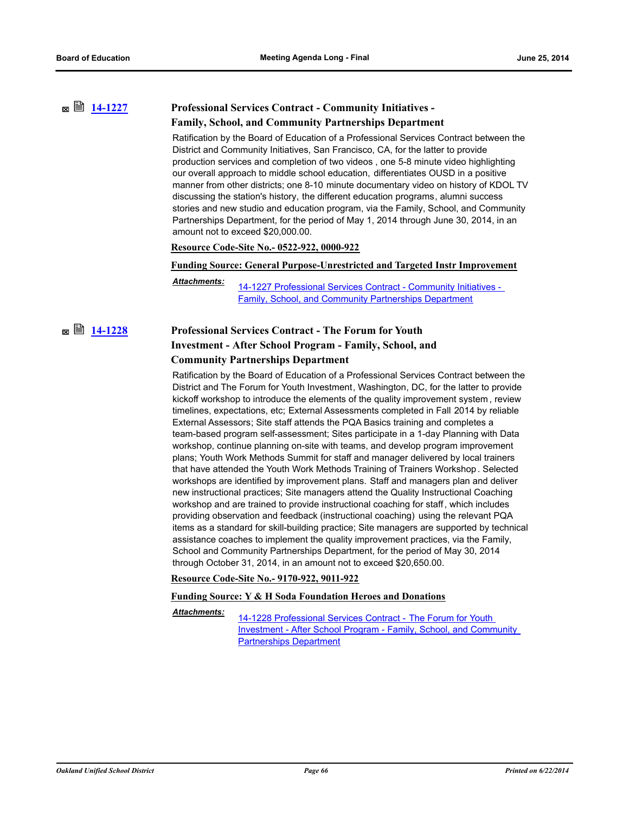# **[14-1227](http://ousd.legistar.com/gateway.aspx?m=l&id=/matter.aspx?key=32915) Professional Services Contract - Community Initiatives -**

### **Family, School, and Community Partnerships Department**

Ratification by the Board of Education of a Professional Services Contract between the District and Community Initiatives, San Francisco, CA, for the latter to provide production services and completion of two videos , one 5-8 minute video highlighting our overall approach to middle school education, differentiates OUSD in a positive manner from other districts; one 8-10 minute documentary video on history of KDOL TV discussing the station's history, the different education programs, alumni success stories and new studio and education program, via the Family, School, and Community Partnerships Department, for the period of May 1, 2014 through June 30, 2014, in an amount not to exceed \$20,000.00.

**Resource Code-Site No.- 0522-922, 0000-922**

**Funding Source: General Purpose-Unrestricted and Targeted Instr Improvement**

*Attachments:*

[14-1227 Professional Services Contract - Community Initiatives -](http://ousd.legistar.com/gateway.aspx?M=F&ID=76545.pdf)  Family, School, and Community Partnerships Department

## **[14-1228](http://ousd.legistar.com/gateway.aspx?m=l&id=/matter.aspx?key=32916) Professional Services Contract - The Forum for Youth Investment - After School Program - Family, School, and Community Partnerships Department**

Ratification by the Board of Education of a Professional Services Contract between the District and The Forum for Youth Investment, Washington, DC, for the latter to provide kickoff workshop to introduce the elements of the quality improvement system , review timelines, expectations, etc; External Assessments completed in Fall 2014 by reliable External Assessors; Site staff attends the PQA Basics training and completes a team-based program self-assessment; Sites participate in a 1-day Planning with Data workshop, continue planning on-site with teams, and develop program improvement plans; Youth Work Methods Summit for staff and manager delivered by local trainers that have attended the Youth Work Methods Training of Trainers Workshop. Selected workshops are identified by improvement plans. Staff and managers plan and deliver new instructional practices; Site managers attend the Quality Instructional Coaching workshop and are trained to provide instructional coaching for staff , which includes providing observation and feedback (instructional coaching) using the relevant PQA items as a standard for skill-building practice; Site managers are supported by technical assistance coaches to implement the quality improvement practices, via the Family, School and Community Partnerships Department, for the period of May 30, 2014 through October 31, 2014, in an amount not to exceed \$20,650.00.

#### **Resource Code-Site No.- 9170-922, 9011-922**

#### **Funding Source: Y & H Soda Foundation Heroes and Donations**

*Attachments:*

14-1228 Professional Services Contract - The Forum for Youth [Investment - After School Program - Family, School, and Community](http://ousd.legistar.com/gateway.aspx?M=F&ID=76546.pdf)  Partnerships Department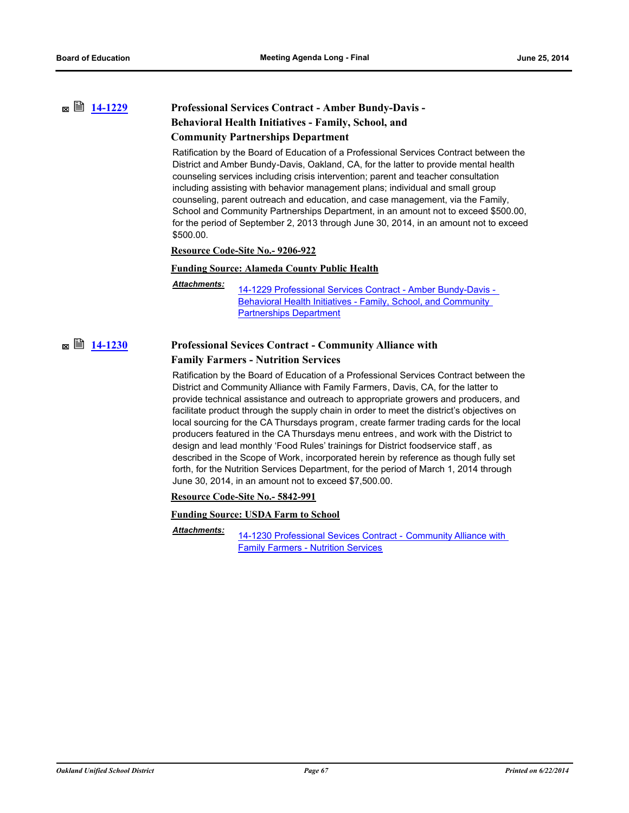# **[14-1229](http://ousd.legistar.com/gateway.aspx?m=l&id=/matter.aspx?key=32917) Professional Services Contract - Amber Bundy-Davis - Behavioral Health Initiatives - Family, School, and**

### **Community Partnerships Department** Ratification by the Board of Education of a Professional Services Contract between the District and Amber Bundy-Davis, Oakland, CA, for the latter to provide mental health counseling services including crisis intervention; parent and teacher consultation including assisting with behavior management plans; individual and small group counseling, parent outreach and education, and case management, via the Family, School and Community Partnerships Department, in an amount not to exceed \$500.00, for the period of September 2, 2013 through June 30, 2014, in an amount not to exceed

#### **Resource Code-Site No.- 9206-922**

#### **Funding Source: Alameda County Public Health**

#### *Attachments:*

\$500.00.

[14-1229 Professional Services Contract - Amber Bundy-Davis -](http://ousd.legistar.com/gateway.aspx?M=F&ID=76547.pdf)  Behavioral Health Initiatives - Family, School, and Community Partnerships Department

## **[14-1230](http://ousd.legistar.com/gateway.aspx?m=l&id=/matter.aspx?key=32918) Professional Sevices Contract - Community Alliance with Family Farmers - Nutrition Services**

Ratification by the Board of Education of a Professional Services Contract between the District and Community Alliance with Family Farmers, Davis, CA, for the latter to provide technical assistance and outreach to appropriate growers and producers, and facilitate product through the supply chain in order to meet the district's objectives on local sourcing for the CA Thursdays program, create farmer trading cards for the local producers featured in the CA Thursdays menu entrees, and work with the District to design and lead monthly 'Food Rules' trainings for District foodservice staff , as described in the Scope of Work, incorporated herein by reference as though fully set forth, for the Nutrition Services Department, for the period of March 1, 2014 through June 30, 2014, in an amount not to exceed \$7,500.00.

#### **Resource Code-Site No.- 5842-991**

#### **Funding Source: USDA Farm to School**

[14-1230 Professional Sevices Contract - Community Alliance with](http://ousd.legistar.com/gateway.aspx?M=F&ID=76548.pdf)  Family Farmers - Nutrition Services *Attachments:*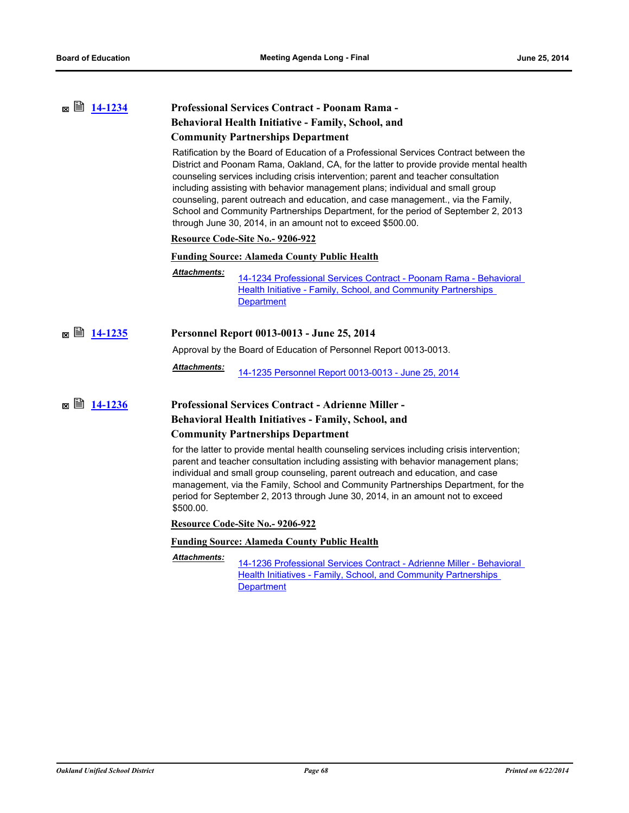| $\boxtimes$ $\cong$ 14-1234 | <b>Professional Services Contract - Poonam Rama -</b> |
|-----------------------------|-------------------------------------------------------|
|                             | Behavioral Health Initiative - Family, School, and    |
|                             | <b>Community Partnerships Department</b>              |

Ratification by the Board of Education of a Professional Services Contract between the District and Poonam Rama, Oakland, CA, for the latter to provide provide mental health counseling services including crisis intervention; parent and teacher consultation including assisting with behavior management plans; individual and small group counseling, parent outreach and education, and case management., via the Family, School and Community Partnerships Department, for the period of September 2, 2013 through June 30, 2014, in an amount not to exceed \$500.00.

#### **Resource Code-Site No.- 9206-922**

#### **Funding Source: Alameda County Public Health**

[14-1234 Professional Services Contract - Poonam Rama - Behavioral](http://ousd.legistar.com/gateway.aspx?M=F&ID=76553.pdf)  Health Initiative - Family, School, and Community Partnerships **Department** *Attachments:*

## **<b>■ [14-1235](http://ousd.legistar.com/gateway.aspx?m=l&id=/matter.aspx?key=32923) Personnel Report 0013-0013 - June 25, 2014**

Approval by the Board of Education of Personnel Report 0013-0013.

[14-1235 Personnel Report 0013-0013 - June 25, 2014](http://ousd.legistar.com/gateway.aspx?M=F&ID=76771.pdf) *Attachments:*

## **■ ■ [14-1236](http://ousd.legistar.com/gateway.aspx?m=l&id=/matter.aspx?key=32924) Professional Services Contract - Adrienne Miller -Behavioral Health Initiatives - Family, School, and Community Partnerships Department**

for the latter to provide mental health counseling services including crisis intervention; parent and teacher consultation including assisting with behavior management plans; individual and small group counseling, parent outreach and education, and case management, via the Family, School and Community Partnerships Department, for the period for September 2, 2013 through June 30, 2014, in an amount not to exceed \$500.00.

**Resource Code-Site No.- 9206-922**

#### **Funding Source: Alameda County Public Health**

[14-1236 Professional Services Contract - Adrienne Miller - Behavioral](http://ousd.legistar.com/gateway.aspx?M=F&ID=76554.pdf)  Health Initiatives - Family, School, and Community Partnerships **Department** *Attachments:*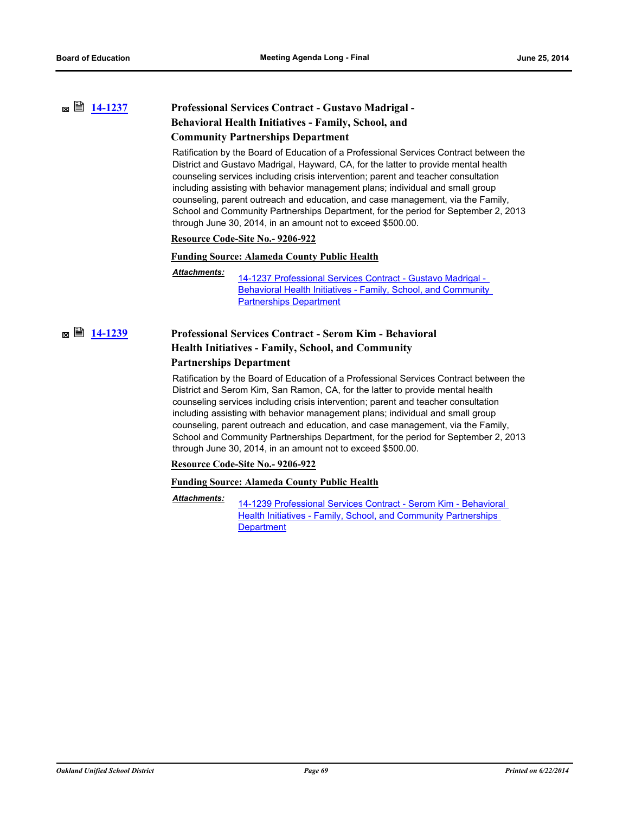# **[14-1237](http://ousd.legistar.com/gateway.aspx?m=l&id=/matter.aspx?key=32925) Professional Services Contract - Gustavo Madrigal - Behavioral Health Initiatives - Family, School, and**

#### **Community Partnerships Department**

Ratification by the Board of Education of a Professional Services Contract between the District and Gustavo Madrigal, Hayward, CA, for the latter to provide mental health counseling services including crisis intervention; parent and teacher consultation including assisting with behavior management plans; individual and small group counseling, parent outreach and education, and case management, via the Family, School and Community Partnerships Department, for the period for September 2, 2013 through June 30, 2014, in an amount not to exceed \$500.00.

#### **Resource Code-Site No.- 9206-922**

#### **Funding Source: Alameda County Public Health**

*Attachments:*

14-1237 Professional Services Contract - Gustavo Madrigal - [Behavioral Health Initiatives - Family, School, and Community](http://ousd.legistar.com/gateway.aspx?M=F&ID=76555.pdf)  Partnerships Department

## **[14-1239](http://ousd.legistar.com/gateway.aspx?m=l&id=/matter.aspx?key=32927) Professional Services Contract - Serom Kim - Behavioral Health Initiatives - Family, School, and Community Partnerships Department**

Ratification by the Board of Education of a Professional Services Contract between the District and Serom Kim, San Ramon, CA, for the latter to provide mental health counseling services including crisis intervention; parent and teacher consultation including assisting with behavior management plans; individual and small group counseling, parent outreach and education, and case management, via the Family, School and Community Partnerships Department, for the period for September 2, 2013 through June 30, 2014, in an amount not to exceed \$500.00.

#### **Resource Code-Site No.- 9206-922**

#### **Funding Source: Alameda County Public Health**

[14-1239 Professional Services Contract - Serom Kim - Behavioral](http://ousd.legistar.com/gateway.aspx?M=F&ID=76556.pdf)  Health Initiatives - Family, School, and Community Partnerships **Department** *Attachments:*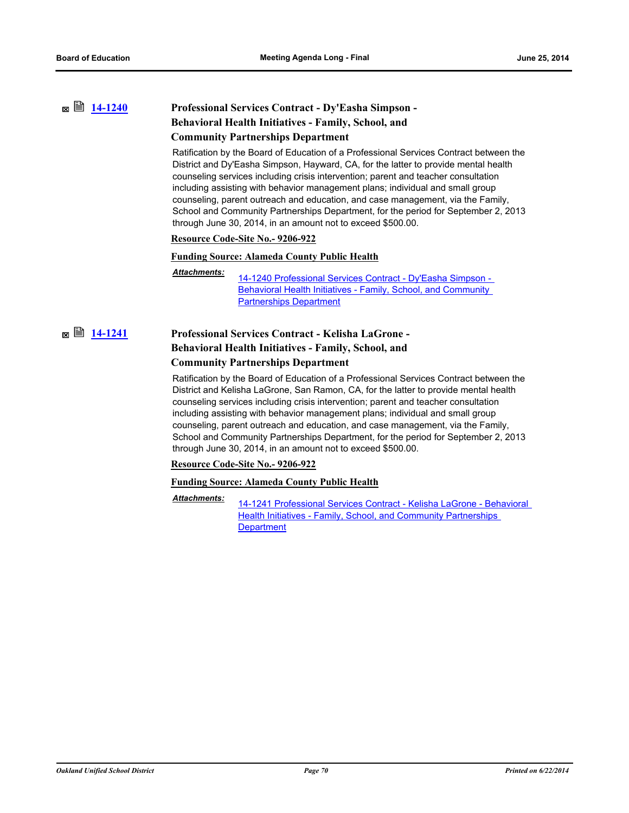## **[14-1240](http://ousd.legistar.com/gateway.aspx?m=l&id=/matter.aspx?key=32928) Professional Services Contract - Dy'Easha Simpson - Behavioral Health Initiatives - Family, School, and**

#### **Community Partnerships Department**

Ratification by the Board of Education of a Professional Services Contract between the District and Dy'Easha Simpson, Hayward, CA, for the latter to provide mental health counseling services including crisis intervention; parent and teacher consultation including assisting with behavior management plans; individual and small group counseling, parent outreach and education, and case management, via the Family, School and Community Partnerships Department, for the period for September 2, 2013 through June 30, 2014, in an amount not to exceed \$500.00.

#### **Resource Code-Site No.- 9206-922**

#### **Funding Source: Alameda County Public Health**

#### *Attachments:*

[14-1240 Professional Services Contract - Dy'Easha Simpson -](http://ousd.legistar.com/gateway.aspx?M=F&ID=76557.pdf)  Behavioral Health Initiatives - Family, School, and Community Partnerships Department

**<b>■ [14-1241](http://ousd.legistar.com/gateway.aspx?m=l&id=/matter.aspx?key=32929) Professional Services Contract - Kelisha LaGrone -Behavioral Health Initiatives - Family, School, and** 

#### **Community Partnerships Department**

Ratification by the Board of Education of a Professional Services Contract between the District and Kelisha LaGrone, San Ramon, CA, for the latter to provide mental health counseling services including crisis intervention; parent and teacher consultation including assisting with behavior management plans; individual and small group counseling, parent outreach and education, and case management, via the Family, School and Community Partnerships Department, for the period for September 2, 2013 through June 30, 2014, in an amount not to exceed \$500.00.

#### **Resource Code-Site No.- 9206-922**

#### **Funding Source: Alameda County Public Health**

[14-1241 Professional Services Contract - Kelisha LaGrone - Behavioral](http://ousd.legistar.com/gateway.aspx?M=F&ID=76558.pdf)  Health Initiatives - Family, School, and Community Partnerships **Department** *Attachments:*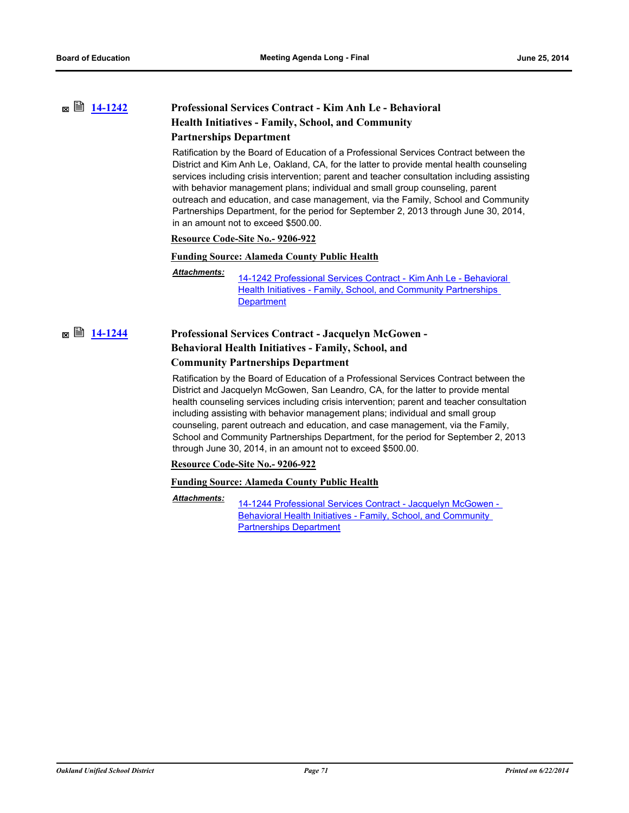## **[14-1242](http://ousd.legistar.com/gateway.aspx?m=l&id=/matter.aspx?key=32930) Professional Services Contract - Kim Anh Le - Behavioral Health Initiatives - Family, School, and Community Partnerships Department**

Ratification by the Board of Education of a Professional Services Contract between the District and Kim Anh Le, Oakland, CA, for the latter to provide mental health counseling services including crisis intervention; parent and teacher consultation including assisting with behavior management plans; individual and small group counseling, parent outreach and education, and case management, via the Family, School and Community Partnerships Department, for the period for September 2, 2013 through June 30, 2014, in an amount not to exceed \$500.00.

#### **Resource Code-Site No.- 9206-922**

#### **Funding Source: Alameda County Public Health**

#### *Attachments:*

[14-1242 Professional Services Contract - Kim Anh Le - Behavioral](http://ousd.legistar.com/gateway.aspx?M=F&ID=76559.pdf)  Health Initiatives - Family, School, and Community Partnerships **Department** 

**■ ■ [14-1244](http://ousd.legistar.com/gateway.aspx?m=l&id=/matter.aspx?key=32932) Professional Services Contract - Jacquelyn McGowen -**

## **Behavioral Health Initiatives - Family, School, and**

#### **Community Partnerships Department**

Ratification by the Board of Education of a Professional Services Contract between the District and Jacquelyn McGowen, San Leandro, CA, for the latter to provide mental health counseling services including crisis intervention; parent and teacher consultation including assisting with behavior management plans; individual and small group counseling, parent outreach and education, and case management, via the Family, School and Community Partnerships Department, for the period for September 2, 2013 through June 30, 2014, in an amount not to exceed \$500.00.

**Resource Code-Site No.- 9206-922**

#### **Funding Source: Alameda County Public Health**

[14-1244 Professional Services Contract - Jacquelyn McGowen -](http://ousd.legistar.com/gateway.aspx?M=F&ID=76561.pdf)  Behavioral Health Initiatives - Family, School, and Community Partnerships Department *Attachments:*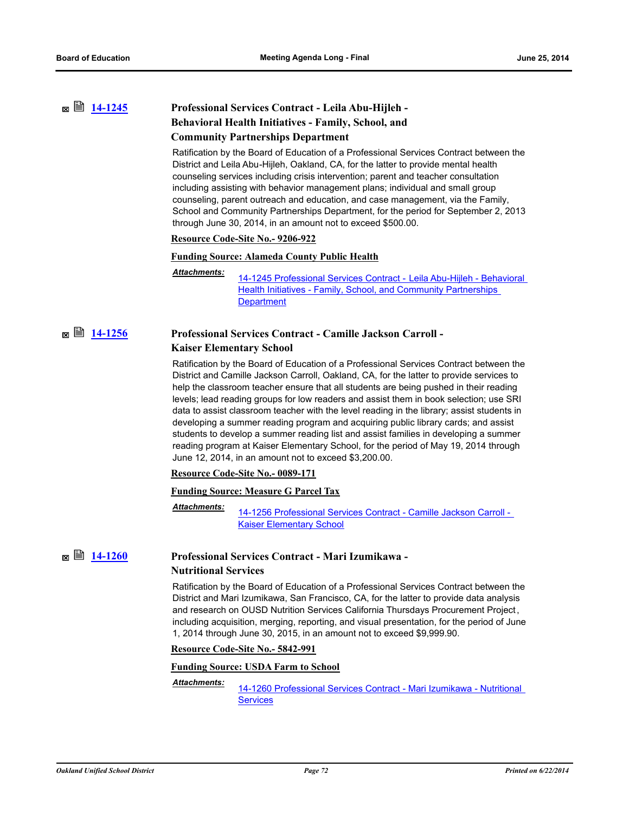# **[14-1245](http://ousd.legistar.com/gateway.aspx?m=l&id=/matter.aspx?key=32933) Professional Services Contract - Leila Abu-Hijleh - Behavioral Health Initiatives - Family, School, and**

#### **Community Partnerships Department**

Ratification by the Board of Education of a Professional Services Contract between the District and Leila Abu-Hijleh, Oakland, CA, for the latter to provide mental health counseling services including crisis intervention; parent and teacher consultation including assisting with behavior management plans; individual and small group counseling, parent outreach and education, and case management, via the Family, School and Community Partnerships Department, for the period for September 2, 2013 through June 30, 2014, in an amount not to exceed \$500.00.

#### **Resource Code-Site No.- 9206-922**

#### **Funding Source: Alameda County Public Health**

*Attachments:*

[14-1245 Professional Services Contract - Leila Abu-Hijleh - Behavioral](http://ousd.legistar.com/gateway.aspx?M=F&ID=76563.pdf)  Health Initiatives - Family, School, and Community Partnerships **Department** 

## **■ ■ [14-1256](http://ousd.legistar.com/gateway.aspx?m=l&id=/matter.aspx?key=32944) Professional Services Contract - Camille Jackson Carroll -**

#### **Kaiser Elementary School**

Ratification by the Board of Education of a Professional Services Contract between the District and Camille Jackson Carroll, Oakland, CA, for the latter to provide services to help the classroom teacher ensure that all students are being pushed in their reading levels; lead reading groups for low readers and assist them in book selection; use SRI data to assist classroom teacher with the level reading in the library; assist students in developing a summer reading program and acquiring public library cards; and assist students to develop a summer reading list and assist families in developing a summer reading program at Kaiser Elementary School, for the period of May 19, 2014 through June 12, 2014, in an amount not to exceed \$3,200.00.

### **Resource Code-Site No.- 0089-171**

#### **Funding Source: Measure G Parcel Tax**

[14-1256 Professional Services Contract - Camille Jackson Carroll -](http://ousd.legistar.com/gateway.aspx?M=F&ID=76577.pdf)  Kaiser Elementary School *Attachments:*

### **[14-1260](http://ousd.legistar.com/gateway.aspx?m=l&id=/matter.aspx?key=32948) Professional Services Contract - Mari Izumikawa - Nutritional Services**

Ratification by the Board of Education of a Professional Services Contract between the District and Mari Izumikawa, San Francisco, CA, for the latter to provide data analysis and research on OUSD Nutrition Services California Thursdays Procurement Project, including acquisition, merging, reporting, and visual presentation, for the period of June 1, 2014 through June 30, 2015, in an amount not to exceed \$9,999.90.

#### **Resource Code-Site No.- 5842-991**

#### **Funding Source: USDA Farm to School**

## *Attachments:*

[14-1260 Professional Services Contract - Mari Izumikawa - Nutritional](http://ousd.legistar.com/gateway.aspx?M=F&ID=76580.pdf)  **Services**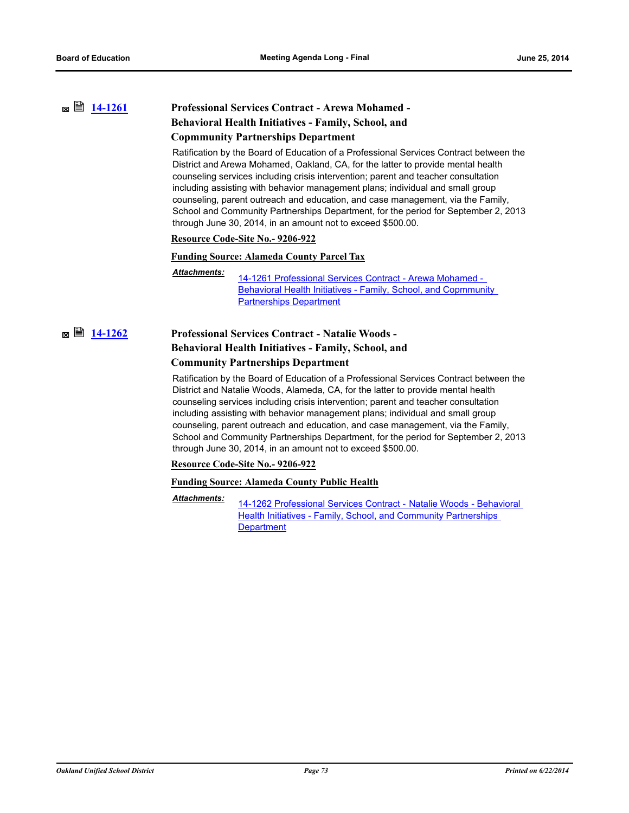# **[14-1261](http://ousd.legistar.com/gateway.aspx?m=l&id=/matter.aspx?key=32949) Professional Services Contract - Arewa Mohamed - Behavioral Health Initiatives - Family, School, and**

### **Copmmunity Partnerships Department**

Ratification by the Board of Education of a Professional Services Contract between the District and Arewa Mohamed, Oakland, CA, for the latter to provide mental health counseling services including crisis intervention; parent and teacher consultation including assisting with behavior management plans; individual and small group counseling, parent outreach and education, and case management, via the Family, School and Community Partnerships Department, for the period for September 2, 2013 through June 30, 2014, in an amount not to exceed \$500.00.

### **Resource Code-Site No.- 9206-922**

### **Funding Source: Alameda County Parcel Tax**

### *Attachments:*

14-1261 Professional Services Contract - Arewa Mohamed - Behavioral Health Initiatives - Family, School, and Copmmunity Partnerships Department

**■ ■ [14-1262](http://ousd.legistar.com/gateway.aspx?m=l&id=/matter.aspx?key=32950) Professional Services Contract - Natalie Woods -Behavioral Health Initiatives - Family, School, and Community Partnerships Department**

> Ratification by the Board of Education of a Professional Services Contract between the District and Natalie Woods, Alameda, CA, for the latter to provide mental health counseling services including crisis intervention; parent and teacher consultation including assisting with behavior management plans; individual and small group counseling, parent outreach and education, and case management, via the Family, School and Community Partnerships Department, for the period for September 2, 2013 through June 30, 2014, in an amount not to exceed \$500.00.

### **Resource Code-Site No.- 9206-922**

### **Funding Source: Alameda County Public Health**

[14-1262 Professional Services Contract - Natalie Woods - Behavioral](http://ousd.legistar.com/gateway.aspx?M=F&ID=76582.pdf)  Health Initiatives - Family, School, and Community Partnerships **Department** *Attachments:*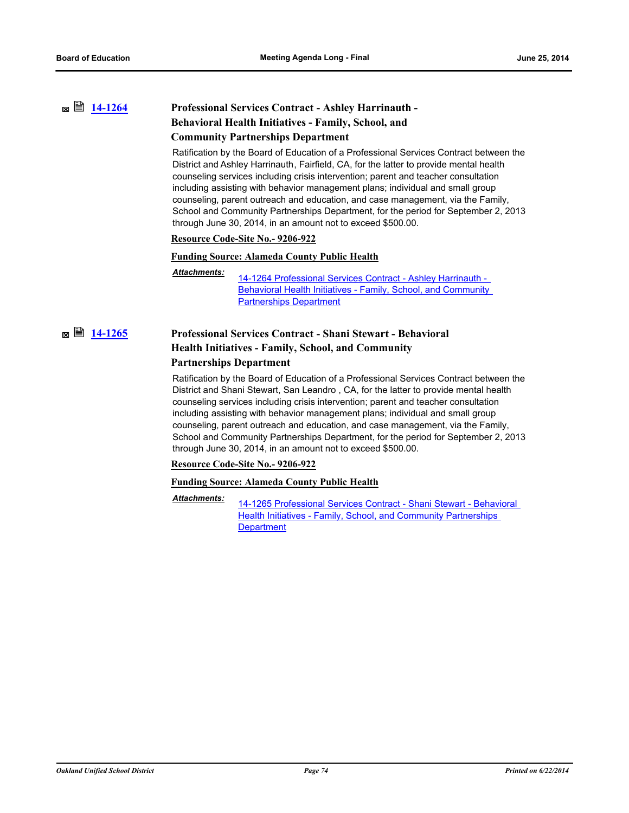# **[14-1264](http://ousd.legistar.com/gateway.aspx?m=l&id=/matter.aspx?key=32952) Professional Services Contract - Ashley Harrinauth - Behavioral Health Initiatives - Family, School, and**

### **Community Partnerships Department**

Ratification by the Board of Education of a Professional Services Contract between the District and Ashley Harrinauth, Fairfield, CA, for the latter to provide mental health counseling services including crisis intervention; parent and teacher consultation including assisting with behavior management plans; individual and small group counseling, parent outreach and education, and case management, via the Family, School and Community Partnerships Department, for the period for September 2, 2013 through June 30, 2014, in an amount not to exceed \$500.00.

### **Resource Code-Site No.- 9206-922**

### **Funding Source: Alameda County Public Health**

*Attachments:*

14-1264 Professional Services Contract - Ashley Harrinauth - [Behavioral Health Initiatives - Family, School, and Community](http://ousd.legistar.com/gateway.aspx?M=F&ID=76584.pdf)  Partnerships Department

# **[14-1265](http://ousd.legistar.com/gateway.aspx?m=l&id=/matter.aspx?key=32953) Professional Services Contract - Shani Stewart - Behavioral Health Initiatives - Family, School, and Community Partnerships Department**

Ratification by the Board of Education of a Professional Services Contract between the District and Shani Stewart, San Leandro , CA, for the latter to provide mental health counseling services including crisis intervention; parent and teacher consultation including assisting with behavior management plans; individual and small group counseling, parent outreach and education, and case management, via the Family, School and Community Partnerships Department, for the period for September 2, 2013 through June 30, 2014, in an amount not to exceed \$500.00.

### **Resource Code-Site No.- 9206-922**

### **Funding Source: Alameda County Public Health**

[14-1265 Professional Services Contract - Shani Stewart - Behavioral](http://ousd.legistar.com/gateway.aspx?M=F&ID=76585.pdf)  Health Initiatives - Family, School, and Community Partnerships **Department** *Attachments:*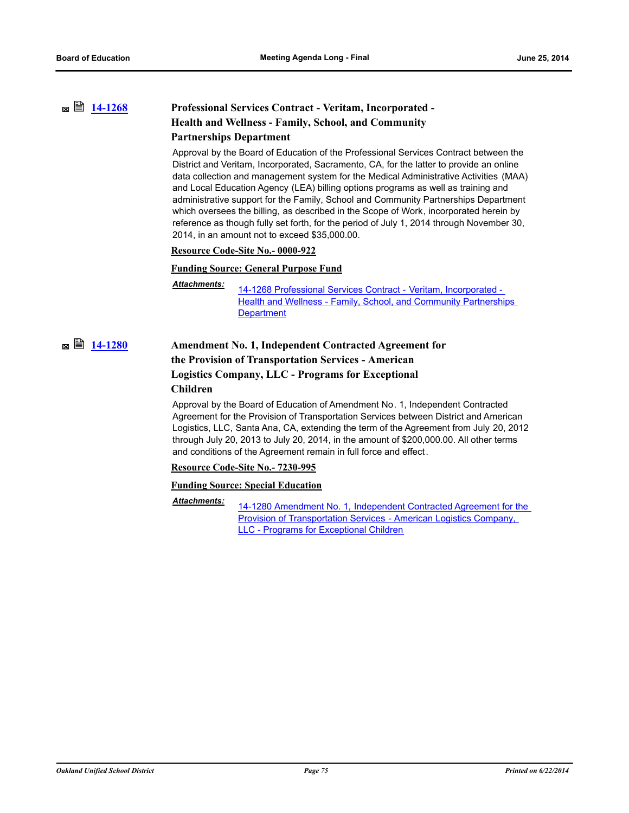# **[14-1268](http://ousd.legistar.com/gateway.aspx?m=l&id=/matter.aspx?key=32956) Professional Services Contract - Veritam, Incorporated - Health and Wellness - Family, School, and Community Partnerships Department**

Approval by the Board of Education of the Professional Services Contract between the District and Veritam, Incorporated, Sacramento, CA, for the latter to provide an online data collection and management system for the Medical Administrative Activities (MAA) and Local Education Agency (LEA) billing options programs as well as training and administrative support for the Family, School and Community Partnerships Department which oversees the billing, as described in the Scope of Work, incorporated herein by reference as though fully set forth, for the period of July 1, 2014 through November 30, 2014, in an amount not to exceed \$35,000.00.

### **Resource Code-Site No.- 0000-922**

### **Funding Source: General Purpose Fund**

*Attachments:*

14-1268 Professional Services Contract - Veritam, Incorporated - [Health and Wellness - Family, School, and Community Partnerships](http://ousd.legistar.com/gateway.aspx?M=F&ID=76568.pdf)  **Department** 

# **[14-1280](http://ousd.legistar.com/gateway.aspx?m=l&id=/matter.aspx?key=32966) Amendment No. 1, Independent Contracted Agreement for the Provision of Transportation Services - American Logistics Company, LLC - Programs for Exceptional Children**

Approval by the Board of Education of Amendment No. 1, Independent Contracted Agreement for the Provision of Transportation Services between District and American Logistics, LLC, Santa Ana, CA, extending the term of the Agreement from July 20, 2012 through July 20, 2013 to July 20, 2014, in the amount of \$200,000.00. All other terms and conditions of the Agreement remain in full force and effect.

### **Resource Code-Site No.- 7230-995**

### **Funding Source: Special Education**

*Attachments:*

[14-1280 Amendment No. 1, Independent Contracted Agreement for the](http://ousd.legistar.com/gateway.aspx?M=F&ID=76702.pdf)  Provision of Transportation Services - American Logistics Company, LLC - Programs for Exceptional Children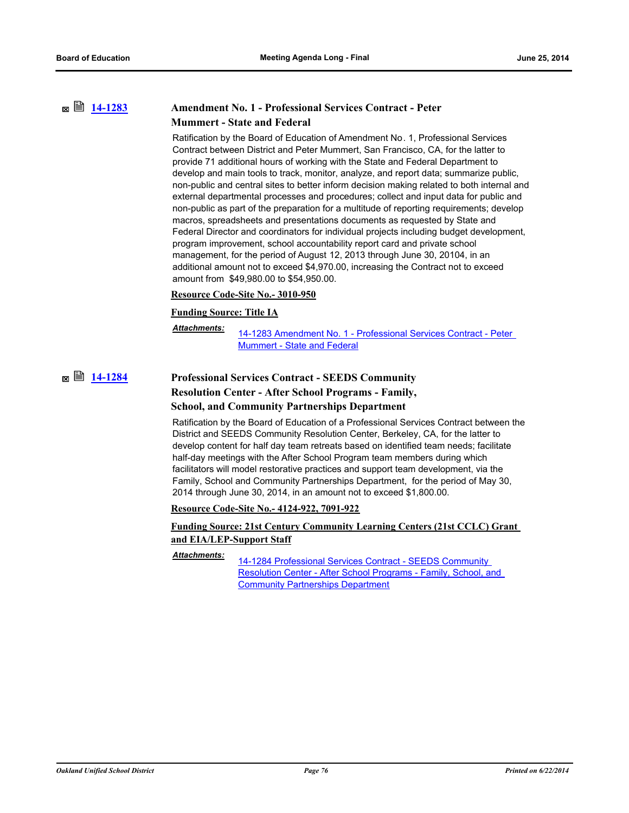# **[14-1283](http://ousd.legistar.com/gateway.aspx?m=l&id=/matter.aspx?key=32969) Amendment No. 1 - Professional Services Contract - Peter Mummert - State and Federal**

Ratification by the Board of Education of Amendment No. 1, Professional Services Contract between District and Peter Mummert, San Francisco, CA, for the latter to provide 71 additional hours of working with the State and Federal Department to develop and main tools to track, monitor, analyze, and report data; summarize public, non-public and central sites to better inform decision making related to both internal and external departmental processes and procedures; collect and input data for public and non-public as part of the preparation for a multitude of reporting requirements; develop macros, spreadsheets and presentations documents as requested by State and Federal Director and coordinators for individual projects including budget development, program improvement, school accountability report card and private school management, for the period of August 12, 2013 through June 30, 20104, in an additional amount not to exceed \$4,970.00, increasing the Contract not to exceed amount from \$49,980.00 to \$54,950.00.

### **Resource Code-Site No.- 3010-950**

### **Funding Source: Title IA**

[14-1283 Amendment No. 1 - Professional Services Contract - Peter](http://ousd.legistar.com/gateway.aspx?M=F&ID=76562.pdf)  Mummert - State and Federal *Attachments:*

**■ ■ [14-1284](http://ousd.legistar.com/gateway.aspx?m=l&id=/matter.aspx?key=32970) Professional Services Contract - SEEDS Community** 

## **Resolution Center - After School Programs - Family,**

### **School, and Community Partnerships Department**

Ratification by the Board of Education of a Professional Services Contract between the District and SEEDS Community Resolution Center, Berkeley, CA, for the latter to develop content for half day team retreats based on identified team needs; facilitate half-day meetings with the After School Program team members during which facilitators will model restorative practices and support team development, via the Family, School and Community Partnerships Department, for the period of May 30, 2014 through June 30, 2014, in an amount not to exceed \$1,800.00.

### **Resource Code-Site No.- 4124-922, 7091-922**

### **Funding Source: 21st Century Community Learning Centers (21st CCLC) Grant and EIA/LEP-Support Staff**

### *Attachments:*

14-1284 Professional Services Contract - SEEDS Community [Resolution Center - After School Programs - Family, School, and](http://ousd.legistar.com/gateway.aspx?M=F&ID=76588.pdf)  Community Partnerships Department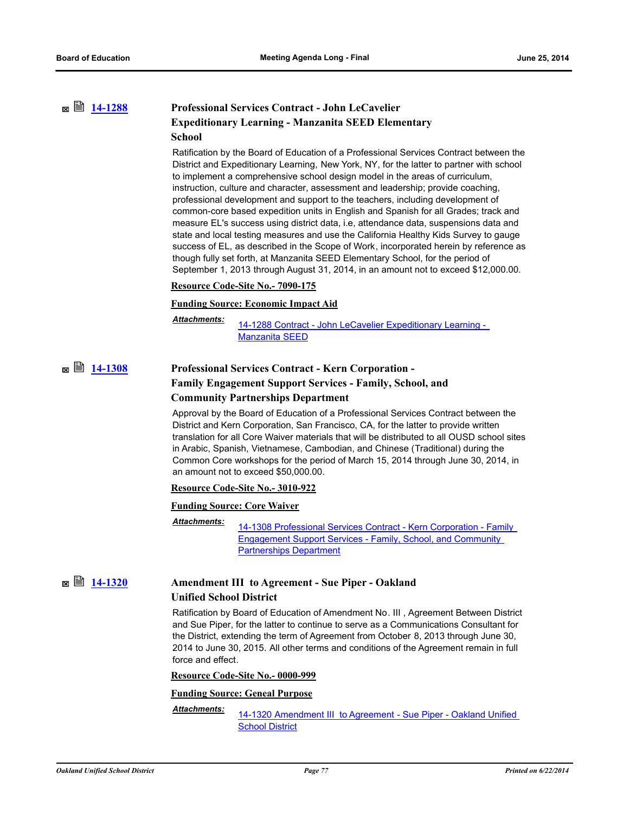# **[14-1288](http://ousd.legistar.com/gateway.aspx?m=l&id=/matter.aspx?key=32974) Professional Services Contract - John LeCavelier Expeditionary Learning - Manzanita SEED Elementary School**

Ratification by the Board of Education of a Professional Services Contract between the District and Expeditionary Learning, New York, NY, for the latter to partner with school to implement a comprehensive school design model in the areas of curriculum, instruction, culture and character, assessment and leadership; provide coaching, professional development and support to the teachers, including development of common-core based expedition units in English and Spanish for all Grades; track and measure EL's success using district data, i.e, attendance data, suspensions data and state and local testing measures and use the California Healthy Kids Survey to gauge success of EL, as described in the Scope of Work, incorporated herein by reference as though fully set forth, at Manzanita SEED Elementary School, for the period of September 1, 2013 through August 31, 2014, in an amount not to exceed \$12,000.00.

### **Resource Code-Site No.- 7090-175**

### **Funding Source: Economic Impact Aid**

*Attachments:*

[14-1288 Contract - John LeCavelier Expeditionary Learning -](http://ousd.legistar.com/gateway.aspx?M=F&ID=76591.pdf)  Manzanita SEED

**■ ■ [14-1308](http://ousd.legistar.com/gateway.aspx?m=l&id=/matter.aspx?key=32988) Professional Services Contract - Kern Corporation -Family Engagement Support Services - Family, School, and Community Partnerships Department**

> Approval by the Board of Education of a Professional Services Contract between the District and Kern Corporation, San Francisco, CA, for the latter to provide written translation for all Core Waiver materials that will be distributed to all OUSD school sites in Arabic, Spanish, Vietnamese, Cambodian, and Chinese (Traditional) during the Common Core workshops for the period of March 15, 2014 through June 30, 2014, in an amount not to exceed \$50,000.00.

### **Resource Code-Site No.- 3010-922**

### **Funding Source: Core Waiver**

[14-1308 Professional Services Contract - Kern Corporation - Family](http://ousd.legistar.com/gateway.aspx?M=F&ID=76774.pdf)  Engagement Support Services - Family, School, and Community Partnerships Department *Attachments:*

# **■ ■ [14-1320](http://ousd.legistar.com/gateway.aspx?m=l&id=/matter.aspx?key=33000) Amendment III to Agreement - Sue Piper - Oakland Unified School District**

Ratification by Board of Education of Amendment No. III , Agreement Between District and Sue Piper, for the latter to continue to serve as a Communications Consultant for the District, extending the term of Agreement from October 8, 2013 through June 30, 2014 to June 30, 2015. All other terms and conditions of the Agreement remain in full force and effect.

### **Resource Code-Site No.- 0000-999**

### **Funding Source: Geneal Purpose**

[14-1320 Amendment III to Agreement - Sue Piper - Oakland Unified](http://ousd.legistar.com/gateway.aspx?M=F&ID=76412.pdf)  School District *Attachments:*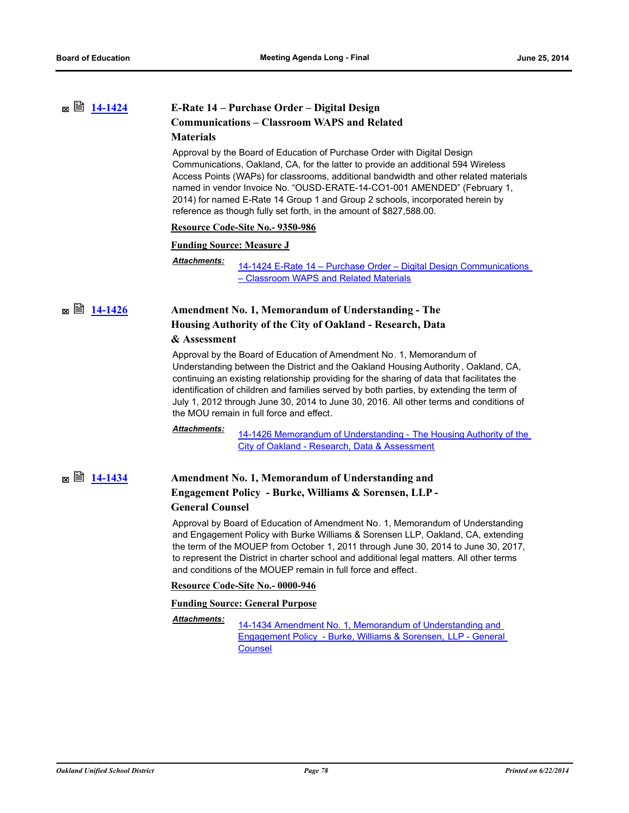# **[14-1424](http://ousd.legistar.com/gateway.aspx?m=l&id=/matter.aspx?key=33104) E-Rate 14 – Purchase Order – Digital Design Communications – Classroom WAPS and Related Materials**

Approval by the Board of Education of Purchase Order with Digital Design Communications, Oakland, CA, for the latter to provide an additional 594 Wireless Access Points (WAPs) for classrooms, additional bandwidth and other related materials named in vendor Invoice No. "OUSD-ERATE-14-CO1-001 AMENDED" (February 1, 2014) for named E-Rate 14 Group 1 and Group 2 schools, incorporated herein by reference as though fully set forth, in the amount of \$827,588.00.

### **Resource Code-Site No.- 9350-986**

### **Funding Source: Measure J**

[14-1424 E-Rate 14 – Purchase Order – Digital Design Communications](http://ousd.legistar.com/gateway.aspx?M=F&ID=76489.pdf)  – Classroom WAPS and Related Materials *Attachments:*

# **■ ■ [14-1426](http://ousd.legistar.com/gateway.aspx?m=l&id=/matter.aspx?key=33106) Amendment No. 1, Memorandum of Understanding - The Housing Authority of the City of Oakland - Research, Data**

### **& Assessment**

Approval by the Board of Education of Amendment No. 1, Memorandum of Understanding between the District and the Oakland Housing Authority , Oakland, CA, continuing an existing relationship providing for the sharing of data that facilitates the identification of children and families served by both parties, by extending the term of July 1, 2012 through June 30, 2014 to June 30, 2016. All other terms and conditions of the MOU remain in full force and effect.

### *Attachments:*

[14-1426 Memorandum of Understanding - The Housing Authority of the](http://ousd.legistar.com/gateway.aspx?M=F&ID=76411.pdf)  City of Oakland - Research, Data & Assessment

# **■ ■ [14-1434](http://ousd.legistar.com/gateway.aspx?m=l&id=/matter.aspx?key=33110) Amendment No. 1, Memorandum of Understanding and Engagement Policy - Burke, Williams & Sorensen, LLP - General Counsel**

Approval by Board of Education of Amendment No. 1, Memorandum of Understanding and Engagement Policy with Burke Williams & Sorensen LLP, Oakland, CA, extending the term of the MOUEP from October 1, 2011 through June 30, 2014 to June 30, 2017, to represent the District in charter school and additional legal matters. All other terms and conditions of the MOUEP remain in full force and effect.

### **Resource Code-Site No.- 0000-946**

### **Funding Source: General Purpose**

### *Attachments:*

14-1434 Amendment No. 1, Memorandum of Understanding and [Engagement Policy - Burke, Williams & Sorensen, LLP - General](http://ousd.legistar.com/gateway.aspx?M=F&ID=76416.pdf)  **Counsel**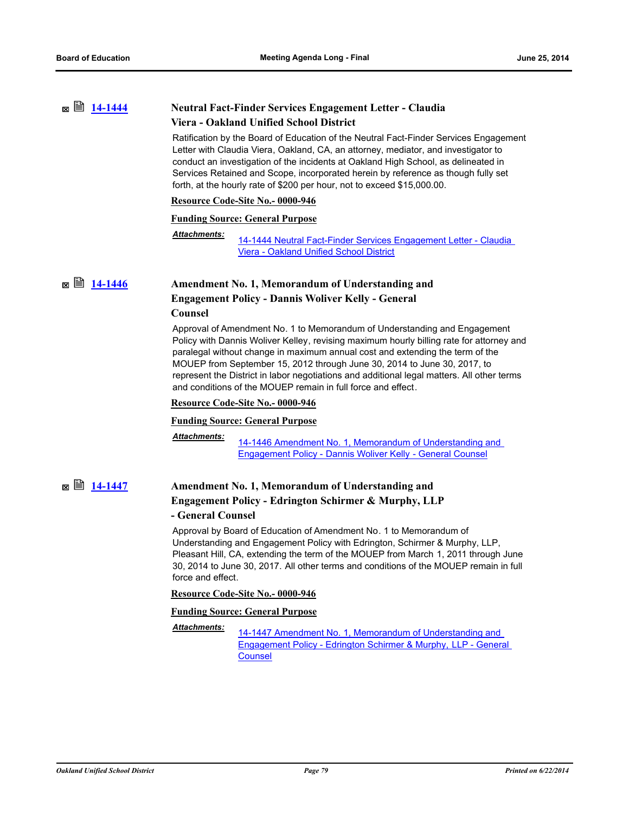# **[14-1444](http://ousd.legistar.com/gateway.aspx?m=l&id=/matter.aspx?key=33120) Neutral Fact-Finder Services Engagement Letter - Claudia Viera - Oakland Unified School District**

Ratification by the Board of Education of the Neutral Fact-Finder Services Engagement Letter with Claudia Viera, Oakland, CA, an attorney, mediator, and investigator to conduct an investigation of the incidents at Oakland High School, as delineated in Services Retained and Scope, incorporated herein by reference as though fully set forth, at the hourly rate of \$200 per hour, not to exceed \$15,000.00.

### **Resource Code-Site No.- 0000-946**

### **Funding Source: General Purpose**

[14-1444 Neutral Fact-Finder Services Engagement Letter - Claudia](http://ousd.legistar.com/gateway.aspx?M=F&ID=76408.pdf)  Viera - Oakland Unified School District *Attachments:*

## **[14-1446](http://ousd.legistar.com/gateway.aspx?m=l&id=/matter.aspx?key=33122) Amendment No. 1, Memorandum of Understanding and Engagement Policy - Dannis Woliver Kelly - General Counsel**

Approval of Amendment No. 1 to Memorandum of Understanding and Engagement Policy with Dannis Woliver Kelley, revising maximum hourly billing rate for attorney and paralegal without change in maximum annual cost and extending the term of the MOUEP from September 15, 2012 through June 30, 2014 to June 30, 2017, to represent the District in labor negotiations and additional legal matters. All other terms and conditions of the MOUEP remain in full force and effect.

### **Resource Code-Site No.- 0000-946**

### **Funding Source: General Purpose**

*Attachments:*

[14-1446 Amendment No. 1, Memorandum of Understanding and](http://ousd.legistar.com/gateway.aspx?M=F&ID=76414.pdf)  Engagement Policy - Dannis Woliver Kelly - General Counsel

## **[14-1447](http://ousd.legistar.com/gateway.aspx?m=l&id=/matter.aspx?key=33123) Amendment No. 1, Memorandum of Understanding and Engagement Policy - Edrington Schirmer & Murphy, LLP**

### **- General Counsel**

Approval by Board of Education of Amendment No. 1 to Memorandum of Understanding and Engagement Policy with Edrington, Schirmer & Murphy, LLP, Pleasant Hill, CA, extending the term of the MOUEP from March 1, 2011 through June 30, 2014 to June 30, 2017. All other terms and conditions of the MOUEP remain in full force and effect.

**Resource Code-Site No.- 0000-946**

### **Funding Source: General Purpose**

14-1447 Amendment No. 1, Memorandum of Understanding and [Engagement Policy - Edrington Schirmer & Murphy, LLP - General](http://ousd.legistar.com/gateway.aspx?M=F&ID=76417.pdf)  **Counsel** *Attachments:*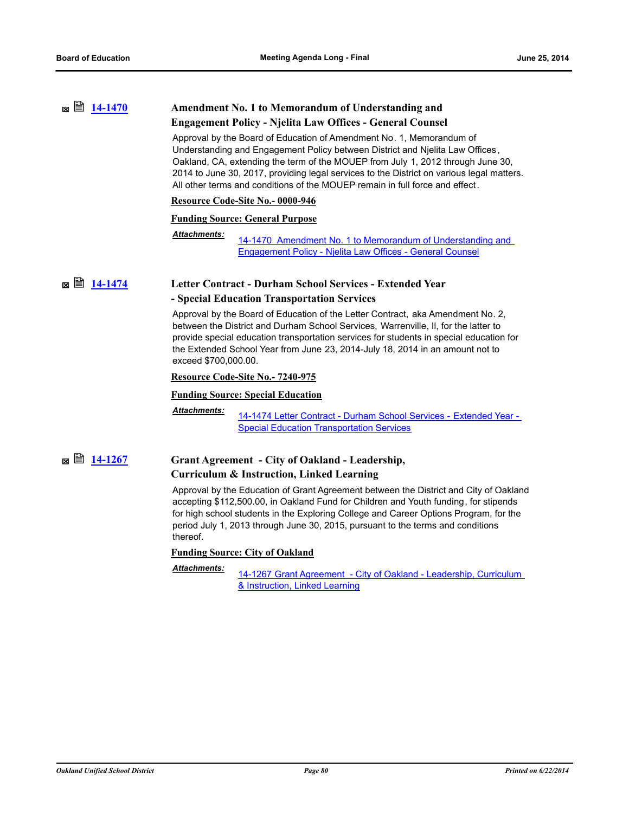| 閶<br>14-1470<br>冈 | Amendment No. 1 to Memorandum of Understanding and<br><b>Engagement Policy - Njelita Law Offices - General Counsel</b><br>Approval by the Board of Education of Amendment No. 1, Memorandum of<br>Understanding and Engagement Policy between District and Njelita Law Offices,<br>Oakland, CA, extending the term of the MOUEP from July 1, 2012 through June 30,<br>2014 to June 30, 2017, providing legal services to the District on various legal matters.<br>All other terms and conditions of the MOUEP remain in full force and effect. |  |
|-------------------|-------------------------------------------------------------------------------------------------------------------------------------------------------------------------------------------------------------------------------------------------------------------------------------------------------------------------------------------------------------------------------------------------------------------------------------------------------------------------------------------------------------------------------------------------|--|
|                   | Resource Code-Site No.- 0000-946<br><b>Funding Source: General Purpose</b>                                                                                                                                                                                                                                                                                                                                                                                                                                                                      |  |
|                   | <b>Attachments:</b><br>14-1470 Amendment No. 1 to Memorandum of Understanding and<br><b>Engagement Policy - Njelita Law Offices - General Counsel</b>                                                                                                                                                                                                                                                                                                                                                                                           |  |
| 閶<br>14-1474<br>冈 | Letter Contract - Durham School Services - Extended Year<br>- Special Education Transportation Services                                                                                                                                                                                                                                                                                                                                                                                                                                         |  |
|                   | Approval by the Board of Education of the Letter Contract, aka Amendment No. 2,<br>between the District and Durham School Services, Warrenville, II, for the latter to<br>provide special education transportation services for students in special education for<br>the Extended School Year from June 23, 2014-July 18, 2014 in an amount not to<br>exceed \$700,000.00.                                                                                                                                                                      |  |
|                   | Resource Code-Site No.- 7240-975                                                                                                                                                                                                                                                                                                                                                                                                                                                                                                                |  |
|                   | <b>Funding Source: Special Education</b>                                                                                                                                                                                                                                                                                                                                                                                                                                                                                                        |  |
|                   | <b>Attachments:</b><br>14-1474 Letter Contract - Durham School Services - Extended Year -<br><b>Special Education Transportation Services</b>                                                                                                                                                                                                                                                                                                                                                                                                   |  |
| 閶<br>14-1267<br>м | <b>Grant Agreement - City of Oakland - Leadership,</b>                                                                                                                                                                                                                                                                                                                                                                                                                                                                                          |  |
|                   | <b>Curriculum &amp; Instruction, Linked Learning</b>                                                                                                                                                                                                                                                                                                                                                                                                                                                                                            |  |
|                   | Approval by the Education of Grant Agreement between the District and City of Oakland                                                                                                                                                                                                                                                                                                                                                                                                                                                           |  |

accepting \$112,500.00, in Oakland Fund for Children and Youth funding, for stipends for high school students in the Exploring College and Career Options Program, for the period July 1, 2013 through June 30, 2015, pursuant to the terms and conditions thereof.

**Funding Source: City of Oakland**

*Attachments:*

14-1267 Grant Agreement - City of Oakland - Leadership, Curriculum & Instruction, Linked Learning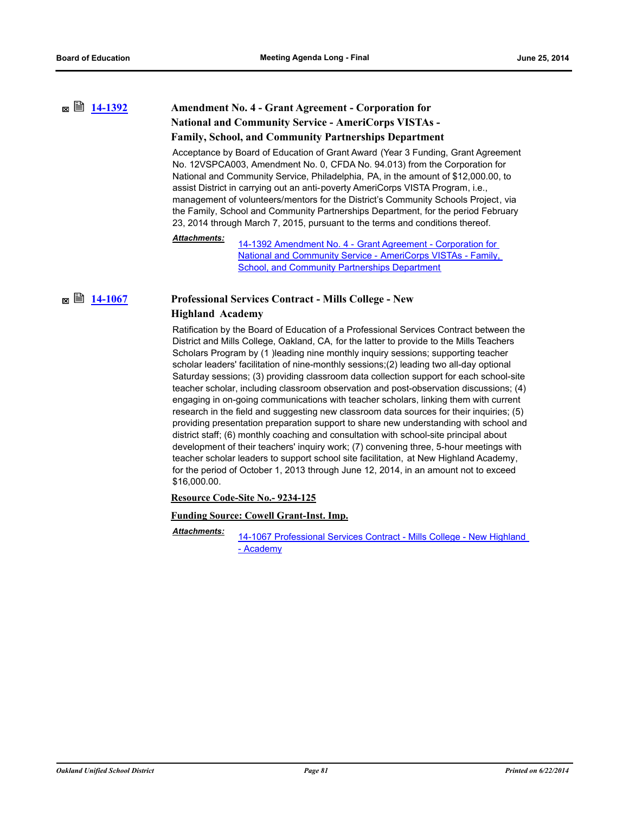# **[14-1392](http://ousd.legistar.com/gateway.aspx?m=l&id=/matter.aspx?key=33072) Amendment No. 4 - Grant Agreement - Corporation for National and Community Service - AmeriCorps VISTAs -**

# **Family, School, and Community Partnerships Department**

Acceptance by Board of Education of Grant Award (Year 3 Funding, Grant Agreement No. 12VSPCA003, Amendment No. 0, CFDA No. 94.013) from the Corporation for National and Community Service, Philadelphia, PA, in the amount of \$12,000.00, to assist District in carrying out an anti-poverty AmeriCorps VISTA Program, i.e., management of volunteers/mentors for the District's Community Schools Project, via the Family, School and Community Partnerships Department, for the period February 23, 2014 through March 7, 2015, pursuant to the terms and conditions thereof.

14-1392 Amendment No. 4 - Grant Agreement - Corporation for [National and Community Service - AmeriCorps VISTAs - Family,](http://ousd.legistar.com/gateway.aspx?M=F&ID=76743.pdf)  School, and Community Partnerships Department *Attachments:*

# **■ ■ [14-1067](http://ousd.legistar.com/gateway.aspx?m=l&id=/matter.aspx?key=32767) Professional Services Contract - Mills College - New Highland Academy**

Ratification by the Board of Education of a Professional Services Contract between the District and Mills College, Oakland, CA, for the latter to provide to the Mills Teachers Scholars Program by (1 )leading nine monthly inquiry sessions; supporting teacher scholar leaders' facilitation of nine-monthly sessions;(2) leading two all-day optional Saturday sessions; (3) providing classroom data collection support for each school-site teacher scholar, including classroom observation and post-observation discussions; (4) engaging in on-going communications with teacher scholars, linking them with current research in the field and suggesting new classroom data sources for their inquiries; (5) providing presentation preparation support to share new understanding with school and district staff; (6) monthly coaching and consultation with school-site principal about development of their teachers' inquiry work; (7) convening three, 5-hour meetings with teacher scholar leaders to support school site facilitation, at New Highland Academy, for the period of October 1, 2013 through June 12, 2014, in an amount not to exceed \$16,000.00.

**Resource Code-Site No.- 9234-125**

**Funding Source: Cowell Grant-Inst. Imp.**

[14-1067 Professional Services Contract - Mills College - New Highland](http://ousd.legistar.com/gateway.aspx?M=F&ID=76501.pdf)  - Academy *Attachments:*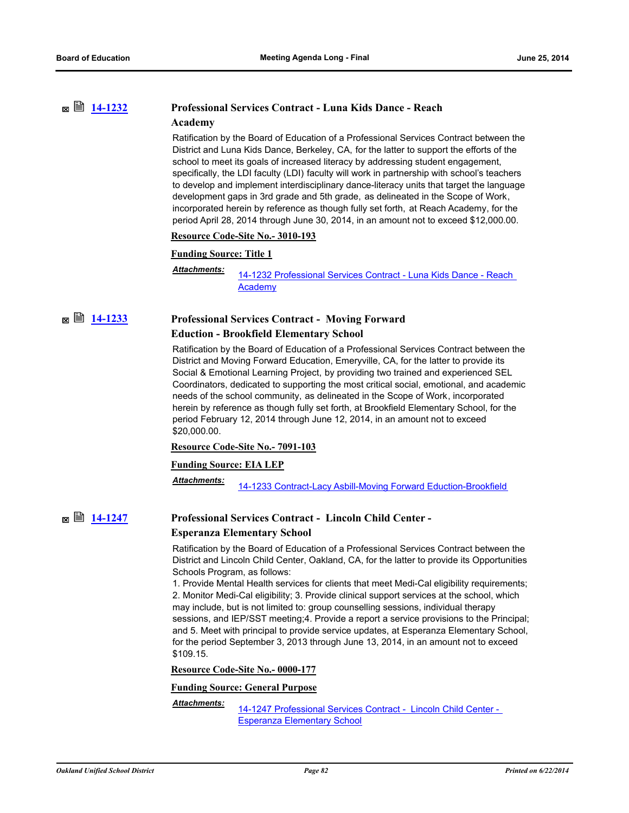# **[14-1232](http://ousd.legistar.com/gateway.aspx?m=l&id=/matter.aspx?key=32920) Professional Services Contract - Luna Kids Dance - Reach Academy**

Ratification by the Board of Education of a Professional Services Contract between the District and Luna Kids Dance, Berkeley, CA, for the latter to support the efforts of the school to meet its goals of increased literacy by addressing student engagement, specifically, the LDI faculty (LDI) faculty will work in partnership with school's teachers to develop and implement interdisciplinary dance-literacy units that target the language development gaps in 3rd grade and 5th grade, as delineated in the Scope of Work, incorporated herein by reference as though fully set forth, at Reach Academy, for the period April 28, 2014 through June 30, 2014, in an amount not to exceed \$12,000.00.

### **Resource Code-Site No.- 3010-193**

### **Funding Source: Title 1**

*Attachments:*

[14-1232 Professional Services Contract - Luna Kids Dance - Reach](http://ousd.legistar.com/gateway.aspx?M=F&ID=76549.pdf)  Academy

# **[14-1233](http://ousd.legistar.com/gateway.aspx?m=l&id=/matter.aspx?key=32921) Professional Services Contract - Moving Forward Eduction - Brookfield Elementary School**

Ratification by the Board of Education of a Professional Services Contract between the District and Moving Forward Education, Emeryville, CA, for the latter to provide its Social & Emotional Learning Project, by providing two trained and experienced SEL Coordinators, dedicated to supporting the most critical social, emotional, and academic needs of the school community, as delineated in the Scope of Work, incorporated herein by reference as though fully set forth, at Brookfield Elementary School, for the period February 12, 2014 through June 12, 2014, in an amount not to exceed \$20,000.00.

### **Resource Code-Site No.- 7091-103**

### **Funding Source: EIA LEP**

Attachments: [14-1233 Contract-Lacy Asbill-Moving Forward Eduction-Brookfield](http://ousd.legistar.com/gateway.aspx?M=F&ID=76552.pdf)

# **■ ■ [14-1247](http://ousd.legistar.com/gateway.aspx?m=l&id=/matter.aspx?key=32935) Professional Services Contract - Lincoln Child Center -Esperanza Elementary School**

Ratification by the Board of Education of a Professional Services Contract between the District and Lincoln Child Center, Oakland, CA, for the latter to provide its Opportunities Schools Program, as follows:

1. Provide Mental Health services for clients that meet Medi-Cal eligibility requirements; 2. Monitor Medi-Cal eligibility; 3. Provide clinical support services at the school, which may include, but is not limited to: group counselling sessions, individual therapy sessions, and IEP/SST meeting;4. Provide a report a service provisions to the Principal; and 5. Meet with principal to provide service updates, at Esperanza Elementary School, for the period September 3, 2013 through June 13, 2014, in an amount not to exceed \$109.15.

**Resource Code-Site No.- 0000-177**

### **Funding Source: General Purpose**

*Attachments:*

[14-1247 Professional Services Contract - Lincoln Child Center -](http://ousd.legistar.com/gateway.aspx?M=F&ID=76565.pdf)  Esperanza Elementary School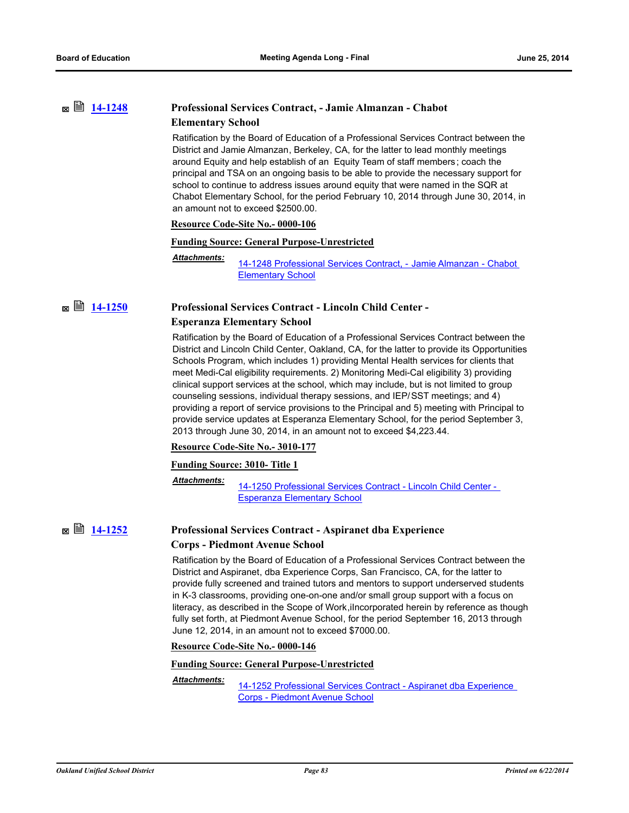# **[14-1248](http://ousd.legistar.com/gateway.aspx?m=l&id=/matter.aspx?key=32936) Professional Services Contract, - Jamie Almanzan - Chabot Elementary School**

Ratification by the Board of Education of a Professional Services Contract between the District and Jamie Almanzan, Berkeley, CA, for the latter to lead monthly meetings around Equity and help establish of an Equity Team of staff members; coach the principal and TSA on an ongoing basis to be able to provide the necessary support for school to continue to address issues around equity that were named in the SQR at Chabot Elementary School, for the period February 10, 2014 through June 30, 2014, in an amount not to exceed \$2500.00.

### **Resource Code-Site No.- 0000-106**

### **Funding Source: General Purpose-Unrestricted**

[14-1248 Professional Services Contract, - Jamie Almanzan - Chabot](http://ousd.legistar.com/gateway.aspx?M=F&ID=76566.pdf)  Elementary School *Attachments:*

# **■ ■ [14-1250](http://ousd.legistar.com/gateway.aspx?m=l&id=/matter.aspx?key=32938) Professional Services Contract - Lincoln Child Center -Esperanza Elementary School**

Ratification by the Board of Education of a Professional Services Contract between the District and Lincoln Child Center, Oakland, CA, for the latter to provide its Opportunities Schools Program, which includes 1) providing Mental Health services for clients that meet Medi-Cal eligibility requirements. 2) Monitoring Medi-Cal eligibility 3) providing clinical support services at the school, which may include, but is not limited to group counseling sessions, individual therapy sessions, and IEP/SST meetings; and 4) providing a report of service provisions to the Principal and 5) meeting with Principal to provide service updates at Esperanza Elementary School, for the period September 3, 2013 through June 30, 2014, in an amount not to exceed \$4,223.44.

### **Resource Code-Site No.- 3010-177**

### **Funding Source: 3010- Title 1**

*Attachments:*

[14-1250 Professional Services Contract - Lincoln Child Center -](http://ousd.legistar.com/gateway.aspx?M=F&ID=76570.pdf)  Esperanza Elementary School

# **■ ■ [14-1252](http://ousd.legistar.com/gateway.aspx?m=l&id=/matter.aspx?key=32940) Professional Services Contract - Aspiranet dba Experience Corps - Piedmont Avenue School**

Ratification by the Board of Education of a Professional Services Contract between the District and Aspiranet, dba Experience Corps, San Francisco, CA, for the latter to provide fully screened and trained tutors and mentors to support underserved students in K-3 classrooms, providing one-on-one and/or small group support with a focus on literacy, as described in the Scope of Work,iIncorporated herein by reference as though fully set forth, at Piedmont Avenue School, for the period September 16, 2013 through June 12, 2014, in an amount not to exceed \$7000.00.

**Resource Code-Site No.- 0000-146**

### **Funding Source: General Purpose-Unrestricted**

[14-1252 Professional Services Contract - Aspiranet dba Experience](http://ousd.legistar.com/gateway.aspx?M=F&ID=76572.pdf)  Corps - Piedmont Avenue School *Attachments:*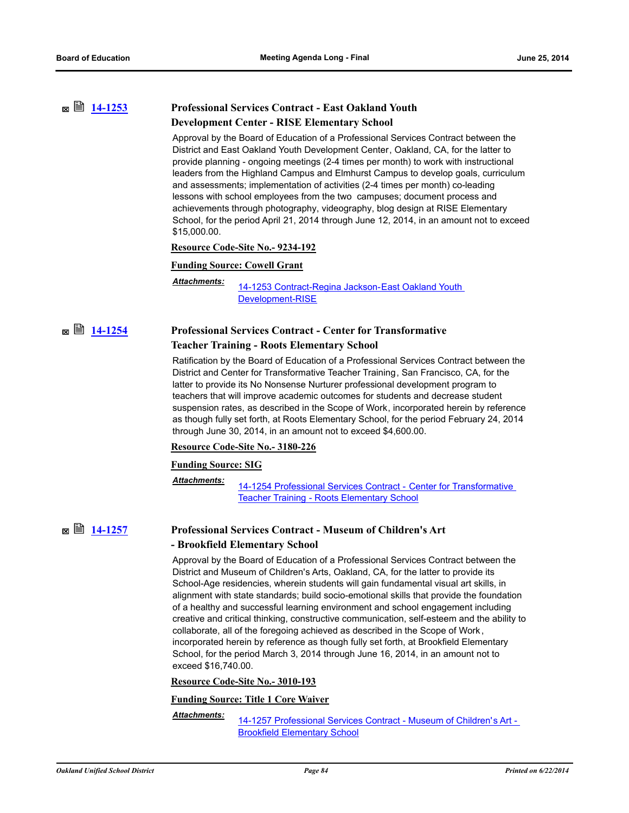# **[14-1253](http://ousd.legistar.com/gateway.aspx?m=l&id=/matter.aspx?key=32941) Professional Services Contract - East Oakland Youth Development Center - RISE Elementary School**

Approval by the Board of Education of a Professional Services Contract between the District and East Oakland Youth Development Center, Oakland, CA, for the latter to provide planning - ongoing meetings (2-4 times per month) to work with instructional leaders from the Highland Campus and Elmhurst Campus to develop goals, curriculum and assessments; implementation of activities (2-4 times per month) co-leading lessons with school employees from the two campuses; document process and achievements through photography, videography, blog design at RISE Elementary School, for the period April 21, 2014 through June 12, 2014, in an amount not to exceed \$15,000.00.

### **Resource Code-Site No.- 9234-192**

### **Funding Source: Cowell Grant**

*Attachments:*

[14-1253 Contract-Regina Jackson-East Oakland Youth](http://ousd.legistar.com/gateway.aspx?M=F&ID=76573.pdf)  Development-RISE

# **[14-1254](http://ousd.legistar.com/gateway.aspx?m=l&id=/matter.aspx?key=32942) Professional Services Contract - Center for Transformative**

### **Teacher Training - Roots Elementary School**

Ratification by the Board of Education of a Professional Services Contract between the District and Center for Transformative Teacher Training, San Francisco, CA, for the latter to provide its No Nonsense Nurturer professional development program to teachers that will improve academic outcomes for students and decrease student suspension rates, as described in the Scope of Work, incorporated herein by reference as though fully set forth, at Roots Elementary School, for the period February 24, 2014 through June 30, 2014, in an amount not to exceed \$4,600.00.

### **Resource Code-Site No.- 3180-226**

### **Funding Source: SIG**

*Attachments:*

[14-1254 Professional Services Contract - Center for Transformative](http://ousd.legistar.com/gateway.aspx?M=F&ID=76574.pdf)  Teacher Training - Roots Elementary School

## **[14-1257](http://ousd.legistar.com/gateway.aspx?m=l&id=/matter.aspx?key=32945) Professional Services Contract - Museum of Children's Art - Brookfield Elementary School**

Approval by the Board of Education of a Professional Services Contract between the District and Museum of Children's Arts, Oakland, CA, for the latter to provide its School-Age residencies, wherein students will gain fundamental visual art skills, in alignment with state standards; build socio-emotional skills that provide the foundation of a healthy and successful learning environment and school engagement including creative and critical thinking, constructive communication, self-esteem and the ability to collaborate, all of the foregoing achieved as described in the Scope of Work , incorporated herein by reference as though fully set forth, at Brookfield Elementary School, for the period March 3, 2014 through June 16, 2014, in an amount not to exceed \$16,740.00.

### **Resource Code-Site No.- 3010-193**

### **Funding Source: Title 1 Core Waiver**

*Attachments:*

[14-1257 Professional Services Contract - Museum of Children's Art -](http://ousd.legistar.com/gateway.aspx?M=F&ID=76578.pdf)  Brookfield Elementary School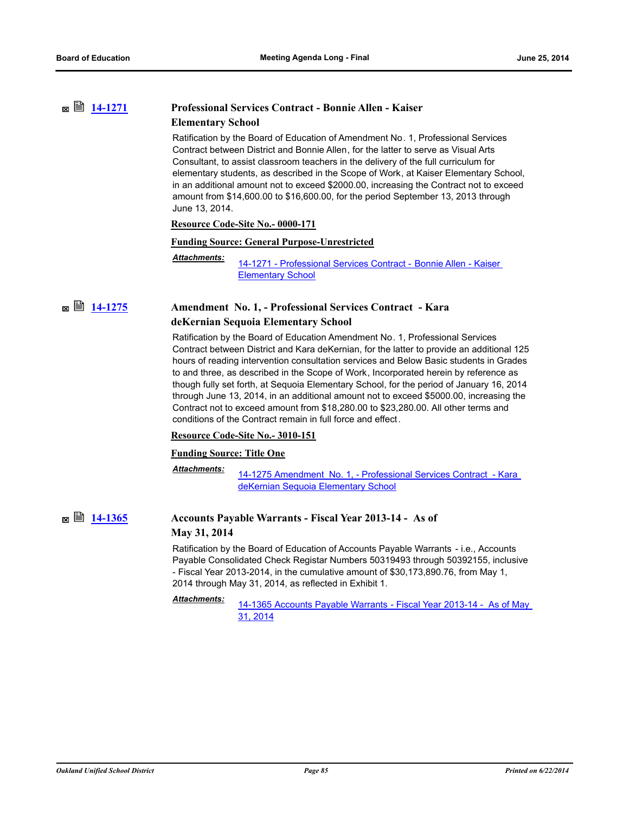## **[14-1271](http://ousd.legistar.com/gateway.aspx?m=l&id=/matter.aspx?key=32959) Professional Services Contract - Bonnie Allen - Kaiser Elementary School**

Ratification by the Board of Education of Amendment No. 1, Professional Services Contract between District and Bonnie Allen, for the latter to serve as Visual Arts Consultant, to assist classroom teachers in the delivery of the full curriculum for elementary students, as described in the Scope of Work, at Kaiser Elementary School, in an additional amount not to exceed \$2000.00, increasing the Contract not to exceed amount from \$14,600.00 to \$16,600.00, for the period September 13, 2013 through June 13, 2014.

### **Resource Code-Site No.- 0000-171**

### **Funding Source: General Purpose-Unrestricted**

[14-1271 - Professional Services Contract - Bonnie Allen - Kaiser](http://ousd.legistar.com/gateway.aspx?M=F&ID=76703.pdf)  Elementary School *Attachments:*

# **[14-1275](http://ousd.legistar.com/gateway.aspx?m=l&id=/matter.aspx?key=32963) Amendment No. 1, - Professional Services Contract - Kara deKernian Sequoia Elementary School**

Ratification by the Board of Education Amendment No. 1, Professional Services Contract between District and Kara deKernian, for the latter to provide an additional 125 hours of reading intervention consultation services and Below Basic students in Grades to and three, as described in the Scope of Work, Incorporated herein by reference as though fully set forth, at Sequoia Elementary School, for the period of January 16, 2014 through June 13, 2014, in an additional amount not to exceed \$5000.00, increasing the Contract not to exceed amount from \$18,280.00 to \$23,280.00. All other terms and conditions of the Contract remain in full force and effect.

### **Resource Code-Site No.- 3010-151**

### **Funding Source: Title One**

*Attachments:*

[14-1275 Amendment No. 1, - Professional Services Contract - Kara](http://ousd.legistar.com/gateway.aspx?M=F&ID=76705.pdf)  deKernian Sequoia Elementary School

## **[14-1365](http://ousd.legistar.com/gateway.aspx?m=l&id=/matter.aspx?key=33045) Accounts Payable Warrants - Fiscal Year 2013-14 - As of May 31, 2014**

Ratification by the Board of Education of Accounts Payable Warrants - i.e., Accounts Payable Consolidated Check Registar Numbers 50319493 through 50392155, inclusive - Fiscal Year 2013-2014, in the cumulative amount of \$30,173,890.76, from May 1, 2014 through May 31, 2014, as reflected in Exhibit 1.

### *Attachments:*

[14-1365 Accounts Payable Warrants - Fiscal Year 2013-14 - As of May](http://ousd.legistar.com/gateway.aspx?M=F&ID=76706.pdf)  31, 2014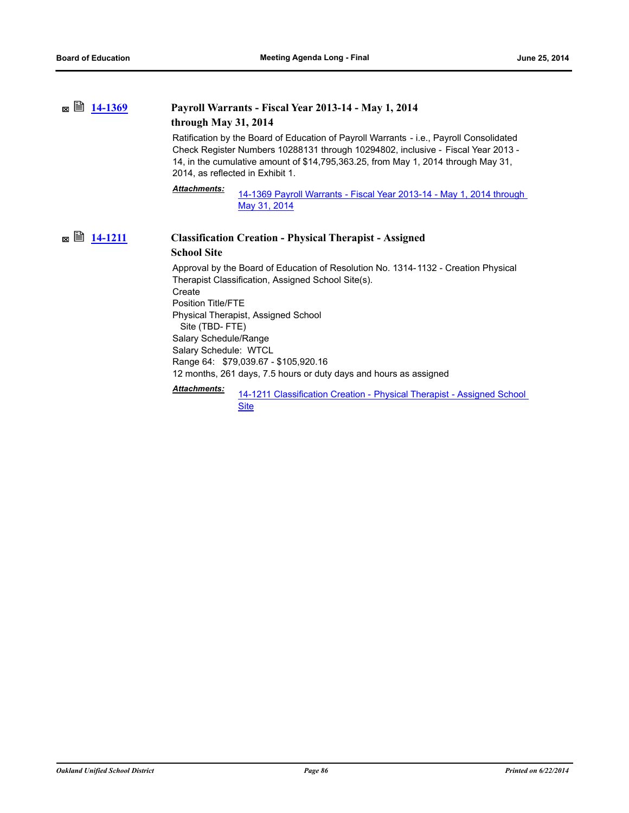| 14-1369<br>м      | Payroll Warrants - Fiscal Year 2013-14 - May 1, 2014<br>through May 31, 2014<br>Ratification by the Board of Education of Payroll Warrants - i.e., Payroll Consolidated<br>Check Register Numbers 10288131 through 10294802, inclusive - Fiscal Year 2013 -<br>14, in the cumulative amount of \$14,795,363.25, from May 1, 2014 through May 31,<br>2014, as reflected in Exhibit 1. |
|-------------------|--------------------------------------------------------------------------------------------------------------------------------------------------------------------------------------------------------------------------------------------------------------------------------------------------------------------------------------------------------------------------------------|
|                   | <b>Attachments:</b><br>14-1369 Payroll Warrants - Fiscal Year 2013-14 - May 1, 2014 through<br>May 31, 2014                                                                                                                                                                                                                                                                          |
| 14-1211<br>昌<br>M | <b>Classification Creation - Physical Therapist - Assigned</b><br><b>School Site</b>                                                                                                                                                                                                                                                                                                 |
|                   | Approval by the Board of Education of Resolution No. 1314-1132 - Creation Physical<br>Therapist Classification, Assigned School Site(s).<br>Create<br>Position Title/FTF                                                                                                                                                                                                             |
|                   | Physical Therapist, Assigned School<br>Site (TBD-FTE)                                                                                                                                                                                                                                                                                                                                |
|                   | Salary Schedule/Range<br>Salary Schedule: WTCL<br>Range 64: \$79,039.67 - \$105,920.16                                                                                                                                                                                                                                                                                               |
|                   | 12 months, 261 days, 7.5 hours or duty days and hours as assigned                                                                                                                                                                                                                                                                                                                    |
|                   | <b>Attachments:</b><br>14-1211 Classification Creation - Physical Therapist - Assigned School                                                                                                                                                                                                                                                                                        |

**Site**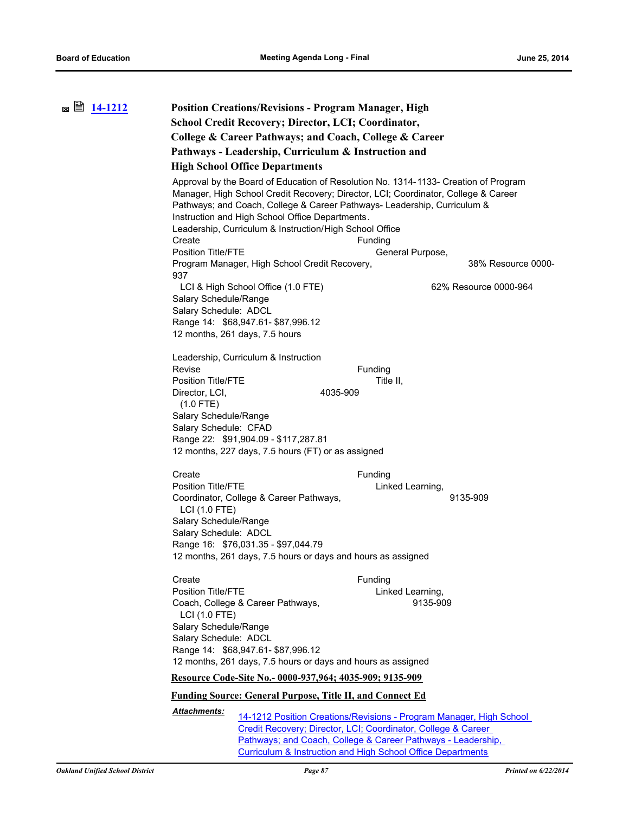| ⊠ ■ 14-1212 | <b>Position Creations/Revisions - Program Manager, High</b><br><b>School Credit Recovery; Director, LCI; Coordinator,</b><br>College & Career Pathways; and Coach, College & Career<br>Pathways - Leadership, Curriculum & Instruction and<br><b>High School Office Departments</b><br>Approval by the Board of Education of Resolution No. 1314-1133- Creation of Program<br>Manager, High School Credit Recovery; Director, LCI; Coordinator, College & Career<br>Pathways; and Coach, College & Career Pathways- Leadership, Curriculum &<br>Instruction and High School Office Departments.<br>Leadership, Curriculum & Instruction/High School Office<br>Create<br>Position Title/FTE<br>Program Manager, High School Credit Recovery, | Funding<br>General Purpose,                                                                                                                                                                                                                                                    | 38% Resource 0000-    |
|-------------|---------------------------------------------------------------------------------------------------------------------------------------------------------------------------------------------------------------------------------------------------------------------------------------------------------------------------------------------------------------------------------------------------------------------------------------------------------------------------------------------------------------------------------------------------------------------------------------------------------------------------------------------------------------------------------------------------------------------------------------------|--------------------------------------------------------------------------------------------------------------------------------------------------------------------------------------------------------------------------------------------------------------------------------|-----------------------|
|             | 937<br>LCI & High School Office (1.0 FTE)<br>Salary Schedule/Range<br>Salary Schedule: ADCL<br>Range 14: \$68,947.61-\$87,996.12<br>12 months, 261 days, 7.5 hours                                                                                                                                                                                                                                                                                                                                                                                                                                                                                                                                                                          |                                                                                                                                                                                                                                                                                | 62% Resource 0000-964 |
|             | Leadership, Curriculum & Instruction<br>Revise<br><b>Position Title/FTE</b><br>Director, LCI,<br>$(1.0$ FTE)<br>Salary Schedule/Range<br>Salary Schedule: CFAD<br>Range 22: \$91,904.09 - \$117,287.81<br>12 months, 227 days, 7.5 hours (FT) or as assigned                                                                                                                                                                                                                                                                                                                                                                                                                                                                                | Funding<br>Title II,<br>4035-909                                                                                                                                                                                                                                               |                       |
|             | Create<br>Position Title/FTE<br>Coordinator, College & Career Pathways,<br>LCI(1.0 FTE)<br>Salary Schedule/Range<br>Salary Schedule: ADCL<br>Range 16: \$76,031.35 - \$97,044.79<br>12 months, 261 days, 7.5 hours or days and hours as assigned                                                                                                                                                                                                                                                                                                                                                                                                                                                                                            | Funding<br>Linked Learning,                                                                                                                                                                                                                                                    | 9135-909              |
|             | Create<br>Position Title/FTE<br>Coach, College & Career Pathways,<br><b>LCI (1.0 FTE)</b><br>Salary Schedule/Range<br>Salary Schedule: ADCL<br>Range 14: \$68,947.61-\$87,996.12<br>12 months, 261 days, 7.5 hours or days and hours as assigned                                                                                                                                                                                                                                                                                                                                                                                                                                                                                            | Funding<br>Linked Learning,<br>9135-909                                                                                                                                                                                                                                        |                       |
|             | Resource Code-Site No.- 0000-937,964; 4035-909; 9135-909                                                                                                                                                                                                                                                                                                                                                                                                                                                                                                                                                                                                                                                                                    |                                                                                                                                                                                                                                                                                |                       |
|             | <b>Funding Source: General Purpose, Title II, and Connect Ed</b>                                                                                                                                                                                                                                                                                                                                                                                                                                                                                                                                                                                                                                                                            |                                                                                                                                                                                                                                                                                |                       |
|             | Attachments:                                                                                                                                                                                                                                                                                                                                                                                                                                                                                                                                                                                                                                                                                                                                | 14-1212 Position Creations/Revisions - Program Manager, High School<br>Credit Recovery; Director, LCI; Coordinator, College & Career<br>Pathways; and Coach, College & Career Pathways - Leadership,<br><b>Curriculum &amp; Instruction and High School Office Departments</b> |                       |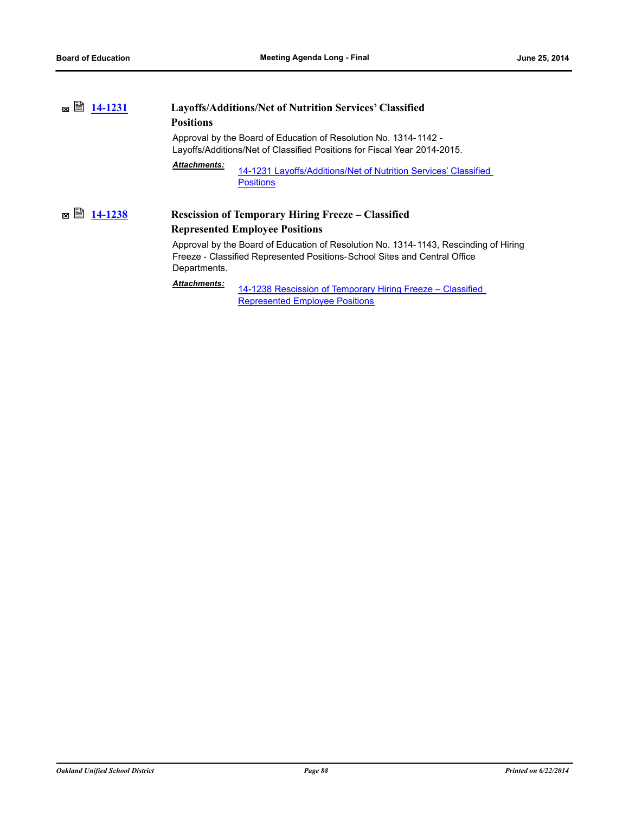# **■ ■ [14-1231](http://ousd.legistar.com/gateway.aspx?m=l&id=/matter.aspx?key=32919) Layoffs/Additions/Net of Nutrition Services' Classified Positions**

Approval by the Board of Education of Resolution No. 1314-1142 - Layoffs/Additions/Net of Classified Positions for Fiscal Year 2014-2015.

[14-1231 Layoffs/Additions/Net of Nutrition Services' Classified](http://ousd.legistar.com/gateway.aspx?M=F&ID=76732.pdf)  **Positions** *Attachments:*

# **[14-1238](http://ousd.legistar.com/gateway.aspx?m=l&id=/matter.aspx?key=32926) Rescission of Temporary Hiring Freeze – Classified Represented Employee Positions**

Approval by the Board of Education of Resolution No. 1314-1143, Rescinding of Hiring Freeze - Classified Represented Positions-School Sites and Central Office Departments.

# *Attachments:*

[14-1238 Rescission of Temporary Hiring Freeze – Classified](http://ousd.legistar.com/gateway.aspx?M=F&ID=76710.pdf)  Represented Employee Positions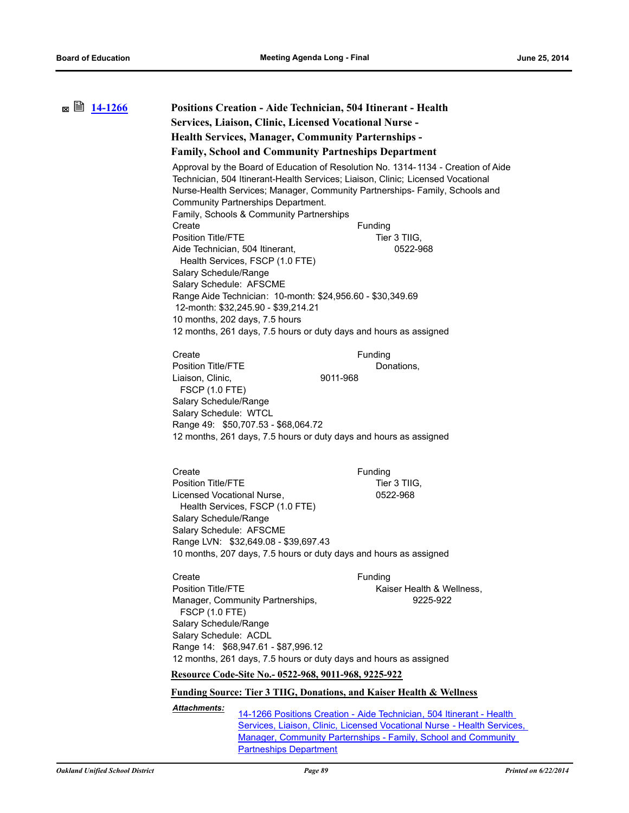| ¤ U<br><b>14-1266</b> | <b>Positions Creation - Aide Technician, 504 Itinerant - Health</b>                                                                                                                                                                                                                                                                   |                                                                                |
|-----------------------|---------------------------------------------------------------------------------------------------------------------------------------------------------------------------------------------------------------------------------------------------------------------------------------------------------------------------------------|--------------------------------------------------------------------------------|
|                       | Services, Liaison, Clinic, Licensed Vocational Nurse -                                                                                                                                                                                                                                                                                |                                                                                |
|                       | <b>Health Services, Manager, Community Parternships -</b>                                                                                                                                                                                                                                                                             |                                                                                |
|                       | <b>Family, School and Community Partneships Department</b>                                                                                                                                                                                                                                                                            |                                                                                |
|                       | Approval by the Board of Education of Resolution No. 1314-1134 - Creation of Aide<br>Technician, 504 Itinerant-Health Services; Liaison, Clinic; Licensed Vocational<br>Nurse-Health Services; Manager, Community Partnerships- Family, Schools and<br>Community Partnerships Department.<br>Family, Schools & Community Partnerships |                                                                                |
|                       | Create<br>Position Title/FTE                                                                                                                                                                                                                                                                                                          | Funding<br>Tier 3 TIIG,                                                        |
|                       | Aide Technician, 504 Itinerant,<br>Health Services, FSCP (1.0 FTE)<br>Salary Schedule/Range<br>Salary Schedule: AFSCME                                                                                                                                                                                                                | 0522-968                                                                       |
|                       | Range Aide Technician: 10-month: \$24,956.60 - \$30,349.69<br>12-month: \$32,245.90 - \$39,214.21                                                                                                                                                                                                                                     |                                                                                |
|                       | 10 months, 202 days, 7.5 hours                                                                                                                                                                                                                                                                                                        |                                                                                |
|                       | 12 months, 261 days, 7.5 hours or duty days and hours as assigned                                                                                                                                                                                                                                                                     |                                                                                |
|                       |                                                                                                                                                                                                                                                                                                                                       |                                                                                |
|                       | Create<br>Position Title/FTE                                                                                                                                                                                                                                                                                                          | Funding<br>Donations,                                                          |
|                       | Liaison, Clinic,<br><b>FSCP (1.0 FTE)</b><br>Salary Schedule/Range<br>Salary Schedule: WTCL<br>Range 49: \$50,707.53 - \$68,064.72<br>12 months, 261 days, 7.5 hours or duty days and hours as assigned                                                                                                                               | 9011-968                                                                       |
|                       |                                                                                                                                                                                                                                                                                                                                       |                                                                                |
|                       | Create<br><b>Position Title/FTE</b>                                                                                                                                                                                                                                                                                                   | Funding                                                                        |
|                       | Licensed Vocational Nurse,                                                                                                                                                                                                                                                                                                            | Tier 3 TIIG,<br>0522-968                                                       |
|                       | Health Services, FSCP (1.0 FTE)<br>Salary Schedule/Range<br>Salary Schedule: AFSCME<br>Range LVN: \$32,649.08 - \$39,697.43<br>10 months, 207 days, 7.5 hours or duty days and hours as assigned                                                                                                                                      |                                                                                |
|                       | Create                                                                                                                                                                                                                                                                                                                                | Funding                                                                        |
|                       | Position Title/FTE                                                                                                                                                                                                                                                                                                                    | Kaiser Health & Wellness,                                                      |
|                       | Manager, Community Partnerships,<br><b>FSCP (1.0 FTE)</b>                                                                                                                                                                                                                                                                             | 9225-922                                                                       |
|                       | Salary Schedule/Range<br>Salary Schedule: ACDL<br>Range 14: \$68,947.61 - \$87,996.12                                                                                                                                                                                                                                                 |                                                                                |
|                       | 12 months, 261 days, 7.5 hours or duty days and hours as assigned                                                                                                                                                                                                                                                                     |                                                                                |
|                       | Resource Code-Site No.- 0522-968, 9011-968, 9225-922                                                                                                                                                                                                                                                                                  |                                                                                |
|                       |                                                                                                                                                                                                                                                                                                                                       | <b>Funding Source: Tier 3 THG, Donations, and Kaiser Health &amp; Wellness</b> |
|                       | <b>Attachments:</b>                                                                                                                                                                                                                                                                                                                   | 14-1266 Positions Creation - Aide Technician, 504 Itinerant - Health           |
|                       |                                                                                                                                                                                                                                                                                                                                       | Services, Liaison, Clinic, Licensed Vocational Nurse - Health Services,        |
|                       | <b>Partneships Department</b>                                                                                                                                                                                                                                                                                                         | Manager, Community Parternships - Family, School and Community                 |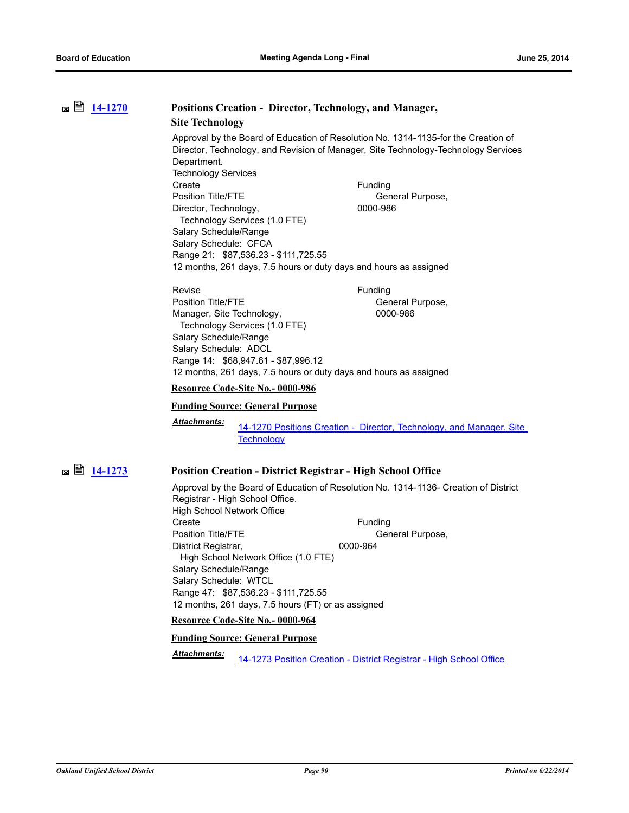## **[14-1270](http://ousd.legistar.com/gateway.aspx?m=l&id=/matter.aspx?key=32958) Positions Creation - Director, Technology, and Manager, Site Technology**

Approval by the Board of Education of Resolution No. 1314-1135-for the Creation of Director, Technology, and Revision of Manager, Site Technology-Technology Services Department. Technology Services

Create Funding Position Title/FTE General Purpose, Director, Technology, 0000-986 Technology Services (1.0 FTE) Salary Schedule/Range Salary Schedule: CFCA Range 21: \$87,536.23 - \$111,725.55 12 months, 261 days, 7.5 hours or duty days and hours as assigned

Revise **Funding** Position Title/FTE General Purpose, Manager, Site Technology, 0000-986 Technology Services (1.0 FTE) Salary Schedule/Range Salary Schedule: ADCL Range 14: \$68,947.61 - \$87,996.12 12 months, 261 days, 7.5 hours or duty days and hours as assigned

### **Resource Code-Site No.- 0000-986**

### **Funding Source: General Purpose**

*Attachments:*

[14-1270 Positions Creation - Director, Technology, and Manager, Site](http://ousd.legistar.com/gateway.aspx?M=F&ID=76712.pdf)  **Technology** 

# **[14-1273](http://ousd.legistar.com/gateway.aspx?m=l&id=/matter.aspx?key=32961) Position Creation - District Registrar - High School Office**

Approval by the Board of Education of Resolution No. 1314-1136- Creation of District Registrar - High School Office. High School Network Office Create Funding Position Title/FTE General Purpose, District Registrar, 0000-964 High School Network Office (1.0 FTE) Salary Schedule/Range Salary Schedule: WTCL Range 47: \$87,536.23 - \$111,725.55 12 months, 261 days, 7.5 hours (FT) or as assigned **Resource Code-Site No.- 0000-964**

### **Funding Source: General Purpose**

Attachments: [14-1273 Position Creation - District Registrar - High School Office](http://ousd.legistar.com/gateway.aspx?M=F&ID=76729.pdf)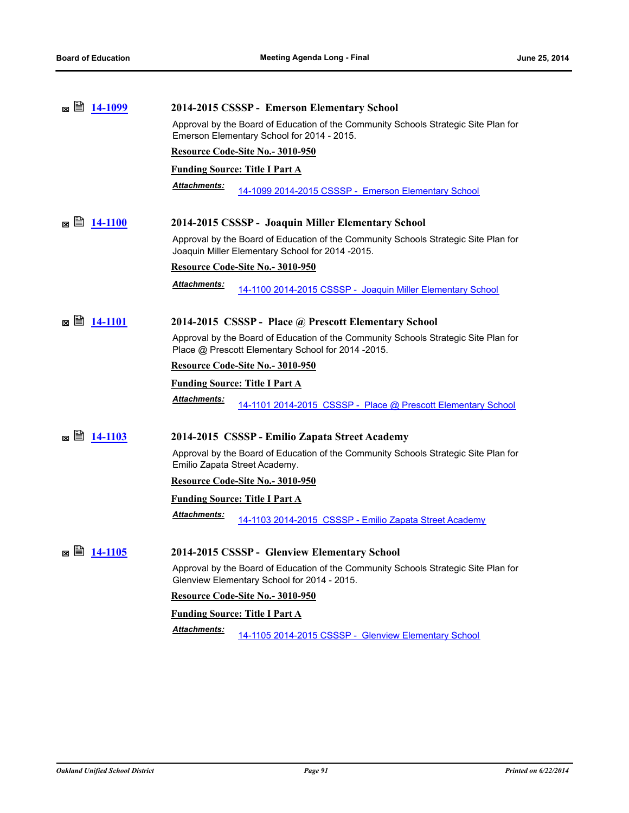|                       | 2014-2015 CSSSP - Emerson Elementary School                                                                                               |
|-----------------------|-------------------------------------------------------------------------------------------------------------------------------------------|
|                       | Approval by the Board of Education of the Community Schools Strategic Site Plan for<br>Emerson Elementary School for 2014 - 2015.         |
|                       | Resource Code-Site No.- 3010-950                                                                                                          |
|                       | <b>Funding Source: Title I Part A</b>                                                                                                     |
|                       | Attachments:<br>14-1099 2014-2015 CSSSP - Emerson Elementary School                                                                       |
| ⊠ ■ 14-1100           | 2014-2015 CSSSP - Joaquin Miller Elementary School                                                                                        |
|                       | Approval by the Board of Education of the Community Schools Strategic Site Plan for<br>Joaquin Miller Elementary School for 2014 -2015.   |
|                       | <u>Resource Code-Site No.- 3010-950</u>                                                                                                   |
|                       | <u> Attachments:</u><br>14-1100 2014-2015 CSSSP - Joaquin Miller Elementary School                                                        |
| ⊠ ■ 14-1101           | 2014-2015 CSSSP - Place @ Prescott Elementary School                                                                                      |
|                       | Approval by the Board of Education of the Community Schools Strategic Site Plan for<br>Place @ Prescott Elementary School for 2014 -2015. |
|                       | <b>Resource Code-Site No. - 3010-950</b>                                                                                                  |
|                       | <b>Funding Source: Title I Part A</b>                                                                                                     |
|                       | <u> Attachments:</u><br>14-1101 2014-2015 CSSSP - Place @ Prescott Elementary School                                                      |
| ⊠ ⊌<br>14-1103        | 2014-2015 CSSSP - Emilio Zapata Street Academy                                                                                            |
|                       | Approval by the Board of Education of the Community Schools Strategic Site Plan for<br>Emilio Zapata Street Academy.                      |
|                       | Resource Code-Site No.- 3010-950                                                                                                          |
|                       | <b>Funding Source: Title I Part A</b>                                                                                                     |
|                       | <b>Attachments:</b><br>14-1103 2014-2015 CSSSP - Emilio Zapata Street Academy                                                             |
| ¤ U<br><b>14-1105</b> | 2014-2015 CSSSP - Glenview Elementary School                                                                                              |
|                       | Approval by the Board of Education of the Community Schools Strategic Site Plan for<br>Glenview Elementary School for 2014 - 2015.        |
|                       | Resource Code-Site No.- 3010-950                                                                                                          |
|                       | <b>Funding Source: Title I Part A</b>                                                                                                     |
|                       | Attachments:<br>14-1105 2014-2015 CSSSP - Glenview Elementary School                                                                      |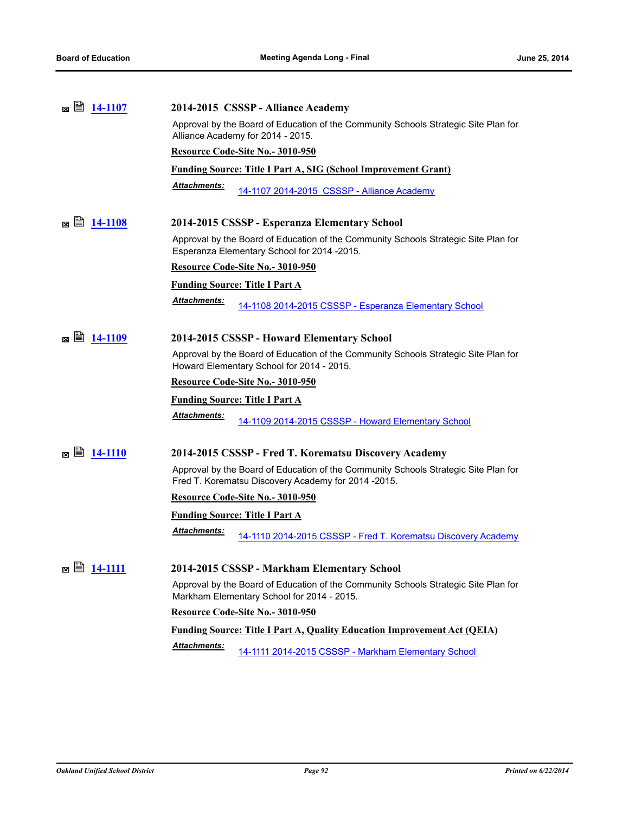| ⊠ ■ 14-1107 |                | 2014-2015 CSSSP - Alliance Academy                                                                                                         |
|-------------|----------------|--------------------------------------------------------------------------------------------------------------------------------------------|
|             |                | Approval by the Board of Education of the Community Schools Strategic Site Plan for<br>Alliance Academy for 2014 - 2015.                   |
|             |                | Resource Code-Site No.- 3010-950                                                                                                           |
|             |                | <b>Funding Source: Title I Part A, SIG (School Improvement Grant)</b>                                                                      |
|             |                | <u> Attachments:</u><br>14-1107 2014-2015 CSSSP - Alliance Academy                                                                         |
| ¤ U         | <u>14-1108</u> | 2014-2015 CSSSP - Esperanza Elementary School                                                                                              |
|             |                | Approval by the Board of Education of the Community Schools Strategic Site Plan for<br>Esperanza Elementary School for 2014 -2015.         |
|             |                | Resource Code-Site No.- 3010-950                                                                                                           |
|             |                | <b>Funding Source: Title I Part A</b>                                                                                                      |
|             |                | <b>Attachments:</b><br><u> 14-1108 2014-2015 CSSSP - Esperanza Elementary School</u>                                                       |
| ⊠ ⊯         | 14-1109        | 2014-2015 CSSSP - Howard Elementary School                                                                                                 |
|             |                | Approval by the Board of Education of the Community Schools Strategic Site Plan for<br>Howard Elementary School for 2014 - 2015.           |
|             |                | Resource Code-Site No.- 3010-950                                                                                                           |
|             |                | <b>Funding Source: Title I Part A</b>                                                                                                      |
|             |                | Attachments:<br>14-1109 2014-2015 CSSSP - Howard Elementary School                                                                         |
| ¤ U         | <b>14-1110</b> | 2014-2015 CSSSP - Fred T. Korematsu Discovery Academy                                                                                      |
|             |                | Approval by the Board of Education of the Community Schools Strategic Site Plan for<br>Fred T. Korematsu Discovery Academy for 2014 -2015. |
|             |                | Resource Code-Site No.- 3010-950                                                                                                           |
|             |                | <b>Funding Source: Title I Part A</b>                                                                                                      |
|             |                | Attachments:<br>14-1110 2014-2015 CSSSP - Fred T. Korematsu Discovery Academy                                                              |
|             |                | 2014-2015 CSSSP - Markham Elementary School                                                                                                |
|             |                | Approval by the Board of Education of the Community Schools Strategic Site Plan for<br>Markham Elementary School for 2014 - 2015.          |
|             |                | Resource Code-Site No.- 3010-950                                                                                                           |
|             |                | <b>Funding Source: Title I Part A, Quality Education Improvement Act (QEIA)</b>                                                            |
|             |                | Attachments:<br>14-1111 2014-2015 CSSSP - Markham Elementary School                                                                        |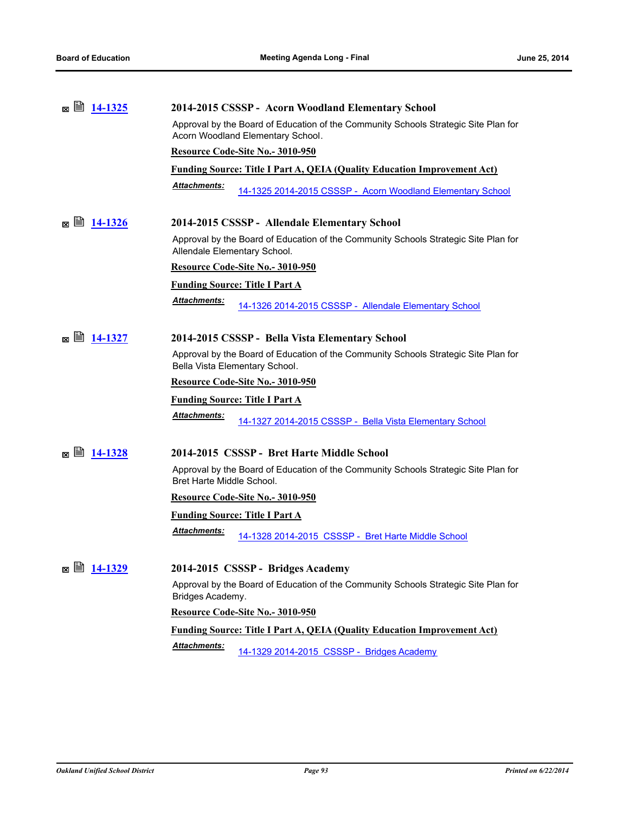| ■ 14-1325<br>×     | 2014-2015 CSSSP - Acorn Woodland Elementary School                                                                       |
|--------------------|--------------------------------------------------------------------------------------------------------------------------|
|                    | Approval by the Board of Education of the Community Schools Strategic Site Plan for<br>Acorn Woodland Elementary School. |
|                    | Resource Code-Site No.- 3010-950                                                                                         |
|                    | <b>Funding Source: Title I Part A, QEIA (Quality Education Improvement Act)</b>                                          |
|                    | <b>Attachments:</b><br>14-1325 2014-2015 CSSSP - Acorn Woodland Elementary School                                        |
| ⊠ ■ <u>14-1326</u> | 2014-2015 CSSSP - Allendale Elementary School                                                                            |
|                    | Approval by the Board of Education of the Community Schools Strategic Site Plan for<br>Allendale Elementary School.      |
|                    | Resource Code-Site No.- 3010-950                                                                                         |
|                    | <b>Funding Source: Title I Part A</b>                                                                                    |
|                    | Attachments:<br>14-1326 2014-2015 CSSSP - Allendale Elementary School                                                    |
| ⊠ ■ 14-1327        | 2014-2015 CSSSP - Bella Vista Elementary School                                                                          |
|                    | Approval by the Board of Education of the Community Schools Strategic Site Plan for<br>Bella Vista Elementary School.    |
|                    | Resource Code-Site No.- 3010-950                                                                                         |
|                    | <b>Funding Source: Title I Part A</b>                                                                                    |
|                    | <u> Attachments:</u><br>14-1327 2014-2015 CSSSP - Bella Vista Elementary School                                          |
| <b>⊠ ■</b> 14-1328 | 2014-2015 CSSSP - Bret Harte Middle School                                                                               |
|                    | Approval by the Board of Education of the Community Schools Strategic Site Plan for<br>Bret Harte Middle School.         |
|                    | Resource Code-Site No.- 3010-950                                                                                         |
|                    | <b>Funding Source: Title I Part A</b>                                                                                    |
|                    | Attachments:<br>14-1328 2014-2015 CSSSP - Bret Harte Middle School                                                       |
| 14-1329<br>昌<br>×  | 2014-2015 CSSSP - Bridges Academy                                                                                        |
|                    | Approval by the Board of Education of the Community Schools Strategic Site Plan for<br>Bridges Academy.                  |
|                    | Resource Code-Site No.- 3010-950                                                                                         |
|                    | <b>Funding Source: Title I Part A, QEIA (Quality Education Improvement Act)</b>                                          |
|                    | Attachments:<br>14-1329 2014-2015 CSSSP - Bridges Academy                                                                |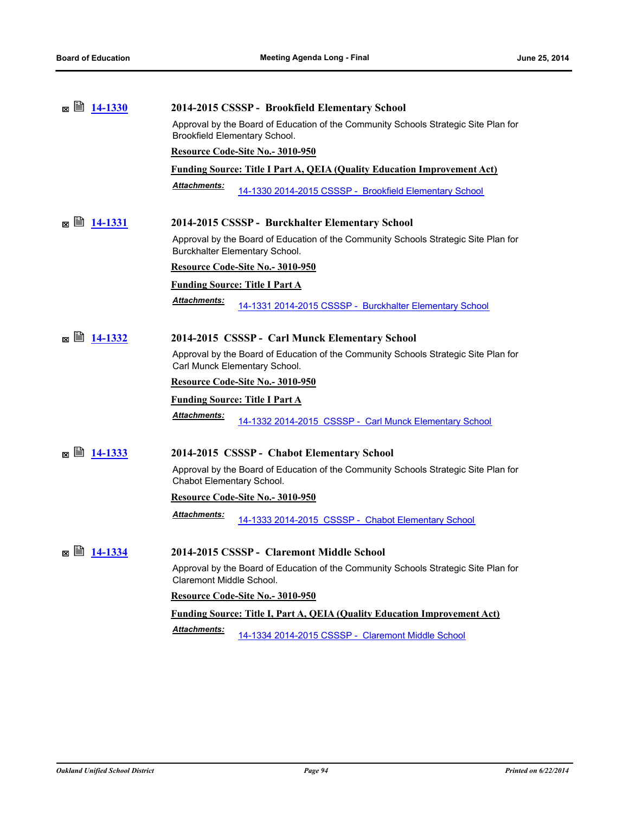| ⊠ ■ 14-1330              | 2014-2015 CSSSP - Brookfield Elementary School                                                                        |
|--------------------------|-----------------------------------------------------------------------------------------------------------------------|
|                          | Approval by the Board of Education of the Community Schools Strategic Site Plan for<br>Brookfield Elementary School.  |
|                          | Resource Code-Site No.- 3010-950                                                                                      |
|                          | <b>Funding Source: Title I Part A, QEIA (Quality Education Improvement Act)</b>                                       |
|                          | <b>Attachments:</b><br>14-1330 2014-2015 CSSSP - Brookfield Elementary School                                         |
| 眉<br><u>14-1331</u><br>× | 2014-2015 CSSSP - Burckhalter Elementary School                                                                       |
|                          | Approval by the Board of Education of the Community Schools Strategic Site Plan for<br>Burckhalter Elementary School. |
|                          | Resource Code-Site No.- 3010-950                                                                                      |
|                          | <b>Funding Source: Title I Part A</b>                                                                                 |
|                          | Attachments:<br>14-1331 2014-2015 CSSSP - Burckhalter Elementary School                                               |
| ⊠ ⊯<br>14-1332           | 2014-2015 CSSSP - Carl Munck Elementary School                                                                        |
|                          | Approval by the Board of Education of the Community Schools Strategic Site Plan for<br>Carl Munck Elementary School.  |
|                          | Resource Code-Site No.- 3010-950                                                                                      |
|                          | <b>Funding Source: Title I Part A</b>                                                                                 |
|                          | <b>Attachments:</b><br>14-1332 2014-2015 CSSSP - Carl Munck Elementary School                                         |
| ⊠ ⊌<br><u>14-1333</u>    | 2014-2015 CSSSP - Chabot Elementary School                                                                            |
|                          | Approval by the Board of Education of the Community Schools Strategic Site Plan for<br>Chabot Elementary School.      |
|                          | Resource Code-Site No.- 3010-950                                                                                      |
|                          | <b>Attachments:</b><br>14-1333 2014-2015 CSSSP - Chabot Elementary School                                             |
| ¤ U<br>14-1334           | 2014-2015 CSSSP - Claremont Middle School                                                                             |
|                          | Approval by the Board of Education of the Community Schools Strategic Site Plan for<br>Claremont Middle School.       |
|                          | Resource Code-Site No.- 3010-950                                                                                      |
|                          | <b>Funding Source: Title I, Part A, QEIA (Quality Education Improvement Act)</b>                                      |
|                          | Attachments:<br>14-1334 2014-2015 CSSSP - Claremont Middle School                                                     |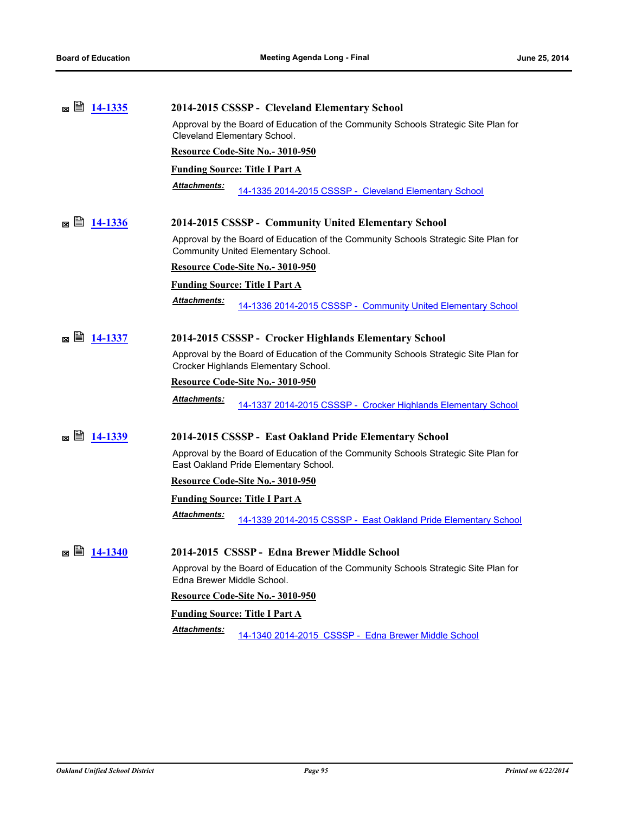| ⊠ ⊯<br>14-1335        | 2014-2015 CSSSP - Cleveland Elementary School                                                                                |
|-----------------------|------------------------------------------------------------------------------------------------------------------------------|
|                       | Approval by the Board of Education of the Community Schools Strategic Site Plan for<br>Cleveland Elementary School.          |
|                       | <b>Resource Code-Site No.- 3010-950</b>                                                                                      |
|                       | <b>Funding Source: Title I Part A</b>                                                                                        |
|                       | Attachments:<br>14-1335 2014-2015 CSSSP - Cleveland Elementary School                                                        |
| <b>⊠ ■</b> 14-1336    | 2014-2015 CSSSP - Community United Elementary School                                                                         |
|                       | Approval by the Board of Education of the Community Schools Strategic Site Plan for<br>Community United Elementary School.   |
|                       | Resource Code-Site No.- 3010-950                                                                                             |
|                       | <b>Funding Source: Title I Part A</b>                                                                                        |
|                       | Attachments:<br>14-1336 2014-2015 CSSSP - Community United Elementary School                                                 |
| ⊠ ■ 14-1337           | 2014-2015 CSSSP - Crocker Highlands Elementary School                                                                        |
|                       | Approval by the Board of Education of the Community Schools Strategic Site Plan for<br>Crocker Highlands Elementary School.  |
|                       | Resource Code-Site No.- 3010-950                                                                                             |
|                       | Attachments:<br>14-1337 2014-2015 CSSSP - Crocker Highlands Elementary School                                                |
| $\boxtimes$   14-1339 | 2014-2015 CSSSP - East Oakland Pride Elementary School                                                                       |
|                       | Approval by the Board of Education of the Community Schools Strategic Site Plan for<br>East Oakland Pride Elementary School. |
|                       | Resource Code-Site No.- 3010-950                                                                                             |
|                       | <b>Funding Source: Title I Part A</b>                                                                                        |
|                       | Attachments:<br>14-1339 2014-2015 CSSSP - East Oakland Pride Elementary School                                               |
| ¤ U<br>14-1340        | 2014-2015 CSSSP - Edna Brewer Middle School                                                                                  |
|                       | Approval by the Board of Education of the Community Schools Strategic Site Plan for<br>Edna Brewer Middle School.            |
|                       | Resource Code-Site No.- 3010-950                                                                                             |
|                       | <b>Funding Source: Title I Part A</b>                                                                                        |
|                       | Attachments:<br>14-1340 2014-2015 CSSSP - Edna Brewer Middle School                                                          |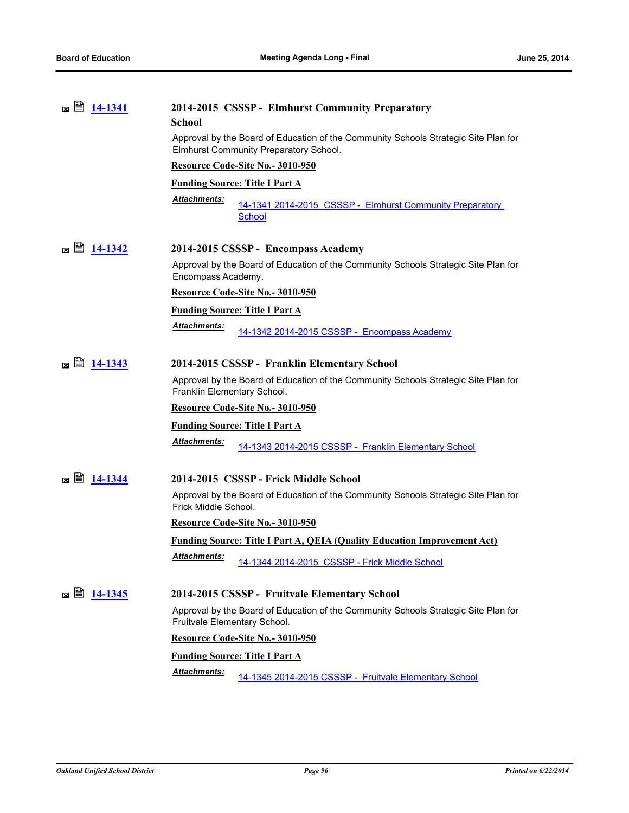|              | 2014-2015 CSSSP - Elmhurst Community Preparatory<br><b>School</b>                                                             |
|--------------|-------------------------------------------------------------------------------------------------------------------------------|
|              | Approval by the Board of Education of the Community Schools Strategic Site Plan for<br>Elmhurst Community Preparatory School. |
|              | Resource Code-Site No.- 3010-950                                                                                              |
|              | <b>Funding Source: Title I Part A</b>                                                                                         |
|              | Attachments:<br>14-1341 2014-2015 CSSSP - Elmhurst Community Preparatory<br><b>School</b>                                     |
| ⊠ ■ 14-1342  | 2014-2015 CSSSP - Encompass Academy                                                                                           |
|              | Approval by the Board of Education of the Community Schools Strategic Site Plan for<br>Encompass Academy.                     |
|              | Resource Code-Site No.- 3010-950                                                                                              |
|              | <b>Funding Source: Title I Part A</b>                                                                                         |
|              | <b>Attachments:</b><br>14-1342 2014-2015 CSSSP - Encompass Academy                                                            |
|              | 2014-2015 CSSSP - Franklin Elementary School                                                                                  |
|              | Approval by the Board of Education of the Community Schools Strategic Site Plan for<br>Franklin Elementary School.            |
|              | Resource Code-Site No.- 3010-950                                                                                              |
|              | <b>Funding Source: Title I Part A</b>                                                                                         |
|              | <u> Attachments:</u><br>14-1343 2014-2015 CSSSP - Franklin Elementary School                                                  |
|              | 2014-2015 CSSSP - Frick Middle School                                                                                         |
|              | Approval by the Board of Education of the Community Schools Strategic Site Plan for<br>Frick Middle School.                   |
|              | Resource Code-Site No.- 3010-950                                                                                              |
|              | <b>Funding Source: Title I Part A, QEIA (Quality Education Improvement Act)</b>                                               |
|              | <b>Attachments:</b><br>14-1344 2014-2015 CSSSP - Frick Middle School                                                          |
| 14-1345<br>⊠ | 2014-2015 CSSSP - Fruitvale Elementary School                                                                                 |
|              | Approval by the Board of Education of the Community Schools Strategic Site Plan for<br>Fruitvale Elementary School.           |
|              | Resource Code-Site No.- 3010-950                                                                                              |
|              | <b>Funding Source: Title I Part A</b>                                                                                         |
|              | Attachments:<br>14-1345 2014-2015 CSSSP - Fruitvale Elementary School                                                         |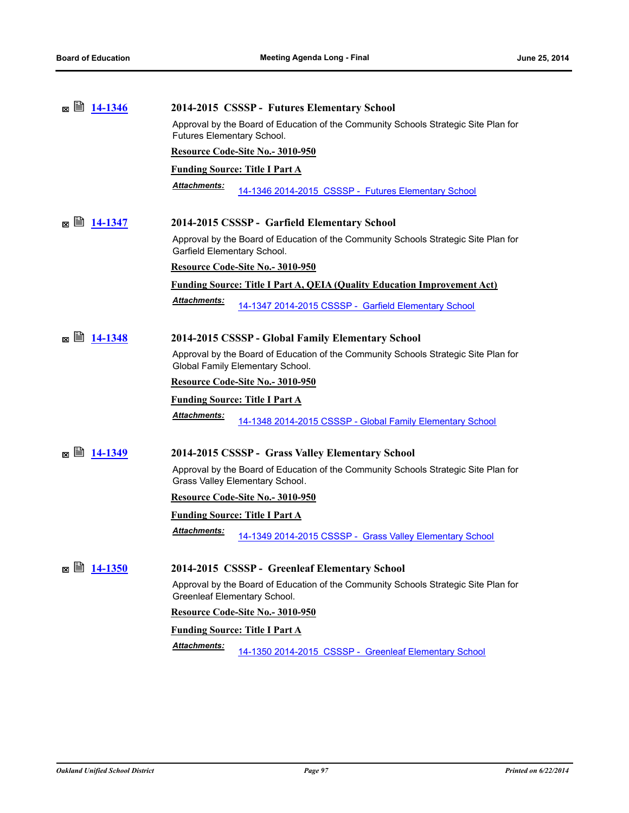| ⊠ ■ 14-1346       | 2014-2015 CSSSP - Futures Elementary School                                                                             |
|-------------------|-------------------------------------------------------------------------------------------------------------------------|
|                   | Approval by the Board of Education of the Community Schools Strategic Site Plan for<br>Futures Elementary School.       |
|                   | Resource Code-Site No.- 3010-950                                                                                        |
|                   | <b>Funding Source: Title I Part A</b>                                                                                   |
|                   | <b>Attachments:</b><br>14-1346 2014-2015 CSSSP - Futures Elementary School                                              |
| ⊠ ⊌<br>14-1347    | 2014-2015 CSSSP - Garfield Elementary School                                                                            |
|                   | Approval by the Board of Education of the Community Schools Strategic Site Plan for<br>Garfield Elementary School.      |
|                   | Resource Code-Site No.- 3010-950                                                                                        |
|                   | <b>Funding Source: Title I Part A, QEIA (Quality Education Improvement Act)</b>                                         |
|                   | Attachments:<br>14-1347 2014-2015 CSSSP - Garfield Elementary School                                                    |
| ⊠ ■ 14-1348       | 2014-2015 CSSSP - Global Family Elementary School                                                                       |
|                   | Approval by the Board of Education of the Community Schools Strategic Site Plan for<br>Global Family Elementary School. |
|                   | Resource Code-Site No.- 3010-950                                                                                        |
|                   | <b>Funding Source: Title I Part A</b>                                                                                   |
|                   | Attachments:<br>14-1348 2014-2015 CSSSP - Global Family Elementary School                                               |
| ⊠ ■ 14-1349       | 2014-2015 CSSSP - Grass Valley Elementary School                                                                        |
|                   | Approval by the Board of Education of the Community Schools Strategic Site Plan for<br>Grass Valley Elementary School.  |
|                   | Resource Code-Site No.- 3010-950                                                                                        |
|                   | <b>Funding Source: Title I Part A</b>                                                                                   |
|                   | <b>Attachments:</b><br>14-1349 2014-2015 CSSSP - Grass Valley Elementary School                                         |
| 昌<br>14-1350<br>× | 2014-2015 CSSSP - Greenleaf Elementary School                                                                           |
|                   | Approval by the Board of Education of the Community Schools Strategic Site Plan for<br>Greenleaf Elementary School.     |
|                   | Resource Code-Site No.- 3010-950                                                                                        |
|                   | <b>Funding Source: Title I Part A</b>                                                                                   |
|                   | Attachments:<br>14-1350 2014-2015 CSSSP - Greenleaf Elementary School                                                   |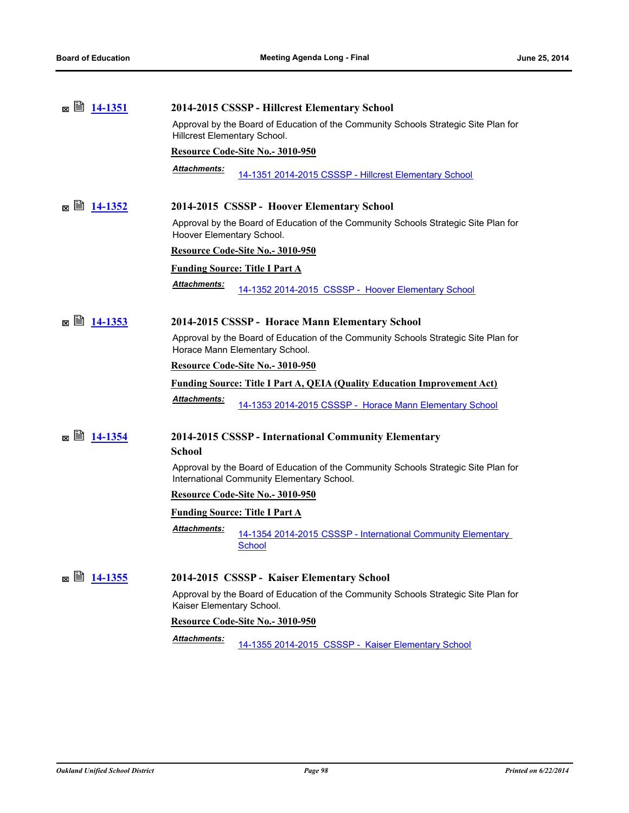|     | ⊠ ■ 14-1351 | 2014-2015 CSSSP - Hillcrest Elementary School                                                                                     |
|-----|-------------|-----------------------------------------------------------------------------------------------------------------------------------|
|     |             | Approval by the Board of Education of the Community Schools Strategic Site Plan for<br>Hillcrest Elementary School.               |
|     |             | Resource Code-Site No.- 3010-950                                                                                                  |
|     |             | <b>Attachments:</b><br>14-1351 2014-2015 CSSSP - Hillcrest Elementary School                                                      |
|     |             | 2014-2015 CSSSP - Hoover Elementary School                                                                                        |
|     |             | Approval by the Board of Education of the Community Schools Strategic Site Plan for<br>Hoover Elementary School.                  |
|     |             | Resource Code-Site No.- 3010-950                                                                                                  |
|     |             | <b>Funding Source: Title I Part A</b>                                                                                             |
|     |             | <u> Attachments:</u><br>14-1352 2014-2015 CSSSP - Hoover Elementary School                                                        |
|     | ⊠ ■ 14-1353 | 2014-2015 CSSSP - Horace Mann Elementary School                                                                                   |
|     |             | Approval by the Board of Education of the Community Schools Strategic Site Plan for<br>Horace Mann Elementary School.             |
|     |             | Resource Code-Site No.- 3010-950                                                                                                  |
|     |             | <b>Funding Source: Title I Part A, QEIA (Quality Education Improvement Act)</b>                                                   |
|     |             | <b>Attachments:</b><br>14-1353 2014-2015 CSSSP - Horace Mann Elementary School                                                    |
| ⊠ ⊌ | 14-1354     | 2014-2015 CSSSP - International Community Elementary<br><b>School</b>                                                             |
|     |             | Approval by the Board of Education of the Community Schools Strategic Site Plan for<br>International Community Elementary School. |
|     |             | Resource Code-Site No.- 3010-950                                                                                                  |
|     |             | <b>Funding Source: Title I Part A</b>                                                                                             |
|     |             | <b>Attachments:</b><br>14-1354 2014-2015 CSSSP - International Community Elementary<br><b>School</b>                              |
|     | ⊠ ■ 14-1355 | 2014-2015 CSSSP - Kaiser Elementary School                                                                                        |
|     |             | Approval by the Board of Education of the Community Schools Strategic Site Plan for<br>Kaiser Elementary School.                  |
|     |             | Resource Code-Site No.- 3010-950                                                                                                  |
|     |             | <b>Attachments:</b><br>14-1355 2014-2015 CSSSP - Kaiser Elementary School                                                         |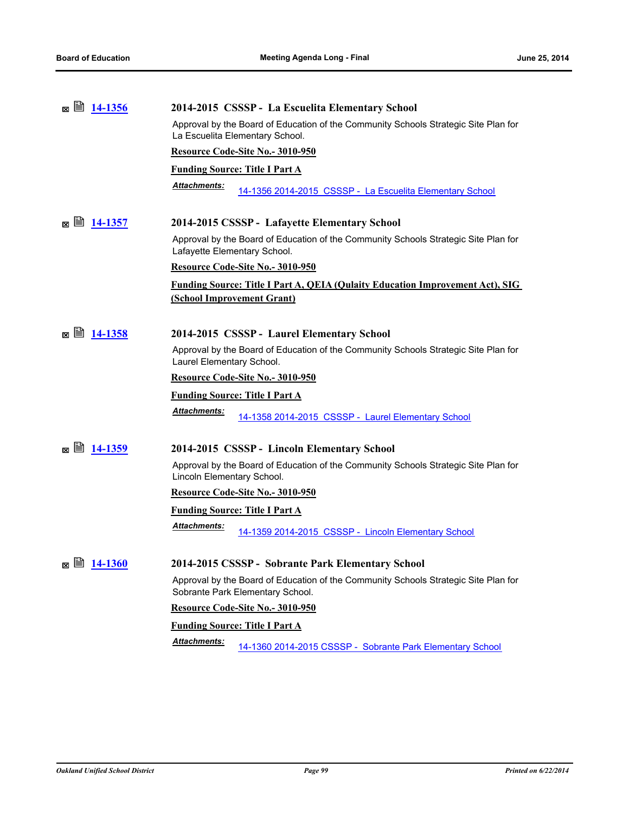| ⊠ ⊯<br>14-1356 | 2014-2015 CSSSP - La Escuelita Elementary School                                                                          |
|----------------|---------------------------------------------------------------------------------------------------------------------------|
|                | Approval by the Board of Education of the Community Schools Strategic Site Plan for<br>La Escuelita Elementary School.    |
|                | Resource Code-Site No.- 3010-950                                                                                          |
|                | <b>Funding Source: Title I Part A</b>                                                                                     |
|                | Attachments:<br>14-1356 2014-2015 CSSSP - La Escuelita Elementary School                                                  |
|                |                                                                                                                           |
|                | 2014-2015 CSSSP - Lafayette Elementary School                                                                             |
|                | Approval by the Board of Education of the Community Schools Strategic Site Plan for<br>Lafayette Elementary School.       |
|                | Resource Code-Site No.- 3010-950                                                                                          |
|                | <b>Funding Source: Title I Part A, QEIA (Qulaity Education Improvement Act), SIG</b><br><b>(School Improvement Grant)</b> |
|                |                                                                                                                           |
| ¤ U<br>14-1358 | 2014-2015 CSSSP - Laurel Elementary School                                                                                |
|                | Approval by the Board of Education of the Community Schools Strategic Site Plan for<br>Laurel Elementary School.          |
|                | Resource Code-Site No.- 3010-950                                                                                          |
|                | <b>Funding Source: Title I Part A</b>                                                                                     |
|                | <b>Attachments:</b><br>14-1358 2014-2015 CSSSP - Laurel Elementary School                                                 |
| ⊠ ■ 14-1359    | 2014-2015 CSSSP - Lincoln Elementary School                                                                               |
|                | Approval by the Board of Education of the Community Schools Strategic Site Plan for<br>Lincoln Elementary School.         |
|                | Resource Code-Site No.- 3010-950                                                                                          |
|                | <b>Funding Source: Title I Part A</b>                                                                                     |
|                | <b>Attachments:</b><br>14-1359 2014-2015 CSSSP - Lincoln Elementary School                                                |
|                |                                                                                                                           |
|                | 2014-2015 CSSSP - Sobrante Park Elementary School                                                                         |
|                | Approval by the Board of Education of the Community Schools Strategic Site Plan for<br>Sobrante Park Elementary School.   |
|                | Resource Code-Site No.- 3010-950                                                                                          |
|                | <b>Funding Source: Title I Part A</b>                                                                                     |
|                | Attachments:<br>14-1360 2014-2015 CSSSP - Sobrante Park Elementary School                                                 |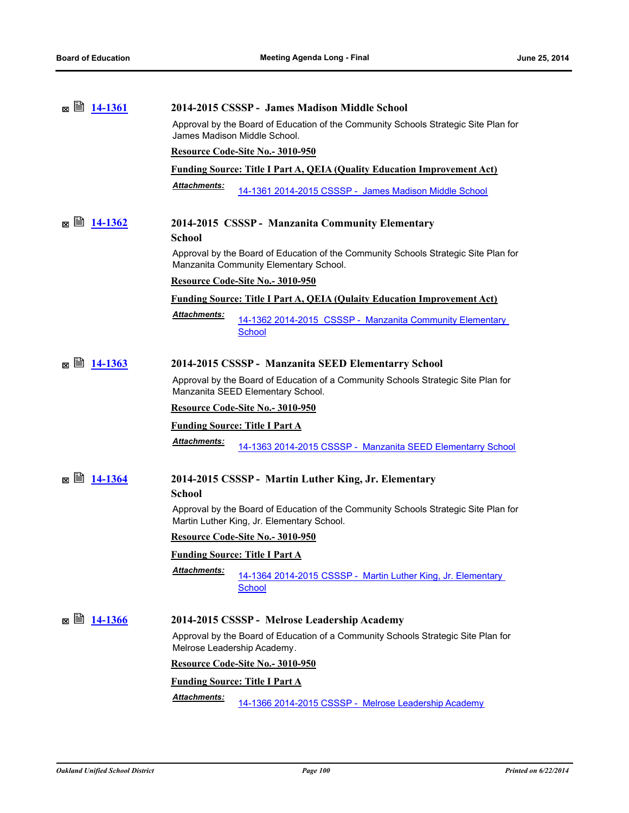|  |                             |                                                                                   | 2014-2015 CSSSP - James Madison Middle School                                                                                     |
|--|-----------------------------|-----------------------------------------------------------------------------------|-----------------------------------------------------------------------------------------------------------------------------------|
|  |                             |                                                                                   | Approval by the Board of Education of the Community Schools Strategic Site Plan for<br>James Madison Middle School.               |
|  |                             |                                                                                   | Resource Code-Site No.- 3010-950                                                                                                  |
|  |                             |                                                                                   | <b>Funding Source: Title I Part A, QEIA (Quality Education Improvement Act)</b>                                                   |
|  |                             | Attachments:                                                                      | 14-1361 2014-2015 CSSSP - James Madison Middle School                                                                             |
|  |                             |                                                                                   | 2014-2015 CSSSP - Manzanita Community Elementary                                                                                  |
|  |                             | School                                                                            |                                                                                                                                   |
|  |                             |                                                                                   | Approval by the Board of Education of the Community Schools Strategic Site Plan for<br>Manzanita Community Elementary School.     |
|  |                             |                                                                                   | Resource Code-Site No.- 3010-950                                                                                                  |
|  |                             |                                                                                   | <b>Funding Source: Title I Part A, QEIA (Qulaity Education Improvement Act)</b>                                                   |
|  |                             | <b>Attachments:</b>                                                               | 14-1362 2014-2015 CSSSP - Manzanita Community Elementary<br><b>School</b>                                                         |
|  | ⊠ ■ 14-1363                 |                                                                                   | 2014-2015 CSSSP - Manzanita SEED Elementarry School                                                                               |
|  |                             |                                                                                   | Approval by the Board of Education of a Community Schools Strategic Site Plan for<br>Manzanita SEED Elementary School.            |
|  |                             |                                                                                   | Resource Code-Site No.- 3010-950                                                                                                  |
|  |                             |                                                                                   | <b>Funding Source: Title I Part A</b>                                                                                             |
|  |                             | <u> Attachments:</u>                                                              | 14-1363 2014-2015 CSSSP - Manzanita SEED Elementarry School                                                                       |
|  |                             |                                                                                   | 2014-2015 CSSSP - Martin Luther King, Jr. Elementary                                                                              |
|  |                             | <b>School</b>                                                                     |                                                                                                                                   |
|  |                             |                                                                                   | Approval by the Board of Education of the Community Schools Strategic Site Plan for<br>Martin Luther King, Jr. Elementary School. |
|  |                             |                                                                                   | Resource Code-Site No.- 3010-950                                                                                                  |
|  |                             |                                                                                   | <b>Funding Source: Title I Part A</b>                                                                                             |
|  |                             | Attachments:                                                                      | 14-1364 2014-2015 CSSSP - Martin Luther King, Jr. Elementary<br><b>School</b>                                                     |
|  |                             |                                                                                   | 2014-2015 CSSSP - Melrose Leadership Academy                                                                                      |
|  | Melrose Leadership Academy. | Approval by the Board of Education of a Community Schools Strategic Site Plan for |                                                                                                                                   |
|  |                             |                                                                                   | Resource Code-Site No.- 3010-950                                                                                                  |
|  |                             |                                                                                   | <b>Funding Source: Title I Part A</b>                                                                                             |
|  |                             | <u> Attachments:</u>                                                              | 14-1366 2014-2015 CSSSP - Melrose Leadership Academy                                                                              |
|  |                             |                                                                                   |                                                                                                                                   |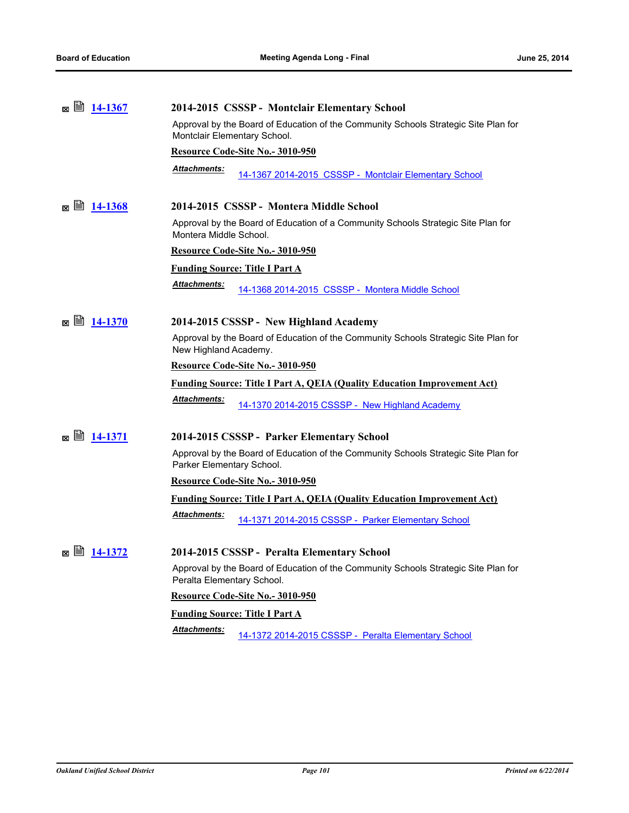| ⊠ ■ 14-1367       | 2014-2015 CSSSP - Montclair Elementary School                                                                       |
|-------------------|---------------------------------------------------------------------------------------------------------------------|
|                   | Approval by the Board of Education of the Community Schools Strategic Site Plan for<br>Montclair Elementary School. |
|                   | Resource Code-Site No.- 3010-950                                                                                    |
|                   | Attachments:<br>14-1367 2014-2015 CSSSP - Montclair Elementary School                                               |
| ⊠ ⊌<br>14-1368    | 2014-2015 CSSSP - Montera Middle School                                                                             |
|                   | Approval by the Board of Education of a Community Schools Strategic Site Plan for<br>Montera Middle School.         |
|                   | Resource Code-Site No.- 3010-950                                                                                    |
|                   | <b>Funding Source: Title I Part A</b>                                                                               |
|                   | Attachments:<br>14-1368 2014-2015 CSSSP - Montera Middle School                                                     |
| ⊠ ■ 14-1370       | 2014-2015 CSSSP - New Highland Academy                                                                              |
|                   | Approval by the Board of Education of the Community Schools Strategic Site Plan for<br>New Highland Academy.        |
|                   | Resource Code-Site No.- 3010-950                                                                                    |
|                   | <b>Funding Source: Title I Part A, QEIA (Quality Education Improvement Act)</b>                                     |
|                   | <b>Attachments:</b><br>14-1370 2014-2015 CSSSP - New Highland Academy                                               |
| 閶<br>14-1371<br>м | 2014-2015 CSSSP - Parker Elementary School                                                                          |
|                   | Approval by the Board of Education of the Community Schools Strategic Site Plan for<br>Parker Elementary School.    |
|                   | Resource Code-Site No.- 3010-950                                                                                    |
|                   | <b>Funding Source: Title I Part A, QEIA (Quality Education Improvement Act)</b>                                     |
|                   | <b>Attachments:</b><br>14-1371 2014-2015 CSSSP - Parker Elementary School                                           |
| ⊠ ■ 14-1372       | 2014-2015 CSSSP - Peralta Elementary School                                                                         |
|                   | Approval by the Board of Education of the Community Schools Strategic Site Plan for<br>Peralta Elementary School.   |
|                   | Resource Code-Site No.- 3010-950                                                                                    |
|                   | <b>Funding Source: Title I Part A</b>                                                                               |
|                   | Attachments:<br>14-1372 2014-2015 CSSSP - Peralta Elementary School                                                 |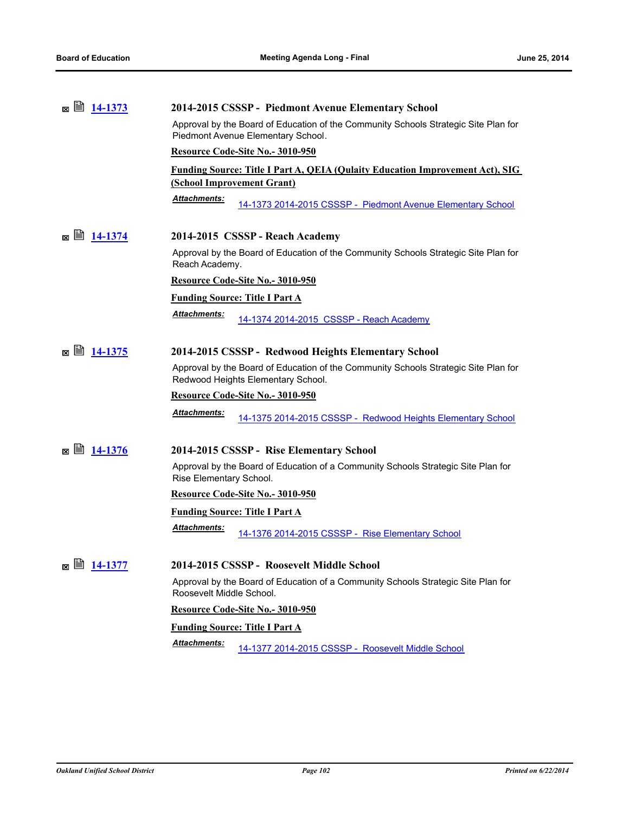| 閶<br>14-1373<br>×           | 2014-2015 CSSSP - Piedmont Avenue Elementary School                                                                       |
|-----------------------------|---------------------------------------------------------------------------------------------------------------------------|
|                             | Approval by the Board of Education of the Community Schools Strategic Site Plan for<br>Piedmont Avenue Elementary School. |
|                             | Resource Code-Site No.- 3010-950                                                                                          |
|                             | Funding Source: Title I Part A, QEIA (Qulaity Education Improvement Act), SIG<br><b>(School Improvement Grant)</b>        |
|                             | <b>Attachments:</b><br>14-1373 2014-2015 CSSSP - Piedmont Avenue Elementary School                                        |
| 圁<br>14-1374<br>м           | 2014-2015 CSSSP - Reach Academy                                                                                           |
|                             | Approval by the Board of Education of the Community Schools Strategic Site Plan for<br>Reach Academy.                     |
|                             | Resource Code-Site No.- 3010-950                                                                                          |
|                             | <b>Funding Source: Title I Part A</b>                                                                                     |
|                             | Attachments:<br><u>14-1374 2014-2015 CSSSP - Reach Academy</u>                                                            |
| ⊠ ■ 14-1375                 | 2014-2015 CSSSP - Redwood Heights Elementary School                                                                       |
|                             | Approval by the Board of Education of the Community Schools Strategic Site Plan for<br>Redwood Heights Elementary School. |
|                             | Resource Code-Site No. - 3010-950                                                                                         |
|                             | Attachments:<br>14-1375 2014-2015 CSSSP - Redwood Heights Elementary School                                               |
| $\boxtimes$ $\cong$ 14-1376 | 2014-2015 CSSSP - Rise Elementary School                                                                                  |
|                             | Approval by the Board of Education of a Community Schools Strategic Site Plan for<br>Rise Elementary School.              |
|                             | Resource Code-Site No.- 3010-950                                                                                          |
|                             | <b>Funding Source: Title I Part A</b>                                                                                     |
|                             | <b>Attachments:</b><br>14-1376 2014-2015 CSSSP - Rise Elementary School                                                   |
|                             | 2014-2015 CSSSP - Roosevelt Middle School                                                                                 |
|                             | Approval by the Board of Education of a Community Schools Strategic Site Plan for<br>Roosevelt Middle School.             |
|                             | Resource Code-Site No.- 3010-950                                                                                          |
|                             | <b>Funding Source: Title I Part A</b>                                                                                     |
|                             | Attachments:<br>14-1377 2014-2015 CSSSP - Roosevelt Middle School                                                         |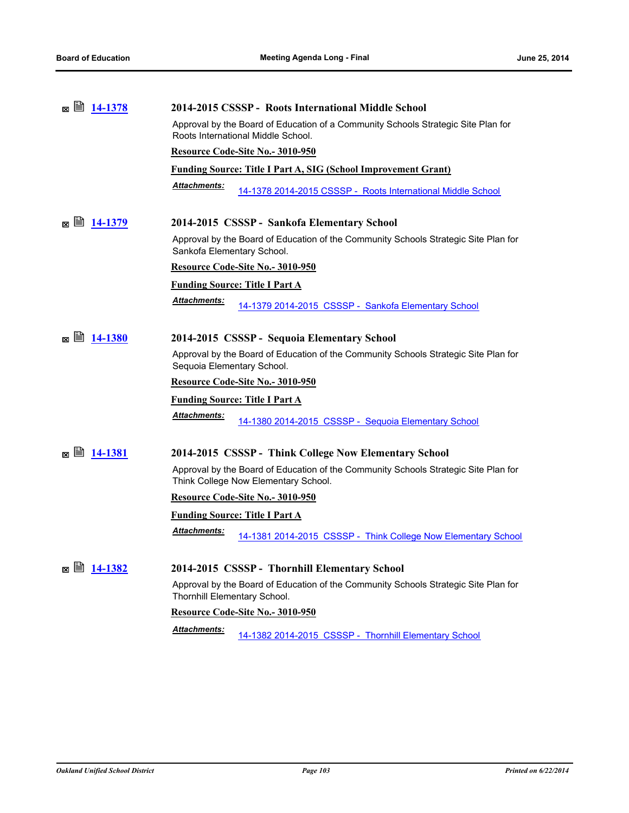|     |                                                                                                                     | 2014-2015 CSSSP - Roots International Middle School                                                                         |
|-----|---------------------------------------------------------------------------------------------------------------------|-----------------------------------------------------------------------------------------------------------------------------|
|     |                                                                                                                     | Approval by the Board of Education of a Community Schools Strategic Site Plan for<br>Roots International Middle School.     |
|     |                                                                                                                     | Resource Code-Site No.- 3010-950                                                                                            |
|     |                                                                                                                     | <b>Funding Source: Title I Part A, SIG (School Improvement Grant)</b>                                                       |
|     |                                                                                                                     | <b>Attachments:</b><br>14-1378 2014-2015 CSSSP - Roots International Middle School                                          |
|     |                                                                                                                     | 2014-2015 CSSSP - Sankofa Elementary School                                                                                 |
|     |                                                                                                                     | Approval by the Board of Education of the Community Schools Strategic Site Plan for<br>Sankofa Elementary School.           |
|     |                                                                                                                     | Resource Code-Site No.- 3010-950                                                                                            |
|     |                                                                                                                     | <b>Funding Source: Title I Part A</b>                                                                                       |
|     |                                                                                                                     | Attachments:<br>14-1379 2014-2015 CSSSP - Sankofa Elementary School                                                         |
| ¤ U | 14-1380                                                                                                             | 2014-2015 CSSSP - Sequoia Elementary School                                                                                 |
|     |                                                                                                                     | Approval by the Board of Education of the Community Schools Strategic Site Plan for<br>Sequoia Elementary School.           |
|     |                                                                                                                     | Resource Code-Site No.- 3010-950                                                                                            |
|     |                                                                                                                     | <b>Funding Source: Title I Part A</b>                                                                                       |
|     |                                                                                                                     | <b>Attachments:</b><br>14-1380 2014-2015 CSSSP - Sequoia Elementary School                                                  |
| ¤ U | 14-1381                                                                                                             | 2014-2015 CSSSP - Think College Now Elementary School                                                                       |
|     |                                                                                                                     | Approval by the Board of Education of the Community Schools Strategic Site Plan for<br>Think College Now Elementary School. |
|     |                                                                                                                     | Resource Code-Site No.- 3010-950                                                                                            |
|     |                                                                                                                     | <b>Funding Source: Title I Part A</b>                                                                                       |
|     |                                                                                                                     | <b>Attachments:</b><br>14-1381 2014-2015 CSSSP - Think College Now Elementary School                                        |
| ▩▤  | 14-1382                                                                                                             | 2014-2015 CSSSP - Thornhill Elementary School                                                                               |
|     | Approval by the Board of Education of the Community Schools Strategic Site Plan for<br>Thornhill Elementary School. |                                                                                                                             |
|     |                                                                                                                     | Resource Code-Site No.- 3010-950                                                                                            |
|     |                                                                                                                     | <b>Attachments:</b><br>14-1382 2014-2015 CSSSP - Thornhill Elementary School                                                |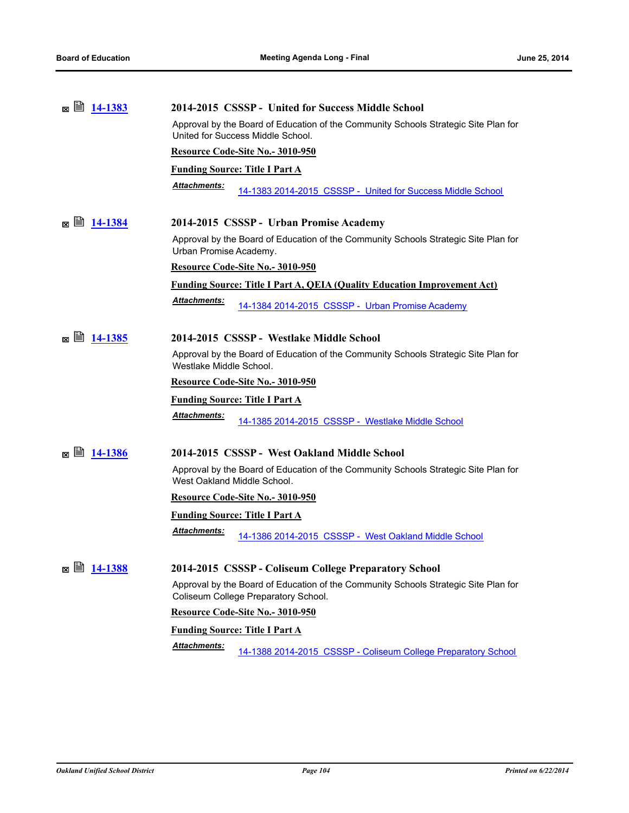| ⊠ ⊌<br>14-1383        | 2014-2015 CSSSP - United for Success Middle School                                                                          |
|-----------------------|-----------------------------------------------------------------------------------------------------------------------------|
|                       | Approval by the Board of Education of the Community Schools Strategic Site Plan for<br>United for Success Middle School.    |
|                       | Resource Code-Site No.- 3010-950                                                                                            |
|                       | <b>Funding Source: Title I Part A</b>                                                                                       |
|                       | <b>Attachments:</b><br>14-1383 2014-2015 CSSSP - United for Success Middle School                                           |
| ⊠ ⊯<br>14-1384        | 2014-2015 CSSSP - Urban Promise Academy                                                                                     |
|                       | Approval by the Board of Education of the Community Schools Strategic Site Plan for<br>Urban Promise Academy.               |
|                       | Resource Code-Site No.- 3010-950                                                                                            |
|                       | <b>Funding Source: Title I Part A, QEIA (Quality Education Improvement Act)</b>                                             |
|                       | Attachments:<br>14-1384 2014-2015 CSSSP - Urban Promise Academy                                                             |
| ⊠ ■ 14-1385           | 2014-2015 CSSSP - Westlake Middle School                                                                                    |
|                       | Approval by the Board of Education of the Community Schools Strategic Site Plan for<br>Westlake Middle School.              |
|                       | Resource Code-Site No.- 3010-950                                                                                            |
|                       | <b>Funding Source: Title I Part A</b>                                                                                       |
|                       | Attachments:<br>14-1385 2014-2015 CSSSP - Westlake Middle School                                                            |
| ¤ U<br>14-1386        | 2014-2015 CSSSP - West Oakland Middle School                                                                                |
|                       | Approval by the Board of Education of the Community Schools Strategic Site Plan for<br>West Oakland Middle School.          |
|                       | Resource Code-Site No.- 3010-950                                                                                            |
|                       | <b>Funding Source: Title I Part A</b>                                                                                       |
|                       | <b>Attachments:</b><br>14-1386 2014-2015 CSSSP - West Oakland Middle School                                                 |
| ⊠ ⊯<br><u>14-1388</u> | 2014-2015 CSSSP - Coliseum College Preparatory School                                                                       |
|                       | Approval by the Board of Education of the Community Schools Strategic Site Plan for<br>Coliseum College Preparatory School. |
|                       | Resource Code-Site No.- 3010-950                                                                                            |
|                       | <b>Funding Source: Title I Part A</b>                                                                                       |
|                       | Attachments:<br>14-1388 2014-2015 CSSSP - Coliseum College Preparatory School                                               |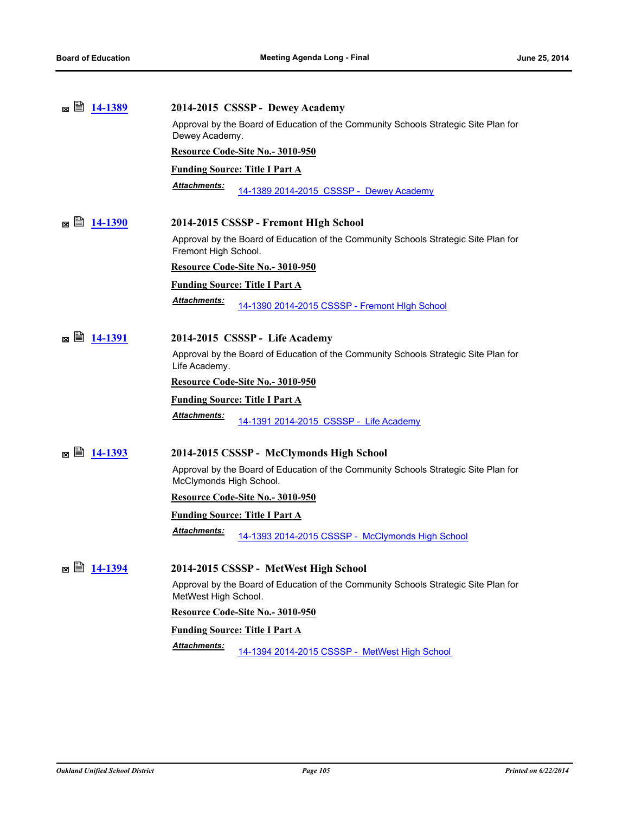|     |                                                                                                       | 2014-2015 CSSSP - Dewey Academy                                                                                |  |  |
|-----|-------------------------------------------------------------------------------------------------------|----------------------------------------------------------------------------------------------------------------|--|--|
|     | Approval by the Board of Education of the Community Schools Strategic Site Plan for<br>Dewey Academy. |                                                                                                                |  |  |
|     |                                                                                                       | Resource Code-Site No.- 3010-950                                                                               |  |  |
|     |                                                                                                       | <b>Funding Source: Title I Part A</b>                                                                          |  |  |
|     |                                                                                                       | <b>Attachments:</b><br><u>14-1389 2014-2015 CSSSP - Dewey Academy</u>                                          |  |  |
|     | ⊠ ■ 14-1390                                                                                           | 2014-2015 CSSSP - Fremont HIgh School                                                                          |  |  |
|     |                                                                                                       | Approval by the Board of Education of the Community Schools Strategic Site Plan for<br>Fremont High School.    |  |  |
|     |                                                                                                       | Resource Code-Site No.- 3010-950                                                                               |  |  |
|     |                                                                                                       | <b>Funding Source: Title I Part A</b>                                                                          |  |  |
|     |                                                                                                       | Attachments:<br>14-1390 2014-2015 CSSSP - Fremont High School                                                  |  |  |
|     | ⊠ ■ 14-1391                                                                                           | 2014-2015 CSSSP - Life Academy                                                                                 |  |  |
|     |                                                                                                       | Approval by the Board of Education of the Community Schools Strategic Site Plan for<br>Life Academy.           |  |  |
|     |                                                                                                       | Resource Code-Site No.- 3010-950                                                                               |  |  |
|     |                                                                                                       | <b>Funding Source: Title I Part A</b>                                                                          |  |  |
|     |                                                                                                       | <u> Attachments:</u><br>14-1391 2014-2015 CSSSP - Life Academy                                                 |  |  |
|     | ⊠ ■ <u>14-1393</u>                                                                                    | 2014-2015 CSSSP - McClymonds High School                                                                       |  |  |
|     |                                                                                                       | Approval by the Board of Education of the Community Schools Strategic Site Plan for<br>McClymonds High School. |  |  |
|     |                                                                                                       | Resource Code-Site No.- 3010-950                                                                               |  |  |
|     |                                                                                                       | <b>Funding Source: Title I Part A</b>                                                                          |  |  |
|     |                                                                                                       | <b>Attachments:</b><br>14-1393 2014-2015 CSSSP - McClymonds High School                                        |  |  |
| ⊠ ⊌ | 14-1394                                                                                               | 2014-2015 CSSSP - MetWest High School                                                                          |  |  |
|     |                                                                                                       | Approval by the Board of Education of the Community Schools Strategic Site Plan for<br>MetWest High School.    |  |  |
|     |                                                                                                       | Resource Code-Site No.- 3010-950                                                                               |  |  |
|     |                                                                                                       | <b>Funding Source: Title I Part A</b>                                                                          |  |  |
|     |                                                                                                       | Attachments:<br>14-1394 2014-2015 CSSSP - MetWest High School                                                  |  |  |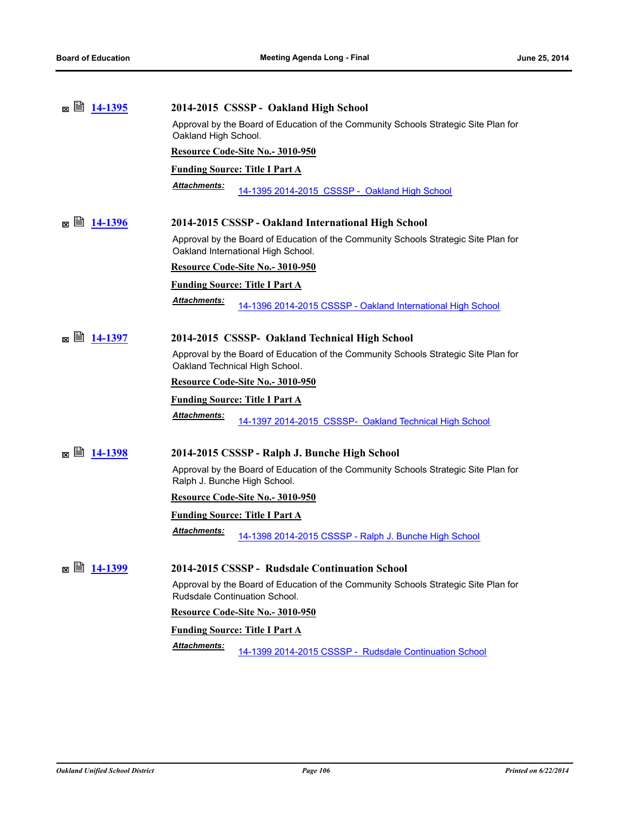| 閶<br>14-1395<br>×        |                      | 2014-2015 CSSSP - Oakland High School                                                                                     |  |  |
|--------------------------|----------------------|---------------------------------------------------------------------------------------------------------------------------|--|--|
|                          | Oakland High School. | Approval by the Board of Education of the Community Schools Strategic Site Plan for                                       |  |  |
|                          |                      | Resource Code-Site No.- 3010-950                                                                                          |  |  |
|                          |                      | <b>Funding Source: Title I Part A</b>                                                                                     |  |  |
|                          | <b>Attachments:</b>  | 14-1395 2014-2015 CSSSP - Oakland High School                                                                             |  |  |
| 閶<br><u>14-1396</u><br>M |                      | 2014-2015 CSSSP - Oakland International High School                                                                       |  |  |
|                          |                      | Approval by the Board of Education of the Community Schools Strategic Site Plan for<br>Oakland International High School. |  |  |
|                          |                      | Resource Code-Site No.- 3010-950                                                                                          |  |  |
|                          |                      | <b>Funding Source: Title I Part A</b>                                                                                     |  |  |
|                          | Attachments:         | 14-1396 2014-2015 CSSSP - Oakland International High School                                                               |  |  |
| ⊠ ■ 14-1397              |                      | 2014-2015 CSSSP- Oakland Technical High School                                                                            |  |  |
|                          |                      | Approval by the Board of Education of the Community Schools Strategic Site Plan for<br>Oakland Technical High School.     |  |  |
|                          |                      | Resource Code-Site No.- 3010-950                                                                                          |  |  |
|                          |                      | <b>Funding Source: Title I Part A</b>                                                                                     |  |  |
|                          | <u> Attachments:</u> | 14-1397 2014-2015 CSSSP- Oakland Technical High School                                                                    |  |  |
| 圁<br>14-1398<br>×        |                      | 2014-2015 CSSSP - Ralph J. Bunche High School                                                                             |  |  |
|                          |                      | Approval by the Board of Education of the Community Schools Strategic Site Plan for<br>Ralph J. Bunche High School.       |  |  |
|                          |                      | Resource Code-Site No.- 3010-950                                                                                          |  |  |
|                          |                      | <b>Funding Source: Title I Part A</b>                                                                                     |  |  |
|                          | <b>Attachments:</b>  | 14-1398 2014-2015 CSSSP - Ralph J. Bunche High School                                                                     |  |  |
| 圁<br><u>14-1399</u><br>× |                      | 2014-2015 CSSSP - Rudsdale Continuation School                                                                            |  |  |
|                          |                      | Approval by the Board of Education of the Community Schools Strategic Site Plan for<br>Rudsdale Continuation School.      |  |  |
|                          |                      | Resource Code-Site No.- 3010-950                                                                                          |  |  |
|                          |                      | <b>Funding Source: Title I Part A</b>                                                                                     |  |  |
|                          | Attachments:         | 14-1399 2014-2015 CSSSP - Rudsdale Continuation School                                                                    |  |  |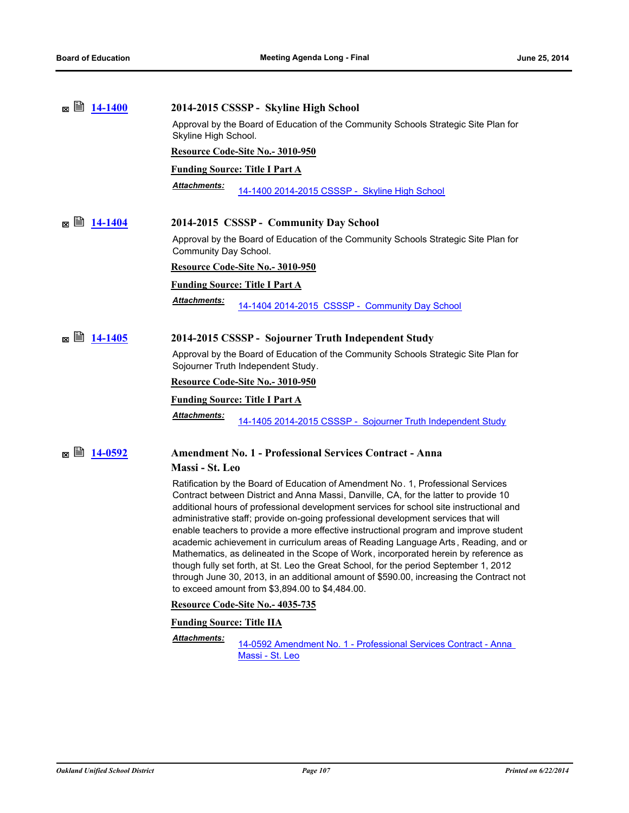| ⊠ ■ 14-1400    | 2014-2015 CSSSP - Skyline High School                                                                                                                                                                                                                                                                                                                                                                                                                                                                                                                                                                                                                                                                                                                                                                                                                                   |
|----------------|-------------------------------------------------------------------------------------------------------------------------------------------------------------------------------------------------------------------------------------------------------------------------------------------------------------------------------------------------------------------------------------------------------------------------------------------------------------------------------------------------------------------------------------------------------------------------------------------------------------------------------------------------------------------------------------------------------------------------------------------------------------------------------------------------------------------------------------------------------------------------|
|                | Approval by the Board of Education of the Community Schools Strategic Site Plan for<br>Skyline High School.                                                                                                                                                                                                                                                                                                                                                                                                                                                                                                                                                                                                                                                                                                                                                             |
|                | Resource Code-Site No.- 3010-950                                                                                                                                                                                                                                                                                                                                                                                                                                                                                                                                                                                                                                                                                                                                                                                                                                        |
|                | <b>Funding Source: Title I Part A</b>                                                                                                                                                                                                                                                                                                                                                                                                                                                                                                                                                                                                                                                                                                                                                                                                                                   |
|                | Attachments:<br>14-1400 2014-2015 CSSSP - Skyline High School                                                                                                                                                                                                                                                                                                                                                                                                                                                                                                                                                                                                                                                                                                                                                                                                           |
|                | 2014-2015 CSSSP - Community Day School                                                                                                                                                                                                                                                                                                                                                                                                                                                                                                                                                                                                                                                                                                                                                                                                                                  |
|                | Approval by the Board of Education of the Community Schools Strategic Site Plan for<br>Community Day School.                                                                                                                                                                                                                                                                                                                                                                                                                                                                                                                                                                                                                                                                                                                                                            |
|                | Resource Code-Site No.- 3010-950                                                                                                                                                                                                                                                                                                                                                                                                                                                                                                                                                                                                                                                                                                                                                                                                                                        |
|                | <b>Funding Source: Title I Part A</b>                                                                                                                                                                                                                                                                                                                                                                                                                                                                                                                                                                                                                                                                                                                                                                                                                                   |
|                | Attachments:<br>14-1404 2014-2015 CSSSP - Community Day School                                                                                                                                                                                                                                                                                                                                                                                                                                                                                                                                                                                                                                                                                                                                                                                                          |
|                | 2014-2015 CSSSP - Sojourner Truth Independent Study                                                                                                                                                                                                                                                                                                                                                                                                                                                                                                                                                                                                                                                                                                                                                                                                                     |
|                | Approval by the Board of Education of the Community Schools Strategic Site Plan for<br>Sojourner Truth Independent Study.                                                                                                                                                                                                                                                                                                                                                                                                                                                                                                                                                                                                                                                                                                                                               |
|                | Resource Code-Site No.- 3010-950                                                                                                                                                                                                                                                                                                                                                                                                                                                                                                                                                                                                                                                                                                                                                                                                                                        |
|                | <b>Funding Source: Title I Part A</b>                                                                                                                                                                                                                                                                                                                                                                                                                                                                                                                                                                                                                                                                                                                                                                                                                                   |
|                | Attachments:<br>14-1405 2014-2015 CSSSP - Sojourner Truth Independent Study                                                                                                                                                                                                                                                                                                                                                                                                                                                                                                                                                                                                                                                                                                                                                                                             |
| ■ 14-0592<br>図 | <b>Amendment No. 1 - Professional Services Contract - Anna</b><br>Massi - St. Leo                                                                                                                                                                                                                                                                                                                                                                                                                                                                                                                                                                                                                                                                                                                                                                                       |
|                | Ratification by the Board of Education of Amendment No. 1, Professional Services<br>Contract between District and Anna Massi, Danville, CA, for the latter to provide 10<br>additional hours of professional development services for school site instructional and<br>administrative staff; provide on-going professional development services that will<br>enable teachers to provide a more effective instructional program and improve student<br>academic achievement in curriculum areas of Reading Language Arts, Reading, and or<br>Mathematics, as delineated in the Scope of Work, incorporated herein by reference as<br>though fully set forth, at St. Leo the Great School, for the period September 1, 2012<br>through June 30, 2013, in an additional amount of \$590.00, increasing the Contract not<br>to exceed amount from \$3,894.00 to \$4,484.00. |
|                | Resource Code-Site No.- 4035-735                                                                                                                                                                                                                                                                                                                                                                                                                                                                                                                                                                                                                                                                                                                                                                                                                                        |
|                | <b>Funding Source: Title IIA</b>                                                                                                                                                                                                                                                                                                                                                                                                                                                                                                                                                                                                                                                                                                                                                                                                                                        |
|                | Attachments:<br>14-0592 Amendment No. 1 - Professional Services Contract - Anna<br>Massi - St. Leo                                                                                                                                                                                                                                                                                                                                                                                                                                                                                                                                                                                                                                                                                                                                                                      |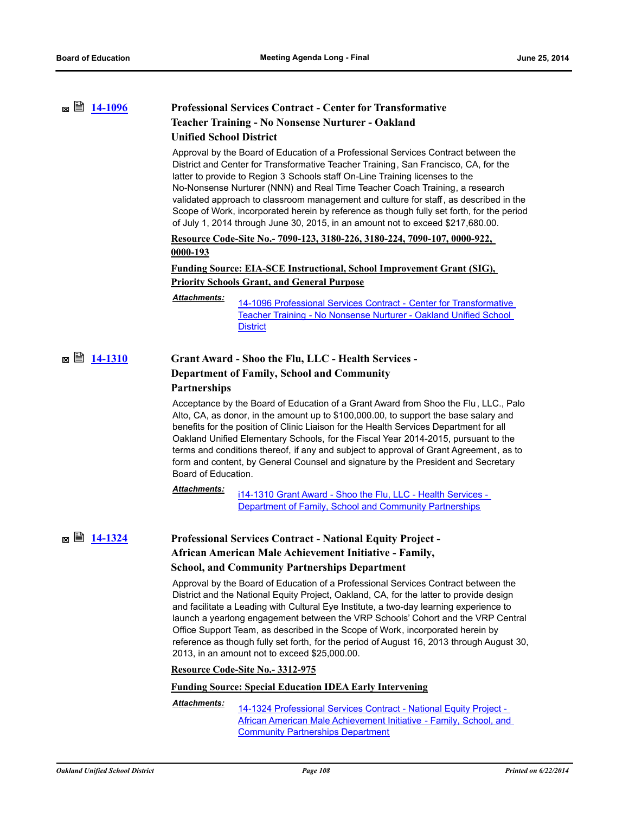# **[14-1096](http://ousd.legistar.com/gateway.aspx?m=l&id=/matter.aspx?key=32796) Professional Services Contract - Center for Transformative Teacher Training - No Nonsense Nurturer - Oakland**

### **Unified School District**

Approval by the Board of Education of a Professional Services Contract between the District and Center for Transformative Teacher Training, San Francisco, CA, for the latter to provide to Region 3 Schools staff On-Line Training licenses to the No-Nonsense Nurturer (NNN) and Real Time Teacher Coach Training, a research validated approach to classroom management and culture for staff, as described in the Scope of Work, incorporated herein by reference as though fully set forth, for the period of July 1, 2014 through June 30, 2015, in an amount not to exceed \$217,680.00.

**Resource Code-Site No.- 7090-123, 3180-226, 3180-224, 7090-107, 0000-922, 0000-193**

**Funding Source: EIA-SCE Instructional, School Improvement Grant (SIG), Priority Schools Grant, and General Purpose**

*Attachments:*

[14-1096 Professional Services Contract - Center for Transformative](http://ousd.legistar.com/gateway.aspx?M=F&ID=76488.pdf)  Teacher Training - No Nonsense Nurturer - Oakland Unified School **District** 

# **■ ■ [14-1310](http://ousd.legistar.com/gateway.aspx?m=l&id=/matter.aspx?key=32990) Grant Award - Shoo the Flu, LLC - Health Services -Department of Family, School and Community Partnerships**

Acceptance by the Board of Education of a Grant Award from Shoo the Flu, LLC., Palo Alto, CA, as donor, in the amount up to \$100,000.00, to support the base salary and benefits for the position of Clinic Liaison for the Health Services Department for all Oakland Unified Elementary Schools, for the Fiscal Year 2014-2015, pursuant to the terms and conditions thereof, if any and subject to approval of Grant Agreement, as to form and content, by General Counsel and signature by the President and Secretary Board of Education.

### *Attachments:*

[i14-1310 Grant Award - Shoo the Flu, LLC - Health Services -](http://ousd.legistar.com/gateway.aspx?M=F&ID=76487.pdf)  Department of Family, School and Community Partnerships

# **■ ■ [14-1324](http://ousd.legistar.com/gateway.aspx?m=l&id=/matter.aspx?key=33004) Professional Services Contract - National Equity Project -African American Male Achievement Initiative - Family, School, and Community Partnerships Department**

Approval by the Board of Education of a Professional Services Contract between the District and the National Equity Project, Oakland, CA, for the latter to provide design and facilitate a Leading with Cultural Eye Institute, a two-day learning experience to launch a yearlong engagement between the VRP Schools' Cohort and the VRP Central Office Support Team, as described in the Scope of Work, incorporated herein by reference as though fully set forth, for the period of August 16, 2013 through August 30, 2013, in an amount not to exceed \$25,000.00.

**Resource Code-Site No.- 3312-975**

### **Funding Source: Special Education IDEA Early Intervening**

14-1324 Professional Services Contract - National Equity Project - African American Male Achievement Initiative - Family, School, and Community Partnerships Department *Attachments:*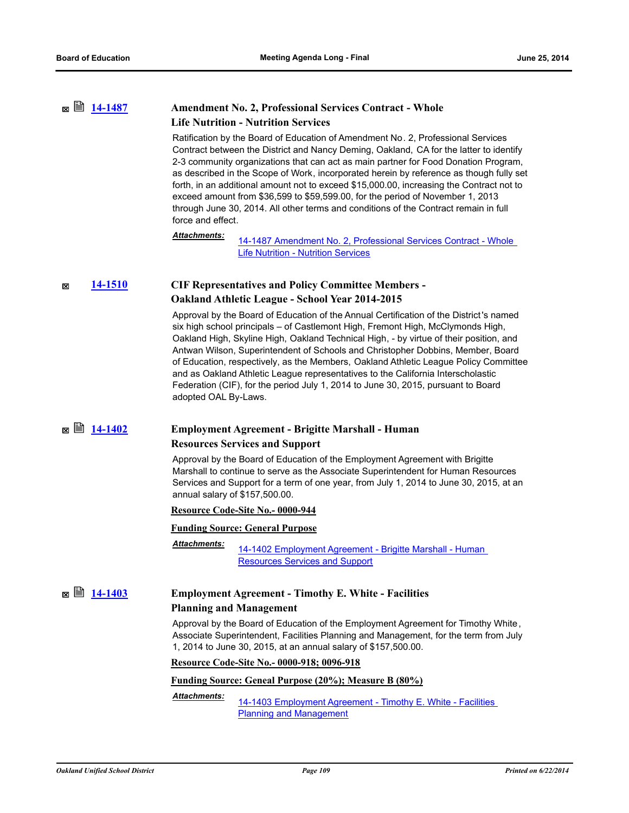# **[14-1487](http://ousd.legistar.com/gateway.aspx?m=l&id=/matter.aspx?key=33163) Amendment No. 2, Professional Services Contract - Whole Life Nutrition - Nutrition Services**

Ratification by the Board of Education of Amendment No. 2, Professional Services Contract between the District and Nancy Deming, Oakland, CA for the latter to identify 2-3 community organizations that can act as main partner for Food Donation Program, as described in the Scope of Work, incorporated herein by reference as though fully set forth, in an additional amount not to exceed \$15,000.00, increasing the Contract not to exceed amount from \$36,599 to \$59,599.00, for the period of November 1, 2013 through June 30, 2014. All other terms and conditions of the Contract remain in full force and effect.

# *Attachments:*

[14-1487 Amendment No. 2, Professional Services Contract - Whole](http://ousd.legistar.com/gateway.aspx?M=F&ID=76748.pdf)  Life Nutrition - Nutrition Services

### **[14-1510](http://ousd.legistar.com/gateway.aspx?m=l&id=/matter.aspx?key=33186) CIF Representatives and Policy Committee Members -**  冈 **Oakland Athletic League - School Year 2014-2015**

Approval by the Board of Education of the Annual Certification of the District's named six high school principals – of Castlemont High, Fremont High, McClymonds High, Oakland High, Skyline High, Oakland Technical High, - by virtue of their position, and Antwan Wilson, Superintendent of Schools and Christopher Dobbins, Member, Board of Education, respectively, as the Members, Oakland Athletic League Policy Committee and as Oakland Athletic League representatives to the California Interscholastic Federation (CIF), for the period July 1, 2014 to June 30, 2015, pursuant to Board adopted OAL By-Laws.

## **■ ■ [14-1402](http://ousd.legistar.com/gateway.aspx?m=l&id=/matter.aspx?key=33082) Employment Agreement - Brigitte Marshall - Human Resources Services and Support**

Approval by the Board of Education of the Employment Agreement with Brigitte Marshall to continue to serve as the Associate Superintendent for Human Resources Services and Support for a term of one year, from July 1, 2014 to June 30, 2015, at an annual salary of \$157,500.00.

### **Resource Code-Site No.- 0000-944**

**Funding Source: General Purpose**

*Attachments:*

14-1402 Employment Agreement - Brigitte Marshall - Human Resources Services and Support

# **[14-1403](http://ousd.legistar.com/gateway.aspx?m=l&id=/matter.aspx?key=33083) Employment Agreement - Timothy E. White - Facilities**

## **Planning and Management**

Approval by the Board of Education of the Employment Agreement for Timothy White, Associate Superintendent, Facilities Planning and Management, for the term from July 1, 2014 to June 30, 2015, at an annual salary of \$157,500.00.

**Resource Code-Site No.- 0000-918; 0096-918**

### **Funding Source: Geneal Purpose (20%); Measure B (80%)**

[14-1403 Employment Agreement - Timothy E. White - Facilities](http://ousd.legistar.com/gateway.aspx?M=F&ID=76440.pdf)  Planning and Management *Attachments:*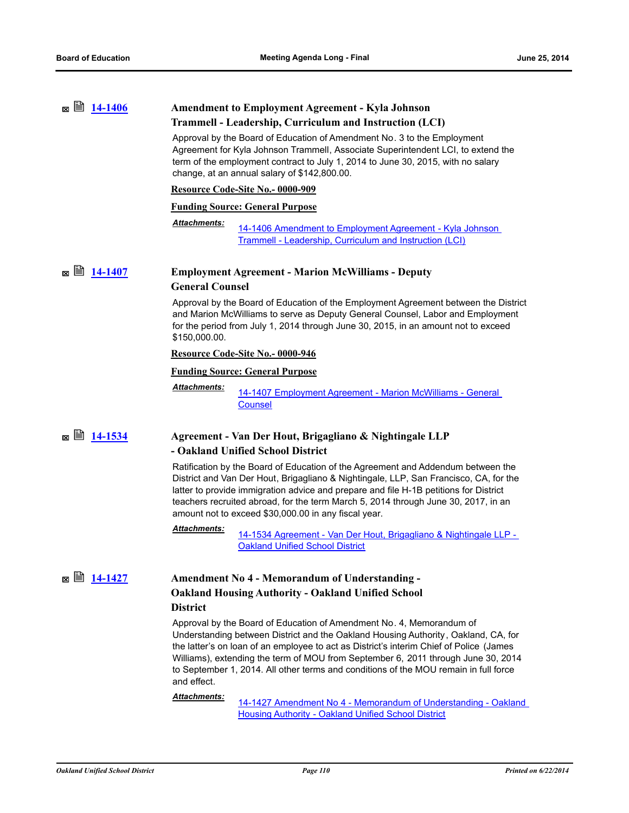| ■ 14-1406<br>×           | <b>Amendment to Employment Agreement - Kyla Johnson</b><br>Trammell - Leadership, Curriculum and Instruction (LCI)                                                                                                                                                                                                                                                                                                                                |
|--------------------------|---------------------------------------------------------------------------------------------------------------------------------------------------------------------------------------------------------------------------------------------------------------------------------------------------------------------------------------------------------------------------------------------------------------------------------------------------|
|                          | Approval by the Board of Education of Amendment No. 3 to the Employment<br>Agreement for Kyla Johnson Trammell, Associate Superintendent LCI, to extend the<br>term of the employment contract to July 1, 2014 to June 30, 2015, with no salary<br>change, at an annual salary of \$142,800.00.                                                                                                                                                   |
|                          | Resource Code-Site No.- 0000-909                                                                                                                                                                                                                                                                                                                                                                                                                  |
|                          | <b>Funding Source: General Purpose</b>                                                                                                                                                                                                                                                                                                                                                                                                            |
|                          | <u> Attachments:</u><br>14-1406 Amendment to Employment Agreement - Kyla Johnson<br>Trammell - Leadership, Curriculum and Instruction (LCI)                                                                                                                                                                                                                                                                                                       |
| ■ 14-1407<br>$\boxtimes$ | <b>Employment Agreement - Marion McWilliams - Deputy</b><br><b>General Counsel</b>                                                                                                                                                                                                                                                                                                                                                                |
|                          | Approval by the Board of Education of the Employment Agreement between the District<br>and Marion McWilliams to serve as Deputy General Counsel, Labor and Employment<br>for the period from July 1, 2014 through June 30, 2015, in an amount not to exceed<br>\$150,000.00.                                                                                                                                                                      |
|                          | Resource Code-Site No.- 0000-946                                                                                                                                                                                                                                                                                                                                                                                                                  |
|                          | <b>Funding Source: General Purpose</b>                                                                                                                                                                                                                                                                                                                                                                                                            |
|                          | <b>Attachments:</b><br>14-1407 Employment Agreement - Marion McWilliams - General<br>Counsel                                                                                                                                                                                                                                                                                                                                                      |
| ⊠ ■ 14-1534              | Agreement - Van Der Hout, Brigagliano & Nightingale LLP<br>- Oakland Unified School District                                                                                                                                                                                                                                                                                                                                                      |
|                          | Ratification by the Board of Education of the Agreement and Addendum between the<br>District and Van Der Hout, Brigagliano & Nightingale, LLP, San Francisco, CA, for the<br>latter to provide immigration advice and prepare and file H-1B petitions for District<br>teachers recruited abroad, for the term March 5, 2014 through June 30, 2017, in an<br>amount not to exceed \$30,000.00 in any fiscal year.                                  |
|                          | <b>Attachments:</b><br>14-1534 Agreement - Van Der Hout, Brigagliano & Nightingale LLP -<br><b>Oakland Unified School District</b>                                                                                                                                                                                                                                                                                                                |
| 眉<br>14-1427<br>×        | Amendment No 4 - Memorandum of Understanding -<br><b>Oakland Housing Authority - Oakland Unified School</b>                                                                                                                                                                                                                                                                                                                                       |
|                          | <b>District</b>                                                                                                                                                                                                                                                                                                                                                                                                                                   |
|                          | Approval by the Board of Education of Amendment No. 4, Memorandum of<br>Understanding between District and the Oakland Housing Authority, Oakland, CA, for<br>the latter's on loan of an employee to act as District's interim Chief of Police (James<br>Williams), extending the term of MOU from September 6, 2011 through June 30, 2014<br>to September 1, 2014. All other terms and conditions of the MOU remain in full force<br>and effect. |
|                          | Attachments:<br>14-1427 Amendment No 4 - Memorandum of Understanding - Oakland<br><b>Housing Authority - Oakland Unified School District</b>                                                                                                                                                                                                                                                                                                      |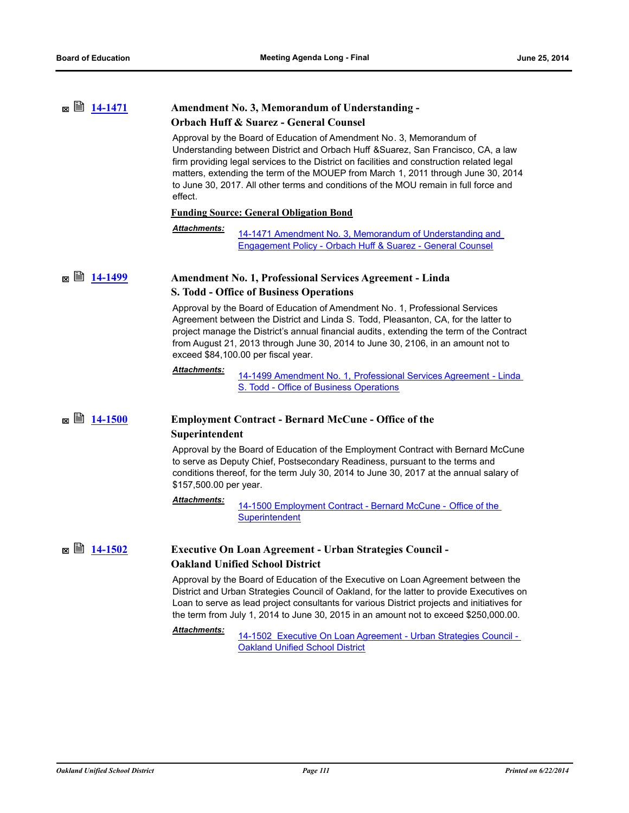| Amendment No. 3, Memorandum of Understanding -    |
|---------------------------------------------------|
| <b>Orbach Huff &amp; Suarez - General Counsel</b> |

Approval by the Board of Education of Amendment No. 3, Memorandum of Understanding between District and Orbach Huff &Suarez, San Francisco, CA, a law firm providing legal services to the District on facilities and construction related legal matters, extending the term of the MOUEP from March 1, 2011 through June 30, 2014 to June 30, 2017. All other terms and conditions of the MOU remain in full force and effect.

### **Funding Source: General Obligation Bond**

| Attachments: | 14-1471 Amendment No. 3. Memorandum of Understanding and   |
|--------------|------------------------------------------------------------|
|              | Engagement Policy - Orbach Huff & Suarez - General Counsel |

**[14-1499](http://ousd.legistar.com/gateway.aspx?m=l&id=/matter.aspx?key=33175) Amendment No. 1, Professional Services Agreement - Linda** 

# **S. Todd - Office of Business Operations**

Approval by the Board of Education of Amendment No. 1, Professional Services Agreement between the District and Linda S. Todd, Pleasanton, CA, for the latter to project manage the District's annual financial audits, extending the term of the Contract from August 21, 2013 through June 30, 2014 to June 30, 2106, in an amount not to exceed \$84,100.00 per fiscal year.

### *Attachments:*

[14-1499 Amendment No. 1, Professional Services Agreement - Linda](http://ousd.legistar.com/gateway.aspx?M=F&ID=76716.pdf)  S. Todd - Office of Business Operations

## **■ ■ [14-1500](http://ousd.legistar.com/gateway.aspx?m=l&id=/matter.aspx?key=33176) Employment Contract - Bernard McCune - Office of the Superintendent**

Approval by the Board of Education of the Employment Contract with Bernard McCune to serve as Deputy Chief, Postsecondary Readiness, pursuant to the terms and conditions thereof, for the term July 30, 2014 to June 30, 2017 at the annual salary of \$157,500.00 per year.

### [14-1500 Employment Contract - Bernard McCune - Office of the](http://ousd.legistar.com/gateway.aspx?M=F&ID=76717.pdf)  **Superintendent** *Attachments:*

**2 Executive On Loan Agreement - Urban Strategies Council -Oakland Unified School District**

> Approval by the Board of Education of the Executive on Loan Agreement between the District and Urban Strategies Council of Oakland, for the latter to provide Executives on Loan to serve as lead project consultants for various District projects and initiatives for the term from July 1, 2014 to June 30, 2015 in an amount not to exceed \$250,000.00.

*Attachments:*

[14-1502 Executive On Loan Agreement - Urban Strategies Council -](http://ousd.legistar.com/gateway.aspx?M=F&ID=76504.pdf)  Oakland Unified School District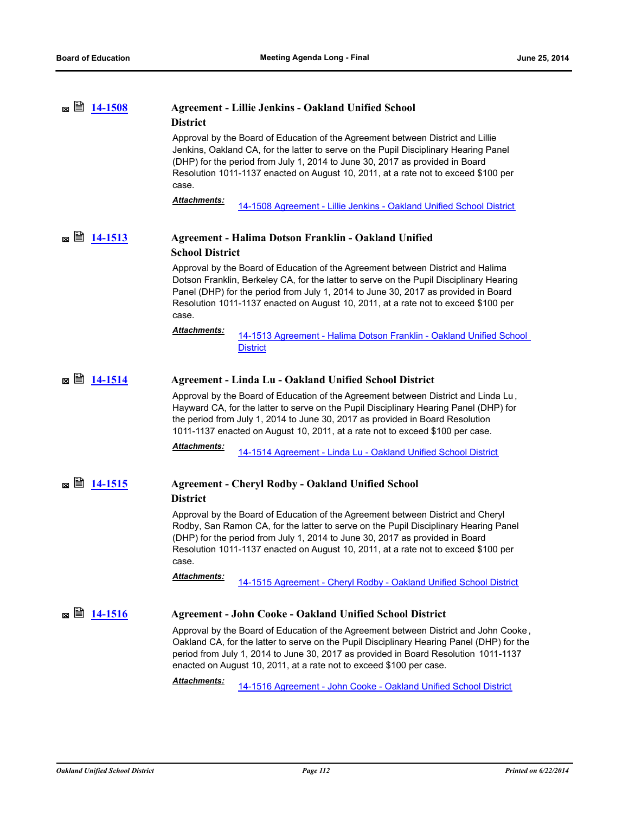|                | <b>Agreement - Lillie Jenkins - Oakland Unified School</b><br><b>District</b>                                                                                                                                                                                                                                                                                   |
|----------------|-----------------------------------------------------------------------------------------------------------------------------------------------------------------------------------------------------------------------------------------------------------------------------------------------------------------------------------------------------------------|
|                | Approval by the Board of Education of the Agreement between District and Lillie<br>Jenkins, Oakland CA, for the latter to serve on the Pupil Disciplinary Hearing Panel<br>(DHP) for the period from July 1, 2014 to June 30, 2017 as provided in Board<br>Resolution 1011-1137 enacted on August 10, 2011, at a rate not to exceed \$100 per<br>case.          |
|                | <u> Attachments:</u><br>14-1508 Agreement - Lillie Jenkins - Oakland Unified School District                                                                                                                                                                                                                                                                    |
| ⊠ ■ 14-1513    | Agreement - Halima Dotson Franklin - Oakland Unified<br><b>School District</b>                                                                                                                                                                                                                                                                                  |
|                | Approval by the Board of Education of the Agreement between District and Halima<br>Dotson Franklin, Berkeley CA, for the latter to serve on the Pupil Disciplinary Hearing<br>Panel (DHP) for the period from July 1, 2014 to June 30, 2017 as provided in Board<br>Resolution 1011-1137 enacted on August 10, 2011, at a rate not to exceed \$100 per<br>case. |
|                | <u> Attachments:</u><br>14-1513 Agreement - Halima Dotson Franklin - Oakland Unified School<br><b>District</b>                                                                                                                                                                                                                                                  |
|                | Agreement - Linda Lu - Oakland Unified School District                                                                                                                                                                                                                                                                                                          |
|                | Approval by the Board of Education of the Agreement between District and Linda Lu,<br>Hayward CA, for the latter to serve on the Pupil Disciplinary Hearing Panel (DHP) for<br>the period from July 1, 2014 to June 30, 2017 as provided in Board Resolution<br>1011-1137 enacted on August 10, 2011, at a rate not to exceed \$100 per case.                   |
|                | Attachments:<br>14-1514 Agreement - Linda Lu - Oakland Unified School District                                                                                                                                                                                                                                                                                  |
|                | <b>Agreement - Cheryl Rodby - Oakland Unified School</b><br><b>District</b>                                                                                                                                                                                                                                                                                     |
|                | Approval by the Board of Education of the Agreement between District and Cheryl<br>Rodby, San Ramon CA, for the latter to serve on the Pupil Disciplinary Hearing Panel<br>(DHP) for the period from July 1, 2014 to June 30, 2017 as provided in Board<br>Resolution 1011-1137 enacted on August 10, 2011, at a rate not to exceed \$100 per<br>case.          |
|                | <b>Attachments:</b><br>14-1515 Agreement - Cheryl Rodby - Oakland Unified School District                                                                                                                                                                                                                                                                       |
| ¤ U<br>14-1516 | <b>Agreement - John Cooke - Oakland Unified School District</b>                                                                                                                                                                                                                                                                                                 |
|                | Approval by the Board of Education of the Agreement between District and John Cooke,<br>Oakland CA, for the latter to serve on the Pupil Disciplinary Hearing Panel (DHP) for the<br>period from July 1, 2014 to June 30, 2017 as provided in Board Resolution 1011-1137<br>enacted on August 10, 2011, at a rate not to exceed \$100 per case.                 |
|                | Attachments:<br>14-1516 Agreement - John Cooke - Oakland Unified School District                                                                                                                                                                                                                                                                                |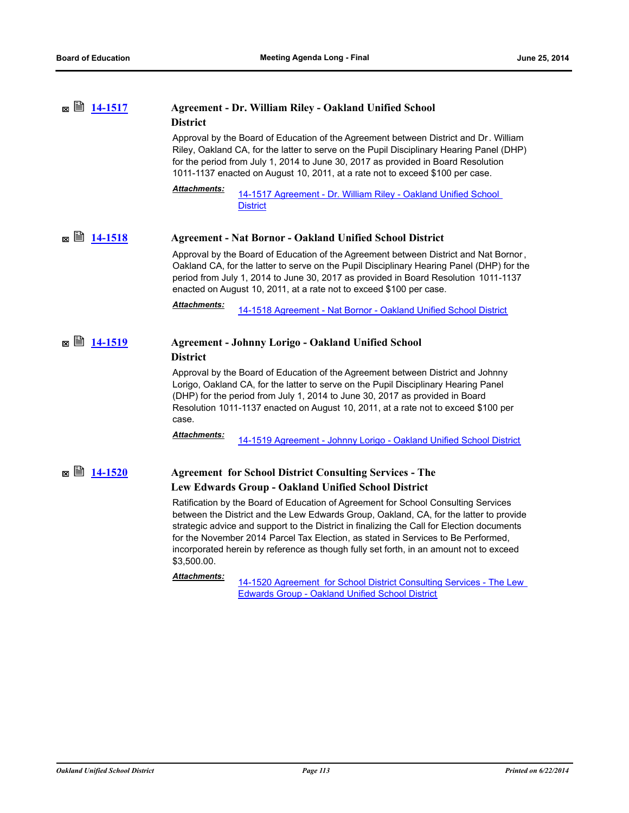| ¤ B<br>14-1517 | Agreement - Dr. William Riley - Oakland Unified School                                                                                                                                                                                                                                                                                                                                                                                                                   |
|----------------|--------------------------------------------------------------------------------------------------------------------------------------------------------------------------------------------------------------------------------------------------------------------------------------------------------------------------------------------------------------------------------------------------------------------------------------------------------------------------|
|                | <b>District</b>                                                                                                                                                                                                                                                                                                                                                                                                                                                          |
|                | Approval by the Board of Education of the Agreement between District and Dr. William<br>Riley, Oakland CA, for the latter to serve on the Pupil Disciplinary Hearing Panel (DHP)<br>for the period from July 1, 2014 to June 30, 2017 as provided in Board Resolution<br>1011-1137 enacted on August 10, 2011, at a rate not to exceed \$100 per case.                                                                                                                   |
|                | <u> Attachments:</u><br>14-1517 Agreement - Dr. William Riley - Oakland Unified School<br><b>District</b>                                                                                                                                                                                                                                                                                                                                                                |
| ■ 14-1518<br>図 | <b>Agreement - Nat Bornor - Oakland Unified School District</b>                                                                                                                                                                                                                                                                                                                                                                                                          |
|                | Approval by the Board of Education of the Agreement between District and Nat Bornor,<br>Oakland CA, for the latter to serve on the Pupil Disciplinary Hearing Panel (DHP) for the<br>period from July 1, 2014 to June 30, 2017 as provided in Board Resolution 1011-1137<br>enacted on August 10, 2011, at a rate not to exceed \$100 per case.                                                                                                                          |
|                | <u> Attachments:</u><br>14-1518 Agreement - Nat Bornor - Oakland Unified School District                                                                                                                                                                                                                                                                                                                                                                                 |
| ■ 14-1519<br>冈 | <b>Agreement - Johnny Lorigo - Oakland Unified School</b>                                                                                                                                                                                                                                                                                                                                                                                                                |
|                | <b>District</b>                                                                                                                                                                                                                                                                                                                                                                                                                                                          |
|                | Approval by the Board of Education of the Agreement between District and Johnny<br>Lorigo, Oakland CA, for the latter to serve on the Pupil Disciplinary Hearing Panel<br>(DHP) for the period from July 1, 2014 to June 30, 2017 as provided in Board<br>Resolution 1011-1137 enacted on August 10, 2011, at a rate not to exceed \$100 per<br>case.                                                                                                                    |
|                | Attachments:<br>14-1519 Agreement - Johnny Lorigo - Oakland Unified School District                                                                                                                                                                                                                                                                                                                                                                                      |
| ■ 14-1520<br>× | <b>Agreement for School District Consulting Services - The</b>                                                                                                                                                                                                                                                                                                                                                                                                           |
|                | Lew Edwards Group - Oakland Unified School District                                                                                                                                                                                                                                                                                                                                                                                                                      |
|                | Ratification by the Board of Education of Agreement for School Consulting Services<br>between the District and the Lew Edwards Group, Oakland, CA, for the latter to provide<br>strategic advice and support to the District in finalizing the Call for Election documents<br>for the November 2014 Parcel Tax Election, as stated in Services to Be Performed,<br>incorporated herein by reference as though fully set forth, in an amount not to exceed<br>\$3,500.00. |
|                | <b>Attachments:</b><br>14-1520 Agreement for School District Consulting Services - The Lew<br><b>Edwards Group - Oakland Unified School District</b>                                                                                                                                                                                                                                                                                                                     |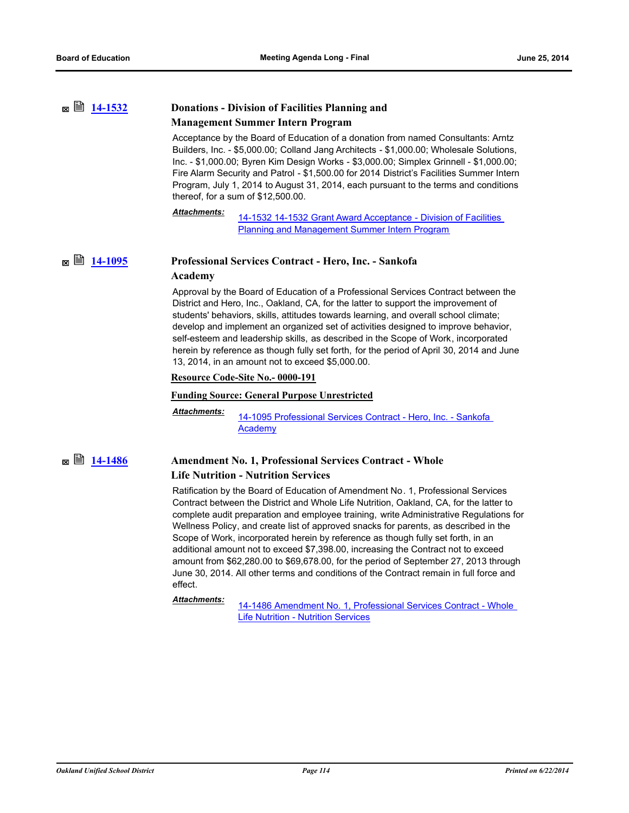## **[14-1532](http://ousd.legistar.com/gateway.aspx?m=l&id=/matter.aspx?key=33208) Donations - Division of Facilities Planning and Management Summer Intern Program**

Acceptance by the Board of Education of a donation from named Consultants: Arntz Builders, Inc. - \$5,000.00; Colland Jang Architects - \$1,000.00; Wholesale Solutions, Inc. - \$1,000.00; Byren Kim Design Works - \$3,000.00; Simplex Grinnell - \$1,000.00; Fire Alarm Security and Patrol - \$1,500.00 for 2014 District's Facilities Summer Intern Program, July 1, 2014 to August 31, 2014, each pursuant to the terms and conditions thereof, for a sum of \$12,500.00.

[14-1532 14-1532 Grant Award Acceptance - Division of Facilities](http://ousd.legistar.com/gateway.aspx?M=F&ID=76719.pdf)  Planning and Management Summer Intern Program *Attachments:*

# **[14-1095](http://ousd.legistar.com/gateway.aspx?m=l&id=/matter.aspx?key=32795) Professional Services Contract - Hero, Inc. - Sankofa**

**Academy**

Approval by the Board of Education of a Professional Services Contract between the District and Hero, Inc., Oakland, CA, for the latter to support the improvement of students' behaviors, skills, attitudes towards learning, and overall school climate; develop and implement an organized set of activities designed to improve behavior, self-esteem and leadership skills, as described in the Scope of Work, incorporated herein by reference as though fully set forth, for the period of April 30, 2014 and June 13, 2014, in an amount not to exceed \$5,000.00.

### **Resource Code-Site No.- 0000-191**

### **Funding Source: General Purpose Unrestricted**

*Attachments:*

14-1095 Professional Services Contract - Hero, Inc. - Sankofa **Academy** 

# **<b>■** [14-1486](http://ousd.legistar.com/gateway.aspx?m=l&id=/matter.aspx?key=33162) **Amendment No. 1, Professional Services Contract - Whole Life Nutrition - Nutrition Services**

Ratification by the Board of Education of Amendment No. 1, Professional Services Contract between the District and Whole Life Nutrition, Oakland, CA, for the latter to complete audit preparation and employee training, write Administrative Regulations for Wellness Policy, and create list of approved snacks for parents, as described in the Scope of Work, incorporated herein by reference as though fully set forth, in an additional amount not to exceed \$7,398.00, increasing the Contract not to exceed amount from \$62,280.00 to \$69,678.00, for the period of September 27, 2013 through June 30, 2014. All other terms and conditions of the Contract remain in full force and effect.

*Attachments:*

14-1486 Amendment No. 1, Professional Services Contract - Whole Life Nutrition - Nutrition Services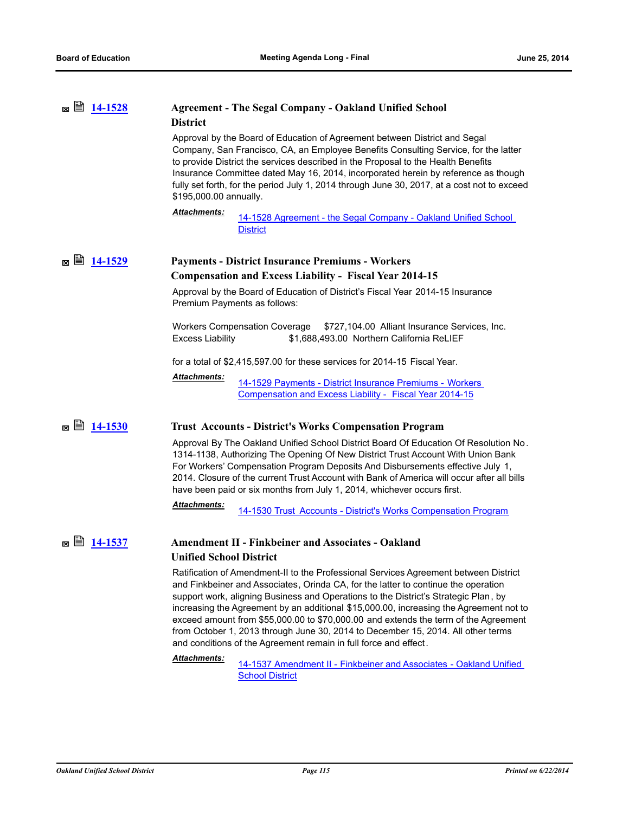| 閶<br>14-1528<br>× | <b>Agreement - The Segal Company - Oakland Unified School</b><br><b>District</b>                                                                                                                                                                                                                                                                                                                                                                                                                                                                                                                           |
|-------------------|------------------------------------------------------------------------------------------------------------------------------------------------------------------------------------------------------------------------------------------------------------------------------------------------------------------------------------------------------------------------------------------------------------------------------------------------------------------------------------------------------------------------------------------------------------------------------------------------------------|
|                   | Approval by the Board of Education of Agreement between District and Segal<br>Company, San Francisco, CA, an Employee Benefits Consulting Service, for the latter<br>to provide District the services described in the Proposal to the Health Benefits<br>Insurance Committee dated May 16, 2014, incorporated herein by reference as though<br>fully set forth, for the period July 1, 2014 through June 30, 2017, at a cost not to exceed<br>\$195,000.00 annually.                                                                                                                                      |
|                   | <u> Attachments:</u><br>14-1528 Agreement - the Segal Company - Oakland Unified School<br><b>District</b>                                                                                                                                                                                                                                                                                                                                                                                                                                                                                                  |
| ■ 14-1529<br>×    | <b>Payments - District Insurance Premiums - Workers</b><br><b>Compensation and Excess Liability - Fiscal Year 2014-15</b>                                                                                                                                                                                                                                                                                                                                                                                                                                                                                  |
|                   | Approval by the Board of Education of District's Fiscal Year 2014-15 Insurance<br>Premium Payments as follows:                                                                                                                                                                                                                                                                                                                                                                                                                                                                                             |
|                   | Workers Compensation Coverage<br>\$727,104.00 Alliant Insurance Services, Inc.<br><b>Excess Liability</b><br>\$1,688,493.00 Northern California ReLIEF                                                                                                                                                                                                                                                                                                                                                                                                                                                     |
|                   | for a total of \$2,415,597.00 for these services for 2014-15 Fiscal Year.                                                                                                                                                                                                                                                                                                                                                                                                                                                                                                                                  |
|                   | <b>Attachments:</b><br>14-1529 Payments - District Insurance Premiums - Workers                                                                                                                                                                                                                                                                                                                                                                                                                                                                                                                            |
|                   | Compensation and Excess Liability - Fiscal Year 2014-15                                                                                                                                                                                                                                                                                                                                                                                                                                                                                                                                                    |
| ■ 14-1530<br>×    | <b>Trust Accounts - District's Works Compensation Program</b>                                                                                                                                                                                                                                                                                                                                                                                                                                                                                                                                              |
|                   | Approval By The Oakland Unified School District Board Of Education Of Resolution No.<br>1314-1138, Authorizing The Opening Of New District Trust Account With Union Bank<br>For Workers' Compensation Program Deposits And Disbursements effective July 1,<br>2014. Closure of the current Trust Account with Bank of America will occur after all bills<br>have been paid or six months from July 1, 2014, whichever occurs first.                                                                                                                                                                        |
|                   | Attachments:<br>14-1530 Trust Accounts - District's Works Compensation Program                                                                                                                                                                                                                                                                                                                                                                                                                                                                                                                             |
| 圁<br>14-1537<br>× | <b>Amendment II - Finkbeiner and Associates - Oakland</b>                                                                                                                                                                                                                                                                                                                                                                                                                                                                                                                                                  |
|                   | <b>Unified School District</b>                                                                                                                                                                                                                                                                                                                                                                                                                                                                                                                                                                             |
|                   | Ratification of Amendment-II to the Professional Services Agreement between District<br>and Finkbeiner and Associates, Orinda CA, for the latter to continue the operation<br>support work, aligning Business and Operations to the District's Strategic Plan, by<br>increasing the Agreement by an additional \$15,000.00, increasing the Agreement not to<br>exceed amount from \$55,000.00 to \$70,000.00 and extends the term of the Agreement<br>from October 1, 2013 through June 30, 2014 to December 15, 2014. All other terms<br>and conditions of the Agreement remain in full force and effect. |
|                   | Attachments:<br>14-1537 Amendment II - Finkbeiner and Associates - Oakland Unified<br><b>School District</b>                                                                                                                                                                                                                                                                                                                                                                                                                                                                                               |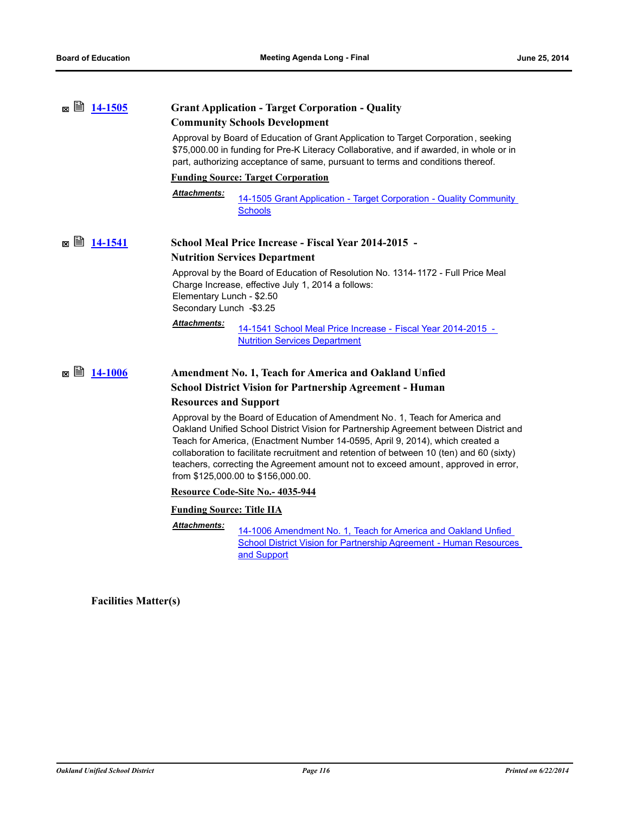| ▤<br>14-1505<br>× |                                                      | <b>Grant Application - Target Corporation - Quality</b>                                                                                                                                                                                                                                                                                                                                                                                                                        |
|-------------------|------------------------------------------------------|--------------------------------------------------------------------------------------------------------------------------------------------------------------------------------------------------------------------------------------------------------------------------------------------------------------------------------------------------------------------------------------------------------------------------------------------------------------------------------|
|                   |                                                      | <b>Community Schools Development</b>                                                                                                                                                                                                                                                                                                                                                                                                                                           |
|                   |                                                      | Approval by Board of Education of Grant Application to Target Corporation, seeking<br>\$75,000.00 in funding for Pre-K Literacy Collaborative, and if awarded, in whole or in<br>part, authorizing acceptance of same, pursuant to terms and conditions thereof.                                                                                                                                                                                                               |
|                   |                                                      | <b>Funding Source: Target Corporation</b>                                                                                                                                                                                                                                                                                                                                                                                                                                      |
|                   | <b>Attachments:</b>                                  | 14-1505 Grant Application - Target Corporation - Quality Community<br><b>Schools</b>                                                                                                                                                                                                                                                                                                                                                                                           |
|                   |                                                      | School Meal Price Increase - Fiscal Year 2014-2015 -                                                                                                                                                                                                                                                                                                                                                                                                                           |
|                   |                                                      | <b>Nutrition Services Department</b>                                                                                                                                                                                                                                                                                                                                                                                                                                           |
|                   | Elementary Lunch - \$2.50<br>Secondary Lunch -\$3.25 | Approval by the Board of Education of Resolution No. 1314-1172 - Full Price Meal<br>Charge Increase, effective July 1, 2014 a follows:                                                                                                                                                                                                                                                                                                                                         |
|                   | Attachments:                                         | 14-1541 School Meal Price Increase - Fiscal Year 2014-2015 -<br><b>Nutrition Services Department</b>                                                                                                                                                                                                                                                                                                                                                                           |
| 閶<br>14-1006<br>M |                                                      | Amendment No. 1, Teach for America and Oakland Unfied                                                                                                                                                                                                                                                                                                                                                                                                                          |
|                   |                                                      | <b>School District Vision for Partnership Agreement - Human</b>                                                                                                                                                                                                                                                                                                                                                                                                                |
|                   | <b>Resources and Support</b>                         |                                                                                                                                                                                                                                                                                                                                                                                                                                                                                |
|                   |                                                      | Approval by the Board of Education of Amendment No. 1, Teach for America and<br>Oakland Unified School District Vision for Partnership Agreement between District and<br>Teach for America, (Enactment Number 14-0595, April 9, 2014), which created a<br>collaboration to facilitate recruitment and retention of between 10 (ten) and 60 (sixty)<br>teachers, correcting the Agreement amount not to exceed amount, approved in error,<br>from \$125,000.00 to \$156,000.00. |
|                   |                                                      | Resource Code-Site No.- 4035-944                                                                                                                                                                                                                                                                                                                                                                                                                                               |
|                   | <b>Funding Source: Title IIA</b>                     |                                                                                                                                                                                                                                                                                                                                                                                                                                                                                |
|                   | <b>Attachments:</b>                                  | 14-1006 Amendment No. 1, Teach for America and Oakland Unfied<br><b>School District Vision for Partnership Agreement - Human Resources</b><br>and Support                                                                                                                                                                                                                                                                                                                      |

**Facilities Matter(s)**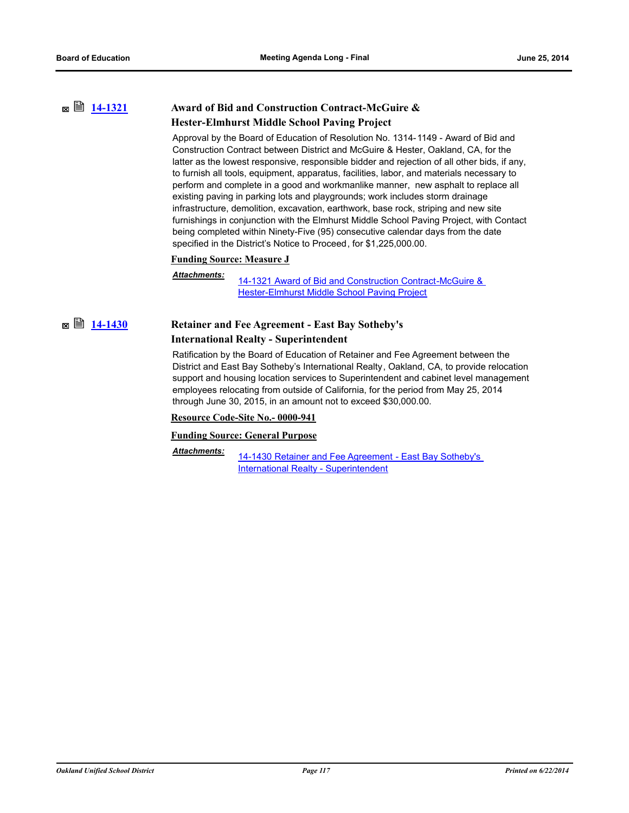# **[14-1321](http://ousd.legistar.com/gateway.aspx?m=l&id=/matter.aspx?key=33001) Award of Bid and Construction Contract-McGuire & Hester-Elmhurst Middle School Paving Project**

Approval by the Board of Education of Resolution No. 1314-1149 - Award of Bid and Construction Contract between District and McGuire & Hester, Oakland, CA, for the latter as the lowest responsive, responsible bidder and rejection of all other bids, if any, to furnish all tools, equipment, apparatus, facilities, labor, and materials necessary to perform and complete in a good and workmanlike manner, new asphalt to replace all existing paving in parking lots and playgrounds; work includes storm drainage infrastructure, demolition, excavation, earthwork, base rock, striping and new site furnishings in conjunction with the Elmhurst Middle School Paving Project, with Contact being completed within Ninety-Five (95) consecutive calendar days from the date specified in the District's Notice to Proceed, for \$1,225,000.00.

### **Funding Source: Measure J**

### *Attachments:*

[14-1321 Award of Bid and Construction Contract-McGuire &](http://ousd.legistar.com/gateway.aspx?M=F&ID=76418.pdf)  Hester-Elmhurst Middle School Paving Project

# **[14-1430](http://ousd.legistar.com/gateway.aspx?m=l&id=/matter.aspx?key=33108) Retainer and Fee Agreement - East Bay Sotheby's International Realty - Superintendent**

Ratification by the Board of Education of Retainer and Fee Agreement between the District and East Bay Sotheby's International Realty, Oakland, CA, to provide relocation support and housing location services to Superintendent and cabinet level management employees relocating from outside of California, for the period from May 25, 2014 through June 30, 2015, in an amount not to exceed \$30,000.00.

### **Resource Code-Site No.- 0000-941**

## **Funding Source: General Purpose**

*Attachments:*

[14-1430 Retainer and Fee Agreement - East Bay Sotheby's](http://ousd.legistar.com/gateway.aspx?M=F&ID=76445.pdf)  International Realty - Superintendent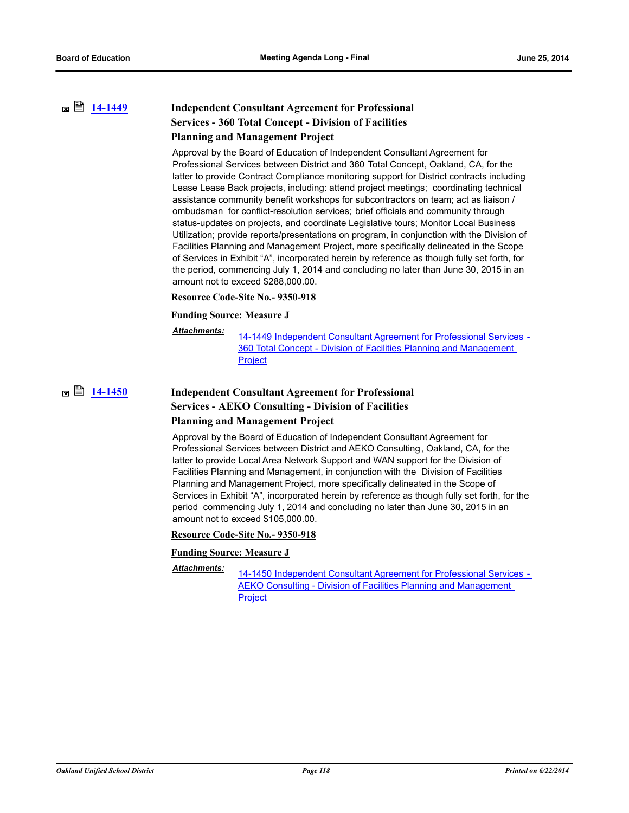# **[14-1449](http://ousd.legistar.com/gateway.aspx?m=l&id=/matter.aspx?key=33125) Independent Consultant Agreement for Professional Services - 360 Total Concept - Division of Facilities Planning and Management Project**

Approval by the Board of Education of Independent Consultant Agreement for Professional Services between District and 360 Total Concept, Oakland, CA, for the latter to provide Contract Compliance monitoring support for District contracts including Lease Lease Back projects, including: attend project meetings; coordinating technical assistance community benefit workshops for subcontractors on team; act as liaison / ombudsman for conflict-resolution services; brief officials and community through status-updates on projects, and coordinate Legislative tours; Monitor Local Business Utilization; provide reports/presentations on program, in conjunction with the Division of Facilities Planning and Management Project, more specifically delineated in the Scope of Services in Exhibit "A", incorporated herein by reference as though fully set forth, for the period, commencing July 1, 2014 and concluding no later than June 30, 2015 in an amount not to exceed \$288,000.00.

### **Resource Code-Site No.- 9350-918**

### **Funding Source: Measure J**

[14-1449 Independent Consultant Agreement for Professional Services -](http://ousd.legistar.com/gateway.aspx?M=F&ID=76420.pdf)  360 Total Concept - Division of Facilities Planning and Management Project *Attachments:*

# **[14-1450](http://ousd.legistar.com/gateway.aspx?m=l&id=/matter.aspx?key=33126) Independent Consultant Agreement for Professional Services - AEKO Consulting - Division of Facilities**

## **Planning and Management Project**

Approval by the Board of Education of Independent Consultant Agreement for Professional Services between District and AEKO Consulting, Oakland, CA, for the latter to provide Local Area Network Support and WAN support for the Division of Facilities Planning and Management, in conjunction with the Division of Facilities Planning and Management Project, more specifically delineated in the Scope of Services in Exhibit "A", incorporated herein by reference as though fully set forth, for the period commencing July 1, 2014 and concluding no later than June 30, 2015 in an amount not to exceed \$105,000.00.

### **Resource Code-Site No.- 9350-918**

### **Funding Source: Measure J**

*Attachments:*

[14-1450 Independent Consultant Agreement for Professional Services -](http://ousd.legistar.com/gateway.aspx?M=F&ID=76457.pdf)  AEKO Consulting - Division of Facilities Planning and Management Project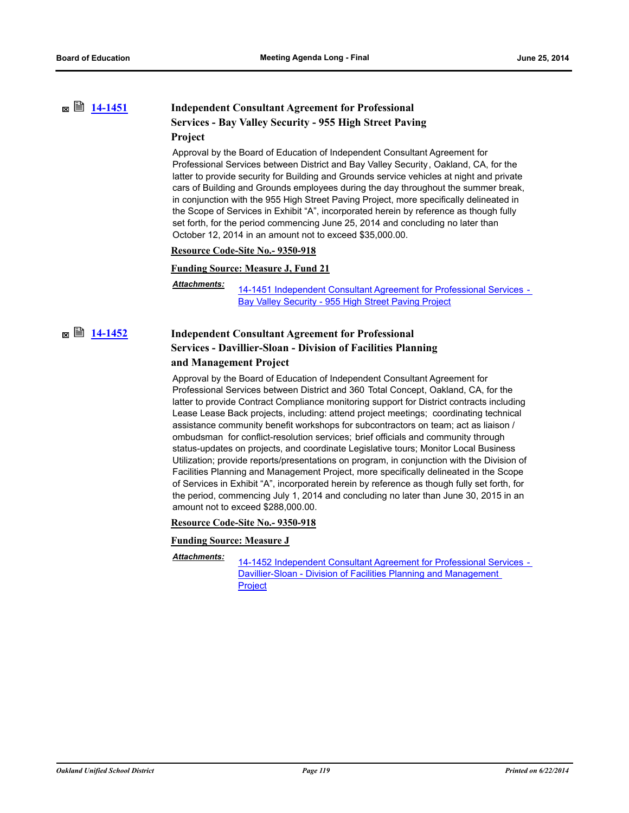# **[14-1451](http://ousd.legistar.com/gateway.aspx?m=l&id=/matter.aspx?key=33127) Independent Consultant Agreement for Professional Services - Bay Valley Security - 955 High Street Paving**

# **Project**

Approval by the Board of Education of Independent Consultant Agreement for Professional Services between District and Bay Valley Security, Oakland, CA, for the latter to provide security for Building and Grounds service vehicles at night and private cars of Building and Grounds employees during the day throughout the summer break, in conjunction with the 955 High Street Paving Project, more specifically delineated in the Scope of Services in Exhibit "A", incorporated herein by reference as though fully set forth, for the period commencing June 25, 2014 and concluding no later than October 12, 2014 in an amount not to exceed \$35,000.00.

### **Resource Code-Site No.- 9350-918**

### **Funding Source: Measure J, Fund 21**

*Attachments:*

[14-1451 Independent Consultant Agreement for Professional Services -](http://ousd.legistar.com/gateway.aspx?M=F&ID=76453.pdf)  Bay Valley Security - 955 High Street Paving Project

# **[14-1452](http://ousd.legistar.com/gateway.aspx?m=l&id=/matter.aspx?key=33128) Independent Consultant Agreement for Professional Services - Davillier-Sloan - Division of Facilities Planning and Management Project**

## Approval by the Board of Education of Independent Consultant Agreement for Professional Services between District and 360 Total Concept, Oakland, CA, for the latter to provide Contract Compliance monitoring support for District contracts including Lease Lease Back projects, including: attend project meetings; coordinating technical assistance community benefit workshops for subcontractors on team; act as liaison / ombudsman for conflict-resolution services; brief officials and community through status-updates on projects, and coordinate Legislative tours; Monitor Local Business Utilization; provide reports/presentations on program, in conjunction with the Division of Facilities Planning and Management Project, more specifically delineated in the Scope

of Services in Exhibit "A", incorporated herein by reference as though fully set forth, for the period, commencing July 1, 2014 and concluding no later than June 30, 2015 in an

amount not to exceed \$288,000.00. **Resource Code-Site No.- 9350-918**

### **Funding Source: Measure J**

*Attachments:*

[14-1452 Independent Consultant Agreement for Professional Services -](http://ousd.legistar.com/gateway.aspx?M=F&ID=76421.pdf)  Davillier-Sloan - Division of Facilities Planning and Management Project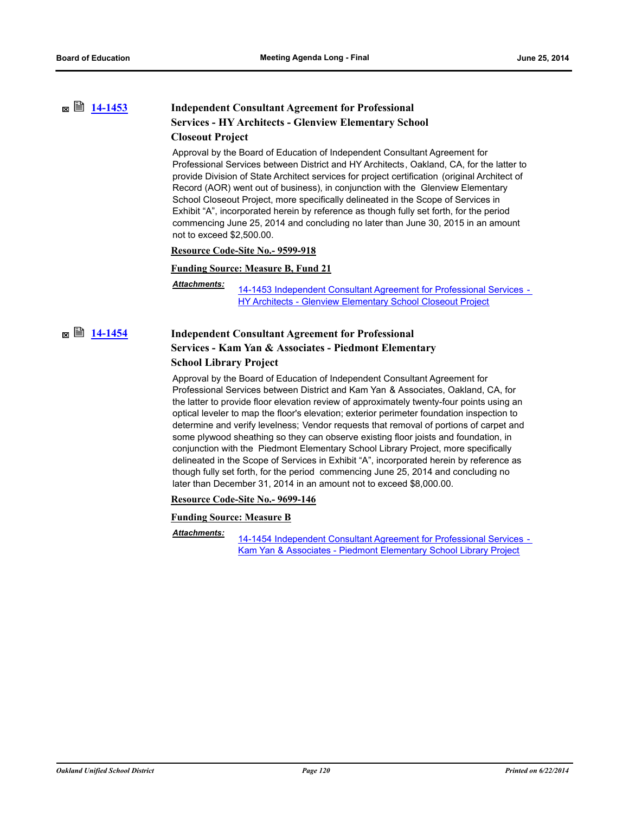# **[14-1453](http://ousd.legistar.com/gateway.aspx?m=l&id=/matter.aspx?key=33129) Independent Consultant Agreement for Professional Services - HY Architects - Glenview Elementary School Closeout Project**

Approval by the Board of Education of Independent Consultant Agreement for Professional Services between District and HY Architects, Oakland, CA, for the latter to provide Division of State Architect services for project certification (original Architect of Record (AOR) went out of business), in conjunction with the Glenview Elementary School Closeout Project, more specifically delineated in the Scope of Services in Exhibit "A", incorporated herein by reference as though fully set forth, for the period commencing June 25, 2014 and concluding no later than June 30, 2015 in an amount not to exceed \$2,500.00.

### **Resource Code-Site No.- 9599-918**

### **Funding Source: Measure B, Fund 21**

### *Attachments:*

[14-1453 Independent Consultant Agreement for Professional Services -](http://ousd.legistar.com/gateway.aspx?M=F&ID=76424.pdf)  HY Architects - Glenview Elementary School Closeout Project

# **[14-1454](http://ousd.legistar.com/gateway.aspx?m=l&id=/matter.aspx?key=33130) Independent Consultant Agreement for Professional Services - Kam Yan & Associates - Piedmont Elementary School Library Project**

Approval by the Board of Education of Independent Consultant Agreement for Professional Services between District and Kam Yan & Associates, Oakland, CA, for the latter to provide floor elevation review of approximately twenty-four points using an optical leveler to map the floor's elevation; exterior perimeter foundation inspection to determine and verify levelness; Vendor requests that removal of portions of carpet and some plywood sheathing so they can observe existing floor joists and foundation, in conjunction with the Piedmont Elementary School Library Project, more specifically delineated in the Scope of Services in Exhibit "A", incorporated herein by reference as though fully set forth, for the period commencing June 25, 2014 and concluding no later than December 31, 2014 in an amount not to exceed \$8,000.00.

**Resource Code-Site No.- 9699-146**

### **Funding Source: Measure B**

[14-1454 Independent Consultant Agreement for Professional Services -](http://ousd.legistar.com/gateway.aspx?M=F&ID=76425.pdf)  Kam Yan & Associates - Piedmont Elementary School Library Project *Attachments:*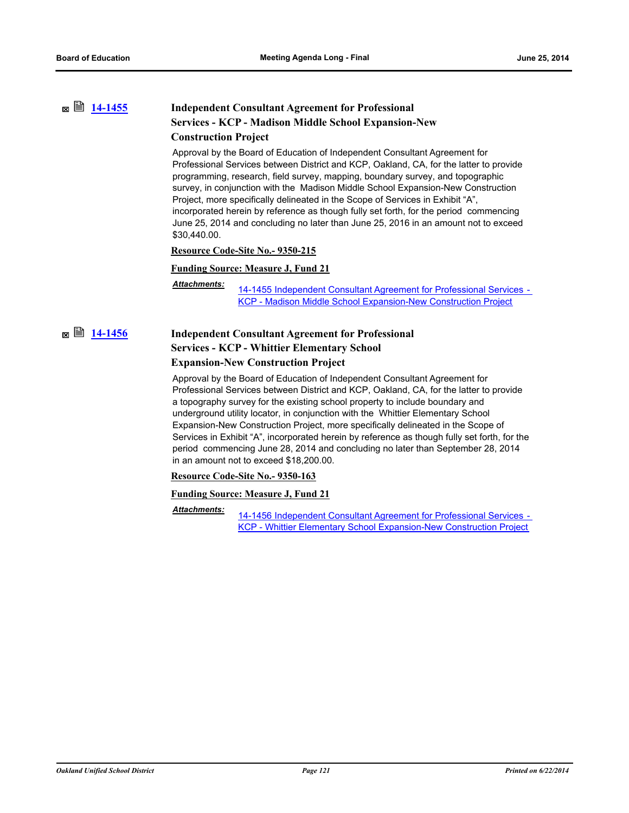# **[14-1455](http://ousd.legistar.com/gateway.aspx?m=l&id=/matter.aspx?key=33131) Independent Consultant Agreement for Professional Services - KCP - Madison Middle School Expansion-New**

## **Construction Project**

Approval by the Board of Education of Independent Consultant Agreement for Professional Services between District and KCP, Oakland, CA, for the latter to provide programming, research, field survey, mapping, boundary survey, and topographic survey, in conjunction with the Madison Middle School Expansion-New Construction Project, more specifically delineated in the Scope of Services in Exhibit "A", incorporated herein by reference as though fully set forth, for the period commencing June 25, 2014 and concluding no later than June 25, 2016 in an amount not to exceed \$30,440.00.

### **Resource Code-Site No.- 9350-215**

### **Funding Source: Measure J, Fund 21**

*Attachments:*

[14-1455 Independent Consultant Agreement for Professional Services -](http://ousd.legistar.com/gateway.aspx?M=F&ID=76426.pdf)  KCP - Madison Middle School Expansion-New Construction Project

# **■ ■ [14-1456](http://ousd.legistar.com/gateway.aspx?m=l&id=/matter.aspx?key=33132) Independent Consultant Agreement for Professional**

## **Services - KCP - Whittier Elementary School**

### **Expansion-New Construction Project**

Approval by the Board of Education of Independent Consultant Agreement for Professional Services between District and KCP, Oakland, CA, for the latter to provide a topography survey for the existing school property to include boundary and underground utility locator, in conjunction with the Whittier Elementary School Expansion-New Construction Project, more specifically delineated in the Scope of Services in Exhibit "A", incorporated herein by reference as though fully set forth, for the period commencing June 28, 2014 and concluding no later than September 28, 2014 in an amount not to exceed \$18,200.00.

### **Resource Code-Site No.- 9350-163**

### **Funding Source: Measure J, Fund 21**

*Attachments:*

[14-1456 Independent Consultant Agreement for Professional Services -](http://ousd.legistar.com/gateway.aspx?M=F&ID=76427.pdf)  KCP - Whittier Elementary School Expansion-New Construction Project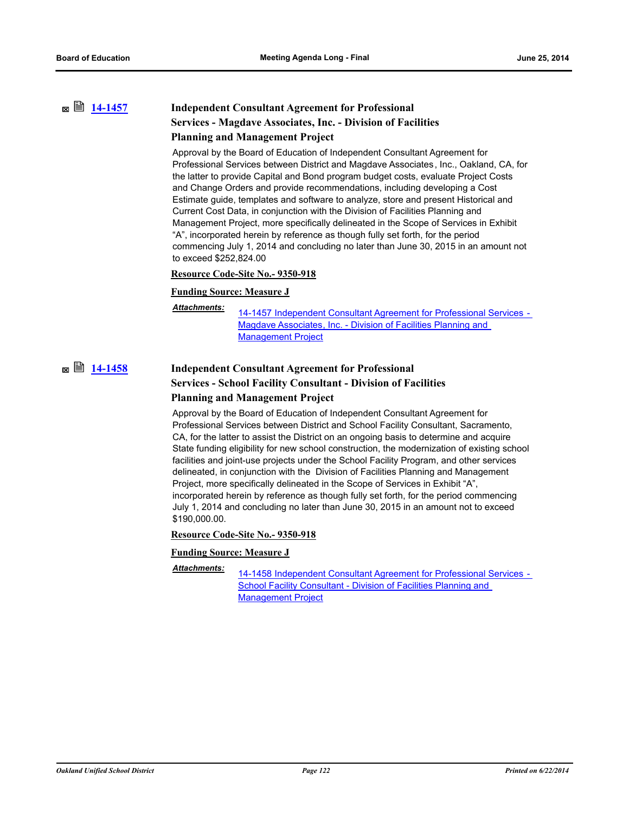# **[14-1457](http://ousd.legistar.com/gateway.aspx?m=l&id=/matter.aspx?key=33133) Independent Consultant Agreement for Professional Services - Magdave Associates, Inc. - Division of Facilities Planning and Management Project**

Approval by the Board of Education of Independent Consultant Agreement for Professional Services between District and Magdave Associates, Inc., Oakland, CA, for the latter to provide Capital and Bond program budget costs, evaluate Project Costs and Change Orders and provide recommendations, including developing a Cost Estimate guide, templates and software to analyze, store and present Historical and Current Cost Data, in conjunction with the Division of Facilities Planning and Management Project, more specifically delineated in the Scope of Services in Exhibit "A", incorporated herein by reference as though fully set forth, for the period commencing July 1, 2014 and concluding no later than June 30, 2015 in an amount not to exceed \$252,824.00

### **Resource Code-Site No.- 9350-918**

### **Funding Source: Measure J**

*Attachments:*

[14-1457 Independent Consultant Agreement for Professional Services -](http://ousd.legistar.com/gateway.aspx?M=F&ID=76428.pdf)  Magdave Associates, Inc. - Division of Facilities Planning and Management Project

# **[14-1458](http://ousd.legistar.com/gateway.aspx?m=l&id=/matter.aspx?key=33134) Independent Consultant Agreement for Professional Services - School Facility Consultant - Division of Facilities Planning and Management Project**

Approval by the Board of Education of Independent Consultant Agreement for Professional Services between District and School Facility Consultant, Sacramento, CA, for the latter to assist the District on an ongoing basis to determine and acquire State funding eligibility for new school construction, the modernization of existing school facilities and joint-use projects under the School Facility Program, and other services delineated, in conjunction with the Division of Facilities Planning and Management Project, more specifically delineated in the Scope of Services in Exhibit "A", incorporated herein by reference as though fully set forth, for the period commencing July 1, 2014 and concluding no later than June 30, 2015 in an amount not to exceed \$190,000.00.

### **Resource Code-Site No.- 9350-918**

### **Funding Source: Measure J**

*Attachments:*

[14-1458 Independent Consultant Agreement for Professional Services -](http://ousd.legistar.com/gateway.aspx?M=F&ID=76422.pdf)  School Facility Consultant - Division of Facilities Planning and Management Project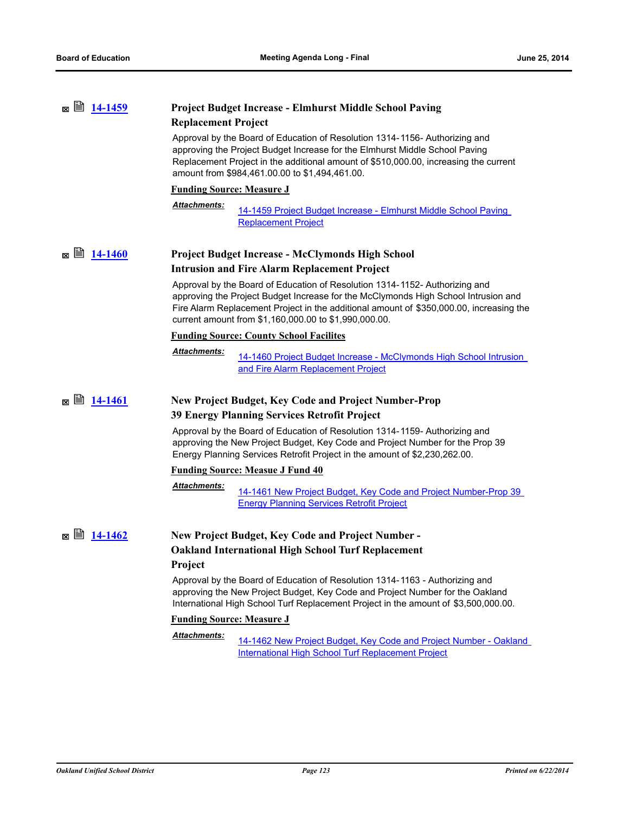| ■ 14-1459<br>м            | <b>Project Budget Increase - Elmhurst Middle School Paving</b><br><b>Replacement Project</b>                                                                                                                                                                                                                          |
|---------------------------|-----------------------------------------------------------------------------------------------------------------------------------------------------------------------------------------------------------------------------------------------------------------------------------------------------------------------|
|                           | Approval by the Board of Education of Resolution 1314-1156- Authorizing and<br>approving the Project Budget Increase for the Elmhurst Middle School Paving<br>Replacement Project in the additional amount of \$510,000.00, increasing the current<br>amount from \$984,461.00.00 to \$1,494,461.00.                  |
|                           | <b>Funding Source: Measure J</b>                                                                                                                                                                                                                                                                                      |
|                           | <b>Attachments:</b><br>14-1459 Project Budget Increase - Elmhurst Middle School Paving<br><b>Replacement Project</b>                                                                                                                                                                                                  |
| ■ 14-1460<br>×            | <b>Project Budget Increase - McClymonds High School</b><br><b>Intrusion and Fire Alarm Replacement Project</b>                                                                                                                                                                                                        |
|                           | Approval by the Board of Education of Resolution 1314-1152- Authorizing and<br>approving the Project Budget Increase for the McClymonds High School Intrusion and<br>Fire Alarm Replacement Project in the additional amount of \$350,000.00, increasing the<br>current amount from \$1,160,000.00 to \$1,990,000.00. |
|                           | <b>Funding Source: County School Facilites</b>                                                                                                                                                                                                                                                                        |
|                           | Attachments:<br>14-1460 Project Budget Increase - McClymonds High School Intrusion<br>and Fire Alarm Replacement Project                                                                                                                                                                                              |
| ■ 14-1461<br>×            | <b>New Project Budget, Key Code and Project Number-Prop</b>                                                                                                                                                                                                                                                           |
|                           | <b>39 Energy Planning Services Retrofit Project</b>                                                                                                                                                                                                                                                                   |
|                           | Approval by the Board of Education of Resolution 1314-1159- Authorizing and<br>approving the New Project Budget, Key Code and Project Number for the Prop 39<br>Energy Planning Services Retrofit Project in the amount of \$2,230,262.00.                                                                            |
|                           | <b>Funding Source: Measue J Fund 40</b>                                                                                                                                                                                                                                                                               |
|                           | <u> Attachments:</u><br>14-1461 New Project Budget, Key Code and Project Number-Prop 39<br><b>Energy Planning Services Retrofit Project</b>                                                                                                                                                                           |
| e)<br><u>14-1462</u><br>× | New Project Budget, Key Code and Project Number -<br><b>Oakland International High School Turf Replacement</b>                                                                                                                                                                                                        |
|                           | Project                                                                                                                                                                                                                                                                                                               |
|                           | Approval by the Board of Education of Resolution 1314-1163 - Authorizing and<br>approving the New Project Budget, Key Code and Project Number for the Oakland<br>International High School Turf Replacement Project in the amount of \$3,500,000.00.                                                                  |
|                           | <b>Funding Source: Measure J</b>                                                                                                                                                                                                                                                                                      |
|                           | Attachments:<br>14-1462 New Project Budget, Key Code and Project Number - Oakland<br>International High School Turf Replacement Project                                                                                                                                                                               |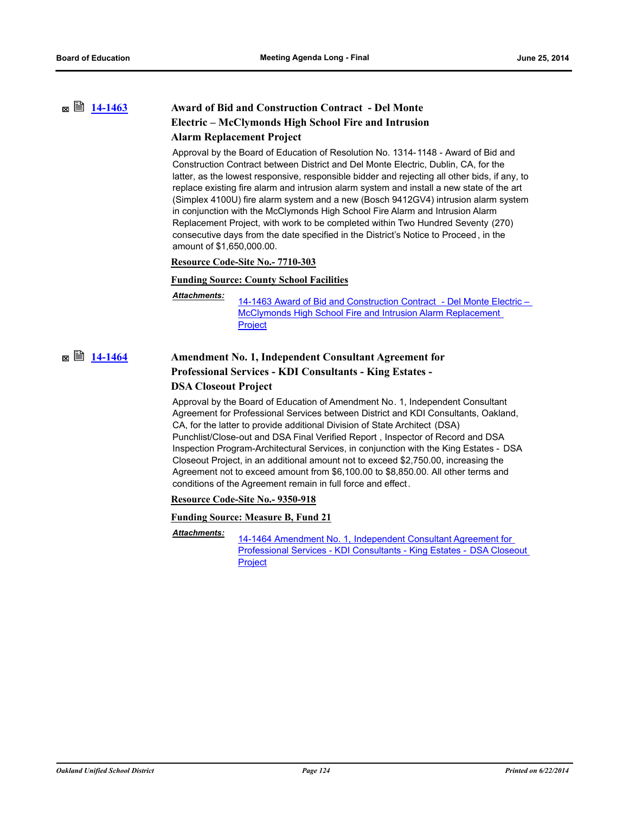# **[14-1463](http://ousd.legistar.com/gateway.aspx?m=l&id=/matter.aspx?key=33139) Award of Bid and Construction Contract - Del Monte Electric – McClymonds High School Fire and Intrusion Alarm Replacement Project**

Approval by the Board of Education of Resolution No. 1314-1148 - Award of Bid and Construction Contract between District and Del Monte Electric, Dublin, CA, for the latter, as the lowest responsive, responsible bidder and rejecting all other bids, if any, to replace existing fire alarm and intrusion alarm system and install a new state of the art (Simplex 4100U) fire alarm system and a new (Bosch 9412GV4) intrusion alarm system in conjunction with the McClymonds High School Fire Alarm and Intrusion Alarm Replacement Project, with work to be completed within Two Hundred Seventy (270) consecutive days from the date specified in the District's Notice to Proceed , in the amount of \$1,650,000.00.

### **Resource Code-Site No.- 7710-303**

### **Funding Source: County School Facilities**

*Attachments:*

[14-1463 Award of Bid and Construction Contract - Del Monte Electric –](http://ousd.legistar.com/gateway.aspx?M=F&ID=76446.pdf)  McClymonds High School Fire and Intrusion Alarm Replacement **Project** 

# **[14-1464](http://ousd.legistar.com/gateway.aspx?m=l&id=/matter.aspx?key=33140) Amendment No. 1, Independent Consultant Agreement for Professional Services - KDI Consultants - King Estates - DSA Closeout Project**

Approval by the Board of Education of Amendment No. 1, Independent Consultant Agreement for Professional Services between District and KDI Consultants, Oakland, CA, for the latter to provide additional Division of State Architect (DSA) Punchlist/Close-out and DSA Final Verified Report , Inspector of Record and DSA Inspection Program-Architectural Services, in conjunction with the King Estates - DSA Closeout Project, in an additional amount not to exceed \$2,750.00, increasing the Agreement not to exceed amount from \$6,100.00 to \$8,850.00. All other terms and conditions of the Agreement remain in full force and effect.

**Resource Code-Site No.- 9350-918**

### **Funding Source: Measure B, Fund 21**

14-1464 Amendment No. 1, Independent Consultant Agreement for [Professional Services - KDI Consultants - King Estates - DSA Closeout](http://ousd.legistar.com/gateway.aspx?M=F&ID=76447.pdf)  **Project** *Attachments:*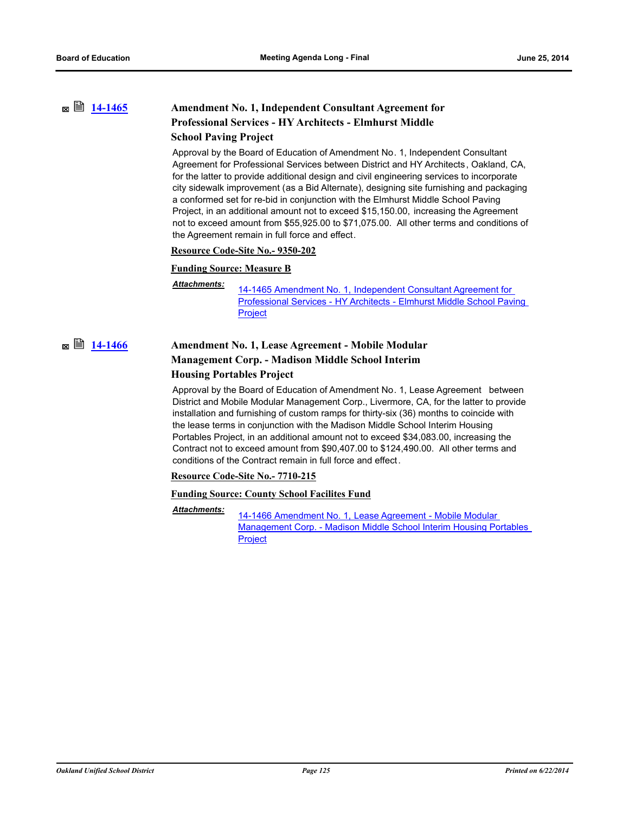# **[14-1465](http://ousd.legistar.com/gateway.aspx?m=l&id=/matter.aspx?key=33141) Amendment No. 1, Independent Consultant Agreement for Professional Services - HY Architects - Elmhurst Middle School Paving Project**

Approval by the Board of Education of Amendment No. 1, Independent Consultant Agreement for Professional Services between District and HY Architects, Oakland, CA, for the latter to provide additional design and civil engineering services to incorporate city sidewalk improvement (as a Bid Alternate), designing site furnishing and packaging a conformed set for re-bid in conjunction with the Elmhurst Middle School Paving Project, in an additional amount not to exceed \$15,150.00, increasing the Agreement not to exceed amount from \$55,925.00 to \$71,075.00. All other terms and conditions of the Agreement remain in full force and effect.

### **Resource Code-Site No.- 9350-202**

## **Funding Source: Measure B**

### *Attachments:*

14-1465 Amendment No. 1, Independent Consultant Agreement for [Professional Services - HY Architects - Elmhurst Middle School Paving](http://ousd.legistar.com/gateway.aspx?M=F&ID=76448.pdf)  Project

# **[14-1466](http://ousd.legistar.com/gateway.aspx?m=l&id=/matter.aspx?key=33142) Amendment No. 1, Lease Agreement - Mobile Modular Management Corp. - Madison Middle School Interim Housing Portables Project**

Approval by the Board of Education of Amendment No. 1, Lease Agreement between District and Mobile Modular Management Corp., Livermore, CA, for the latter to provide installation and furnishing of custom ramps for thirty-six (36) months to coincide with the lease terms in conjunction with the Madison Middle School Interim Housing Portables Project, in an additional amount not to exceed \$34,083.00, increasing the Contract not to exceed amount from \$90,407.00 to \$124,490.00. All other terms and conditions of the Contract remain in full force and effect.

**Resource Code-Site No.- 7710-215**

### **Funding Source: County School Facilites Fund**

*Attachments:*

14-1466 Amendment No. 1, Lease Agreement - Mobile Modular [Management Corp. - Madison Middle School Interim Housing Portables](http://ousd.legistar.com/gateway.aspx?M=F&ID=76449.pdf)  Project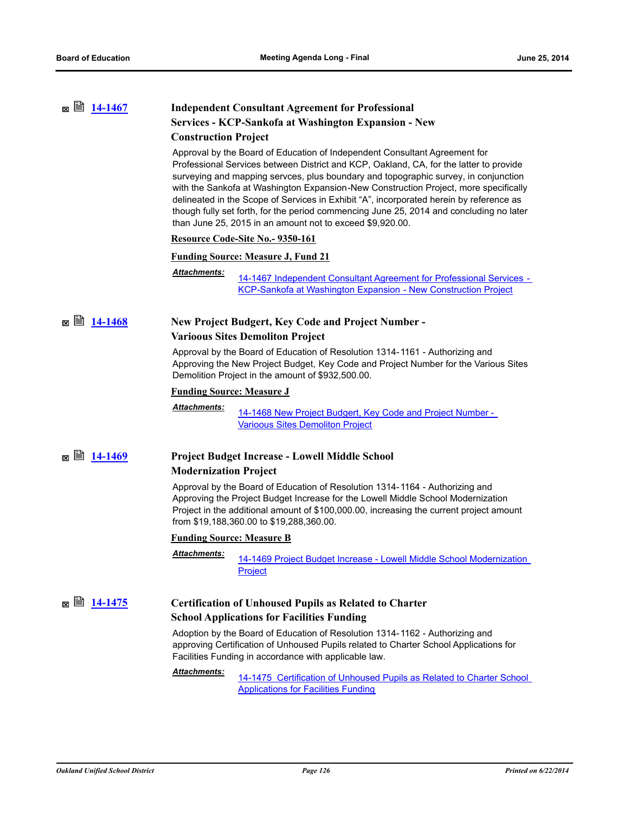| <b>Independent Consultant Agreement for Professional</b> |
|----------------------------------------------------------|
| Services - KCP-Sankofa at Washington Expansion - New     |
| <b>Construction Project</b>                              |

Approval by the Board of Education of Independent Consultant Agreement for Professional Services between District and KCP, Oakland, CA, for the latter to provide surveying and mapping servces, plus boundary and topographic survey, in conjunction with the Sankofa at Washington Expansion-New Construction Project, more specifically delineated in the Scope of Services in Exhibit "A", incorporated herein by reference as though fully set forth, for the period commencing June 25, 2014 and concluding no later than June 25, 2015 in an amount not to exceed \$9,920.00.

### **Resource Code-Site No.- 9350-161**

### **Funding Source: Measure J, Fund 21**

### *Attachments:*

[14-1467 Independent Consultant Agreement for Professional Services -](http://ousd.legistar.com/gateway.aspx?M=F&ID=76450.pdf)  KCP-Sankofa at Washington Expansion - New Construction Project

**■ ■ [14-1468](http://ousd.legistar.com/gateway.aspx?m=l&id=/matter.aspx?key=33144)** New Project Budgert, Key Code and Project Number -

### **Varioous Sites Demoliton Project**

Approval by the Board of Education of Resolution 1314-1161 - Authorizing and Approving the New Project Budget, Key Code and Project Number for the Various Sites Demolition Project in the amount of \$932,500.00.

### **Funding Source: Measure J**

*Attachments:*

[14-1468 New Project Budgert, Key Code and Project Number -](http://ousd.legistar.com/gateway.aspx?M=F&ID=76451.pdf)  Varioous Sites Demoliton Project

# **<b>■ [14-1469](http://ousd.legistar.com/gateway.aspx?m=l&id=/matter.aspx?key=33145) Project Budget Increase - Lowell Middle School**

## **Modernization Project**

Approval by the Board of Education of Resolution 1314-1164 - Authorizing and Approving the Project Budget Increase for the Lowell Middle School Modernization Project in the additional amount of \$100,000.00, increasing the current project amount from \$19,188,360.00 to \$19,288,360.00.

### **Funding Source: Measure B**

[14-1469 Project Budget Increase - Lowell Middle School Modernization](http://ousd.legistar.com/gateway.aspx?M=F&ID=76452.pdf)  Project *Attachments:*

**■ ■ [14-1475](http://ousd.legistar.com/gateway.aspx?m=l&id=/matter.aspx?key=33151) Certification of Unhoused Pupils as Related to Charter School Applications for Facilities Funding**

> Adoption by the Board of Education of Resolution 1314-1162 - Authorizing and approving Certification of Unhoused Pupils related to Charter School Applications for Facilities Funding in accordance with applicable law.

*Attachments:*

[14-1475 Certification of Unhoused Pupils as Related to Charter School](http://ousd.legistar.com/gateway.aspx?M=F&ID=76407.pdf)  Applications for Facilities Funding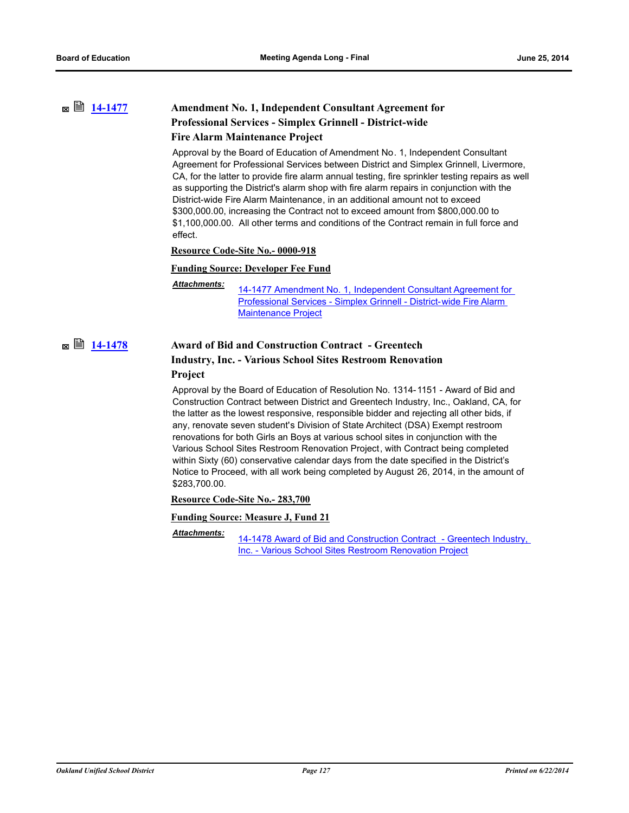# **[14-1477](http://ousd.legistar.com/gateway.aspx?m=l&id=/matter.aspx?key=33153) Amendment No. 1, Independent Consultant Agreement for Professional Services - Simplex Grinnell - District-wide Fire Alarm Maintenance Project**

Approval by the Board of Education of Amendment No. 1, Independent Consultant Agreement for Professional Services between District and Simplex Grinnell, Livermore, CA, for the latter to provide fire alarm annual testing, fire sprinkler testing repairs as well as supporting the District's alarm shop with fire alarm repairs in conjunction with the District-wide Fire Alarm Maintenance, in an additional amount not to exceed \$300,000.00, increasing the Contract not to exceed amount from \$800,000.00 to \$1,100,000.00. All other terms and conditions of the Contract remain in full force and effect.

### **Resource Code-Site No.- 0000-918**

**Funding Source: Developer Fee Fund**

### *Attachments:*

[14-1477 Amendment No. 1, Independent Consultant Agreement for](http://ousd.legistar.com/gateway.aspx?M=F&ID=76465.pdf)  Professional Services - Simplex Grinnell - District-wide Fire Alarm Maintenance Project

# **[14-1478](http://ousd.legistar.com/gateway.aspx?m=l&id=/matter.aspx?key=33154) Award of Bid and Construction Contract - Greentech Industry, Inc. - Various School Sites Restroom Renovation**

## **Project**

Approval by the Board of Education of Resolution No. 1314-1151 - Award of Bid and Construction Contract between District and Greentech Industry, Inc., Oakland, CA, for the latter as the lowest responsive, responsible bidder and rejecting all other bids, if any, renovate seven student's Division of State Architect (DSA) Exempt restroom renovations for both Girls an Boys at various school sites in conjunction with the Various School Sites Restroom Renovation Project, with Contract being completed within Sixty (60) conservative calendar days from the date specified in the District's Notice to Proceed, with all work being completed by August 26, 2014, in the amount of \$283,700.00.

**Resource Code-Site No.- 283,700**

### **Funding Source: Measure J, Fund 21**

*Attachments:*

[14-1478 Award of Bid and Construction Contract - Greentech Industry,](http://ousd.legistar.com/gateway.aspx?M=F&ID=76469.pdf)  Inc. - Various School Sites Restroom Renovation Project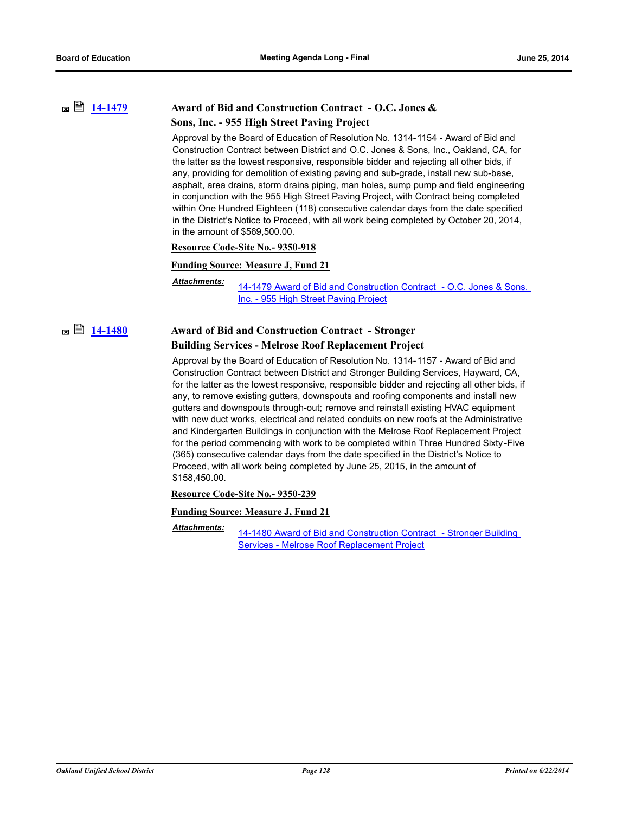# **[14-1479](http://ousd.legistar.com/gateway.aspx?m=l&id=/matter.aspx?key=33155) Award of Bid and Construction Contract - O.C. Jones & Sons, Inc. - 955 High Street Paving Project**

Approval by the Board of Education of Resolution No. 1314-1154 - Award of Bid and Construction Contract between District and O.C. Jones & Sons, Inc., Oakland, CA, for the latter as the lowest responsive, responsible bidder and rejecting all other bids, if any, providing for demolition of existing paving and sub-grade, install new sub-base, asphalt, area drains, storm drains piping, man holes, sump pump and field engineering in conjunction with the 955 High Street Paving Project, with Contract being completed within One Hundred Eighteen (118) consecutive calendar days from the date specified in the District's Notice to Proceed, with all work being completed by October 20, 2014, in the amount of \$569,500.00.

### **Resource Code-Site No.- 9350-918**

### **Funding Source: Measure J, Fund 21**

*Attachments:*

[14-1479 Award of Bid and Construction Contract - O.C. Jones & Sons,](http://ousd.legistar.com/gateway.aspx?M=F&ID=76467.pdf)  Inc. - 955 High Street Paving Project

## **■ ■ [14-1480](http://ousd.legistar.com/gateway.aspx?m=l&id=/matter.aspx?key=33156) Award of Bid and Construction Contract - Stronger Building Services - Melrose Roof Replacement Project**

Approval by the Board of Education of Resolution No. 1314-1157 - Award of Bid and Construction Contract between District and Stronger Building Services, Hayward, CA, for the latter as the lowest responsive, responsible bidder and rejecting all other bids, if any, to remove existing gutters, downspouts and roofing components and install new gutters and downspouts through-out; remove and reinstall existing HVAC equipment with new duct works, electrical and related conduits on new roofs at the Administrative and Kindergarten Buildings in conjunction with the Melrose Roof Replacement Project for the period commencing with work to be completed within Three Hundred Sixty -Five (365) consecutive calendar days from the date specified in the District's Notice to Proceed, with all work being completed by June 25, 2015, in the amount of \$158,450.00.

**Resource Code-Site No.- 9350-239**

**Funding Source: Measure J, Fund 21**

[14-1480 Award of Bid and Construction Contract - Stronger Building](http://ousd.legistar.com/gateway.aspx?M=F&ID=76454.pdf)  Services - Melrose Roof Replacement Project *Attachments:*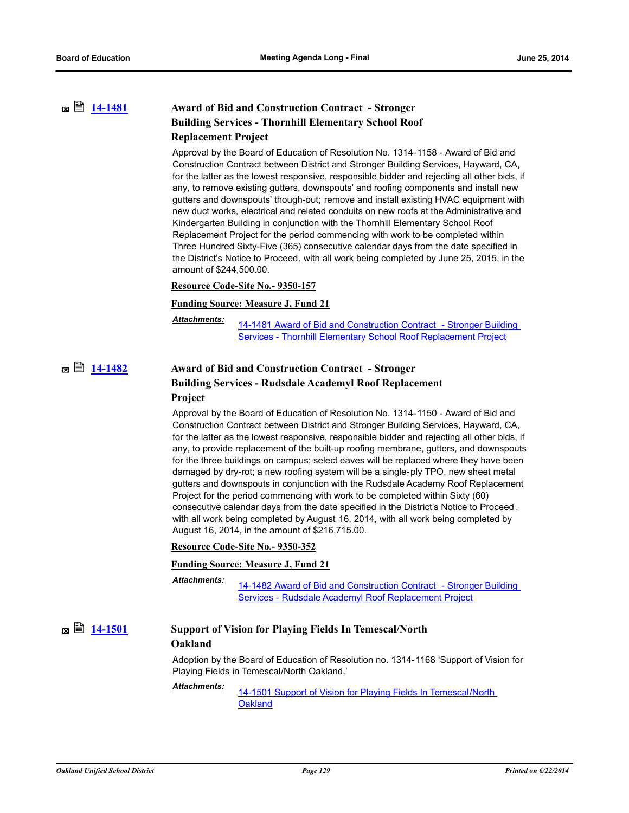# **[14-1481](http://ousd.legistar.com/gateway.aspx?m=l&id=/matter.aspx?key=33157) Award of Bid and Construction Contract - Stronger Building Services - Thornhill Elementary School Roof Replacement Project**

Approval by the Board of Education of Resolution No. 1314-1158 - Award of Bid and Construction Contract between District and Stronger Building Services, Hayward, CA, for the latter as the lowest responsive, responsible bidder and rejecting all other bids, if any, to remove existing gutters, downspouts' and roofing components and install new gutters and downspouts' though-out; remove and install existing HVAC equipment with new duct works, electrical and related conduits on new roofs at the Administrative and Kindergarten Building in conjunction with the Thornhill Elementary School Roof Replacement Project for the period commencing with work to be completed within Three Hundred Sixty-Five (365) consecutive calendar days from the date specified in the District's Notice to Proceed, with all work being completed by June 25, 2015, in the amount of \$244,500.00.

## **Resource Code-Site No.- 9350-157**

### **Funding Source: Measure J, Fund 21**

*Attachments:*

[14-1481 Award of Bid and Construction Contract - Stronger Building](http://ousd.legistar.com/gateway.aspx?M=F&ID=76455.pdf)  Services - Thornhill Elementary School Roof Replacement Project

# **[14-1482](http://ousd.legistar.com/gateway.aspx?m=l&id=/matter.aspx?key=33158) Award of Bid and Construction Contract - Stronger Building Services - Rudsdale Academyl Roof Replacement Project**

Approval by the Board of Education of Resolution No. 1314-1150 - Award of Bid and Construction Contract between District and Stronger Building Services, Hayward, CA, for the latter as the lowest responsive, responsible bidder and rejecting all other bids, if any, to provide replacement of the built-up roofing membrane, gutters, and downspouts for the three buildings on campus; select eaves will be replaced where they have been damaged by dry-rot; a new roofing system will be a single-ply TPO, new sheet metal gutters and downspouts in conjunction with the Rudsdale Academy Roof Replacement Project for the period commencing with work to be completed within Sixty (60) consecutive calendar days from the date specified in the District's Notice to Proceed , with all work being completed by August 16, 2014, with all work being completed by August 16, 2014, in the amount of \$216,715.00.

### **Resource Code-Site No.- 9350-352**

### **Funding Source: Measure J, Fund 21**

*Attachments:*

[14-1482 Award of Bid and Construction Contract - Stronger Building](http://ousd.legistar.com/gateway.aspx?M=F&ID=76456.pdf)  Services - Rudsdale Academyl Roof Replacement Project

# **<u>■ ■ [14-1501](http://ousd.legistar.com/gateway.aspx?m=l&id=/matter.aspx?key=33177)</u> Support of Vision for Playing Fields In Temescal/North Oakland**

Adoption by the Board of Education of Resolution no. 1314-1168 'Support of Vision for Playing Fields in Temescal/North Oakland.'

### *Attachments:*

[14-1501 Support of Vision for Playing Fields In Temescal/North](http://ousd.legistar.com/gateway.aspx?M=F&ID=76596.pdf)  **Oakland**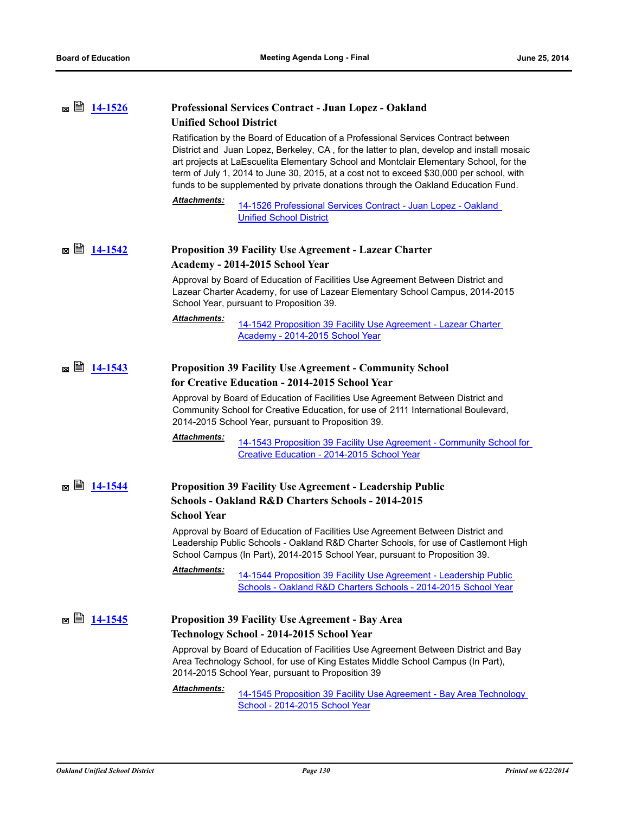| 図 | ■ 14-1526   | Professional Services Contract - Juan Lopez - Oakland                                                                                                                                                                                                                                                                                                                                                                                                      |
|---|-------------|------------------------------------------------------------------------------------------------------------------------------------------------------------------------------------------------------------------------------------------------------------------------------------------------------------------------------------------------------------------------------------------------------------------------------------------------------------|
|   |             | <b>Unified School District</b>                                                                                                                                                                                                                                                                                                                                                                                                                             |
|   |             | Ratification by the Board of Education of a Professional Services Contract between<br>District and Juan Lopez, Berkeley, CA, for the latter to plan, develop and install mosaic<br>art projects at LaEscuelita Elementary School and Montclair Elementary School, for the<br>term of July 1, 2014 to June 30, 2015, at a cost not to exceed \$30,000 per school, with<br>funds to be supplemented by private donations through the Oakland Education Fund. |
|   |             | Attachments:<br>14-1526 Professional Services Contract - Juan Lopez - Oakland<br><b>Unified School District</b>                                                                                                                                                                                                                                                                                                                                            |
|   | ⊠ ■ 14-1542 | <b>Proposition 39 Facility Use Agreement - Lazear Charter</b><br>Academy - 2014-2015 School Year                                                                                                                                                                                                                                                                                                                                                           |
|   |             | Approval by Board of Education of Facilities Use Agreement Between District and<br>Lazear Charter Academy, for use of Lazear Elementary School Campus, 2014-2015<br>School Year, pursuant to Proposition 39.                                                                                                                                                                                                                                               |
|   |             | Attachments:<br>14-1542 Proposition 39 Facility Use Agreement - Lazear Charter<br>Academy - 2014-2015 School Year                                                                                                                                                                                                                                                                                                                                          |
| × | ■ 14-1543   | <b>Proposition 39 Facility Use Agreement - Community School</b><br>for Creative Education - 2014-2015 School Year                                                                                                                                                                                                                                                                                                                                          |
|   |             | Approval by Board of Education of Facilities Use Agreement Between District and<br>Community School for Creative Education, for use of 2111 International Boulevard,<br>2014-2015 School Year, pursuant to Proposition 39.                                                                                                                                                                                                                                 |
|   |             | Attachments:<br>14-1543 Proposition 39 Facility Use Agreement - Community School for<br>Creative Education - 2014-2015 School Year                                                                                                                                                                                                                                                                                                                         |
|   |             | <b>Proposition 39 Facility Use Agreement - Leadership Public</b>                                                                                                                                                                                                                                                                                                                                                                                           |
|   |             | Schools - Oakland R&D Charters Schools - 2014-2015<br><b>School Year</b>                                                                                                                                                                                                                                                                                                                                                                                   |
|   |             | Approval by Board of Education of Facilities Use Agreement Between District and<br>Leadership Public Schools - Oakland R&D Charter Schools, for use of Castlemont High<br>School Campus (In Part), 2014-2015 School Year, pursuant to Proposition 39.                                                                                                                                                                                                      |
|   |             | <u> Attachments:</u><br>14-1544 Proposition 39 Facility Use Agreement - Leadership Public<br>Schools - Oakland R&D Charters Schools - 2014-2015 School Year                                                                                                                                                                                                                                                                                                |
|   |             | <b>Proposition 39 Facility Use Agreement - Bay Area</b>                                                                                                                                                                                                                                                                                                                                                                                                    |
|   |             | Technology School - 2014-2015 School Year                                                                                                                                                                                                                                                                                                                                                                                                                  |
|   |             | Approval by Board of Education of Facilities Use Agreement Between District and Bay<br>Area Technology School, for use of King Estates Middle School Campus (In Part),<br>2014-2015 School Year, pursuant to Proposition 39                                                                                                                                                                                                                                |
|   |             | <u> Attachments:</u><br>14-1545 Proposition 39 Facility Use Agreement - Bay Area Technology                                                                                                                                                                                                                                                                                                                                                                |
|   |             | School - 2014-2015 School Year                                                                                                                                                                                                                                                                                                                                                                                                                             |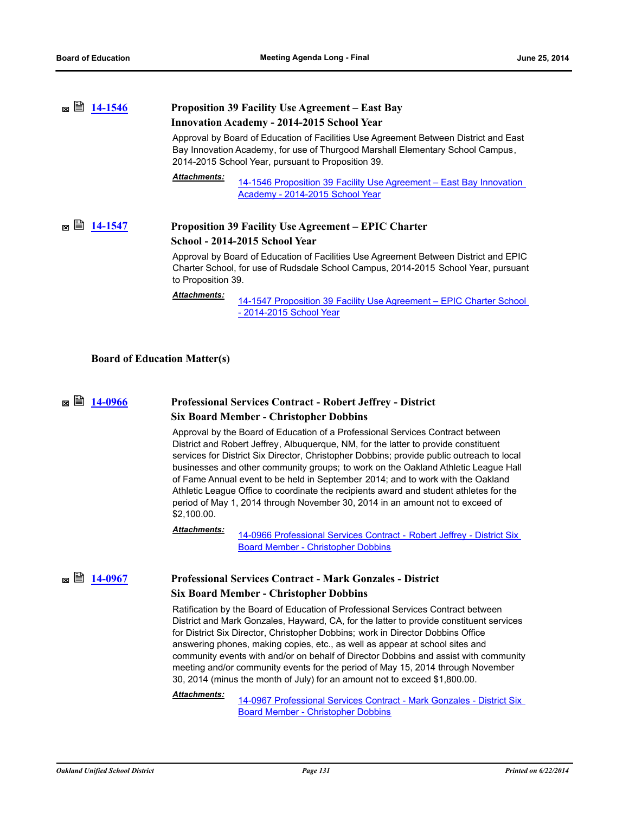| <b>Proposition 39 Facility Use Agreement – East Bay</b> |
|---------------------------------------------------------|
| <b>Innovation Academy - 2014-2015 School Year</b>       |

Approval by Board of Education of Facilities Use Agreement Between District and East Bay Innovation Academy, for use of Thurgood Marshall Elementary School Campus, 2014-2015 School Year, pursuant to Proposition 39.

[14-1546 Proposition 39 Facility Use Agreement – East Bay Innovation](http://ousd.legistar.com/gateway.aspx?M=F&ID=76766.pdf)  Academy - 2014-2015 School Year *Attachments:*

# **[14-1547](http://ousd.legistar.com/gateway.aspx?m=l&id=/matter.aspx?key=33223) Proposition 39 Facility Use Agreement – EPIC Charter School - 2014-2015 School Year**

Approval by Board of Education of Facilities Use Agreement Between District and EPIC Charter School, for use of Rudsdale School Campus, 2014-2015 School Year, pursuant to Proposition 39.

*Attachments:*

[14-1547 Proposition 39 Facility Use Agreement – EPIC Charter School](http://ousd.legistar.com/gateway.aspx?M=F&ID=76767.pdf)  - 2014-2015 School Year

## **Board of Education Matter(s)**

# **■ ■ [14-0966](http://ousd.legistar.com/gateway.aspx?m=l&id=/matter.aspx?key=32666) Professional Services Contract - Robert Jeffrey - District Six Board Member - Christopher Dobbins**

Approval by the Board of Education of a Professional Services Contract between District and Robert Jeffrey, Albuquerque, NM, for the latter to provide constituent services for District Six Director, Christopher Dobbins; provide public outreach to local businesses and other community groups; to work on the Oakland Athletic League Hall of Fame Annual event to be held in September 2014; and to work with the Oakland Athletic League Office to coordinate the recipients award and student athletes for the period of May 1, 2014 through November 30, 2014 in an amount not to exceed of \$2,100.00.

*Attachments:*

[14-0966 Professional Services Contract - Robert Jeffrey - District Six](http://ousd.legistar.com/gateway.aspx?M=F&ID=76753.pdf)  Board Member - Christopher Dobbins

# **[14-0967](http://ousd.legistar.com/gateway.aspx?m=l&id=/matter.aspx?key=32667) Professional Services Contract - Mark Gonzales - District Six Board Member - Christopher Dobbins**

Ratification by the Board of Education of Professional Services Contract between District and Mark Gonzales, Hayward, CA, for the latter to provide constituent services for District Six Director, Christopher Dobbins; work in Director Dobbins Office answering phones, making copies, etc., as well as appear at school sites and community events with and/or on behalf of Director Dobbins and assist with community meeting and/or community events for the period of May 15, 2014 through November 30, 2014 (minus the month of July) for an amount not to exceed \$1,800.00.

14-0967 Professional Services Contract - Mark Gonzales - District Six Board Member - Christopher Dobbins *Attachments:*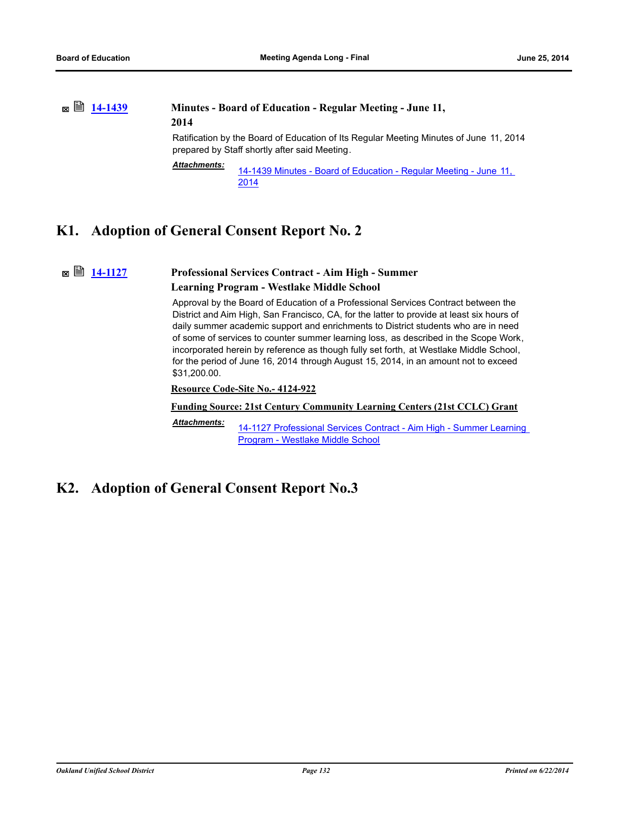# **<b>■ [14-1439](http://ousd.legistar.com/gateway.aspx?m=l&id=/matter.aspx?key=33115) Minutes - Board of Education - Regular Meeting - June 11, 2014**

Ratification by the Board of Education of Its Regular Meeting Minutes of June 11, 2014 prepared by Staff shortly after said Meeting.

[14-1439 Minutes - Board of Education - Regular Meeting - June 11,](https://ousd.legistar.com/View.ashx?M=M&ID=319668&GUID=DFA4FFF2-BCEC-4E3C-A70E-5A7B8F5A4ECB)  2014 *Attachments:*

# **K1. Adoption of General Consent Report No. 2**

# **■ ■ [14-1127](http://ousd.legistar.com/gateway.aspx?m=l&id=/matter.aspx?key=32827) Professional Services Contract - Aim High - Summer Learning Program - Westlake Middle School**

Approval by the Board of Education of a Professional Services Contract between the District and Aim High, San Francisco, CA, for the latter to provide at least six hours of daily summer academic support and enrichments to District students who are in need of some of services to counter summer learning loss, as described in the Scope Work, incorporated herein by reference as though fully set forth, at Westlake Middle School, for the period of June 16, 2014 through August 15, 2014, in an amount not to exceed \$31,200.00.

**Resource Code-Site No.- 4124-922**

### **Funding Source: 21st Century Community Learning Centers (21st CCLC) Grant**

[14-1127 Professional Services Contract - Aim High - Summer Learning](http://ousd.legistar.com/gateway.aspx?M=F&ID=76479.pdf)  Program - Westlake Middle School *Attachments:*

# **K2. Adoption of General Consent Report No.3**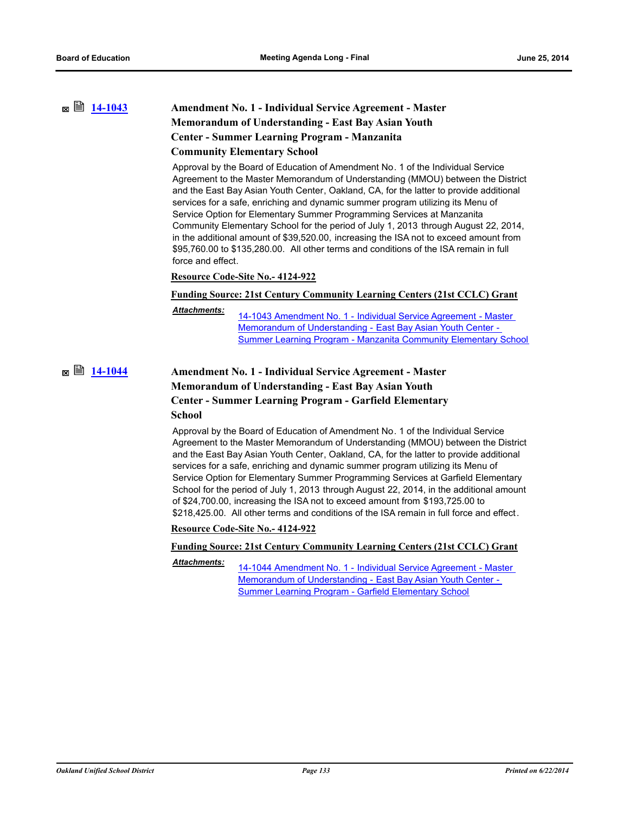# **[14-1043](http://ousd.legistar.com/gateway.aspx?m=l&id=/matter.aspx?key=32743) Amendment No. 1 - Individual Service Agreement - Master Memorandum of Understanding - East Bay Asian Youth Center - Summer Learning Program - Manzanita**

### **Community Elementary School**

Approval by the Board of Education of Amendment No. 1 of the Individual Service Agreement to the Master Memorandum of Understanding (MMOU) between the District and the East Bay Asian Youth Center, Oakland, CA, for the latter to provide additional services for a safe, enriching and dynamic summer program utilizing its Menu of Service Option for Elementary Summer Programming Services at Manzanita Community Elementary School for the period of July 1, 2013 through August 22, 2014, in the additional amount of \$39,520.00, increasing the ISA not to exceed amount from \$95,760.00 to \$135,280.00. All other terms and conditions of the ISA remain in full force and effect.

### **Resource Code-Site No.- 4124-922**

### **Funding Source: 21st Century Community Learning Centers (21st CCLC) Grant**

14-1043 Amendment No. 1 - Individual Service Agreement - Master Memorandum of Understanding - East Bay Asian Youth Center - [Summer Learning Program - Manzanita Community Elementary School](http://ousd.legistar.com/gateway.aspx?M=F&ID=76722.pdf) *Attachments:*

# **[14-1044](http://ousd.legistar.com/gateway.aspx?m=l&id=/matter.aspx?key=32744) Amendment No. 1 - Individual Service Agreement - Master Memorandum of Understanding - East Bay Asian Youth Center - Summer Learning Program - Garfield Elementary**

**School**

Approval by the Board of Education of Amendment No. 1 of the Individual Service Agreement to the Master Memorandum of Understanding (MMOU) between the District and the East Bay Asian Youth Center, Oakland, CA, for the latter to provide additional services for a safe, enriching and dynamic summer program utilizing its Menu of Service Option for Elementary Summer Programming Services at Garfield Elementary School for the period of July 1, 2013 through August 22, 2014, in the additional amount of \$24,700.00, increasing the ISA not to exceed amount from \$193,725.00 to \$218,425.00. All other terms and conditions of the ISA remain in full force and effect.

### **Resource Code-Site No.- 4124-922**

### **Funding Source: 21st Century Community Learning Centers (21st CCLC) Grant**

### *Attachments:*

[14-1044 Amendment No. 1 - Individual Service Agreement - Master](http://ousd.legistar.com/gateway.aspx?M=F&ID=76723.pdf)  Memorandum of Understanding - East Bay Asian Youth Center - Summer Learning Program - Garfield Elementary School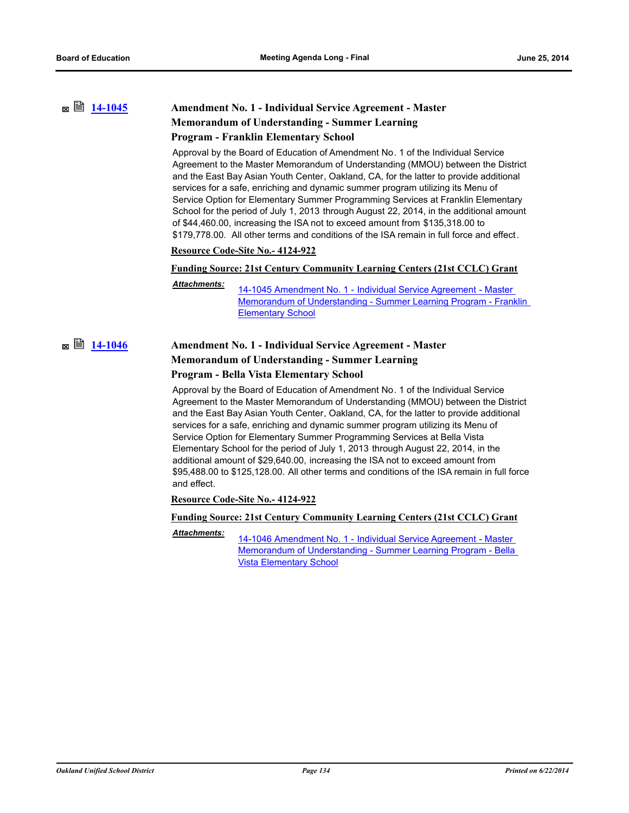# **[14-1045](http://ousd.legistar.com/gateway.aspx?m=l&id=/matter.aspx?key=32745) Amendment No. 1 - Individual Service Agreement - Master Memorandum of Understanding - Summer Learning Program - Franklin Elementary School**

Approval by the Board of Education of Amendment No. 1 of the Individual Service Agreement to the Master Memorandum of Understanding (MMOU) between the District and the East Bay Asian Youth Center, Oakland, CA, for the latter to provide additional services for a safe, enriching and dynamic summer program utilizing its Menu of Service Option for Elementary Summer Programming Services at Franklin Elementary School for the period of July 1, 2013 through August 22, 2014, in the additional amount of \$44,460.00, increasing the ISA not to exceed amount from \$135,318.00 to \$179,778.00. All other terms and conditions of the ISA remain in full force and effect.

### **Resource Code-Site No.- 4124-922**

### **Funding Source: 21st Century Community Learning Centers (21st CCLC) Grant**

14-1045 Amendment No. 1 - Individual Service Agreement - Master [Memorandum of Understanding - Summer Learning Program - Franklin](http://ousd.legistar.com/gateway.aspx?M=F&ID=76724.pdf)  Elementary School *Attachments:*

# **■ ■ [14-1046](http://ousd.legistar.com/gateway.aspx?m=l&id=/matter.aspx?key=32746) Amendment No. 1 - Individual Service Agreement - Master Memorandum of Understanding - Summer Learning Program - Bella Vista Elementary School**

Approval by the Board of Education of Amendment No. 1 of the Individual Service Agreement to the Master Memorandum of Understanding (MMOU) between the District and the East Bay Asian Youth Center, Oakland, CA, for the latter to provide additional services for a safe, enriching and dynamic summer program utilizing its Menu of Service Option for Elementary Summer Programming Services at Bella Vista

Elementary School for the period of July 1, 2013 through August 22, 2014, in the additional amount of \$29,640.00, increasing the ISA not to exceed amount from \$95,488.00 to \$125,128.00. All other terms and conditions of the ISA remain in full force and effect.

**Resource Code-Site No.- 4124-922**

### **Funding Source: 21st Century Community Learning Centers (21st CCLC) Grant**

14-1046 Amendment No. 1 - Individual Service Agreement - Master [Memorandum of Understanding - Summer Learning Program - Bella](http://ousd.legistar.com/gateway.aspx?M=F&ID=76726.pdf)  Vista Elementary School *Attachments:*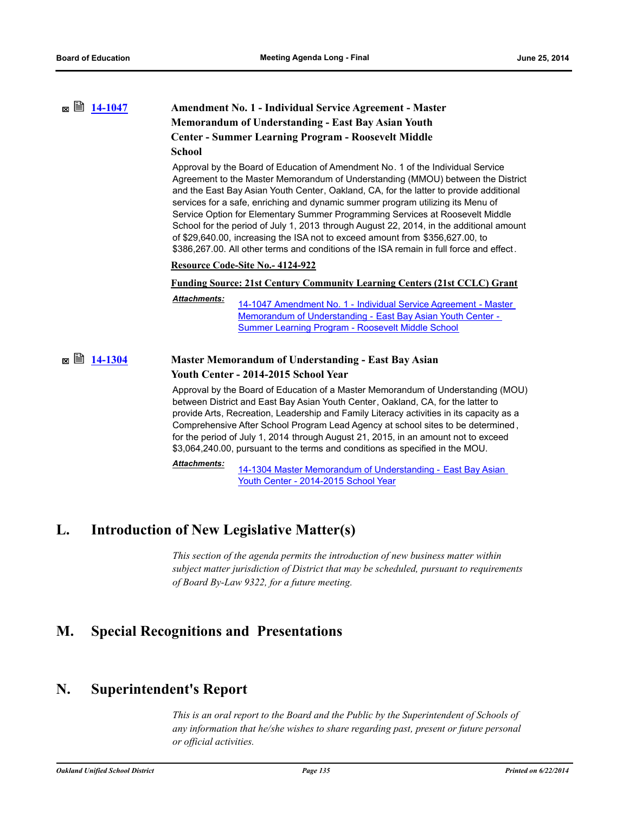# **[14-1047](http://ousd.legistar.com/gateway.aspx?m=l&id=/matter.aspx?key=32747) Amendment No. 1 - Individual Service Agreement - Master Memorandum of Understanding - East Bay Asian Youth Center - Summer Learning Program - Roosevelt Middle**

### **School**

Approval by the Board of Education of Amendment No. 1 of the Individual Service Agreement to the Master Memorandum of Understanding (MMOU) between the District and the East Bay Asian Youth Center, Oakland, CA, for the latter to provide additional services for a safe, enriching and dynamic summer program utilizing its Menu of Service Option for Elementary Summer Programming Services at Roosevelt Middle School for the period of July 1, 2013 through August 22, 2014, in the additional amount of \$29,640.00, increasing the ISA not to exceed amount from \$356,627.00, to \$386,267.00. All other terms and conditions of the ISA remain in full force and effect.

### **Resource Code-Site No.- 4124-922**

### **Funding Source: 21st Century Community Learning Centers (21st CCLC) Grant**

*Attachments:*

[14-1047 Amendment No. 1 - Individual Service Agreement - Master](http://ousd.legistar.com/gateway.aspx?M=F&ID=76725.pdf)  Memorandum of Understanding - East Bay Asian Youth Center - Summer Learning Program - Roosevelt Middle School

# **[14-1304](http://ousd.legistar.com/gateway.aspx?m=l&id=/matter.aspx?key=32984) Master Memorandum of Understanding - East Bay Asian Youth Center - 2014-2015 School Year**

Approval by the Board of Education of a Master Memorandum of Understanding (MOU) between District and East Bay Asian Youth Center, Oakland, CA, for the latter to provide Arts, Recreation, Leadership and Family Literacy activities in its capacity as a Comprehensive After School Program Lead Agency at school sites to be determined , for the period of July 1, 2014 through August 21, 2015, in an amount not to exceed \$3,064,240.00, pursuant to the terms and conditions as specified in the MOU.

[14-1304 Master Memorandum of Understanding - East Bay Asian](http://ousd.legistar.com/gateway.aspx?M=F&ID=76746.pdf)  Youth Center - 2014-2015 School Year *Attachments:*

# **L. Introduction of New Legislative Matter(s)**

*This section of the agenda permits the introduction of new business matter within subject matter jurisdiction of District that may be scheduled, pursuant to requirements of Board By-Law 9322, for a future meeting.*

# **M. Special Recognitions and Presentations**

# **N. Superintendent's Report**

*This is an oral report to the Board and the Public by the Superintendent of Schools of any information that he/she wishes to share regarding past, present or future personal or official activities.*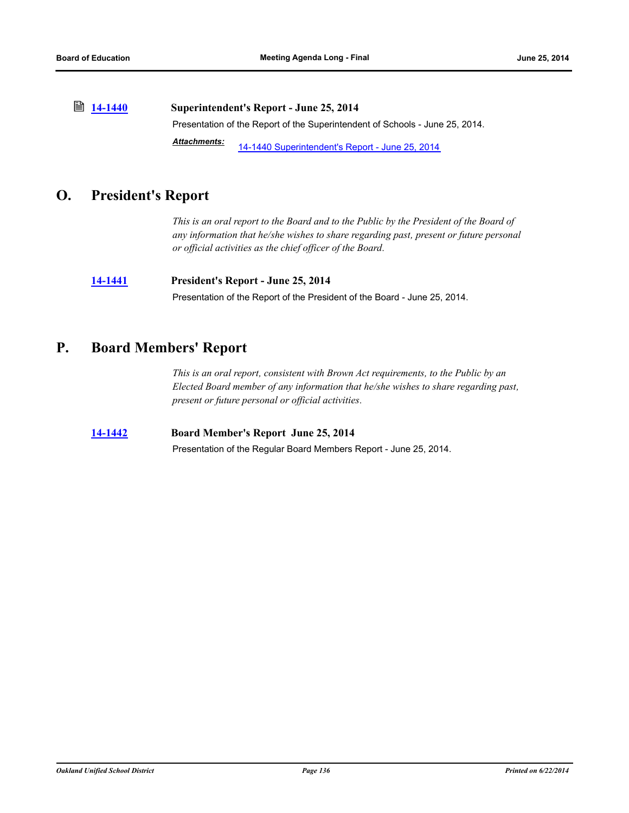**[14-1440](http://ousd.legistar.com/gateway.aspx?m=l&id=/matter.aspx?key=33116) Superintendent's Report - June 25, 2014** Presentation of the Report of the Superintendent of Schools - June 25, 2014. [14-1440 Superintendent's Report - June 25, 2014](http://ousd.legistar.com/gateway.aspx?M=F&ID=76770.pdf) *Attachments:*

# **O. President's Report**

*This is an oral report to the Board and to the Public by the President of the Board of any information that he/she wishes to share regarding past, present or future personal or official activities as the chief officer of the Board.*

# **[14-1441](http://ousd.legistar.com/gateway.aspx?m=l&id=/matter.aspx?key=33117) President's Report - June 25, 2014** Presentation of the Report of the President of the Board - June 25, 2014.

# **P. Board Members' Report**

*This is an oral report, consistent with Brown Act requirements, to the Public by an Elected Board member of any information that he/she wishes to share regarding past, present or future personal or official activities.*

## **[14-1442](http://ousd.legistar.com/gateway.aspx?m=l&id=/matter.aspx?key=33118) Board Member's Report June 25, 2014** Presentation of the Regular Board Members Report - June 25, 2014.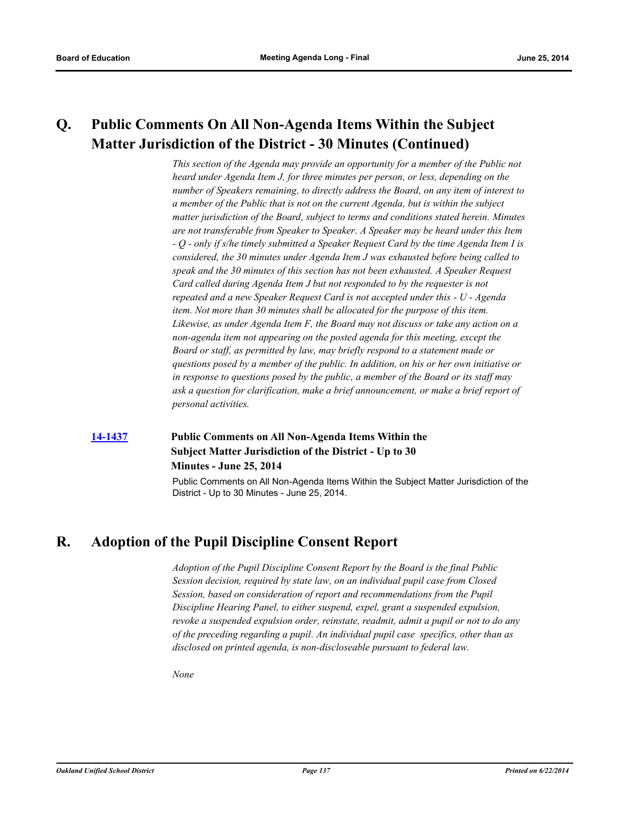# **Q. Public Comments On All Non-Agenda Items Within the Subject Matter Jurisdiction of the District - 30 Minutes (Continued)**

*This section of the Agenda may provide an opportunity for a member of the Public not heard under Agenda Item J, for three minutes per person, or less, depending on the number of Speakers remaining, to directly address the Board, on any item of interest to a member of the Public that is not on the current Agenda, but is within the subject matter jurisdiction of the Board, subject to terms and conditions stated herein. Minutes are not transferable from Speaker to Speaker. A Speaker may be heard under this Item - Q - only if s/he timely submitted a Speaker Request Card by the time Agenda Item I is considered, the 30 minutes under Agenda Item J was exhausted before being called to speak and the 30 minutes of this section has not been exhausted. A Speaker Request Card called during Agenda Item J but not responded to by the requester is not repeated and a new Speaker Request Card is not accepted under this - U - Agenda item. Not more than 30 minutes shall be allocated for the purpose of this item. Likewise, as under Agenda Item F, the Board may not discuss or take any action on a non-agenda item not appearing on the posted agenda for this meeting, except the Board or staff, as permitted by law, may briefly respond to a statement made or questions posed by a member of the public. In addition, on his or her own initiative or in response to questions posed by the public, a member of the Board or its staff may ask a question for clarification, make a brief announcement, or make a brief report of personal activities.*

# **[14-1437](http://ousd.legistar.com/gateway.aspx?m=l&id=/matter.aspx?key=33113) Public Comments on All Non-Agenda Items Within the Subject Matter Jurisdiction of the District - Up to 30 Minutes - June 25, 2014**

Public Comments on All Non-Agenda Items Within the Subject Matter Jurisdiction of the District - Up to 30 Minutes - June 25, 2014.

# **R. Adoption of the Pupil Discipline Consent Report**

*Adoption of the Pupil Discipline Consent Report by the Board is the final Public Session decision, required by state law, on an individual pupil case from Closed Session, based on consideration of report and recommendations from the Pupil Discipline Hearing Panel, to either suspend, expel, grant a suspended expulsion, revoke a suspended expulsion order, reinstate, readmit, admit a pupil or not to do any of the preceding regarding a pupil. An individual pupil case specifics, other than as disclosed on printed agenda, is non-discloseable pursuant to federal law.*

*None*